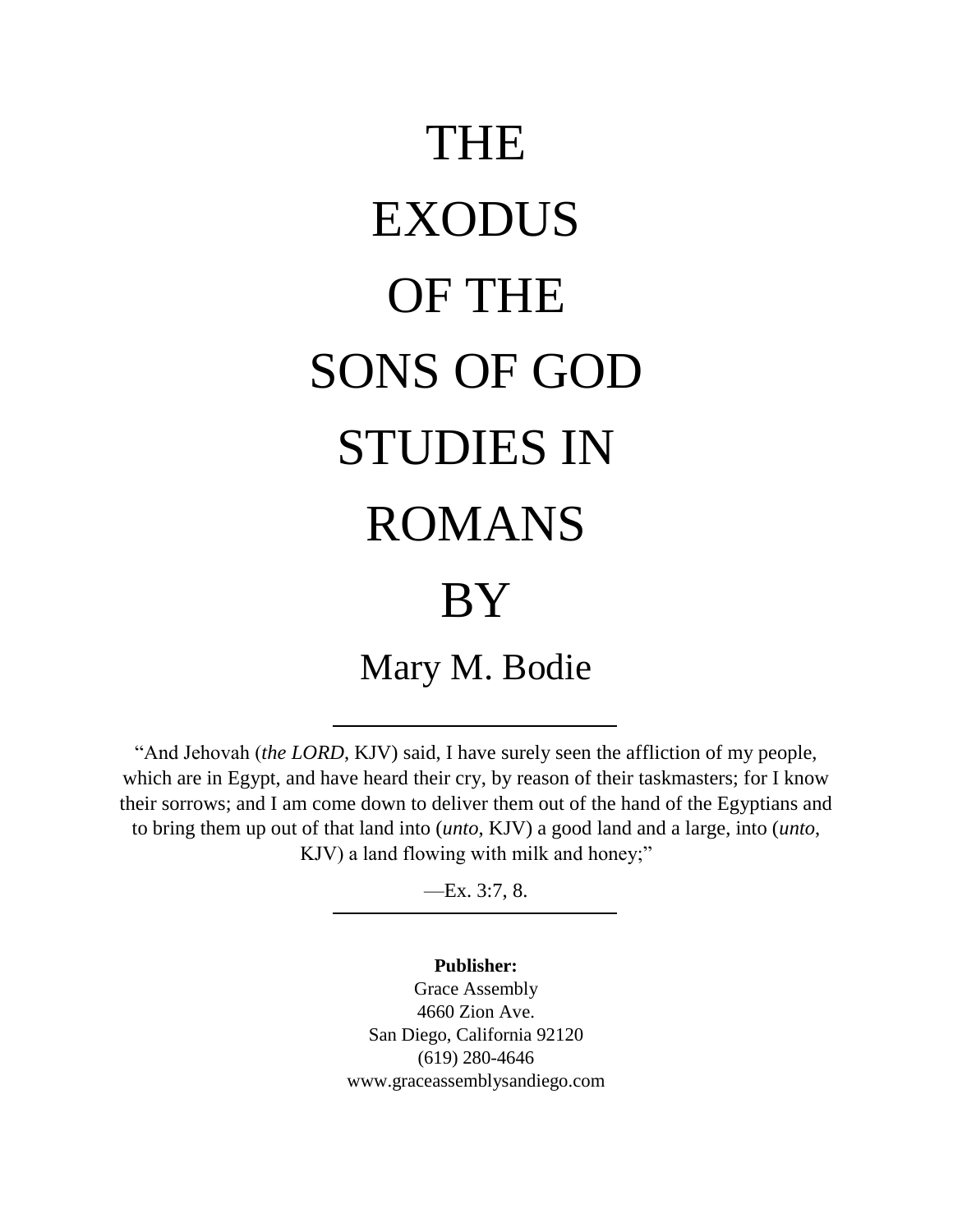# THE EXODUS OF THE SONS OF GOD STUDIES IN ROMANS BY Mary M. Bodie

"And Jehovah (*the LORD*, KJV) said, I have surely seen the affliction of my people, which are in Egypt, and have heard their cry, by reason of their taskmasters; for I know their sorrows; and I am come down to deliver them out of the hand of the Egyptians and to bring them up out of that land into (*unto*, KJV) a good land and a large, into (*unto*, KJV) a land flowing with milk and honey;"

—Ex. 3:7, 8.

**Publisher:** Grace Assembly 4660 Zion Ave. San Diego, California 92120 (619) 280-4646 www.graceassemblysandiego.com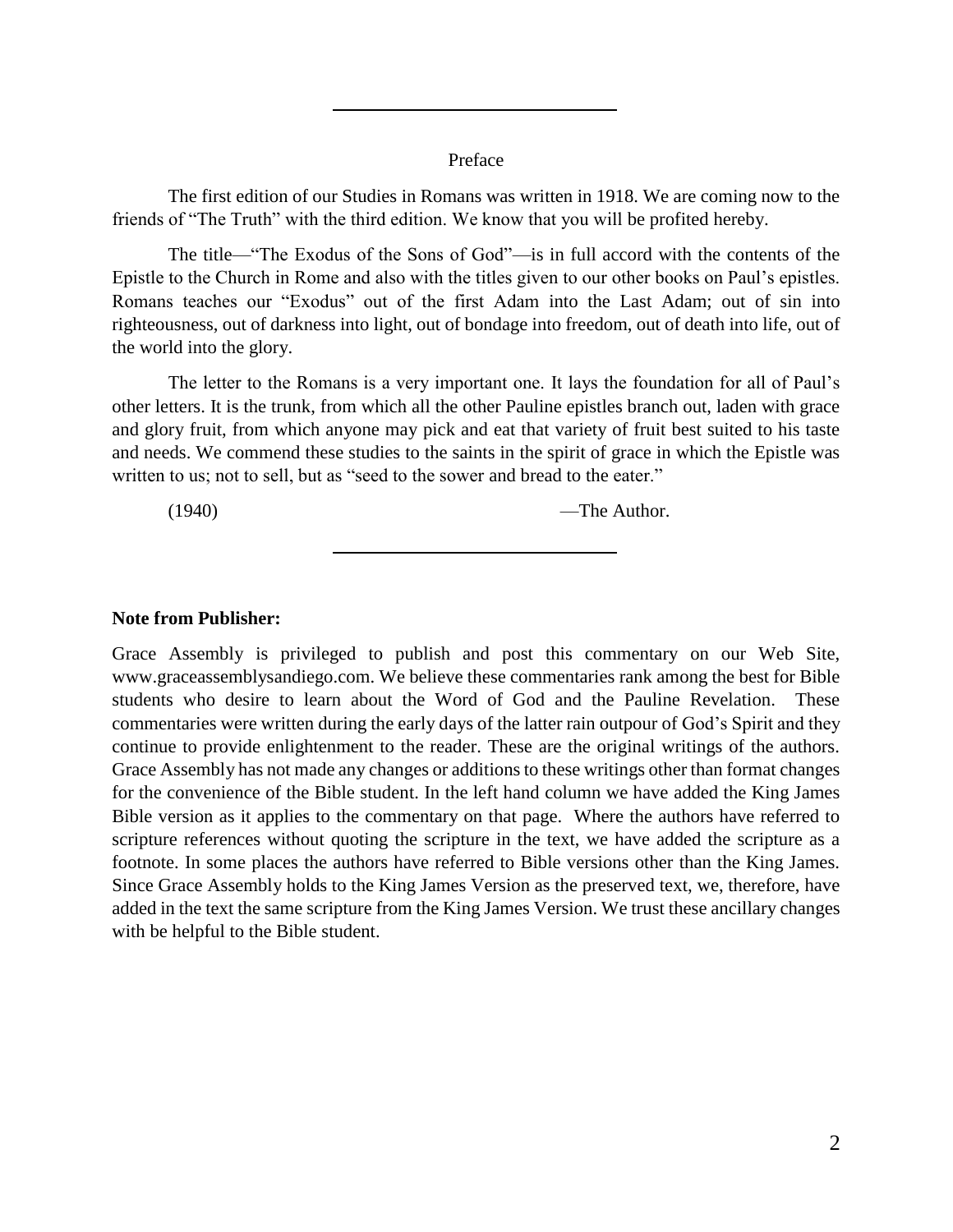#### Preface

The first edition of our Studies in Romans was written in 1918. We are coming now to the friends of "The Truth" with the third edition. We know that you will be profited hereby.

The title—"The Exodus of the Sons of God"—is in full accord with the contents of the Epistle to the Church in Rome and also with the titles given to our other books on Paul's epistles. Romans teaches our "Exodus" out of the first Adam into the Last Adam; out of sin into righteousness, out of darkness into light, out of bondage into freedom, out of death into life, out of the world into the glory.

The letter to the Romans is a very important one. It lays the foundation for all of Paul's other letters. It is the trunk, from which all the other Pauline epistles branch out, laden with grace and glory fruit, from which anyone may pick and eat that variety of fruit best suited to his taste and needs. We commend these studies to the saints in the spirit of grace in which the Epistle was written to us; not to sell, but as "seed to the sower and bread to the eater."

(1940) —The Author.

#### **Note from Publisher:**

Grace Assembly is privileged to publish and post this commentary on our Web Site, www.graceassemblysandiego.com. We believe these commentaries rank among the best for Bible students who desire to learn about the Word of God and the Pauline Revelation. These commentaries were written during the early days of the latter rain outpour of God's Spirit and they continue to provide enlightenment to the reader. These are the original writings of the authors. Grace Assembly has not made any changes or additions to these writings other than format changes for the convenience of the Bible student. In the left hand column we have added the King James Bible version as it applies to the commentary on that page. Where the authors have referred to scripture references without quoting the scripture in the text, we have added the scripture as a footnote. In some places the authors have referred to Bible versions other than the King James. Since Grace Assembly holds to the King James Version as the preserved text, we, therefore, have added in the text the same scripture from the King James Version. We trust these ancillary changes with be helpful to the Bible student.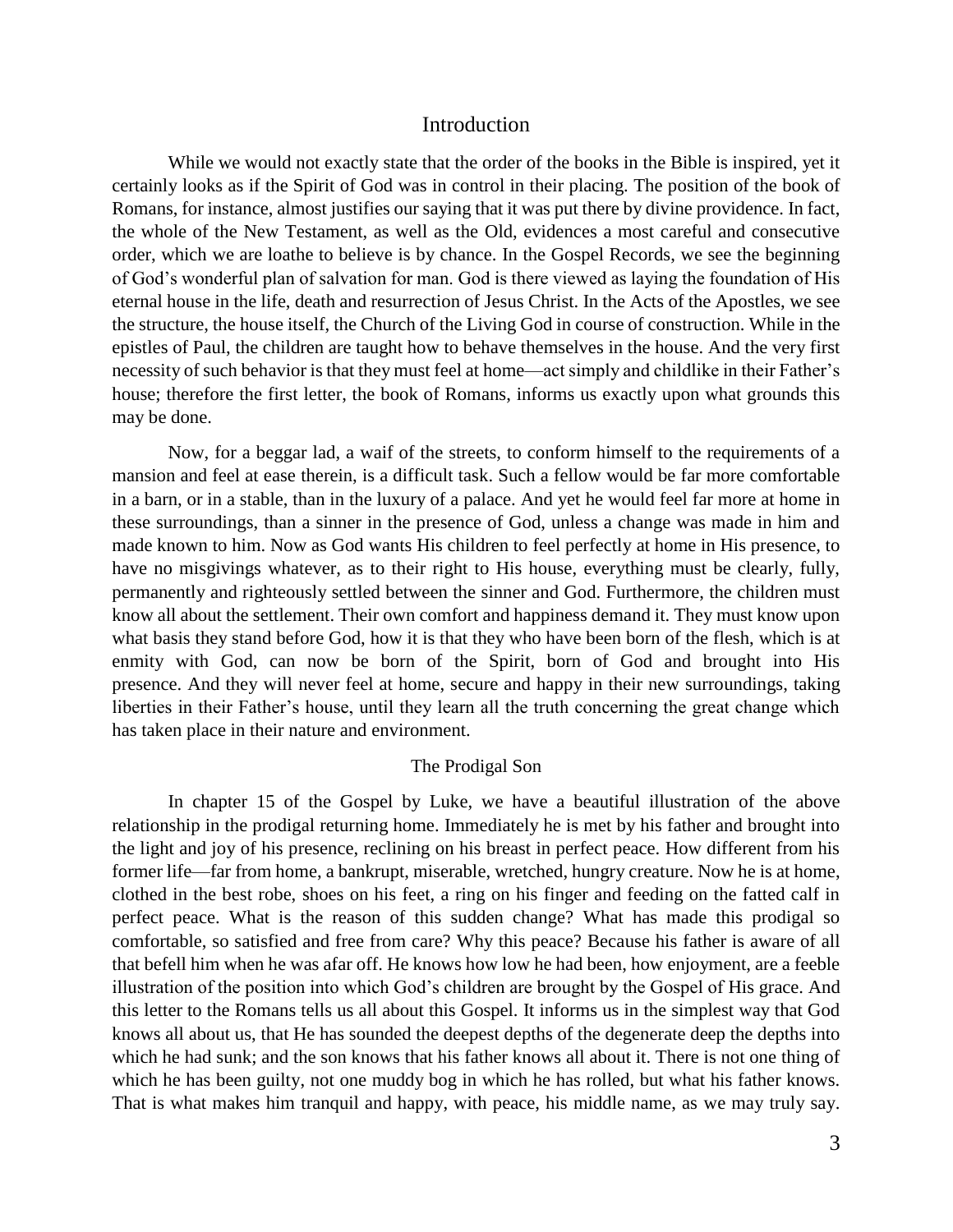#### Introduction

While we would not exactly state that the order of the books in the Bible is inspired, yet it certainly looks as if the Spirit of God was in control in their placing. The position of the book of Romans, for instance, almost justifies our saying that it was put there by divine providence. In fact, the whole of the New Testament, as well as the Old, evidences a most careful and consecutive order, which we are loathe to believe is by chance. In the Gospel Records, we see the beginning of God's wonderful plan of salvation for man. God is there viewed as laying the foundation of His eternal house in the life, death and resurrection of Jesus Christ. In the Acts of the Apostles, we see the structure, the house itself, the Church of the Living God in course of construction. While in the epistles of Paul, the children are taught how to behave themselves in the house. And the very first necessity of such behavior is that they must feel at home—act simply and childlike in their Father's house; therefore the first letter, the book of Romans, informs us exactly upon what grounds this may be done.

Now, for a beggar lad, a waif of the streets, to conform himself to the requirements of a mansion and feel at ease therein, is a difficult task. Such a fellow would be far more comfortable in a barn, or in a stable, than in the luxury of a palace. And yet he would feel far more at home in these surroundings, than a sinner in the presence of God, unless a change was made in him and made known to him. Now as God wants His children to feel perfectly at home in His presence, to have no misgivings whatever, as to their right to His house, everything must be clearly, fully, permanently and righteously settled between the sinner and God. Furthermore, the children must know all about the settlement. Their own comfort and happiness demand it. They must know upon what basis they stand before God, how it is that they who have been born of the flesh, which is at enmity with God, can now be born of the Spirit, born of God and brought into His presence. And they will never feel at home, secure and happy in their new surroundings, taking liberties in their Father's house, until they learn all the truth concerning the great change which has taken place in their nature and environment.

#### The Prodigal Son

In chapter 15 of the Gospel by Luke, we have a beautiful illustration of the above relationship in the prodigal returning home. Immediately he is met by his father and brought into the light and joy of his presence, reclining on his breast in perfect peace. How different from his former life—far from home, a bankrupt, miserable, wretched, hungry creature. Now he is at home, clothed in the best robe, shoes on his feet, a ring on his finger and feeding on the fatted calf in perfect peace. What is the reason of this sudden change? What has made this prodigal so comfortable, so satisfied and free from care? Why this peace? Because his father is aware of all that befell him when he was afar off. He knows how low he had been, how enjoyment, are a feeble illustration of the position into which God's children are brought by the Gospel of His grace. And this letter to the Romans tells us all about this Gospel. It informs us in the simplest way that God knows all about us, that He has sounded the deepest depths of the degenerate deep the depths into which he had sunk; and the son knows that his father knows all about it. There is not one thing of which he has been guilty, not one muddy bog in which he has rolled, but what his father knows. That is what makes him tranquil and happy, with peace, his middle name, as we may truly say.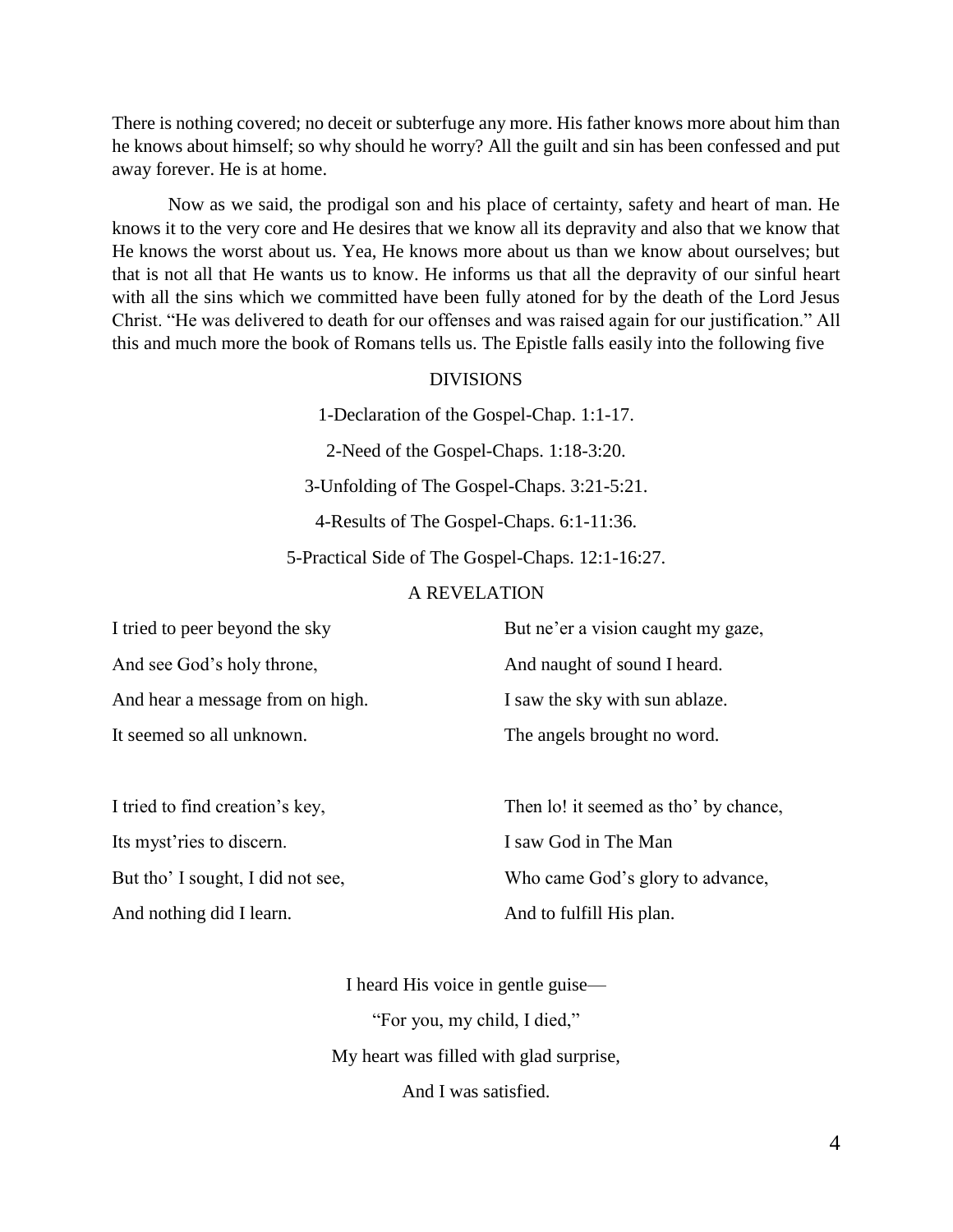There is nothing covered; no deceit or subterfuge any more. His father knows more about him than he knows about himself; so why should he worry? All the guilt and sin has been confessed and put away forever. He is at home.

Now as we said, the prodigal son and his place of certainty, safety and heart of man. He knows it to the very core and He desires that we know all its depravity and also that we know that He knows the worst about us. Yea, He knows more about us than we know about ourselves; but that is not all that He wants us to know. He informs us that all the depravity of our sinful heart with all the sins which we committed have been fully atoned for by the death of the Lord Jesus Christ. "He was delivered to death for our offenses and was raised again for our justification." All this and much more the book of Romans tells us. The Epistle falls easily into the following five

#### DIVISIONS

1-Declaration of the Gospel-Chap. 1:1-17. 2-Need of the Gospel-Chaps. 1:18-3:20. 3-Unfolding of The Gospel-Chaps. 3:21-5:21. 4-Results of The Gospel-Chaps. 6:1-11:36.

5-Practical Side of The Gospel-Chaps. 12:1-16:27.

# A REVELATION

| I tried to peer beyond the sky   | But ne'er a vision caught my gaze, |
|----------------------------------|------------------------------------|
| And see God's holy throne,       | And naught of sound I heard.       |
| And hear a message from on high. | I saw the sky with sun ablaze.     |
| It seemed so all unknown.        | The angels brought no word.        |

| I tried to find creation's key,   | Then lo! it seemed as tho' by chance, |
|-----------------------------------|---------------------------------------|
| Its myst ries to discern.         | I saw God in The Man                  |
| But tho' I sought, I did not see, | Who came God's glory to advance,      |
| And nothing did I learn.          | And to fulfill His plan.              |

I heard His voice in gentle guise— "For you, my child, I died," My heart was filled with glad surprise, And I was satisfied.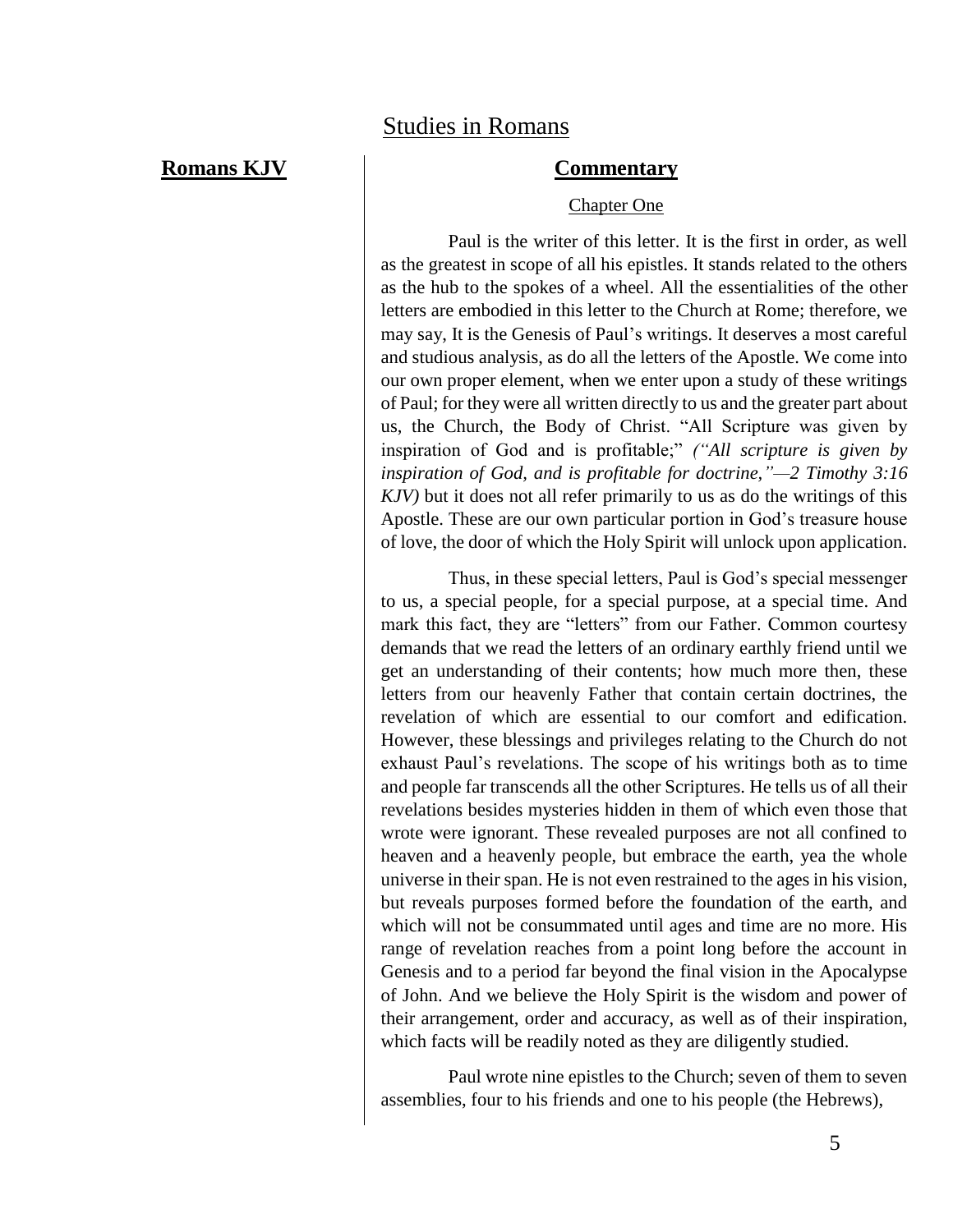# **Romans KJV Commentary**

#### Chapter One

Paul is the writer of this letter. It is the first in order, as well as the greatest in scope of all his epistles. It stands related to the others as the hub to the spokes of a wheel. All the essentialities of the other letters are embodied in this letter to the Church at Rome; therefore, we may say, It is the Genesis of Paul's writings. It deserves a most careful and studious analysis, as do all the letters of the Apostle. We come into our own proper element, when we enter upon a study of these writings of Paul; for they were all written directly to us and the greater part about us, the Church, the Body of Christ. "All Scripture was given by inspiration of God and is profitable;" *("All scripture is given by inspiration of God, and is profitable for doctrine,"—2 Timothy 3:16 KJV)* but it does not all refer primarily to us as do the writings of this Apostle. These are our own particular portion in God's treasure house of love, the door of which the Holy Spirit will unlock upon application.

Thus, in these special letters, Paul is God's special messenger to us, a special people, for a special purpose, at a special time. And mark this fact, they are "letters" from our Father. Common courtesy demands that we read the letters of an ordinary earthly friend until we get an understanding of their contents; how much more then, these letters from our heavenly Father that contain certain doctrines, the revelation of which are essential to our comfort and edification. However, these blessings and privileges relating to the Church do not exhaust Paul's revelations. The scope of his writings both as to time and people far transcends all the other Scriptures. He tells us of all their revelations besides mysteries hidden in them of which even those that wrote were ignorant. These revealed purposes are not all confined to heaven and a heavenly people, but embrace the earth, yea the whole universe in their span. He is not even restrained to the ages in his vision, but reveals purposes formed before the foundation of the earth, and which will not be consummated until ages and time are no more. His range of revelation reaches from a point long before the account in Genesis and to a period far beyond the final vision in the Apocalypse of John. And we believe the Holy Spirit is the wisdom and power of their arrangement, order and accuracy, as well as of their inspiration, which facts will be readily noted as they are diligently studied.

Paul wrote nine epistles to the Church; seven of them to seven assemblies, four to his friends and one to his people (the Hebrews),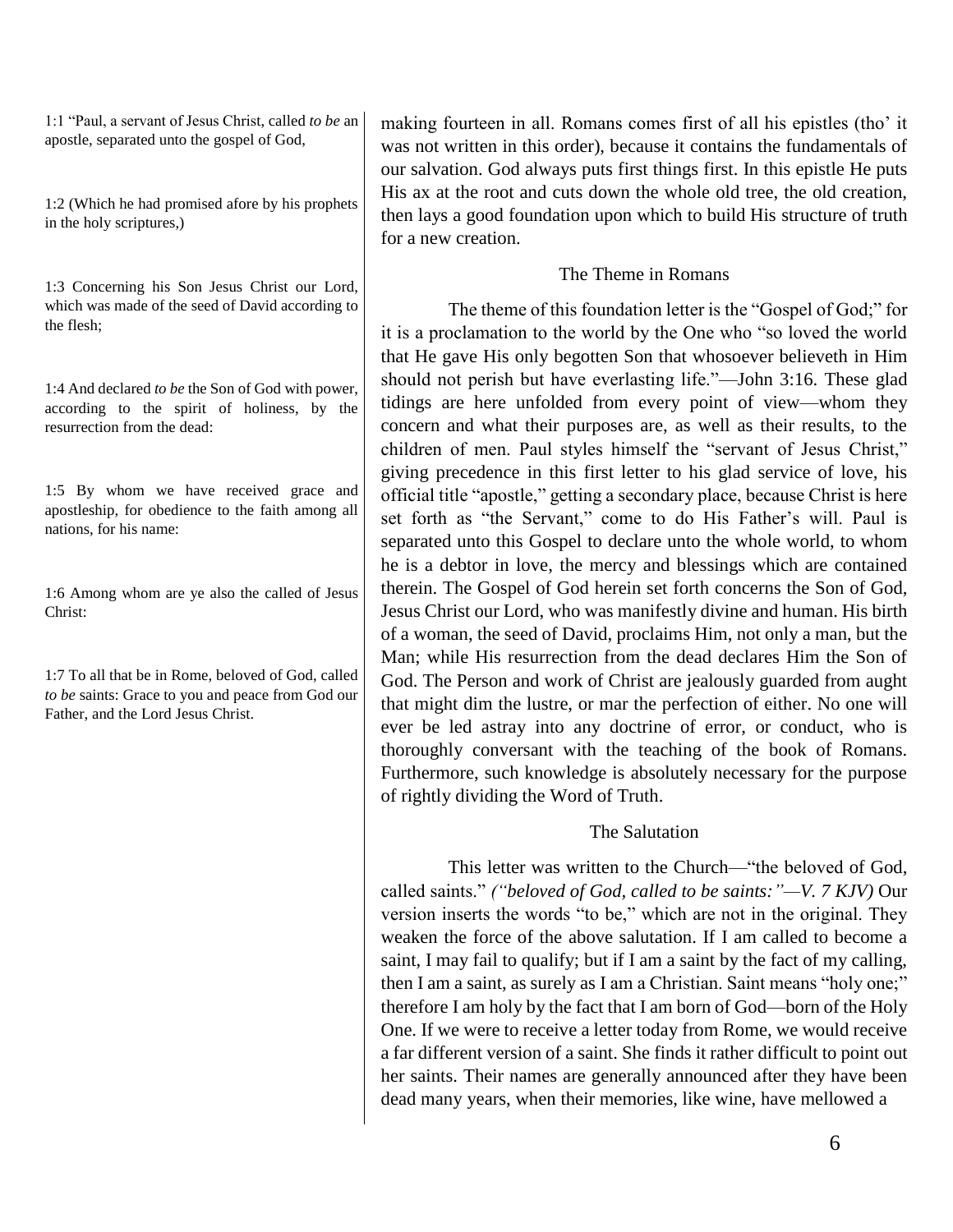1:1 "Paul, a servant of Jesus Christ, called *to be* an apostle, separated unto the gospel of God,

1:2 (Which he had promised afore by his prophets in the holy scriptures,)

1:3 Concerning his Son Jesus Christ our Lord, which was made of the seed of David according to the flesh;

1:4 And declared *to be* the Son of God with power, according to the spirit of holiness, by the resurrection from the dead:

1:5 By whom we have received grace and apostleship, for obedience to the faith among all nations, for his name:

1:6 Among whom are ye also the called of Jesus Christ:

1:7 To all that be in Rome, beloved of God, called *to be* saints: Grace to you and peace from God our Father, and the Lord Jesus Christ.

making fourteen in all. Romans comes first of all his epistles (tho' it was not written in this order), because it contains the fundamentals of our salvation. God always puts first things first. In this epistle He puts His ax at the root and cuts down the whole old tree, the old creation, then lays a good foundation upon which to build His structure of truth for a new creation.

# The Theme in Romans

The theme of this foundation letter is the "Gospel of God;" for it is a proclamation to the world by the One who "so loved the world that He gave His only begotten Son that whosoever believeth in Him should not perish but have everlasting life."—John 3:16. These glad tidings are here unfolded from every point of view—whom they concern and what their purposes are, as well as their results, to the children of men. Paul styles himself the "servant of Jesus Christ," giving precedence in this first letter to his glad service of love, his official title "apostle," getting a secondary place, because Christ is here set forth as "the Servant," come to do His Father's will. Paul is separated unto this Gospel to declare unto the whole world, to whom he is a debtor in love, the mercy and blessings which are contained therein. The Gospel of God herein set forth concerns the Son of God, Jesus Christ our Lord, who was manifestly divine and human. His birth of a woman, the seed of David, proclaims Him, not only a man, but the Man; while His resurrection from the dead declares Him the Son of God. The Person and work of Christ are jealously guarded from aught that might dim the lustre, or mar the perfection of either. No one will ever be led astray into any doctrine of error, or conduct, who is thoroughly conversant with the teaching of the book of Romans. Furthermore, such knowledge is absolutely necessary for the purpose of rightly dividing the Word of Truth.

# The Salutation

This letter was written to the Church—"the beloved of God, called saints." *("beloved of God, called to be saints:"—V. 7 KJV)* Our version inserts the words "to be," which are not in the original. They weaken the force of the above salutation. If I am called to become a saint, I may fail to qualify; but if I am a saint by the fact of my calling, then I am a saint, as surely as I am a Christian. Saint means "holy one;" therefore I am holy by the fact that I am born of God—born of the Holy One. If we were to receive a letter today from Rome, we would receive a far different version of a saint. She finds it rather difficult to point out her saints. Their names are generally announced after they have been dead many years, when their memories, like wine, have mellowed a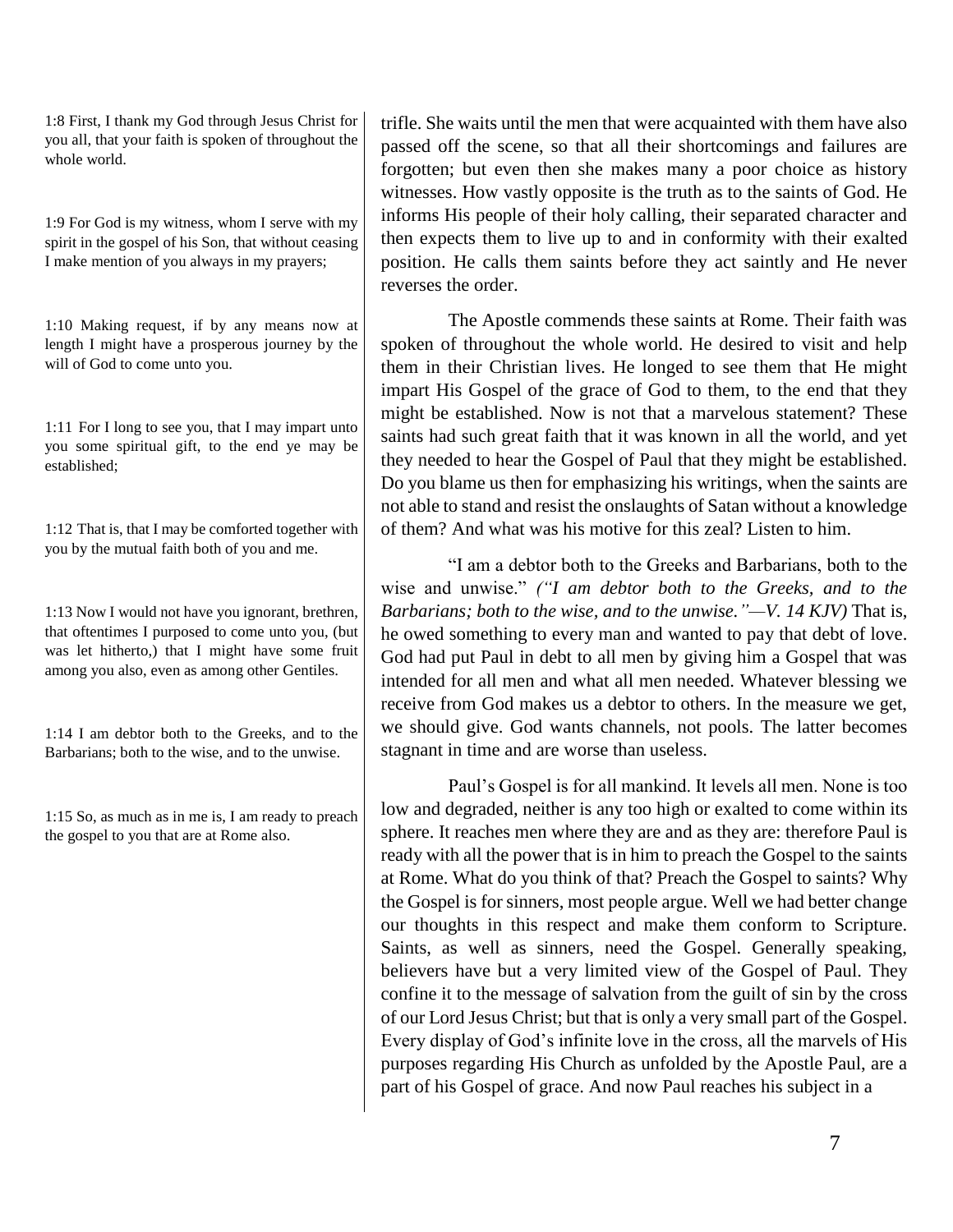1:8 First, I thank my God through Jesus Christ for you all, that your faith is spoken of throughout the whole world.

1:9 For God is my witness, whom I serve with my spirit in the gospel of his Son, that without ceasing I make mention of you always in my prayers;

1:10 Making request, if by any means now at length I might have a prosperous journey by the will of God to come unto you.

1:11 For I long to see you, that I may impart unto you some spiritual gift, to the end ye may be established;

1:12 That is, that I may be comforted together with you by the mutual faith both of you and me.

1:13 Now I would not have you ignorant, brethren, that oftentimes I purposed to come unto you, (but was let hitherto,) that I might have some fruit among you also, even as among other Gentiles.

1:14 I am debtor both to the Greeks, and to the Barbarians; both to the wise, and to the unwise.

1:15 So, as much as in me is, I am ready to preach the gospel to you that are at Rome also.

trifle. She waits until the men that were acquainted with them have also passed off the scene, so that all their shortcomings and failures are forgotten; but even then she makes many a poor choice as history witnesses. How vastly opposite is the truth as to the saints of God. He informs His people of their holy calling, their separated character and then expects them to live up to and in conformity with their exalted position. He calls them saints before they act saintly and He never reverses the order.

The Apostle commends these saints at Rome. Their faith was spoken of throughout the whole world. He desired to visit and help them in their Christian lives. He longed to see them that He might impart His Gospel of the grace of God to them, to the end that they might be established. Now is not that a marvelous statement? These saints had such great faith that it was known in all the world, and yet they needed to hear the Gospel of Paul that they might be established. Do you blame us then for emphasizing his writings, when the saints are not able to stand and resist the onslaughts of Satan without a knowledge of them? And what was his motive for this zeal? Listen to him.

"I am a debtor both to the Greeks and Barbarians, both to the wise and unwise." *("I am debtor both to the Greeks, and to the Barbarians; both to the wise, and to the unwise."—V. 14 KJV)* That is, he owed something to every man and wanted to pay that debt of love. God had put Paul in debt to all men by giving him a Gospel that was intended for all men and what all men needed. Whatever blessing we receive from God makes us a debtor to others. In the measure we get, we should give. God wants channels, not pools. The latter becomes stagnant in time and are worse than useless.

Paul's Gospel is for all mankind. It levels all men. None is too low and degraded, neither is any too high or exalted to come within its sphere. It reaches men where they are and as they are: therefore Paul is ready with all the power that is in him to preach the Gospel to the saints at Rome. What do you think of that? Preach the Gospel to saints? Why the Gospel is for sinners, most people argue. Well we had better change our thoughts in this respect and make them conform to Scripture. Saints, as well as sinners, need the Gospel. Generally speaking, believers have but a very limited view of the Gospel of Paul. They confine it to the message of salvation from the guilt of sin by the cross of our Lord Jesus Christ; but that is only a very small part of the Gospel. Every display of God's infinite love in the cross, all the marvels of His purposes regarding His Church as unfolded by the Apostle Paul, are a part of his Gospel of grace. And now Paul reaches his subject in a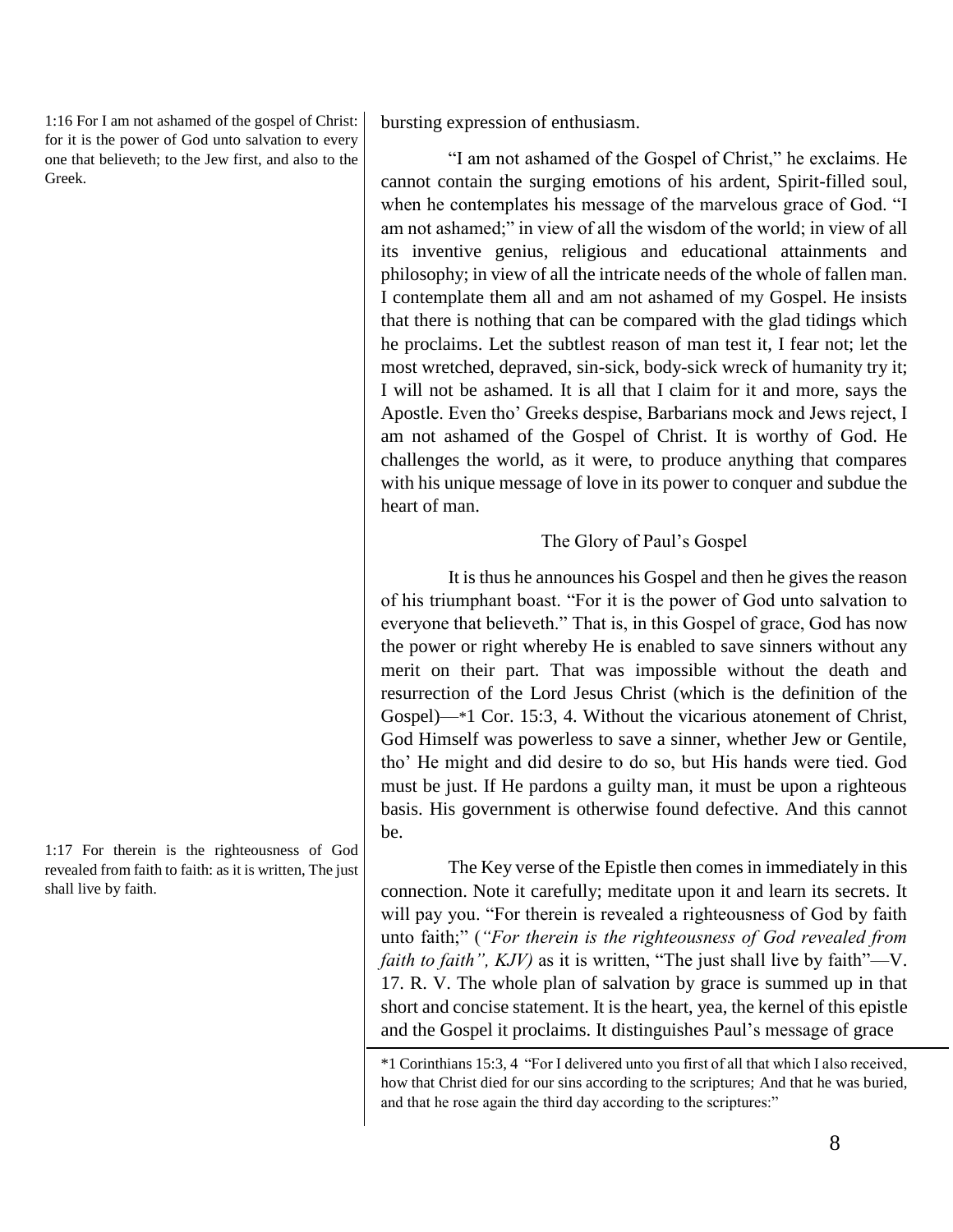1:16 For I am not ashamed of the gospel of Christ: for it is the power of God unto salvation to every one that believeth; to the Jew first, and also to the Greek.

1:17 For therein is the righteousness of God revealed from faith to faith: as it is written, The just shall live by faith.

bursting expression of enthusiasm.

"I am not ashamed of the Gospel of Christ," he exclaims. He cannot contain the surging emotions of his ardent, Spirit-filled soul, when he contemplates his message of the marvelous grace of God. "I am not ashamed;" in view of all the wisdom of the world; in view of all its inventive genius, religious and educational attainments and philosophy; in view of all the intricate needs of the whole of fallen man. I contemplate them all and am not ashamed of my Gospel. He insists that there is nothing that can be compared with the glad tidings which he proclaims. Let the subtlest reason of man test it, I fear not; let the most wretched, depraved, sin-sick, body-sick wreck of humanity try it; I will not be ashamed. It is all that I claim for it and more, says the Apostle. Even tho' Greeks despise, Barbarians mock and Jews reject, I am not ashamed of the Gospel of Christ. It is worthy of God. He challenges the world, as it were, to produce anything that compares with his unique message of love in its power to conquer and subdue the heart of man.

# The Glory of Paul's Gospel

It is thus he announces his Gospel and then he gives the reason of his triumphant boast. "For it is the power of God unto salvation to everyone that believeth." That is, in this Gospel of grace, God has now the power or right whereby He is enabled to save sinners without any merit on their part. That was impossible without the death and resurrection of the Lord Jesus Christ (which is the definition of the Gospel)—\*1 Cor. 15:3, 4. Without the vicarious atonement of Christ, God Himself was powerless to save a sinner, whether Jew or Gentile, tho' He might and did desire to do so, but His hands were tied. God must be just. If He pardons a guilty man, it must be upon a righteous basis. His government is otherwise found defective. And this cannot be.

The Key verse of the Epistle then comes in immediately in this connection. Note it carefully; meditate upon it and learn its secrets. It will pay you. "For therein is revealed a righteousness of God by faith unto faith;" (*"For therein is the righteousness of God revealed from faith to faith", KJV)* as it is written, "The just shall live by faith"—V. 17. R. V. The whole plan of salvation by grace is summed up in that short and concise statement. It is the heart, yea, the kernel of this epistle and the Gospel it proclaims. It distinguishes Paul's message of grace

<sup>\*1</sup> Corinthians 15:3, 4 "For I delivered unto you first of all that which I also received, how that Christ died for our sins according to the scriptures; And that he was buried, and that he rose again the third day according to the scriptures:"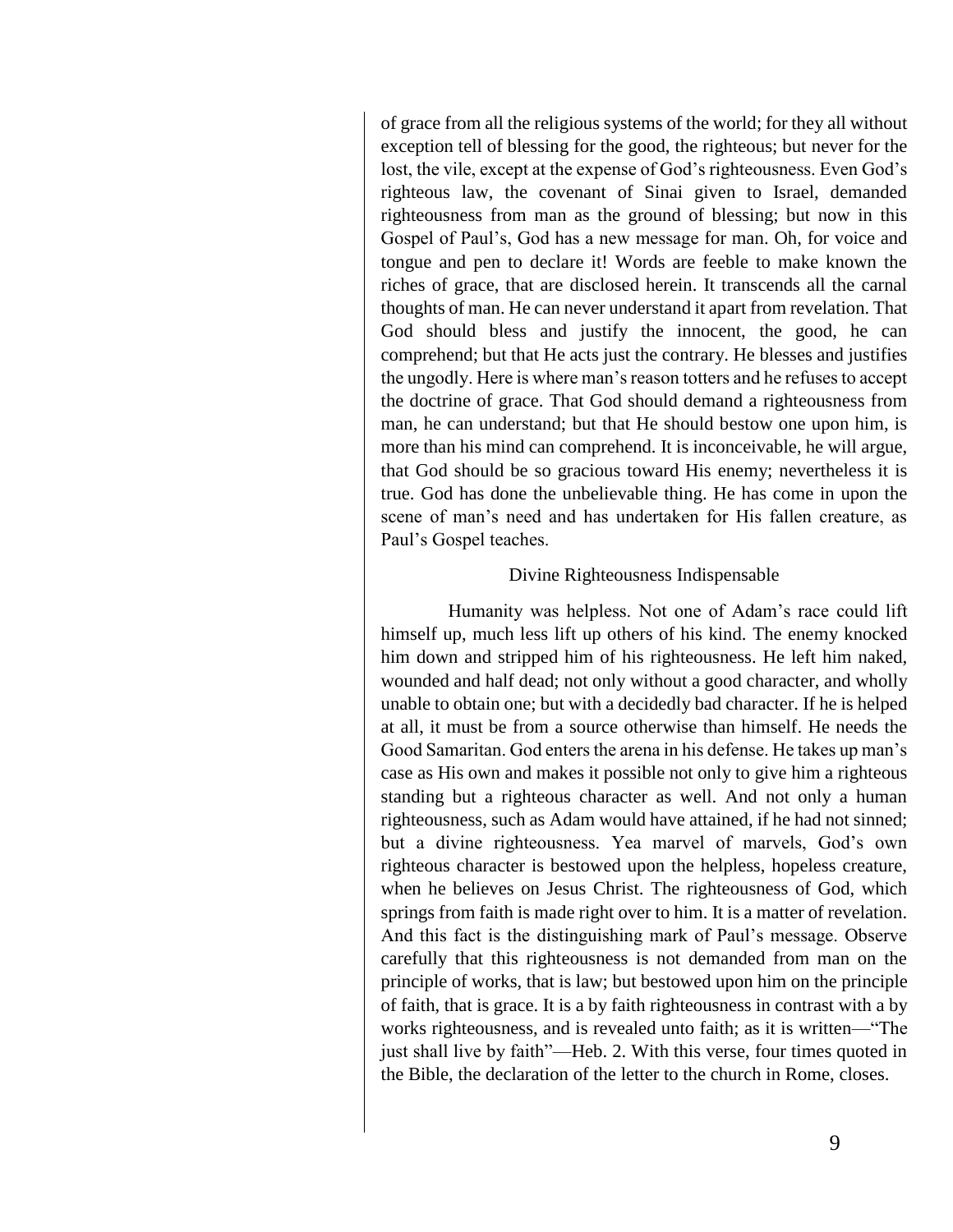of grace from all the religious systems of the world; for they all without exception tell of blessing for the good, the righteous; but never for the lost, the vile, except at the expense of God's righteousness. Even God's righteous law, the covenant of Sinai given to Israel, demanded righteousness from man as the ground of blessing; but now in this Gospel of Paul's, God has a new message for man. Oh, for voice and tongue and pen to declare it! Words are feeble to make known the riches of grace, that are disclosed herein. It transcends all the carnal thoughts of man. He can never understand it apart from revelation. That God should bless and justify the innocent, the good, he can comprehend; but that He acts just the contrary. He blesses and justifies the ungodly. Here is where man's reason totters and he refuses to accept the doctrine of grace. That God should demand a righteousness from man, he can understand; but that He should bestow one upon him, is more than his mind can comprehend. It is inconceivable, he will argue, that God should be so gracious toward His enemy; nevertheless it is true. God has done the unbelievable thing. He has come in upon the scene of man's need and has undertaken for His fallen creature, as Paul's Gospel teaches.

#### Divine Righteousness Indispensable

Humanity was helpless. Not one of Adam's race could lift himself up, much less lift up others of his kind. The enemy knocked him down and stripped him of his righteousness. He left him naked, wounded and half dead; not only without a good character, and wholly unable to obtain one; but with a decidedly bad character. If he is helped at all, it must be from a source otherwise than himself. He needs the Good Samaritan. God enters the arena in his defense. He takes up man's case as His own and makes it possible not only to give him a righteous standing but a righteous character as well. And not only a human righteousness, such as Adam would have attained, if he had not sinned; but a divine righteousness. Yea marvel of marvels, God's own righteous character is bestowed upon the helpless, hopeless creature, when he believes on Jesus Christ. The righteousness of God, which springs from faith is made right over to him. It is a matter of revelation. And this fact is the distinguishing mark of Paul's message. Observe carefully that this righteousness is not demanded from man on the principle of works, that is law; but bestowed upon him on the principle of faith, that is grace. It is a by faith righteousness in contrast with a by works righteousness, and is revealed unto faith; as it is written—"The just shall live by faith"—Heb. 2. With this verse, four times quoted in the Bible, the declaration of the letter to the church in Rome, closes.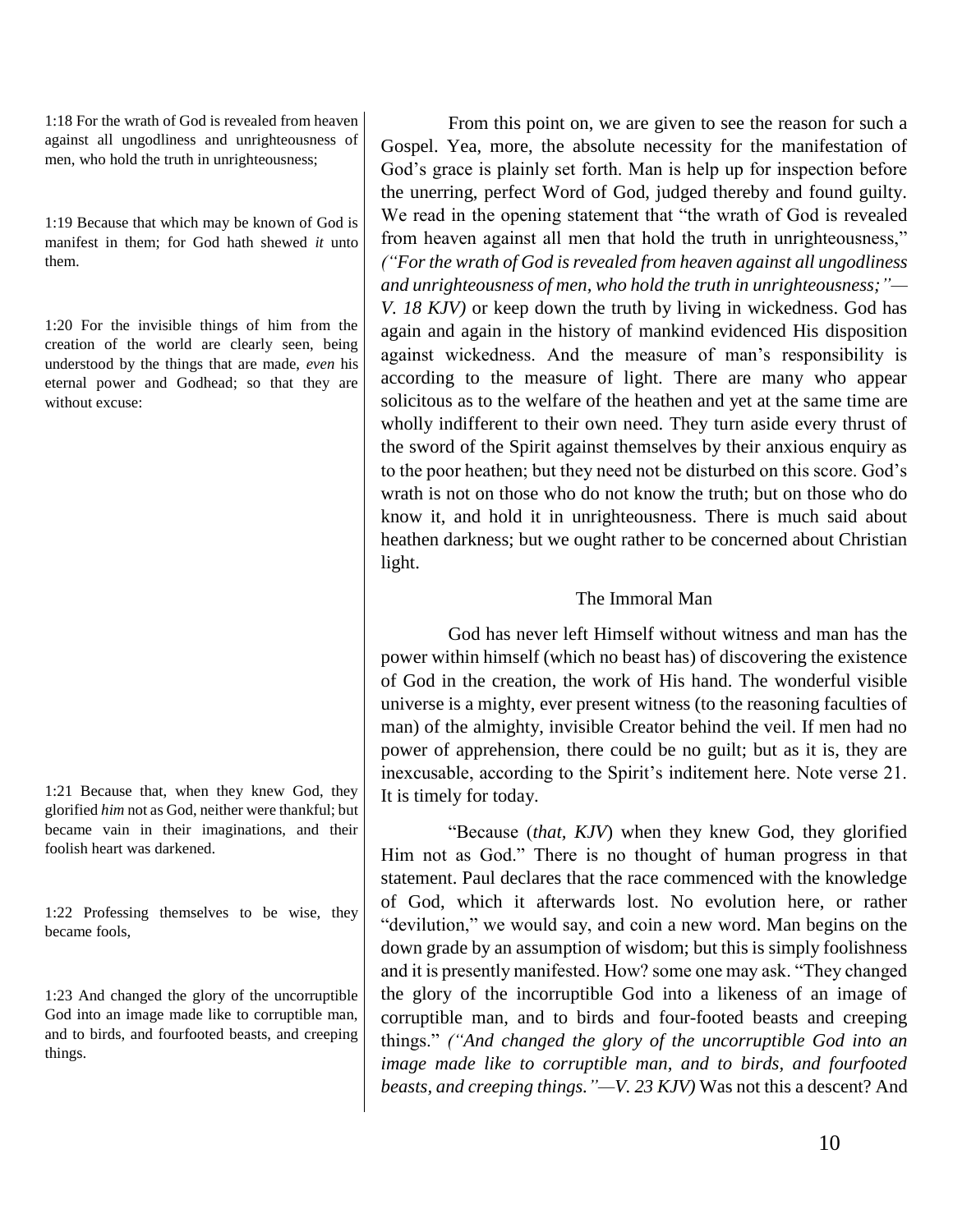1:18 For the wrath of God is revealed from heaven against all ungodliness and unrighteousness of men, who hold the truth in unrighteousness;

1:19 Because that which may be known of God is manifest in them; for God hath shewed *it* unto them.

1:20 For the invisible things of him from the creation of the world are clearly seen, being understood by the things that are made, *even* his eternal power and Godhead; so that they are without excuse:

1:21 Because that, when they knew God, they glorified *him* not as God, neither were thankful; but became vain in their imaginations, and their foolish heart was darkened.

1:22 Professing themselves to be wise, they became fools,

1:23 And changed the glory of the uncorruptible God into an image made like to corruptible man, and to birds, and fourfooted beasts, and creeping things.

From this point on, we are given to see the reason for such a Gospel. Yea, more, the absolute necessity for the manifestation of God's grace is plainly set forth. Man is help up for inspection before the unerring, perfect Word of God, judged thereby and found guilty. We read in the opening statement that "the wrath of God is revealed from heaven against all men that hold the truth in unrighteousness," *("For the wrath of God is revealed from heaven against all ungodliness and unrighteousness of men, who hold the truth in unrighteousness;"—*

*V. 18 KJV)* or keep down the truth by living in wickedness. God has again and again in the history of mankind evidenced His disposition against wickedness. And the measure of man's responsibility is according to the measure of light. There are many who appear solicitous as to the welfare of the heathen and yet at the same time are wholly indifferent to their own need. They turn aside every thrust of the sword of the Spirit against themselves by their anxious enquiry as to the poor heathen; but they need not be disturbed on this score. God's wrath is not on those who do not know the truth; but on those who do know it, and hold it in unrighteousness. There is much said about heathen darkness; but we ought rather to be concerned about Christian light.

# The Immoral Man

God has never left Himself without witness and man has the power within himself (which no beast has) of discovering the existence of God in the creation, the work of His hand. The wonderful visible universe is a mighty, ever present witness (to the reasoning faculties of man) of the almighty, invisible Creator behind the veil. If men had no power of apprehension, there could be no guilt; but as it is, they are inexcusable, according to the Spirit's inditement here. Note verse 21. It is timely for today.

"Because (*that, KJV*) when they knew God, they glorified Him not as God." There is no thought of human progress in that statement. Paul declares that the race commenced with the knowledge of God, which it afterwards lost. No evolution here, or rather "devilution," we would say, and coin a new word. Man begins on the down grade by an assumption of wisdom; but this is simply foolishness and it is presently manifested. How? some one may ask. "They changed the glory of the incorruptible God into a likeness of an image of corruptible man, and to birds and four-footed beasts and creeping things." *("And changed the glory of the uncorruptible God into an image made like to corruptible man, and to birds, and fourfooted beasts, and creeping things."—V. 23 KJV)* Was not this a descent? And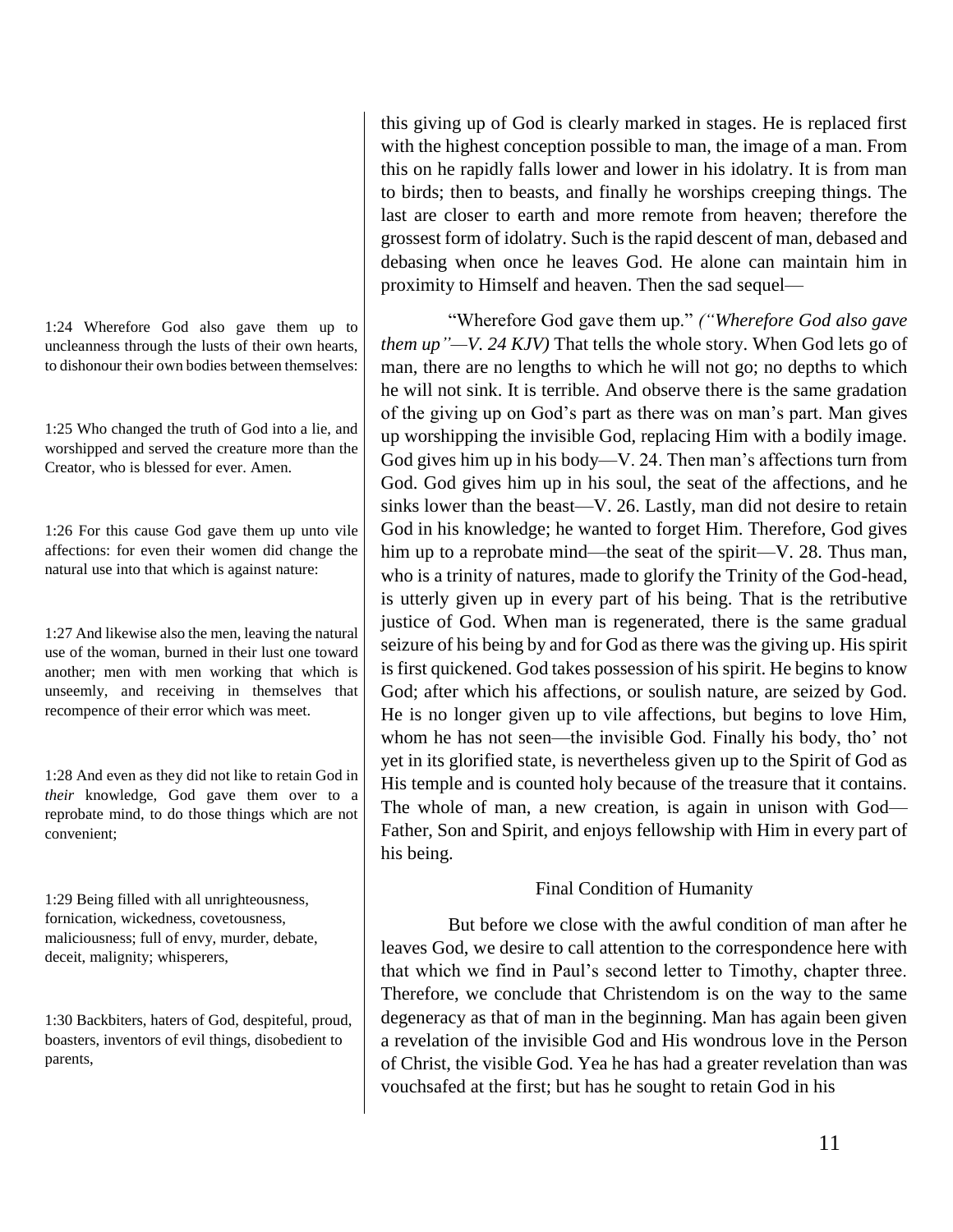1:24 Wherefore God also gave them up to uncleanness through the lusts of their own hearts, to dishonour their own bodies between themselves:

1:25 Who changed the truth of God into a lie, and worshipped and served the creature more than the Creator, who is blessed for ever. Amen.

1:26 For this cause God gave them up unto vile affections: for even their women did change the natural use into that which is against nature:

1:27 And likewise also the men, leaving the natural use of the woman, burned in their lust one toward another; men with men working that which is unseemly, and receiving in themselves that recompence of their error which was meet.

1:28 And even as they did not like to retain God in *their* knowledge, God gave them over to a reprobate mind, to do those things which are not convenient;

1:29 Being filled with all unrighteousness, fornication, wickedness, covetousness, maliciousness; full of envy, murder, debate, deceit, malignity; whisperers,

1:30 Backbiters, haters of God, despiteful, proud, boasters, inventors of evil things, disobedient to parents,

this giving up of God is clearly marked in stages. He is replaced first with the highest conception possible to man, the image of a man. From this on he rapidly falls lower and lower in his idolatry. It is from man to birds; then to beasts, and finally he worships creeping things. The last are closer to earth and more remote from heaven; therefore the grossest form of idolatry. Such is the rapid descent of man, debased and debasing when once he leaves God. He alone can maintain him in proximity to Himself and heaven. Then the sad sequel—

"Wherefore God gave them up." *("Wherefore God also gave them up"—V. 24 KJV)* That tells the whole story. When God lets go of man, there are no lengths to which he will not go; no depths to which he will not sink. It is terrible. And observe there is the same gradation of the giving up on God's part as there was on man's part. Man gives up worshipping the invisible God, replacing Him with a bodily image. God gives him up in his body—V. 24. Then man's affections turn from God. God gives him up in his soul, the seat of the affections, and he sinks lower than the beast—V. 26. Lastly, man did not desire to retain God in his knowledge; he wanted to forget Him. Therefore, God gives him up to a reprobate mind—the seat of the spirit—V. 28. Thus man, who is a trinity of natures, made to glorify the Trinity of the God-head, is utterly given up in every part of his being. That is the retributive justice of God. When man is regenerated, there is the same gradual seizure of his being by and for God as there was the giving up. His spirit is first quickened. God takes possession of his spirit. He begins to know God; after which his affections, or soulish nature, are seized by God. He is no longer given up to vile affections, but begins to love Him, whom he has not seen—the invisible God. Finally his body, tho' not yet in its glorified state, is nevertheless given up to the Spirit of God as His temple and is counted holy because of the treasure that it contains. The whole of man, a new creation, is again in unison with God— Father, Son and Spirit, and enjoys fellowship with Him in every part of his being.

#### Final Condition of Humanity

But before we close with the awful condition of man after he leaves God, we desire to call attention to the correspondence here with that which we find in Paul's second letter to Timothy, chapter three. Therefore, we conclude that Christendom is on the way to the same degeneracy as that of man in the beginning. Man has again been given a revelation of the invisible God and His wondrous love in the Person of Christ, the visible God. Yea he has had a greater revelation than was vouchsafed at the first; but has he sought to retain God in his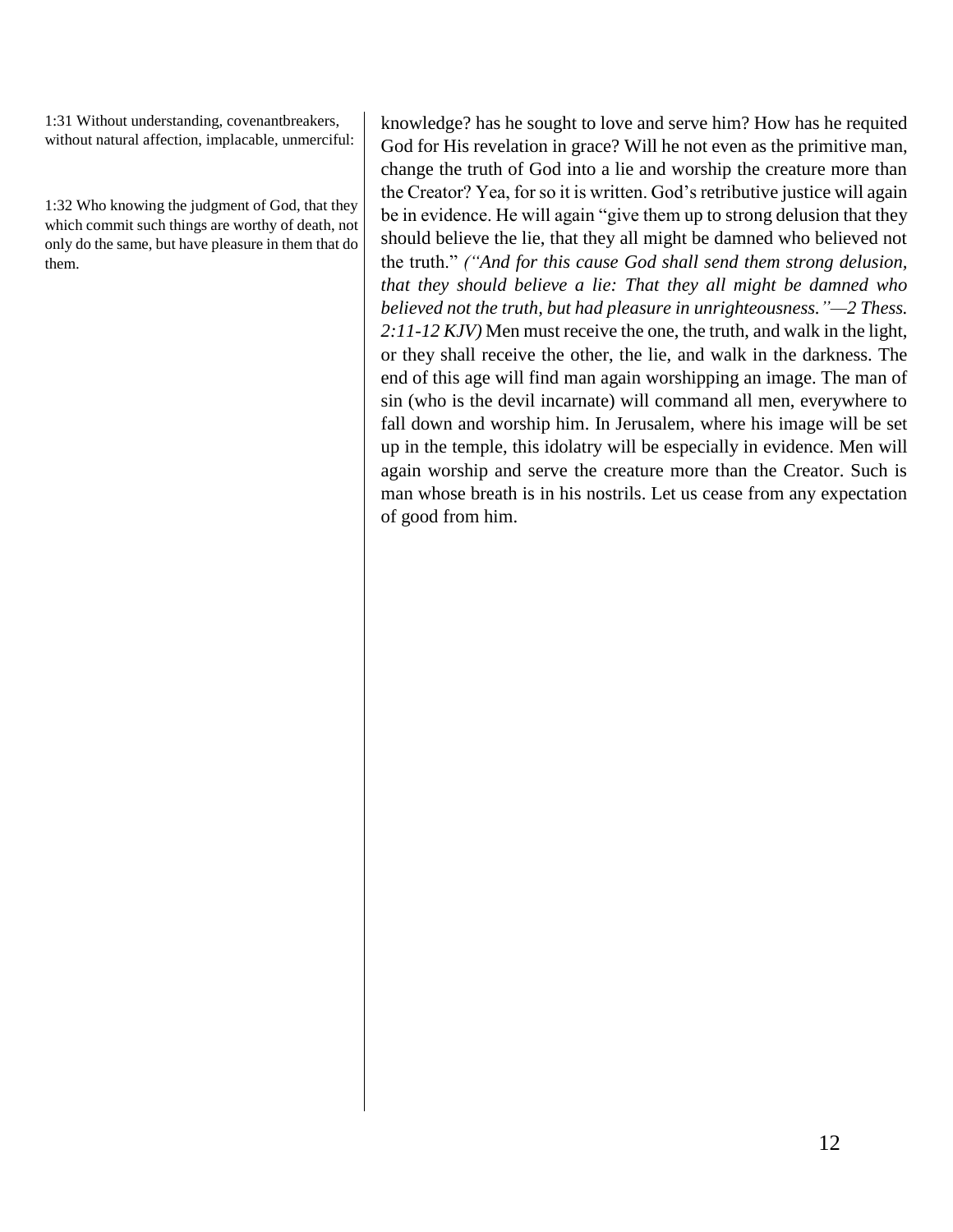1:31 Without understanding, covenantbreakers, without natural affection, implacable, unmerciful:

1:32 Who knowing the judgment of God, that they which commit such things are worthy of death, not only do the same, but have pleasure in them that do them.

knowledge? has he sought to love and serve him? How has he requited God for His revelation in grace? Will he not even as the primitive man, change the truth of God into a lie and worship the creature more than the Creator? Yea, for so it is written. God's retributive justice will again be in evidence. He will again "give them up to strong delusion that they should believe the lie, that they all might be damned who believed not the truth." *("And for this cause God shall send them strong delusion, that they should believe a lie: That they all might be damned who believed not the truth, but had pleasure in unrighteousness."—2 Thess. 2:11-12 KJV)* Men must receive the one, the truth, and walk in the light, or they shall receive the other, the lie, and walk in the darkness. The end of this age will find man again worshipping an image. The man of sin (who is the devil incarnate) will command all men, everywhere to fall down and worship him. In Jerusalem, where his image will be set up in the temple, this idolatry will be especially in evidence. Men will again worship and serve the creature more than the Creator. Such is man whose breath is in his nostrils. Let us cease from any expectation of good from him.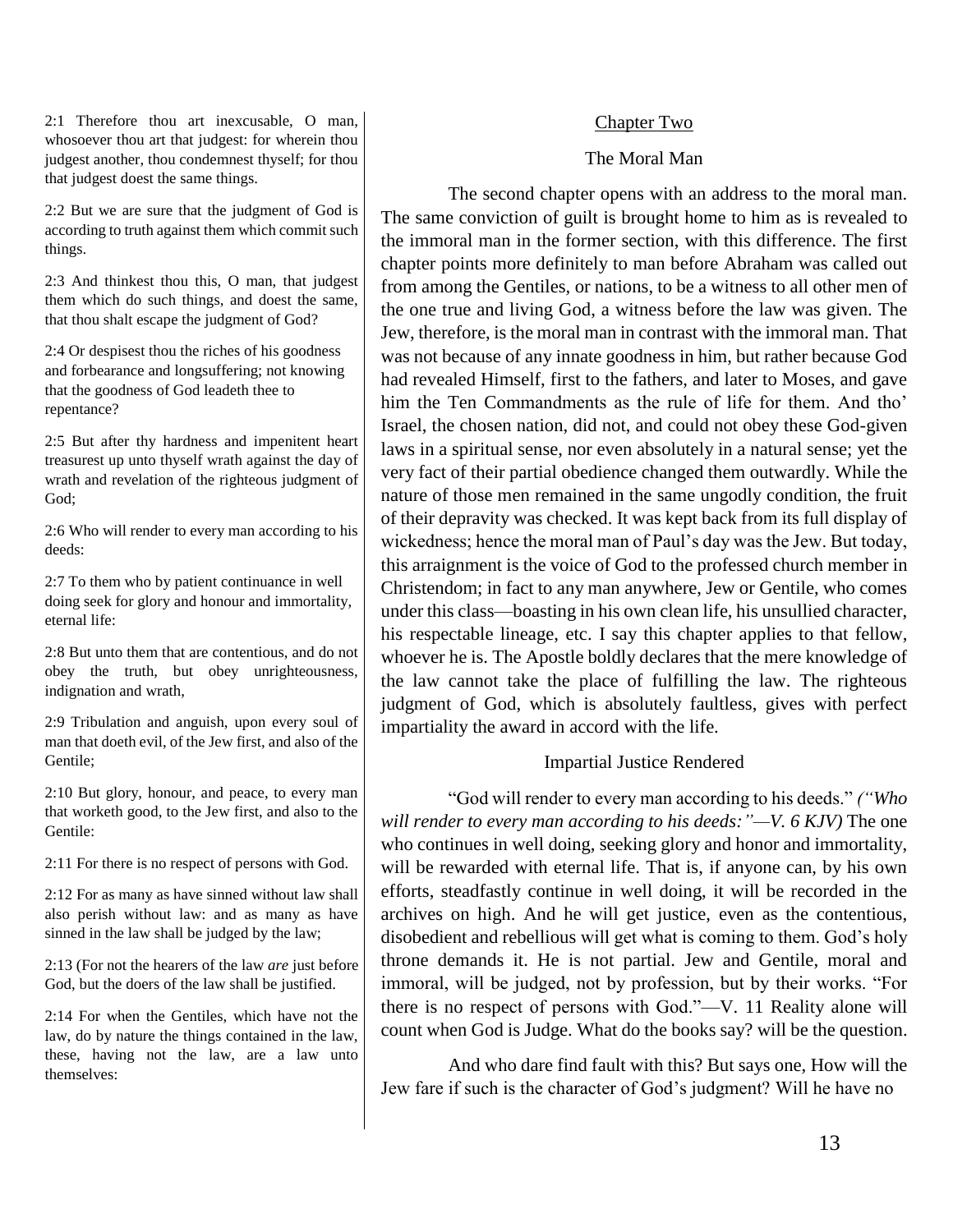2:1 Therefore thou art inexcusable, O man, whosoever thou art that judgest: for wherein thou judgest another, thou condemnest thyself; for thou that judgest doest the same things.

2:2 But we are sure that the judgment of God is according to truth against them which commit such things.

2:3 And thinkest thou this, O man, that judgest them which do such things, and doest the same, that thou shalt escape the judgment of God?

2:4 Or despisest thou the riches of his goodness and forbearance and longsuffering; not knowing that the goodness of God leadeth thee to repentance?

2:5 But after thy hardness and impenitent heart treasurest up unto thyself wrath against the day of wrath and revelation of the righteous judgment of God;

2:6 Who will render to every man according to his deeds:

2:7 To them who by patient continuance in well doing seek for glory and honour and immortality, eternal life:

2:8 But unto them that are contentious, and do not obey the truth, but obey unrighteousness, indignation and wrath,

2:9 Tribulation and anguish, upon every soul of man that doeth evil, of the Jew first, and also of the Gentile;

2:10 But glory, honour, and peace, to every man that worketh good, to the Jew first, and also to the Gentile:

2:11 For there is no respect of persons with God.

2:12 For as many as have sinned without law shall also perish without law: and as many as have sinned in the law shall be judged by the law;

2:13 (For not the hearers of the law *are* just before God, but the doers of the law shall be justified.

2:14 For when the Gentiles, which have not the law, do by nature the things contained in the law, these, having not the law, are a law unto themselves:

#### Chapter Two

#### The Moral Man

The second chapter opens with an address to the moral man. The same conviction of guilt is brought home to him as is revealed to the immoral man in the former section, with this difference. The first chapter points more definitely to man before Abraham was called out from among the Gentiles, or nations, to be a witness to all other men of the one true and living God, a witness before the law was given. The Jew, therefore, is the moral man in contrast with the immoral man. That was not because of any innate goodness in him, but rather because God had revealed Himself, first to the fathers, and later to Moses, and gave him the Ten Commandments as the rule of life for them. And tho' Israel, the chosen nation, did not, and could not obey these God-given laws in a spiritual sense, nor even absolutely in a natural sense; yet the very fact of their partial obedience changed them outwardly. While the nature of those men remained in the same ungodly condition, the fruit of their depravity was checked. It was kept back from its full display of wickedness; hence the moral man of Paul's day was the Jew. But today, this arraignment is the voice of God to the professed church member in Christendom; in fact to any man anywhere, Jew or Gentile, who comes under this class—boasting in his own clean life, his unsullied character, his respectable lineage, etc. I say this chapter applies to that fellow, whoever he is. The Apostle boldly declares that the mere knowledge of the law cannot take the place of fulfilling the law. The righteous judgment of God, which is absolutely faultless, gives with perfect impartiality the award in accord with the life.

#### Impartial Justice Rendered

"God will render to every man according to his deeds." *("Who will render to every man according to his deeds:"—V. 6 KJV)* The one who continues in well doing, seeking glory and honor and immortality, will be rewarded with eternal life. That is, if anyone can, by his own efforts, steadfastly continue in well doing, it will be recorded in the archives on high. And he will get justice, even as the contentious, disobedient and rebellious will get what is coming to them. God's holy throne demands it. He is not partial. Jew and Gentile, moral and immoral, will be judged, not by profession, but by their works. "For there is no respect of persons with God."—V. 11 Reality alone will count when God is Judge. What do the books say? will be the question.

And who dare find fault with this? But says one, How will the Jew fare if such is the character of God's judgment? Will he have no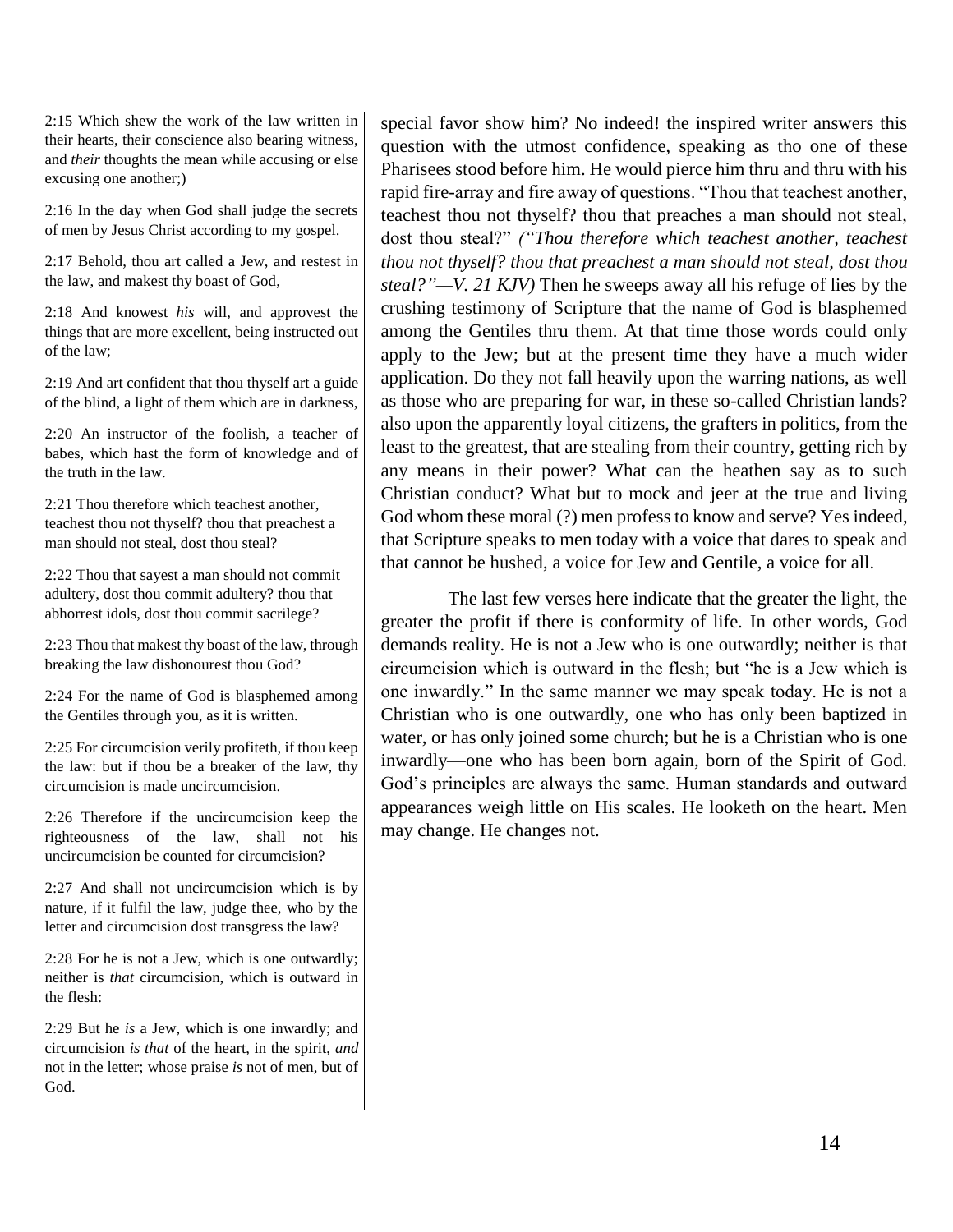2:15 Which shew the work of the law written in their hearts, their conscience also bearing witness, and *their* thoughts the mean while accusing or else excusing one another;)

2:16 In the day when God shall judge the secrets of men by Jesus Christ according to my gospel.

2:17 Behold, thou art called a Jew, and restest in the law, and makest thy boast of God,

2:18 And knowest *his* will, and approvest the things that are more excellent, being instructed out of the law;

2:19 And art confident that thou thyself art a guide of the blind, a light of them which are in darkness,

2:20 An instructor of the foolish, a teacher of babes, which hast the form of knowledge and of the truth in the law.

2:21 Thou therefore which teachest another, teachest thou not thyself? thou that preachest a man should not steal, dost thou steal?

2:22 Thou that sayest a man should not commit adultery, dost thou commit adultery? thou that abhorrest idols, dost thou commit sacrilege?

2:23 Thou that makest thy boast of the law, through breaking the law dishonourest thou God?

2:24 For the name of God is blasphemed among the Gentiles through you, as it is written.

2:25 For circumcision verily profiteth, if thou keep the law: but if thou be a breaker of the law, thy circumcision is made uncircumcision.

2:26 Therefore if the uncircumcision keep the righteousness of the law, shall not his uncircumcision be counted for circumcision?

2:27 And shall not uncircumcision which is by nature, if it fulfil the law, judge thee, who by the letter and circumcision dost transgress the law?

2:28 For he is not a Jew, which is one outwardly; neither is *that* circumcision, which is outward in the flesh:

2:29 But he *is* a Jew, which is one inwardly; and circumcision *is that* of the heart, in the spirit, *and* not in the letter; whose praise *is* not of men, but of God.

special favor show him? No indeed! the inspired writer answers this question with the utmost confidence, speaking as tho one of these Pharisees stood before him. He would pierce him thru and thru with his rapid fire-array and fire away of questions. "Thou that teachest another, teachest thou not thyself? thou that preaches a man should not steal, dost thou steal?" *("Thou therefore which teachest another, teachest thou not thyself? thou that preachest a man should not steal, dost thou steal?"—V. 21 KJV)* Then he sweeps away all his refuge of lies by the crushing testimony of Scripture that the name of God is blasphemed among the Gentiles thru them. At that time those words could only apply to the Jew; but at the present time they have a much wider application. Do they not fall heavily upon the warring nations, as well as those who are preparing for war, in these so-called Christian lands? also upon the apparently loyal citizens, the grafters in politics, from the least to the greatest, that are stealing from their country, getting rich by any means in their power? What can the heathen say as to such Christian conduct? What but to mock and jeer at the true and living God whom these moral (?) men profess to know and serve? Yes indeed, that Scripture speaks to men today with a voice that dares to speak and that cannot be hushed, a voice for Jew and Gentile, a voice for all.

The last few verses here indicate that the greater the light, the greater the profit if there is conformity of life. In other words, God demands reality. He is not a Jew who is one outwardly; neither is that circumcision which is outward in the flesh; but "he is a Jew which is one inwardly." In the same manner we may speak today. He is not a Christian who is one outwardly, one who has only been baptized in water, or has only joined some church; but he is a Christian who is one inwardly—one who has been born again, born of the Spirit of God. God's principles are always the same. Human standards and outward appearances weigh little on His scales. He looketh on the heart. Men may change. He changes not.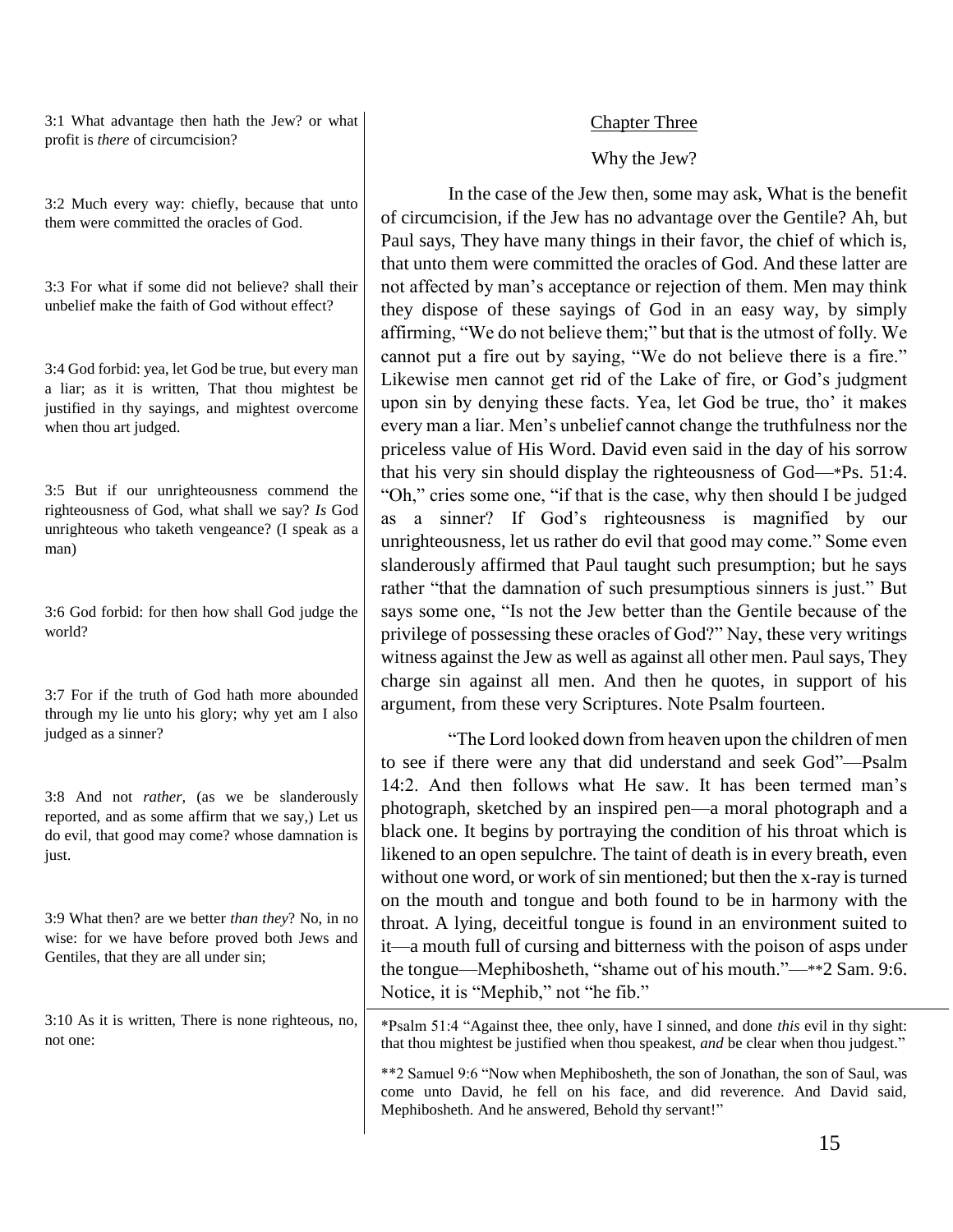3:1 What advantage then hath the Jew? or what profit is *there* of circumcision?

3:2 Much every way: chiefly, because that unto them were committed the oracles of God.

3:3 For what if some did not believe? shall their unbelief make the faith of God without effect?

3:4 God forbid: yea, let God be true, but every man a liar; as it is written, That thou mightest be justified in thy sayings, and mightest overcome when thou art judged.

3:5 But if our unrighteousness commend the righteousness of God, what shall we say? *Is* God unrighteous who taketh vengeance? (I speak as a man)

3:6 God forbid: for then how shall God judge the world?

3:7 For if the truth of God hath more abounded through my lie unto his glory; why yet am I also judged as a sinner?

3:8 And not *rather*, (as we be slanderously reported, and as some affirm that we say,) Let us do evil, that good may come? whose damnation is just.

3:9 What then? are we better *than they*? No, in no wise: for we have before proved both Jews and Gentiles, that they are all under sin;

3:10 As it is written, There is none righteous, no, not one:

#### Chapter Three

#### Why the Jew?

In the case of the Jew then, some may ask, What is the benefit of circumcision, if the Jew has no advantage over the Gentile? Ah, but Paul says, They have many things in their favor, the chief of which is, that unto them were committed the oracles of God. And these latter are not affected by man's acceptance or rejection of them. Men may think they dispose of these sayings of God in an easy way, by simply affirming, "We do not believe them;" but that is the utmost of folly. We cannot put a fire out by saying, "We do not believe there is a fire." Likewise men cannot get rid of the Lake of fire, or God's judgment upon sin by denying these facts. Yea, let God be true, tho' it makes every man a liar. Men's unbelief cannot change the truthfulness nor the priceless value of His Word. David even said in the day of his sorrow that his very sin should display the righteousness of God—\*Ps. 51:4. "Oh," cries some one, "if that is the case, why then should I be judged as a sinner? If God's righteousness is magnified by our unrighteousness, let us rather do evil that good may come." Some even slanderously affirmed that Paul taught such presumption; but he says rather "that the damnation of such presumptious sinners is just." But says some one, "Is not the Jew better than the Gentile because of the privilege of possessing these oracles of God?" Nay, these very writings witness against the Jew as well as against all other men. Paul says, They charge sin against all men. And then he quotes, in support of his argument, from these very Scriptures. Note Psalm fourteen.

"The Lord looked down from heaven upon the children of men to see if there were any that did understand and seek God"—Psalm 14:2. And then follows what He saw. It has been termed man's photograph, sketched by an inspired pen—a moral photograph and a black one. It begins by portraying the condition of his throat which is likened to an open sepulchre. The taint of death is in every breath, even without one word, or work of sin mentioned; but then the x-ray is turned on the mouth and tongue and both found to be in harmony with the throat. A lying, deceitful tongue is found in an environment suited to it—a mouth full of cursing and bitterness with the poison of asps under the tongue—Mephibosheth, "shame out of his mouth."—\*\*2 Sam. 9:6. Notice, it is "Mephib," not "he fib."

\*Psalm 51:4 "Against thee, thee only, have I sinned, and done *this* evil in thy sight: that thou mightest be justified when thou speakest, *and* be clear when thou judgest."

\*\*2 Samuel 9:6 "Now when Mephibosheth, the son of Jonathan, the son of Saul, was come unto David, he fell on his face, and did reverence. And David said, Mephibosheth. And he answered, Behold thy servant!"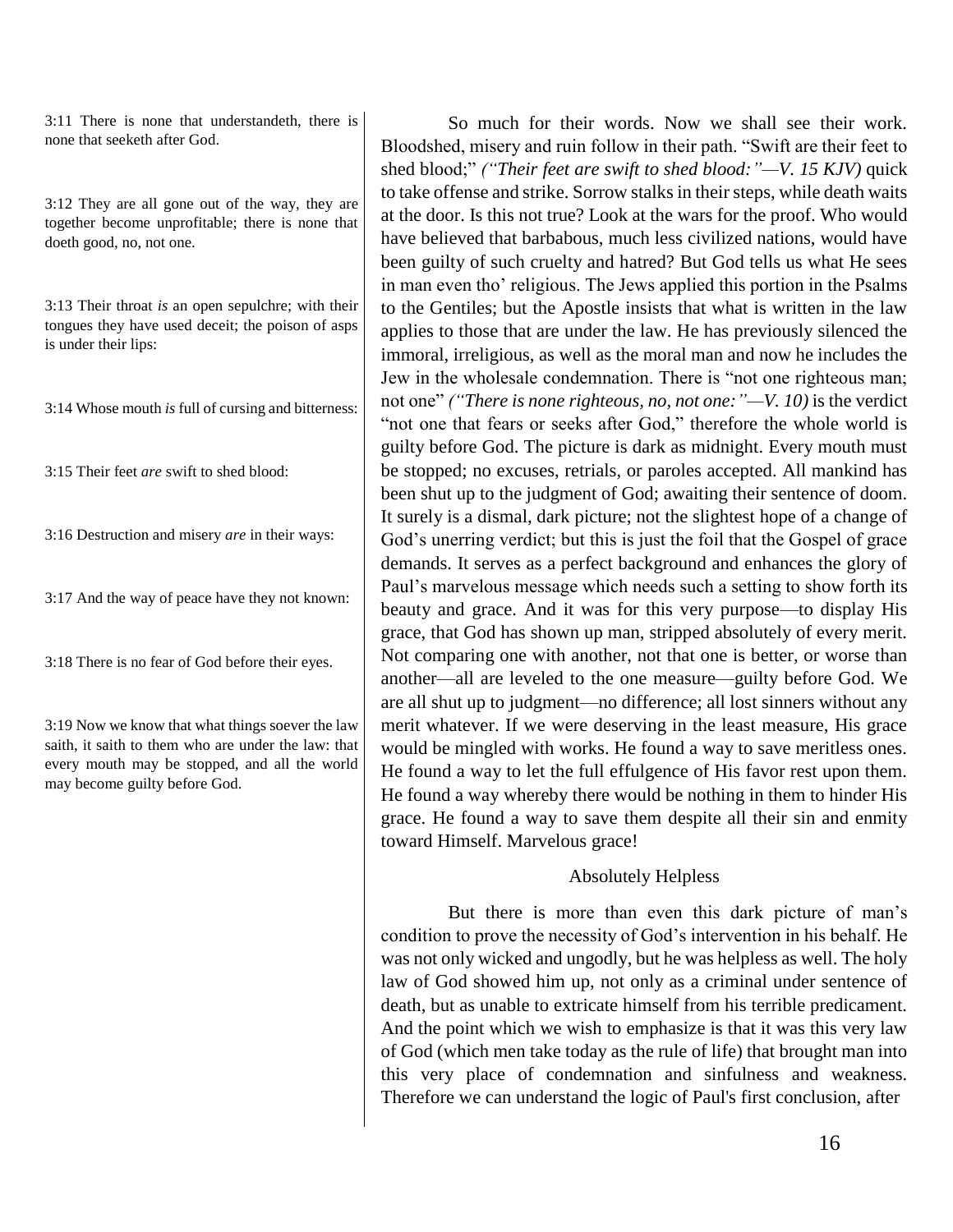3:11 There is none that understandeth, there is none that seeketh after God.

3:12 They are all gone out of the way, they are together become unprofitable; there is none that doeth good, no, not one.

3:13 Their throat *is* an open sepulchre; with their tongues they have used deceit; the poison of asps is under their lips:

3:14 Whose mouth *is* full of cursing and bitterness:

3:15 Their feet *are* swift to shed blood:

3:16 Destruction and misery *are* in their ways:

3:17 And the way of peace have they not known:

3:18 There is no fear of God before their eyes.

3:19 Now we know that what things soever the law saith, it saith to them who are under the law: that every mouth may be stopped, and all the world may become guilty before God.

So much for their words. Now we shall see their work. Bloodshed, misery and ruin follow in their path. "Swift are their feet to shed blood;" *("Their feet are swift to shed blood:"—V. 15 KJV)* quick to take offense and strike. Sorrow stalks in their steps, while death waits at the door. Is this not true? Look at the wars for the proof. Who would have believed that barbabous, much less civilized nations, would have been guilty of such cruelty and hatred? But God tells us what He sees in man even tho' religious. The Jews applied this portion in the Psalms to the Gentiles; but the Apostle insists that what is written in the law applies to those that are under the law. He has previously silenced the immoral, irreligious, as well as the moral man and now he includes the Jew in the wholesale condemnation. There is "not one righteous man; not one" *("There is none righteous, no, not one:"—V. 10)* is the verdict "not one that fears or seeks after God," therefore the whole world is guilty before God. The picture is dark as midnight. Every mouth must be stopped; no excuses, retrials, or paroles accepted. All mankind has been shut up to the judgment of God; awaiting their sentence of doom. It surely is a dismal, dark picture; not the slightest hope of a change of God's unerring verdict; but this is just the foil that the Gospel of grace demands. It serves as a perfect background and enhances the glory of Paul's marvelous message which needs such a setting to show forth its beauty and grace. And it was for this very purpose—to display His grace, that God has shown up man, stripped absolutely of every merit. Not comparing one with another, not that one is better, or worse than another—all are leveled to the one measure—guilty before God. We are all shut up to judgment—no difference; all lost sinners without any merit whatever. If we were deserving in the least measure, His grace would be mingled with works. He found a way to save meritless ones. He found a way to let the full effulgence of His favor rest upon them. He found a way whereby there would be nothing in them to hinder His grace. He found a way to save them despite all their sin and enmity toward Himself. Marvelous grace!

#### Absolutely Helpless

But there is more than even this dark picture of man's condition to prove the necessity of God's intervention in his behalf. He was not only wicked and ungodly, but he was helpless as well. The holy law of God showed him up, not only as a criminal under sentence of death, but as unable to extricate himself from his terrible predicament. And the point which we wish to emphasize is that it was this very law of God (which men take today as the rule of life) that brought man into this very place of condemnation and sinfulness and weakness. Therefore we can understand the logic of Paul's first conclusion, after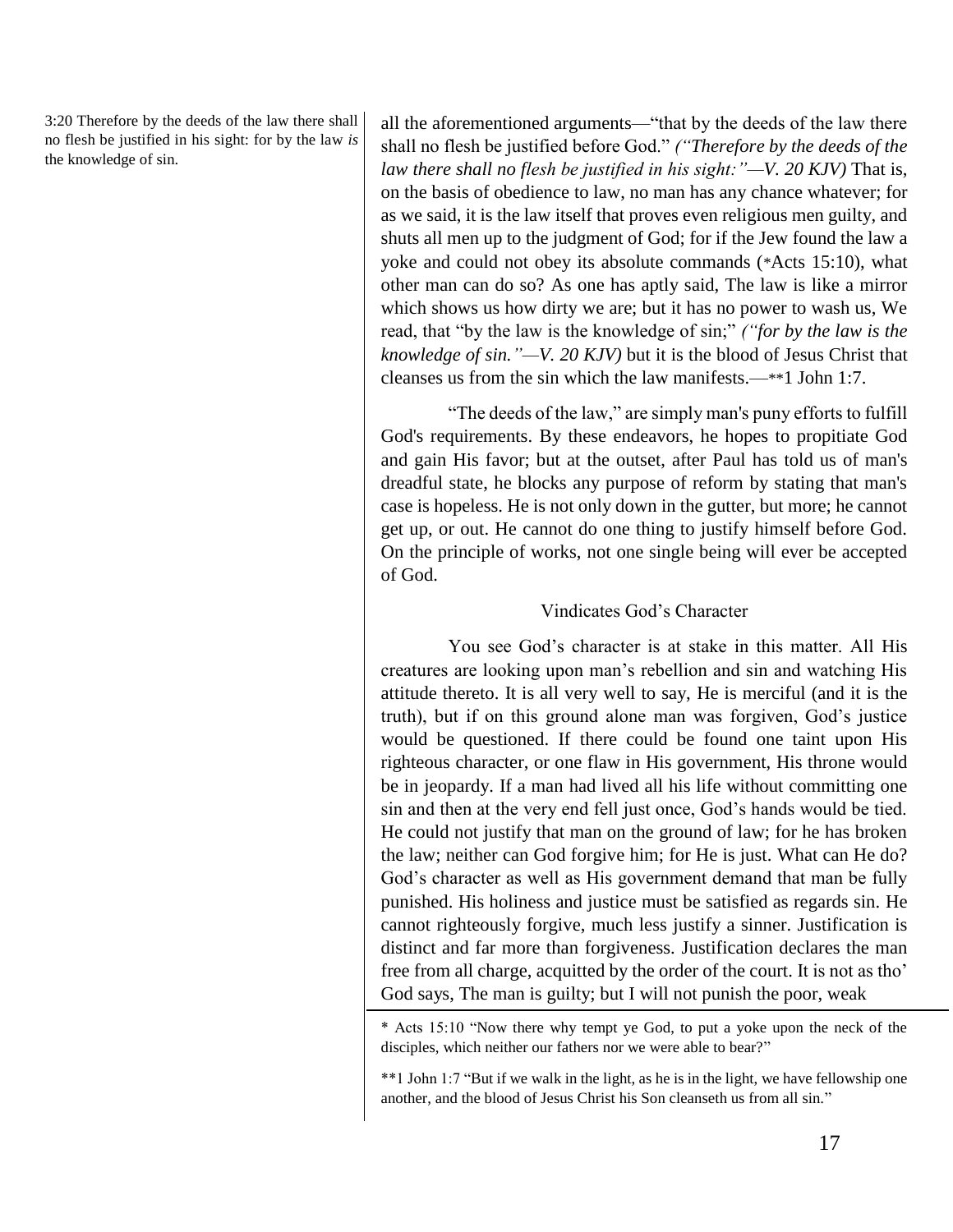3:20 Therefore by the deeds of the law there shall no flesh be justified in his sight: for by the law *is* the knowledge of sin.

all the aforementioned arguments—"that by the deeds of the law there shall no flesh be justified before God." *("Therefore by the deeds of the law there shall no flesh be justified in his sight:"—V. 20 KJV)* That is, on the basis of obedience to law, no man has any chance whatever; for as we said, it is the law itself that proves even religious men guilty, and shuts all men up to the judgment of God; for if the Jew found the law a yoke and could not obey its absolute commands (\*Acts 15:10), what other man can do so? As one has aptly said, The law is like a mirror which shows us how dirty we are; but it has no power to wash us, We read, that "by the law is the knowledge of sin;" *("for by the law is the knowledge of sin."—V. 20 KJV)* but it is the blood of Jesus Christ that cleanses us from the sin which the law manifests.—\*\*1 John 1:7.

"The deeds of the law," are simply man's puny efforts to fulfill God's requirements. By these endeavors, he hopes to propitiate God and gain His favor; but at the outset, after Paul has told us of man's dreadful state, he blocks any purpose of reform by stating that man's case is hopeless. He is not only down in the gutter, but more; he cannot get up, or out. He cannot do one thing to justify himself before God. On the principle of works, not one single being will ever be accepted of God.

# Vindicates God's Character

You see God's character is at stake in this matter. All His creatures are looking upon man's rebellion and sin and watching His attitude thereto. It is all very well to say, He is merciful (and it is the truth), but if on this ground alone man was forgiven, God's justice would be questioned. If there could be found one taint upon His righteous character, or one flaw in His government, His throne would be in jeopardy. If a man had lived all his life without committing one sin and then at the very end fell just once, God's hands would be tied. He could not justify that man on the ground of law; for he has broken the law; neither can God forgive him; for He is just. What can He do? God's character as well as His government demand that man be fully punished. His holiness and justice must be satisfied as regards sin. He cannot righteously forgive, much less justify a sinner. Justification is distinct and far more than forgiveness. Justification declares the man free from all charge, acquitted by the order of the court. It is not as tho' God says, The man is guilty; but I will not punish the poor, weak

\* Acts 15:10 "Now there why tempt ye God, to put a yoke upon the neck of the disciples, which neither our fathers nor we were able to bear?"

\*\*1 John 1:7 "But if we walk in the light, as he is in the light, we have fellowship one another, and the blood of Jesus Christ his Son cleanseth us from all sin."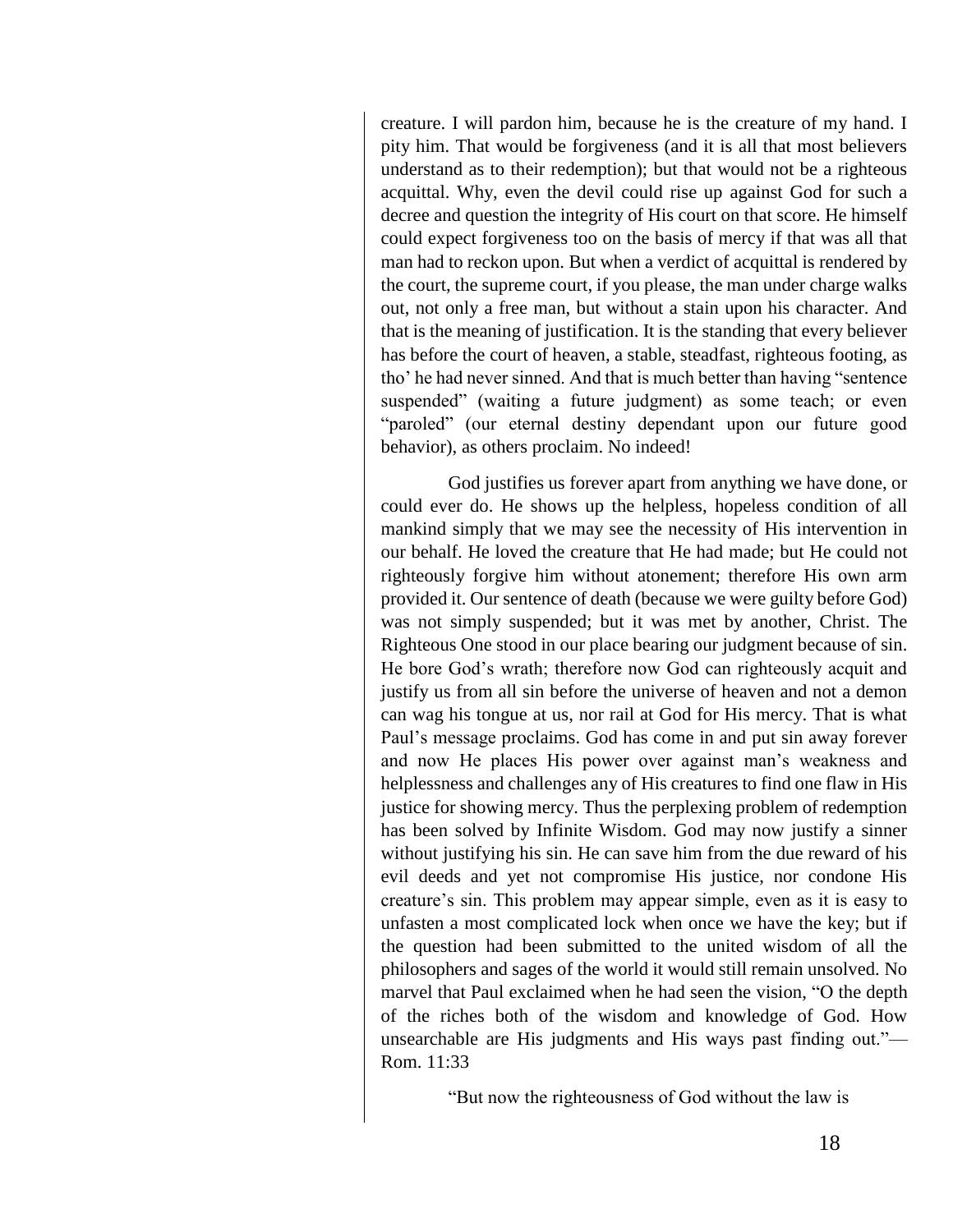creature. I will pardon him, because he is the creature of my hand. I pity him. That would be forgiveness (and it is all that most believers understand as to their redemption); but that would not be a righteous acquittal. Why, even the devil could rise up against God for such a decree and question the integrity of His court on that score. He himself could expect forgiveness too on the basis of mercy if that was all that man had to reckon upon. But when a verdict of acquittal is rendered by the court, the supreme court, if you please, the man under charge walks out, not only a free man, but without a stain upon his character. And that is the meaning of justification. It is the standing that every believer has before the court of heaven, a stable, steadfast, righteous footing, as tho' he had never sinned. And that is much better than having "sentence suspended" (waiting a future judgment) as some teach; or even "paroled" (our eternal destiny dependant upon our future good behavior), as others proclaim. No indeed!

God justifies us forever apart from anything we have done, or could ever do. He shows up the helpless, hopeless condition of all mankind simply that we may see the necessity of His intervention in our behalf. He loved the creature that He had made; but He could not righteously forgive him without atonement; therefore His own arm provided it. Our sentence of death (because we were guilty before God) was not simply suspended; but it was met by another, Christ. The Righteous One stood in our place bearing our judgment because of sin. He bore God's wrath; therefore now God can righteously acquit and justify us from all sin before the universe of heaven and not a demon can wag his tongue at us, nor rail at God for His mercy. That is what Paul's message proclaims. God has come in and put sin away forever and now He places His power over against man's weakness and helplessness and challenges any of His creatures to find one flaw in His justice for showing mercy. Thus the perplexing problem of redemption has been solved by Infinite Wisdom. God may now justify a sinner without justifying his sin. He can save him from the due reward of his evil deeds and yet not compromise His justice, nor condone His creature's sin. This problem may appear simple, even as it is easy to unfasten a most complicated lock when once we have the key; but if the question had been submitted to the united wisdom of all the philosophers and sages of the world it would still remain unsolved. No marvel that Paul exclaimed when he had seen the vision, "O the depth of the riches both of the wisdom and knowledge of God. How unsearchable are His judgments and His ways past finding out."— Rom. 11:33

"But now the righteousness of God without the law is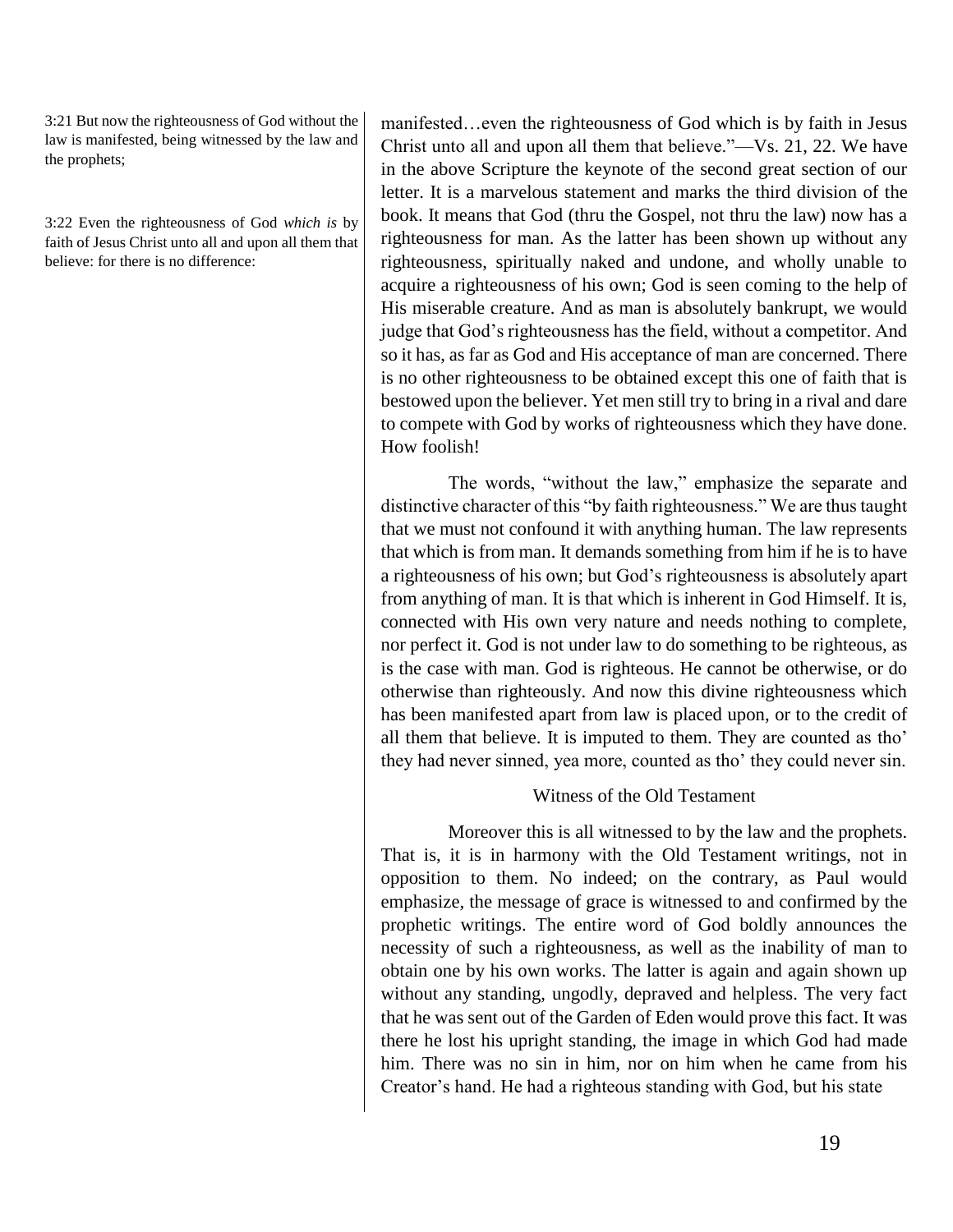3:21 But now the righteousness of God without the law is manifested, being witnessed by the law and the prophets;

3:22 Even the righteousness of God *which is* by faith of Jesus Christ unto all and upon all them that believe: for there is no difference:

manifested…even the righteousness of God which is by faith in Jesus Christ unto all and upon all them that believe."—Vs. 21, 22. We have in the above Scripture the keynote of the second great section of our letter. It is a marvelous statement and marks the third division of the book. It means that God (thru the Gospel, not thru the law) now has a righteousness for man. As the latter has been shown up without any righteousness, spiritually naked and undone, and wholly unable to acquire a righteousness of his own; God is seen coming to the help of His miserable creature. And as man is absolutely bankrupt, we would judge that God's righteousness has the field, without a competitor. And so it has, as far as God and His acceptance of man are concerned. There is no other righteousness to be obtained except this one of faith that is bestowed upon the believer. Yet men still try to bring in a rival and dare to compete with God by works of righteousness which they have done. How foolish!

The words, "without the law," emphasize the separate and distinctive character of this "by faith righteousness." We are thus taught that we must not confound it with anything human. The law represents that which is from man. It demands something from him if he is to have a righteousness of his own; but God's righteousness is absolutely apart from anything of man. It is that which is inherent in God Himself. It is, connected with His own very nature and needs nothing to complete, nor perfect it. God is not under law to do something to be righteous, as is the case with man. God is righteous. He cannot be otherwise, or do otherwise than righteously. And now this divine righteousness which has been manifested apart from law is placed upon, or to the credit of all them that believe. It is imputed to them. They are counted as tho' they had never sinned, yea more, counted as tho' they could never sin.

#### Witness of the Old Testament

Moreover this is all witnessed to by the law and the prophets. That is, it is in harmony with the Old Testament writings, not in opposition to them. No indeed; on the contrary, as Paul would emphasize, the message of grace is witnessed to and confirmed by the prophetic writings. The entire word of God boldly announces the necessity of such a righteousness, as well as the inability of man to obtain one by his own works. The latter is again and again shown up without any standing, ungodly, depraved and helpless. The very fact that he was sent out of the Garden of Eden would prove this fact. It was there he lost his upright standing, the image in which God had made him. There was no sin in him, nor on him when he came from his Creator's hand. He had a righteous standing with God, but his state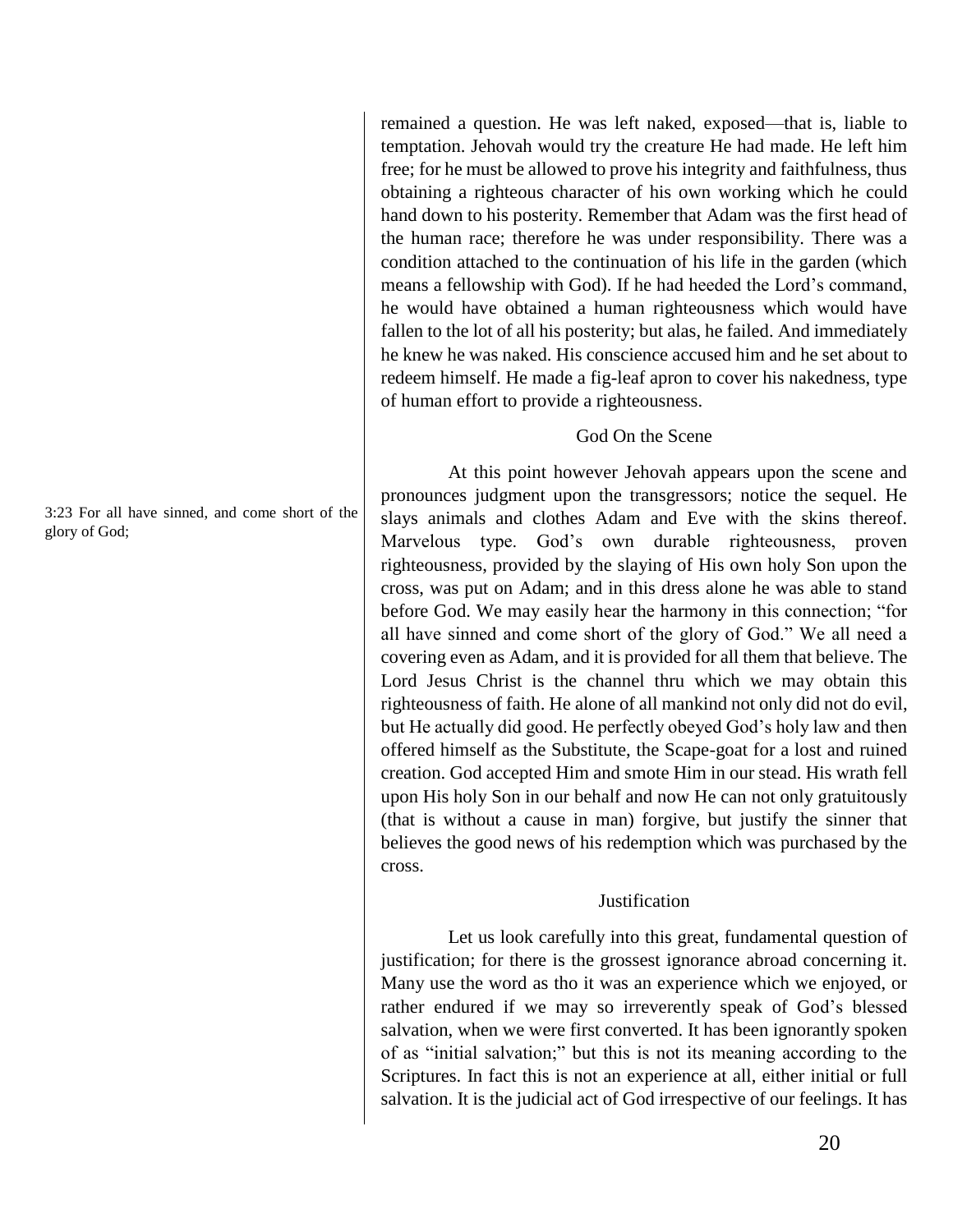remained a question. He was left naked, exposed—that is, liable to temptation. Jehovah would try the creature He had made. He left him free; for he must be allowed to prove his integrity and faithfulness, thus obtaining a righteous character of his own working which he could hand down to his posterity. Remember that Adam was the first head of the human race; therefore he was under responsibility. There was a condition attached to the continuation of his life in the garden (which means a fellowship with God). If he had heeded the Lord's command, he would have obtained a human righteousness which would have fallen to the lot of all his posterity; but alas, he failed. And immediately he knew he was naked. His conscience accused him and he set about to redeem himself. He made a fig-leaf apron to cover his nakedness, type of human effort to provide a righteousness.

## God On the Scene

At this point however Jehovah appears upon the scene and pronounces judgment upon the transgressors; notice the sequel. He slays animals and clothes Adam and Eve with the skins thereof. Marvelous type. God's own durable righteousness, proven righteousness, provided by the slaying of His own holy Son upon the cross, was put on Adam; and in this dress alone he was able to stand before God. We may easily hear the harmony in this connection; "for all have sinned and come short of the glory of God." We all need a covering even as Adam, and it is provided for all them that believe. The Lord Jesus Christ is the channel thru which we may obtain this righteousness of faith. He alone of all mankind not only did not do evil, but He actually did good. He perfectly obeyed God's holy law and then offered himself as the Substitute, the Scape-goat for a lost and ruined creation. God accepted Him and smote Him in our stead. His wrath fell upon His holy Son in our behalf and now He can not only gratuitously (that is without a cause in man) forgive, but justify the sinner that believes the good news of his redemption which was purchased by the cross.

#### **Justification**

Let us look carefully into this great, fundamental question of justification; for there is the grossest ignorance abroad concerning it. Many use the word as tho it was an experience which we enjoyed, or rather endured if we may so irreverently speak of God's blessed salvation, when we were first converted. It has been ignorantly spoken of as "initial salvation;" but this is not its meaning according to the Scriptures. In fact this is not an experience at all, either initial or full salvation. It is the judicial act of God irrespective of our feelings. It has

3:23 For all have sinned, and come short of the glory of God;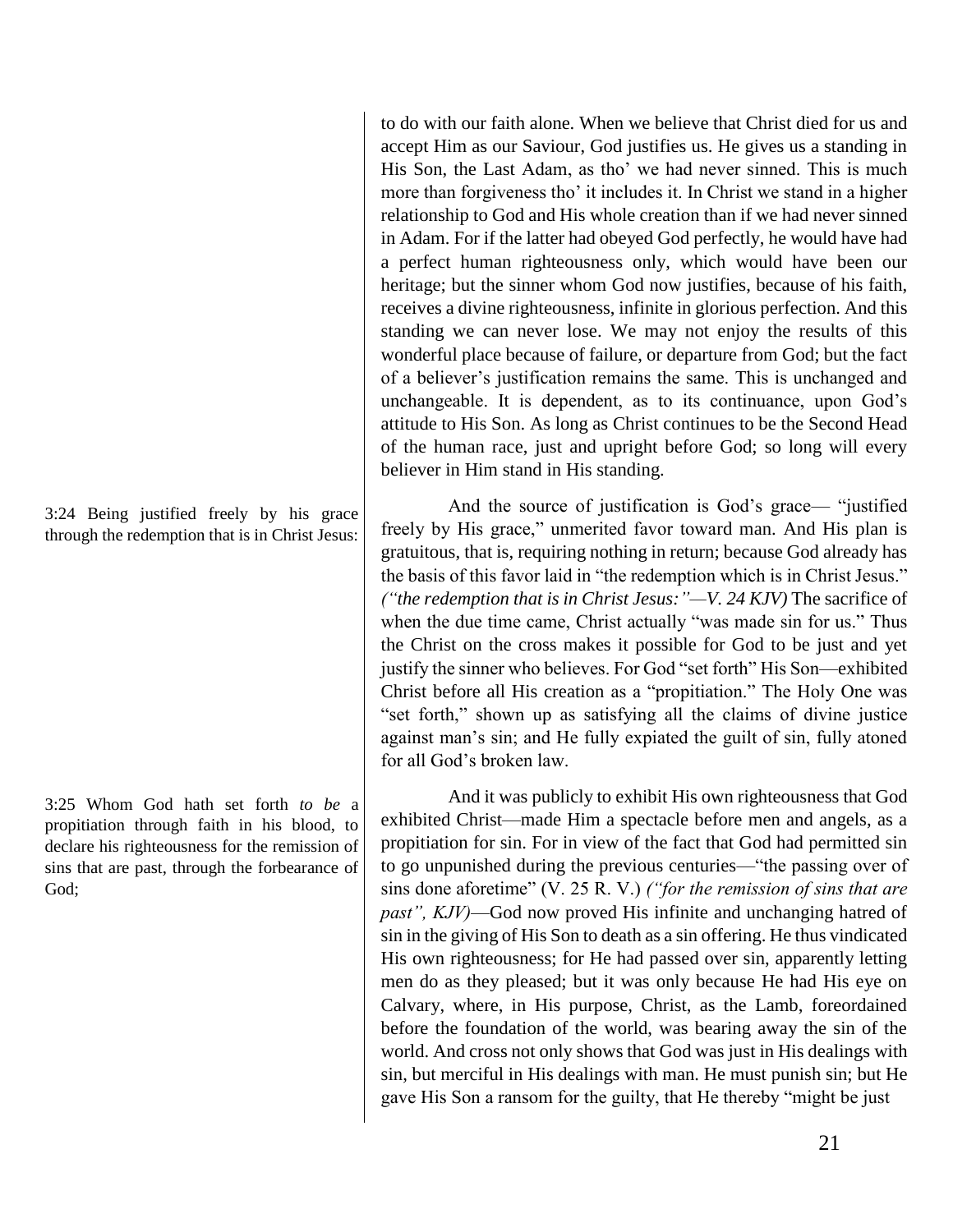to do with our faith alone. When we believe that Christ died for us and accept Him as our Saviour, God justifies us. He gives us a standing in His Son, the Last Adam, as tho' we had never sinned. This is much more than forgiveness tho' it includes it. In Christ we stand in a higher relationship to God and His whole creation than if we had never sinned in Adam. For if the latter had obeyed God perfectly, he would have had a perfect human righteousness only, which would have been our heritage; but the sinner whom God now justifies, because of his faith, receives a divine righteousness, infinite in glorious perfection. And this standing we can never lose. We may not enjoy the results of this wonderful place because of failure, or departure from God; but the fact of a believer's justification remains the same. This is unchanged and unchangeable. It is dependent, as to its continuance, upon God's attitude to His Son. As long as Christ continues to be the Second Head of the human race, just and upright before God; so long will every believer in Him stand in His standing.

And the source of justification is God's grace— "justified freely by His grace," unmerited favor toward man. And His plan is gratuitous, that is, requiring nothing in return; because God already has the basis of this favor laid in "the redemption which is in Christ Jesus." *("the redemption that is in Christ Jesus:"—V. 24 KJV)* The sacrifice of when the due time came, Christ actually "was made sin for us." Thus the Christ on the cross makes it possible for God to be just and yet justify the sinner who believes. For God "set forth" His Son—exhibited Christ before all His creation as a "propitiation." The Holy One was "set forth," shown up as satisfying all the claims of divine justice against man's sin; and He fully expiated the guilt of sin, fully atoned for all God's broken law.

And it was publicly to exhibit His own righteousness that God exhibited Christ—made Him a spectacle before men and angels, as a propitiation for sin. For in view of the fact that God had permitted sin to go unpunished during the previous centuries—"the passing over of sins done aforetime" (V. 25 R. V.) *("for the remission of sins that are past", KJV)*—God now proved His infinite and unchanging hatred of sin in the giving of His Son to death as a sin offering. He thus vindicated His own righteousness; for He had passed over sin, apparently letting men do as they pleased; but it was only because He had His eye on Calvary, where, in His purpose, Christ, as the Lamb, foreordained before the foundation of the world, was bearing away the sin of the world. And cross not only shows that God was just in His dealings with sin, but merciful in His dealings with man. He must punish sin; but He gave His Son a ransom for the guilty, that He thereby "might be just

3:24 Being justified freely by his grace through the redemption that is in Christ Jesus:

3:25 Whom God hath set forth *to be* a propitiation through faith in his blood, to declare his righteousness for the remission of sins that are past, through the forbearance of God;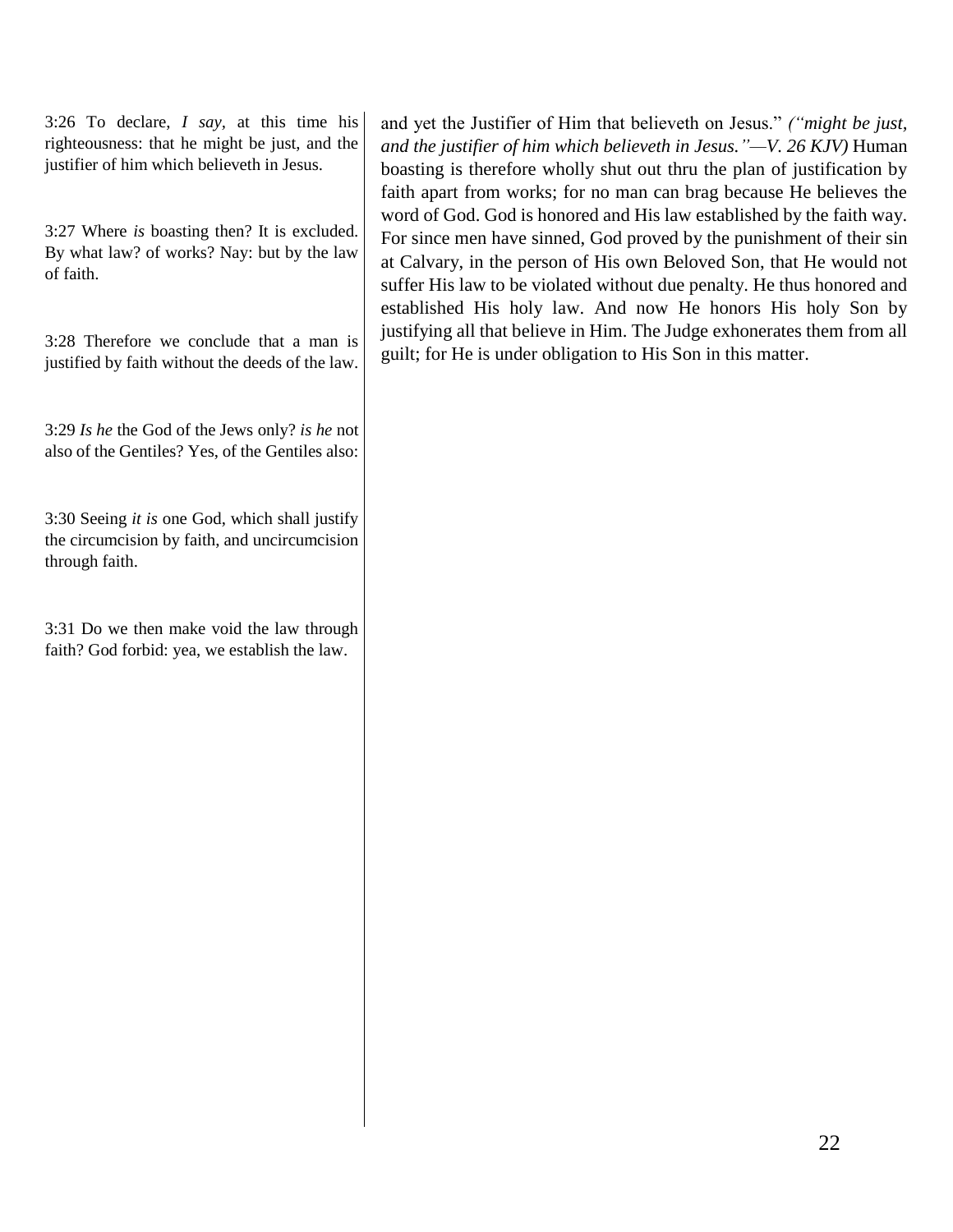3:26 To declare, *I say,* at this time his righteousness: that he might be just, and the justifier of him which believeth in Jesus.

3:27 Where *is* boasting then? It is excluded. By what law? of works? Nay: but by the law of faith.

3:28 Therefore we conclude that a man is justified by faith without the deeds of the law.

3:29 *Is he* the God of the Jews only? *is he* not also of the Gentiles? Yes, of the Gentiles also:

3:30 Seeing *it is* one God, which shall justify the circumcision by faith, and uncircumcision through faith.

3:31 Do we then make void the law through faith? God forbid: yea, we establish the law.

and yet the Justifier of Him that believeth on Jesus." *("might be just, and the justifier of him which believeth in Jesus."—V. 26 KJV)* Human boasting is therefore wholly shut out thru the plan of justification by faith apart from works; for no man can brag because He believes the word of God. God is honored and His law established by the faith way. For since men have sinned, God proved by the punishment of their sin at Calvary, in the person of His own Beloved Son, that He would not suffer His law to be violated without due penalty. He thus honored and established His holy law. And now He honors His holy Son by justifying all that believe in Him. The Judge exhonerates them from all guilt; for He is under obligation to His Son in this matter.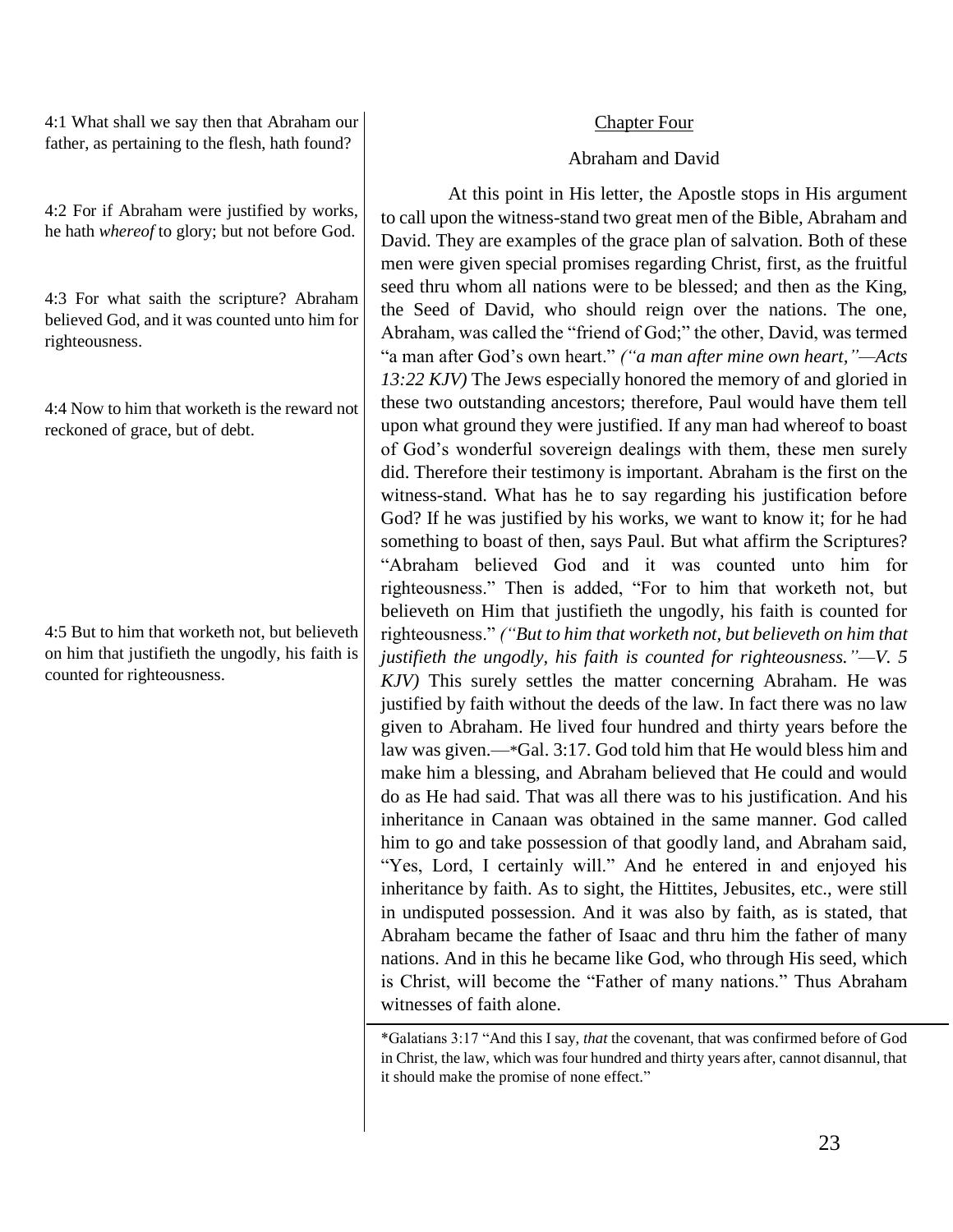4:1 What shall we say then that Abraham our father, as pertaining to the flesh, hath found?

4:2 For if Abraham were justified by works, he hath *whereof* to glory; but not before God.

4:3 For what saith the scripture? Abraham believed God, and it was counted unto him for righteousness.

4:4 Now to him that worketh is the reward not reckoned of grace, but of debt.

4:5 But to him that worketh not, but believeth on him that justifieth the ungodly, his faith is counted for righteousness.

#### Chapter Four

#### Abraham and David

At this point in His letter, the Apostle stops in His argument to call upon the witness-stand two great men of the Bible, Abraham and David. They are examples of the grace plan of salvation. Both of these men were given special promises regarding Christ, first, as the fruitful seed thru whom all nations were to be blessed; and then as the King, the Seed of David, who should reign over the nations. The one, Abraham, was called the "friend of God;" the other, David, was termed "a man after God's own heart." *("a man after mine own heart,"—Acts 13:22 KJV)* The Jews especially honored the memory of and gloried in these two outstanding ancestors; therefore, Paul would have them tell upon what ground they were justified. If any man had whereof to boast of God's wonderful sovereign dealings with them, these men surely did. Therefore their testimony is important. Abraham is the first on the witness-stand. What has he to say regarding his justification before God? If he was justified by his works, we want to know it; for he had something to boast of then, says Paul. But what affirm the Scriptures? "Abraham believed God and it was counted unto him for righteousness." Then is added, "For to him that worketh not, but believeth on Him that justifieth the ungodly, his faith is counted for righteousness." *("But to him that worketh not, but believeth on him that justifieth the ungodly, his faith is counted for righteousness."—V. 5 KJV)* This surely settles the matter concerning Abraham. He was justified by faith without the deeds of the law. In fact there was no law given to Abraham. He lived four hundred and thirty years before the law was given.—\*Gal. 3:17. God told him that He would bless him and make him a blessing, and Abraham believed that He could and would do as He had said. That was all there was to his justification. And his inheritance in Canaan was obtained in the same manner. God called him to go and take possession of that goodly land, and Abraham said, "Yes, Lord, I certainly will." And he entered in and enjoyed his inheritance by faith. As to sight, the Hittites, Jebusites, etc., were still in undisputed possession. And it was also by faith, as is stated, that Abraham became the father of Isaac and thru him the father of many nations. And in this he became like God, who through His seed, which is Christ, will become the "Father of many nations." Thus Abraham witnesses of faith alone.

\*Galatians 3:17 "And this I say, *that* the covenant, that was confirmed before of God in Christ, the law, which was four hundred and thirty years after, cannot disannul, that it should make the promise of none effect."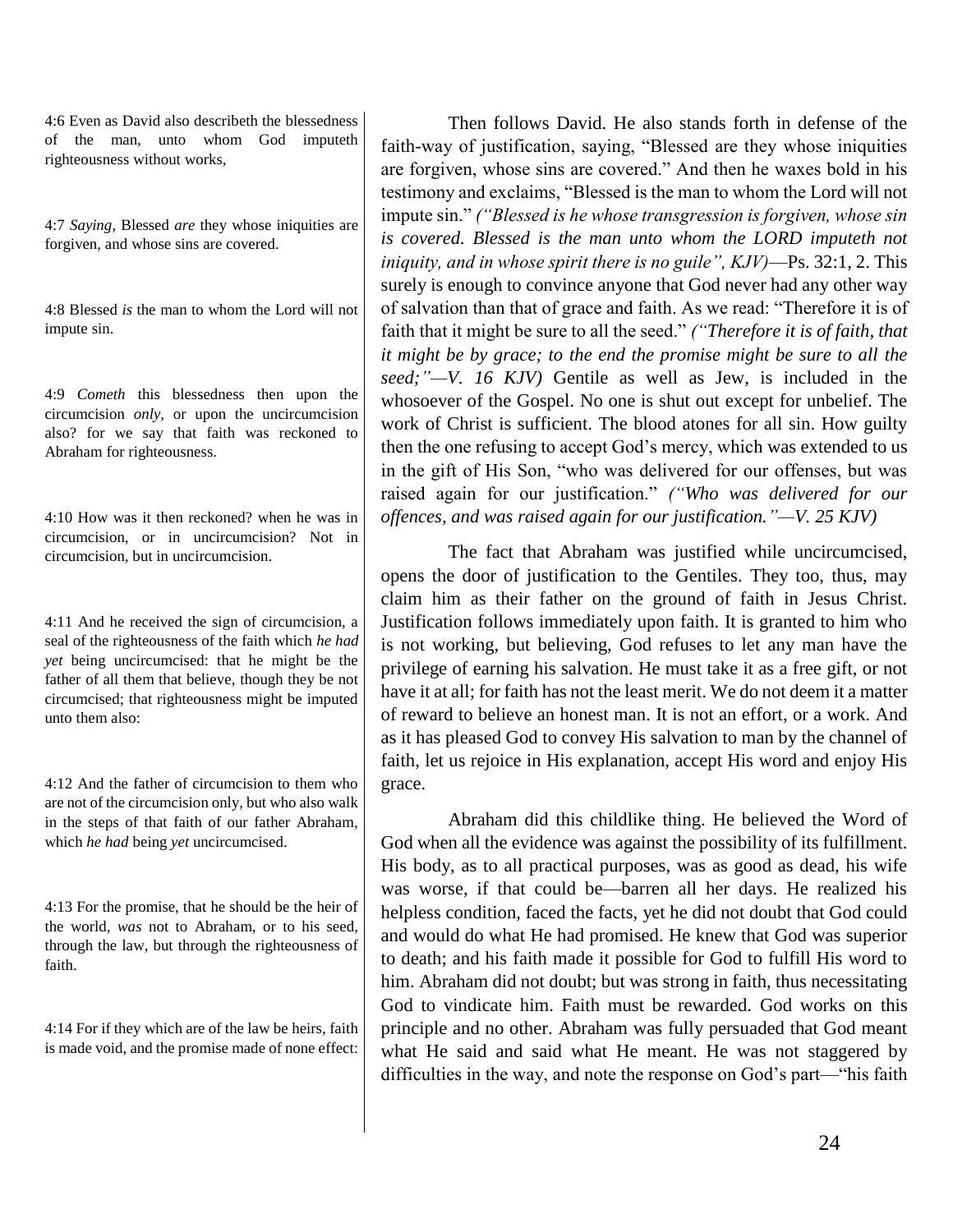4:6 Even as David also describeth the blessedness of the man, unto whom God imputeth righteousness without works,

4:7 *Saying,* Blessed *are* they whose iniquities are forgiven, and whose sins are covered.

4:8 Blessed *is* the man to whom the Lord will not impute sin.

4:9 *Cometh* this blessedness then upon the circumcision *only,* or upon the uncircumcision also? for we say that faith was reckoned to Abraham for righteousness.

4:10 How was it then reckoned? when he was in circumcision, or in uncircumcision? Not in circumcision, but in uncircumcision.

4:11 And he received the sign of circumcision, a seal of the righteousness of the faith which *he had yet* being uncircumcised: that he might be the father of all them that believe, though they be not circumcised; that righteousness might be imputed unto them also:

4:12 And the father of circumcision to them who are not of the circumcision only, but who also walk in the steps of that faith of our father Abraham, which *he had* being *yet* uncircumcised.

4:13 For the promise, that he should be the heir of the world, *was* not to Abraham, or to his seed, through the law, but through the righteousness of faith.

4:14 For if they which are of the law be heirs, faith is made void, and the promise made of none effect:

Then follows David. He also stands forth in defense of the faith-way of justification, saying, "Blessed are they whose iniquities are forgiven, whose sins are covered." And then he waxes bold in his testimony and exclaims, "Blessed is the man to whom the Lord will not impute sin." *("Blessed is he whose transgression is forgiven, whose sin is covered. Blessed is the man unto whom the LORD imputeth not iniquity, and in whose spirit there is no guile", KJV)*—Ps. 32:1, 2. This surely is enough to convince anyone that God never had any other way of salvation than that of grace and faith. As we read: "Therefore it is of faith that it might be sure to all the seed." *("Therefore it is of faith, that it might be by grace; to the end the promise might be sure to all the seed;"—V. 16 KJV)* Gentile as well as Jew, is included in the whosoever of the Gospel. No one is shut out except for unbelief. The work of Christ is sufficient. The blood atones for all sin. How guilty then the one refusing to accept God's mercy, which was extended to us in the gift of His Son, "who was delivered for our offenses, but was raised again for our justification." *("Who was delivered for our offences, and was raised again for our justification."—V. 25 KJV)*

The fact that Abraham was justified while uncircumcised, opens the door of justification to the Gentiles. They too, thus, may claim him as their father on the ground of faith in Jesus Christ. Justification follows immediately upon faith. It is granted to him who is not working, but believing, God refuses to let any man have the privilege of earning his salvation. He must take it as a free gift, or not have it at all; for faith has not the least merit. We do not deem it a matter of reward to believe an honest man. It is not an effort, or a work. And as it has pleased God to convey His salvation to man by the channel of faith, let us rejoice in His explanation, accept His word and enjoy His grace.

Abraham did this childlike thing. He believed the Word of God when all the evidence was against the possibility of its fulfillment. His body, as to all practical purposes, was as good as dead, his wife was worse, if that could be—barren all her days. He realized his helpless condition, faced the facts, yet he did not doubt that God could and would do what He had promised. He knew that God was superior to death; and his faith made it possible for God to fulfill His word to him. Abraham did not doubt; but was strong in faith, thus necessitating God to vindicate him. Faith must be rewarded. God works on this principle and no other. Abraham was fully persuaded that God meant what He said and said what He meant. He was not staggered by difficulties in the way, and note the response on God's part—"his faith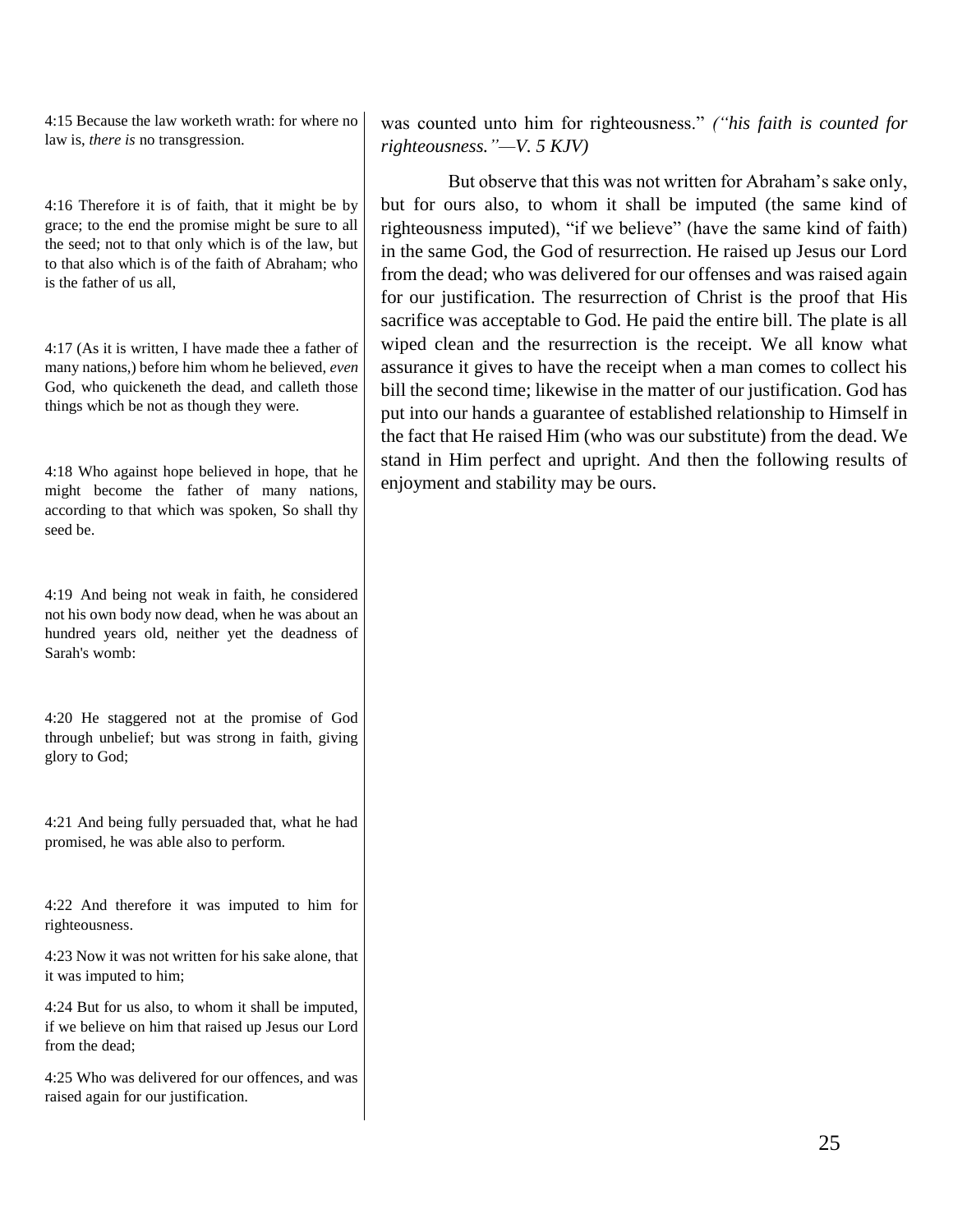4:15 Because the law worketh wrath: for where no law is, *there is* no transgression.

4:16 Therefore it is of faith, that it might be by grace; to the end the promise might be sure to all the seed; not to that only which is of the law, but to that also which is of the faith of Abraham; who is the father of us all,

4:17 (As it is written, I have made thee a father of many nations,) before him whom he believed, *even* God, who quickeneth the dead, and calleth those things which be not as though they were.

4:18 Who against hope believed in hope, that he might become the father of many nations, according to that which was spoken, So shall thy seed be.

4:19 And being not weak in faith, he considered not his own body now dead, when he was about an hundred years old, neither yet the deadness of Sarah's womb:

4:20 He staggered not at the promise of God through unbelief; but was strong in faith, giving glory to God;

4:21 And being fully persuaded that, what he had promised, he was able also to perform.

4:22 And therefore it was imputed to him for righteousness.

4:23 Now it was not written for his sake alone, that it was imputed to him;

4:24 But for us also, to whom it shall be imputed, if we believe on him that raised up Jesus our Lord from the dead;

4:25 Who was delivered for our offences, and was raised again for our justification.

was counted unto him for righteousness." *("his faith is counted for righteousness."—V. 5 KJV)*

But observe that this was not written for Abraham's sake only, but for ours also, to whom it shall be imputed (the same kind of righteousness imputed), "if we believe" (have the same kind of faith) in the same God, the God of resurrection. He raised up Jesus our Lord from the dead; who was delivered for our offenses and was raised again for our justification. The resurrection of Christ is the proof that His sacrifice was acceptable to God. He paid the entire bill. The plate is all wiped clean and the resurrection is the receipt. We all know what assurance it gives to have the receipt when a man comes to collect his bill the second time; likewise in the matter of our justification. God has put into our hands a guarantee of established relationship to Himself in the fact that He raised Him (who was our substitute) from the dead. We stand in Him perfect and upright. And then the following results of enjoyment and stability may be ours.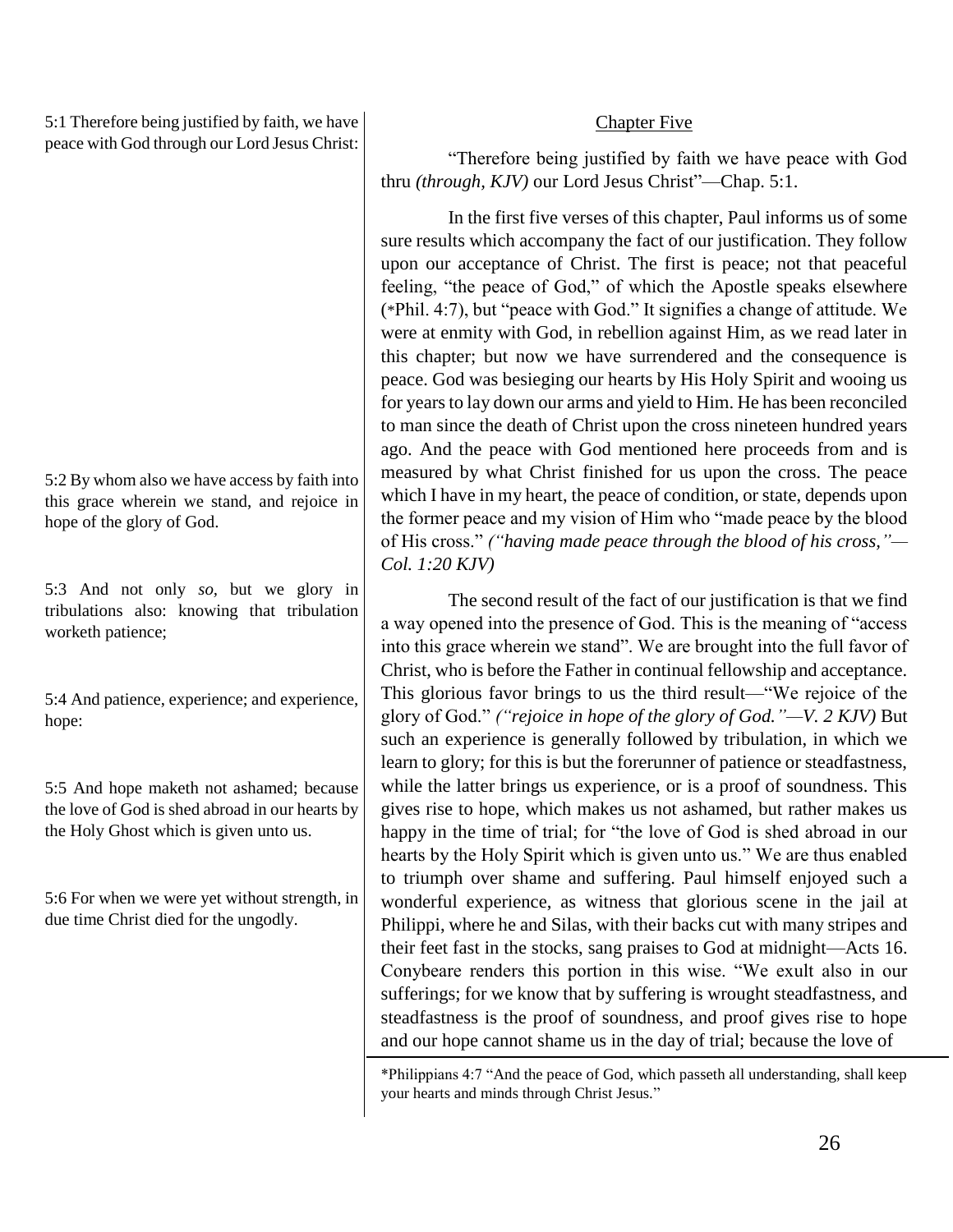5:1 Therefore being justified by faith, we have peace with God through our Lord Jesus Christ:

5:2 By whom also we have access by faith into this grace wherein we stand, and rejoice in hope of the glory of God.

5:3 And not only *so,* but we glory in tribulations also: knowing that tribulation worketh patience;

5:4 And patience, experience; and experience, hope:

5:5 And hope maketh not ashamed; because the love of God is shed abroad in our hearts by the Holy Ghost which is given unto us.

5:6 For when we were yet without strength, in due time Christ died for the ungodly.

# Chapter Five

"Therefore being justified by faith we have peace with God thru *(through, KJV)* our Lord Jesus Christ"—Chap. 5:1.

In the first five verses of this chapter, Paul informs us of some sure results which accompany the fact of our justification. They follow upon our acceptance of Christ. The first is peace; not that peaceful feeling, "the peace of God," of which the Apostle speaks elsewhere (\*Phil. 4:7), but "peace with God." It signifies a change of attitude. We were at enmity with God, in rebellion against Him, as we read later in this chapter; but now we have surrendered and the consequence is peace. God was besieging our hearts by His Holy Spirit and wooing us for years to lay down our arms and yield to Him. He has been reconciled to man since the death of Christ upon the cross nineteen hundred years ago. And the peace with God mentioned here proceeds from and is measured by what Christ finished for us upon the cross. The peace which I have in my heart, the peace of condition, or state, depends upon the former peace and my vision of Him who "made peace by the blood of His cross." *("having made peace through the blood of his cross,"— Col. 1:20 KJV)*

The second result of the fact of our justification is that we find a way opened into the presence of God. This is the meaning of "access into this grace wherein we stand". We are brought into the full favor of Christ, who is before the Father in continual fellowship and acceptance. This glorious favor brings to us the third result—"We rejoice of the glory of God." *("rejoice in hope of the glory of God."—V. 2 KJV)* But such an experience is generally followed by tribulation, in which we learn to glory; for this is but the forerunner of patience or steadfastness, while the latter brings us experience, or is a proof of soundness. This gives rise to hope, which makes us not ashamed, but rather makes us happy in the time of trial; for "the love of God is shed abroad in our hearts by the Holy Spirit which is given unto us." We are thus enabled to triumph over shame and suffering. Paul himself enjoyed such a wonderful experience, as witness that glorious scene in the jail at Philippi, where he and Silas, with their backs cut with many stripes and their feet fast in the stocks, sang praises to God at midnight—Acts 16. Conybeare renders this portion in this wise. "We exult also in our sufferings; for we know that by suffering is wrought steadfastness, and steadfastness is the proof of soundness, and proof gives rise to hope and our hope cannot shame us in the day of trial; because the love of

<sup>\*</sup>Philippians 4:7 "And the peace of God, which passeth all understanding, shall keep your hearts and minds through Christ Jesus."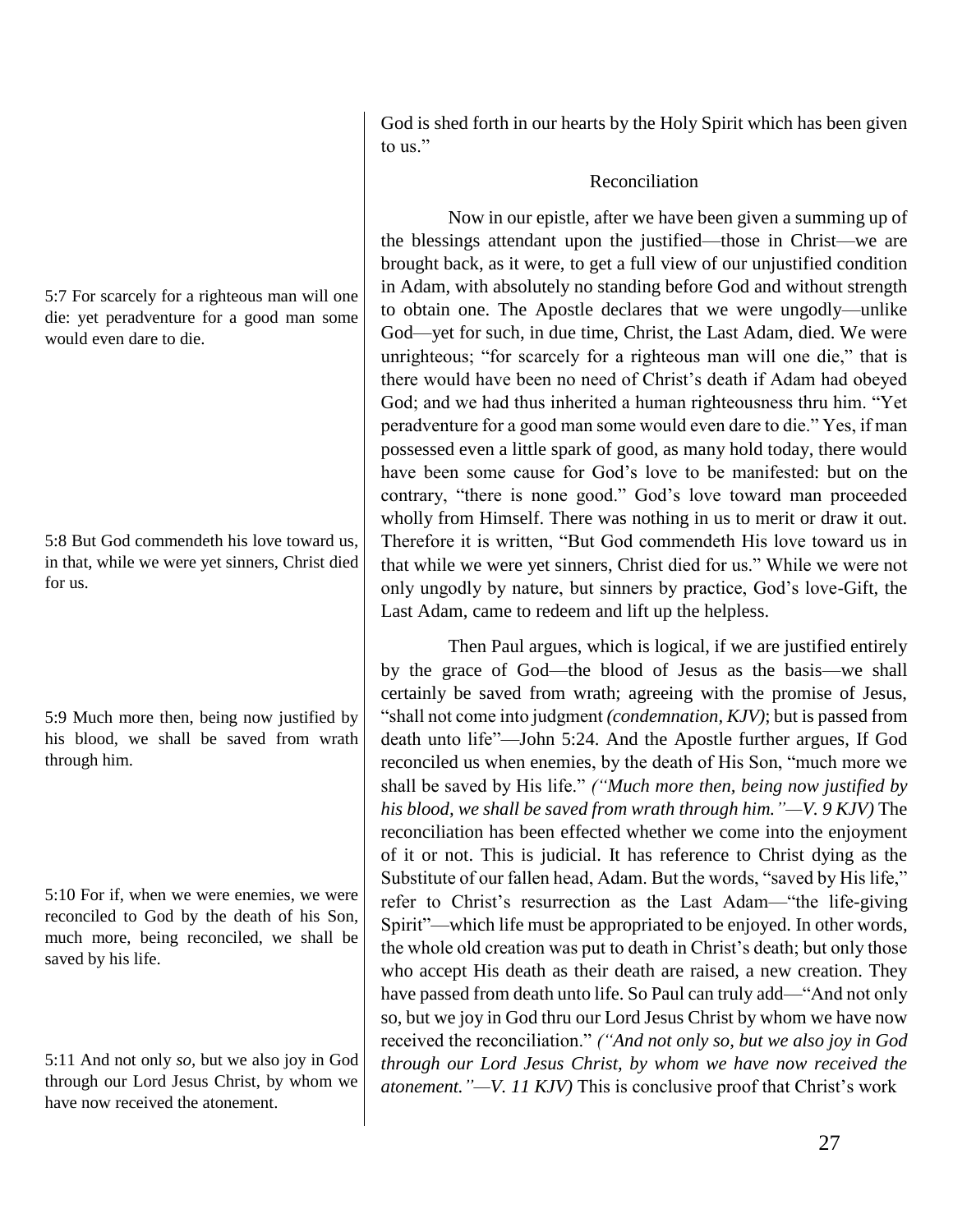5:7 For scarcely for a righteous man will one die: yet peradventure for a good man some would even dare to die.

5:8 But God commendeth his love toward us, in that, while we were yet sinners, Christ died for us.

5:9 Much more then, being now justified by his blood, we shall be saved from wrath through him.

5:10 For if, when we were enemies, we were reconciled to God by the death of his Son, much more, being reconciled, we shall be saved by his life.

5:11 And not only *so,* but we also joy in God through our Lord Jesus Christ, by whom we have now received the atonement.

God is shed forth in our hearts by the Holy Spirit which has been given to us."

# Reconciliation

Now in our epistle, after we have been given a summing up of the blessings attendant upon the justified—those in Christ—we are brought back, as it were, to get a full view of our unjustified condition in Adam, with absolutely no standing before God and without strength to obtain one. The Apostle declares that we were ungodly—unlike God—yet for such, in due time, Christ, the Last Adam, died. We were unrighteous; "for scarcely for a righteous man will one die," that is there would have been no need of Christ's death if Adam had obeyed God; and we had thus inherited a human righteousness thru him. "Yet peradventure for a good man some would even dare to die." Yes, if man possessed even a little spark of good, as many hold today, there would have been some cause for God's love to be manifested: but on the contrary, "there is none good." God's love toward man proceeded wholly from Himself. There was nothing in us to merit or draw it out. Therefore it is written, "But God commendeth His love toward us in that while we were yet sinners, Christ died for us." While we were not only ungodly by nature, but sinners by practice, God's love-Gift, the Last Adam, came to redeem and lift up the helpless.

Then Paul argues, which is logical, if we are justified entirely by the grace of God—the blood of Jesus as the basis—we shall certainly be saved from wrath; agreeing with the promise of Jesus, "shall not come into judgment *(condemnation, KJV)*; but is passed from death unto life"—John 5:24. And the Apostle further argues, If God reconciled us when enemies, by the death of His Son, "much more we shall be saved by His life." *("Much more then, being now justified by his blood, we shall be saved from wrath through him."—V. 9 KJV)* The reconciliation has been effected whether we come into the enjoyment of it or not. This is judicial. It has reference to Christ dying as the Substitute of our fallen head, Adam. But the words, "saved by His life," refer to Christ's resurrection as the Last Adam—"the life-giving Spirit"—which life must be appropriated to be enjoyed. In other words, the whole old creation was put to death in Christ's death; but only those who accept His death as their death are raised, a new creation. They have passed from death unto life. So Paul can truly add—"And not only so, but we joy in God thru our Lord Jesus Christ by whom we have now received the reconciliation." *("And not only so, but we also joy in God through our Lord Jesus Christ, by whom we have now received the atonement."—V. 11 KJV)* This is conclusive proof that Christ's work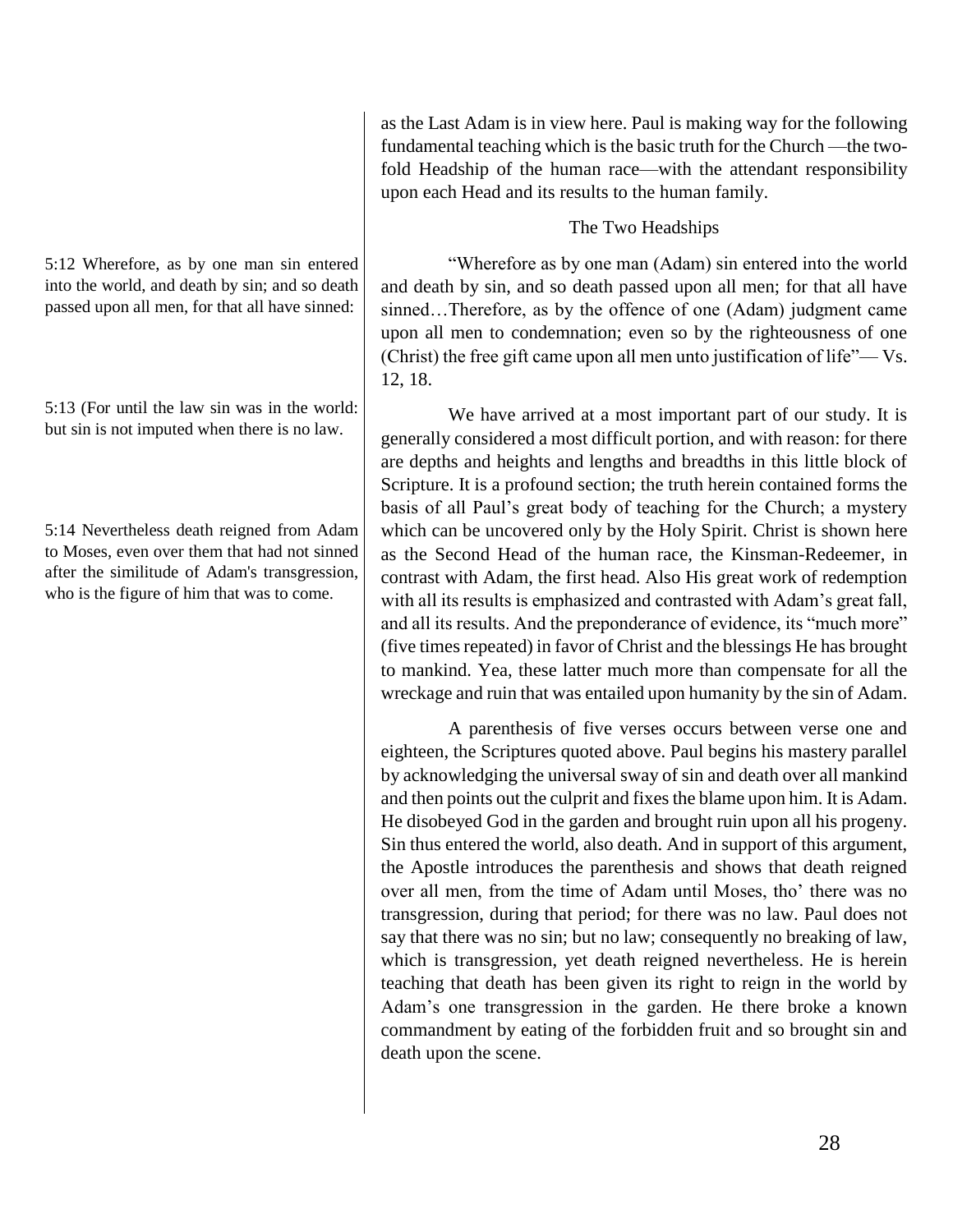5:12 Wherefore, as by one man sin entered into the world, and death by sin; and so death passed upon all men, for that all have sinned:

5:13 (For until the law sin was in the world: but sin is not imputed when there is no law.

5:14 Nevertheless death reigned from Adam to Moses, even over them that had not sinned after the similitude of Adam's transgression, who is the figure of him that was to come.

as the Last Adam is in view here. Paul is making way for the following fundamental teaching which is the basic truth for the Church —the twofold Headship of the human race—with the attendant responsibility upon each Head and its results to the human family.

## The Two Headships

"Wherefore as by one man (Adam) sin entered into the world and death by sin, and so death passed upon all men; for that all have sinned...Therefore, as by the offence of one (Adam) judgment came upon all men to condemnation; even so by the righteousness of one (Christ) the free gift came upon all men unto justification of life"— Vs. 12, 18.

We have arrived at a most important part of our study. It is generally considered a most difficult portion, and with reason: for there are depths and heights and lengths and breadths in this little block of Scripture. It is a profound section; the truth herein contained forms the basis of all Paul's great body of teaching for the Church; a mystery which can be uncovered only by the Holy Spirit. Christ is shown here as the Second Head of the human race, the Kinsman-Redeemer, in contrast with Adam, the first head. Also His great work of redemption with all its results is emphasized and contrasted with Adam's great fall, and all its results. And the preponderance of evidence, its "much more" (five times repeated) in favor of Christ and the blessings He has brought to mankind. Yea, these latter much more than compensate for all the wreckage and ruin that was entailed upon humanity by the sin of Adam.

A parenthesis of five verses occurs between verse one and eighteen, the Scriptures quoted above. Paul begins his mastery parallel by acknowledging the universal sway of sin and death over all mankind and then points out the culprit and fixes the blame upon him. It is Adam. He disobeyed God in the garden and brought ruin upon all his progeny. Sin thus entered the world, also death. And in support of this argument, the Apostle introduces the parenthesis and shows that death reigned over all men, from the time of Adam until Moses, tho' there was no transgression, during that period; for there was no law. Paul does not say that there was no sin; but no law; consequently no breaking of law, which is transgression, yet death reigned nevertheless. He is herein teaching that death has been given its right to reign in the world by Adam's one transgression in the garden. He there broke a known commandment by eating of the forbidden fruit and so brought sin and death upon the scene.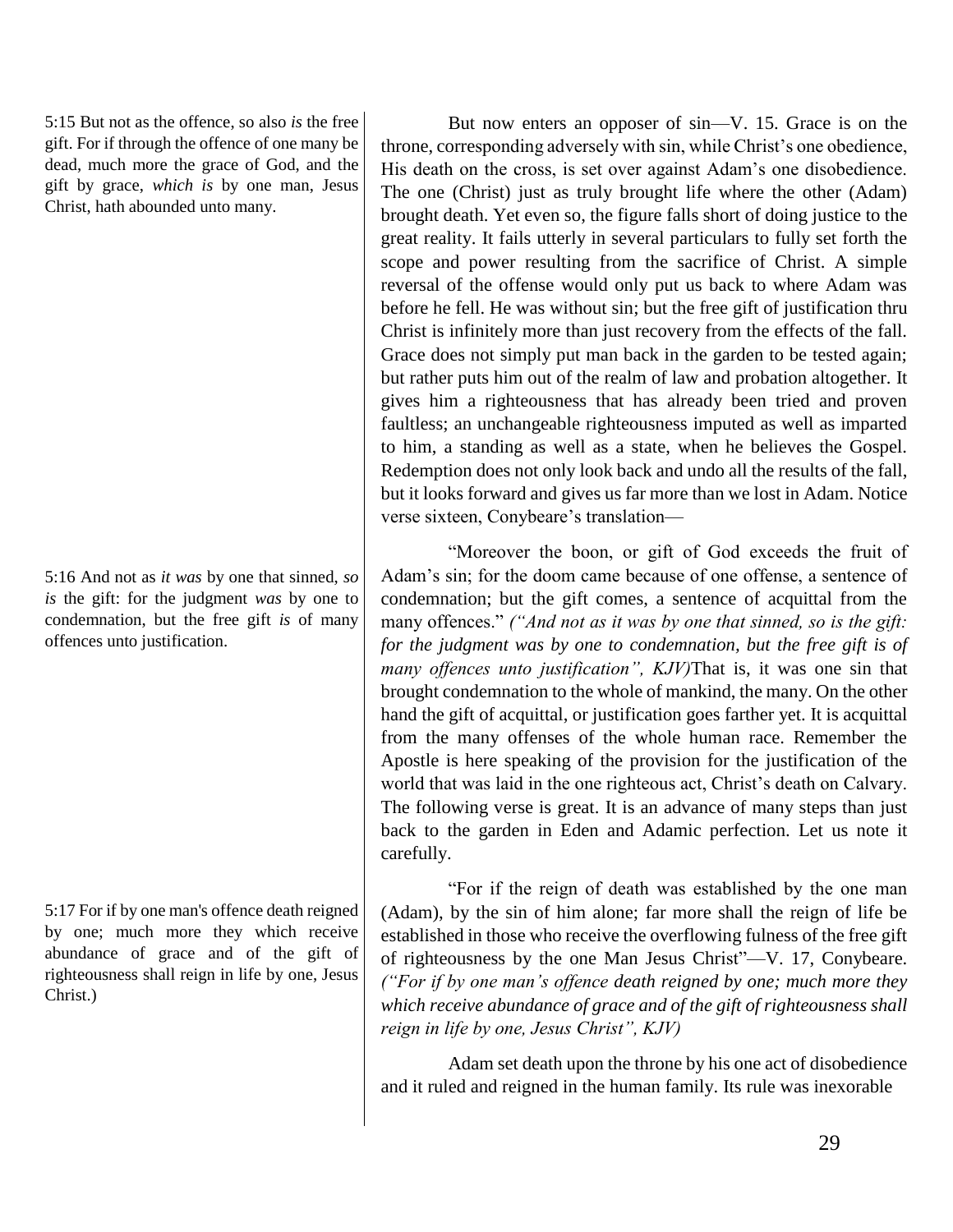5:15 But not as the offence, so also *is* the free gift. For if through the offence of one many be dead, much more the grace of God, and the gift by grace, *which is* by one man, Jesus Christ, hath abounded unto many.

5:16 And not as *it was* by one that sinned, *so is* the gift: for the judgment *was* by one to condemnation, but the free gift *is* of many offences unto justification.

5:17 For if by one man's offence death reigned by one; much more they which receive abundance of grace and of the gift of righteousness shall reign in life by one, Jesus Christ.)

But now enters an opposer of sin—V. 15. Grace is on the throne, corresponding adversely with sin, while Christ's one obedience, His death on the cross, is set over against Adam's one disobedience. The one (Christ) just as truly brought life where the other (Adam) brought death. Yet even so, the figure falls short of doing justice to the great reality. It fails utterly in several particulars to fully set forth the scope and power resulting from the sacrifice of Christ. A simple reversal of the offense would only put us back to where Adam was before he fell. He was without sin; but the free gift of justification thru Christ is infinitely more than just recovery from the effects of the fall. Grace does not simply put man back in the garden to be tested again; but rather puts him out of the realm of law and probation altogether. It gives him a righteousness that has already been tried and proven faultless; an unchangeable righteousness imputed as well as imparted to him, a standing as well as a state, when he believes the Gospel. Redemption does not only look back and undo all the results of the fall, but it looks forward and gives us far more than we lost in Adam. Notice verse sixteen, Conybeare's translation—

"Moreover the boon, or gift of God exceeds the fruit of Adam's sin; for the doom came because of one offense, a sentence of condemnation; but the gift comes, a sentence of acquittal from the many offences." *("And not as it was by one that sinned, so is the gift: for the judgment was by one to condemnation, but the free gift is of many offences unto justification", KJV)*That is, it was one sin that brought condemnation to the whole of mankind, the many. On the other hand the gift of acquittal, or justification goes farther yet. It is acquittal from the many offenses of the whole human race. Remember the Apostle is here speaking of the provision for the justification of the world that was laid in the one righteous act, Christ's death on Calvary. The following verse is great. It is an advance of many steps than just back to the garden in Eden and Adamic perfection. Let us note it carefully.

"For if the reign of death was established by the one man (Adam), by the sin of him alone; far more shall the reign of life be established in those who receive the overflowing fulness of the free gift of righteousness by the one Man Jesus Christ"—V. 17, Conybeare. *("For if by one man's offence death reigned by one; much more they which receive abundance of grace and of the gift of righteousness shall reign in life by one, Jesus Christ", KJV)*

Adam set death upon the throne by his one act of disobedience and it ruled and reigned in the human family. Its rule was inexorable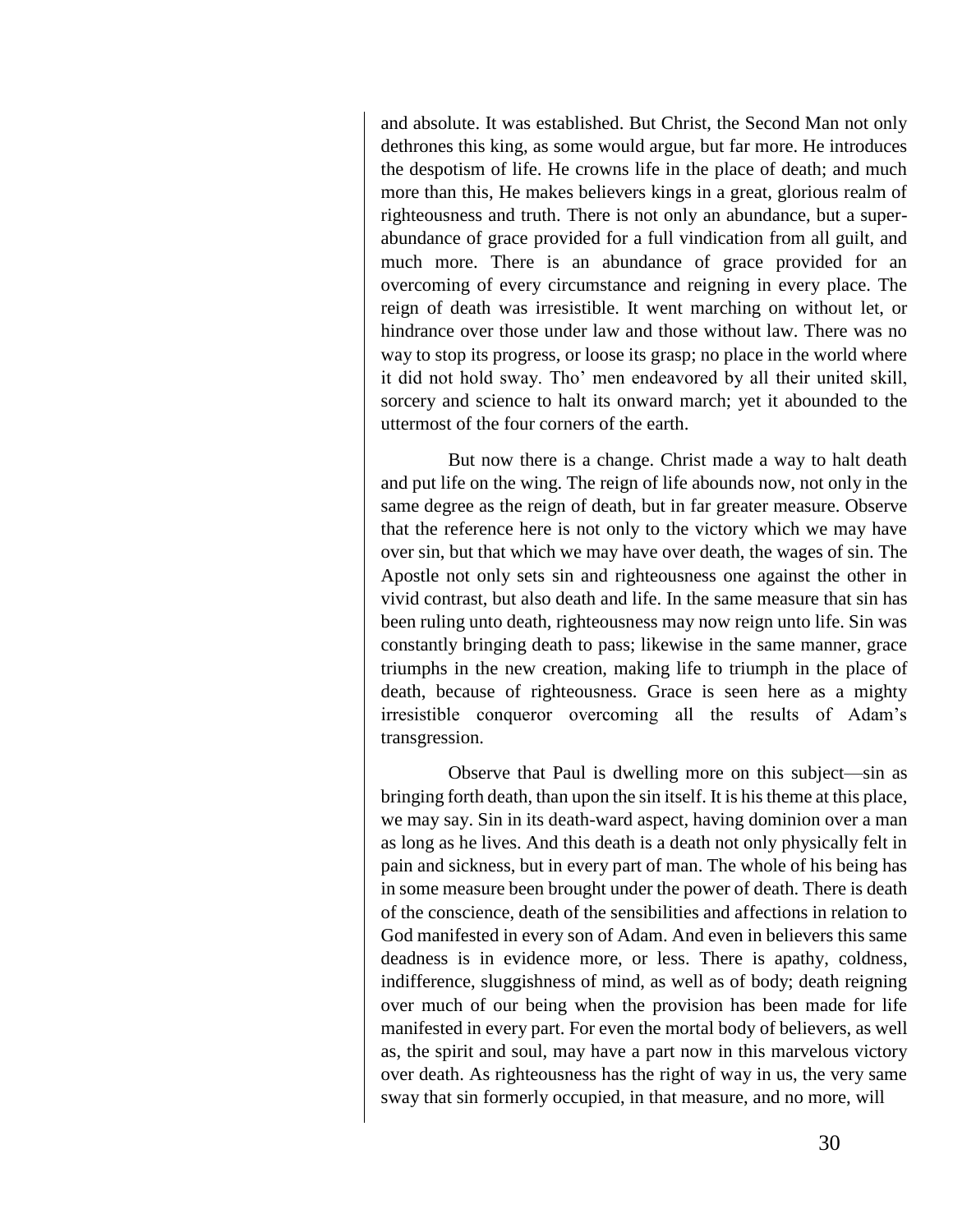and absolute. It was established. But Christ, the Second Man not only dethrones this king, as some would argue, but far more. He introduces the despotism of life. He crowns life in the place of death; and much more than this, He makes believers kings in a great, glorious realm of righteousness and truth. There is not only an abundance, but a superabundance of grace provided for a full vindication from all guilt, and much more. There is an abundance of grace provided for an overcoming of every circumstance and reigning in every place. The reign of death was irresistible. It went marching on without let, or hindrance over those under law and those without law. There was no way to stop its progress, or loose its grasp; no place in the world where it did not hold sway. Tho' men endeavored by all their united skill, sorcery and science to halt its onward march; yet it abounded to the uttermost of the four corners of the earth.

But now there is a change. Christ made a way to halt death and put life on the wing. The reign of life abounds now, not only in the same degree as the reign of death, but in far greater measure. Observe that the reference here is not only to the victory which we may have over sin, but that which we may have over death, the wages of sin. The Apostle not only sets sin and righteousness one against the other in vivid contrast, but also death and life. In the same measure that sin has been ruling unto death, righteousness may now reign unto life. Sin was constantly bringing death to pass; likewise in the same manner, grace triumphs in the new creation, making life to triumph in the place of death, because of righteousness. Grace is seen here as a mighty irresistible conqueror overcoming all the results of Adam's transgression.

Observe that Paul is dwelling more on this subject—sin as bringing forth death, than upon the sin itself. It is his theme at this place, we may say. Sin in its death-ward aspect, having dominion over a man as long as he lives. And this death is a death not only physically felt in pain and sickness, but in every part of man. The whole of his being has in some measure been brought under the power of death. There is death of the conscience, death of the sensibilities and affections in relation to God manifested in every son of Adam. And even in believers this same deadness is in evidence more, or less. There is apathy, coldness, indifference, sluggishness of mind, as well as of body; death reigning over much of our being when the provision has been made for life manifested in every part. For even the mortal body of believers, as well as, the spirit and soul, may have a part now in this marvelous victory over death. As righteousness has the right of way in us, the very same sway that sin formerly occupied, in that measure, and no more, will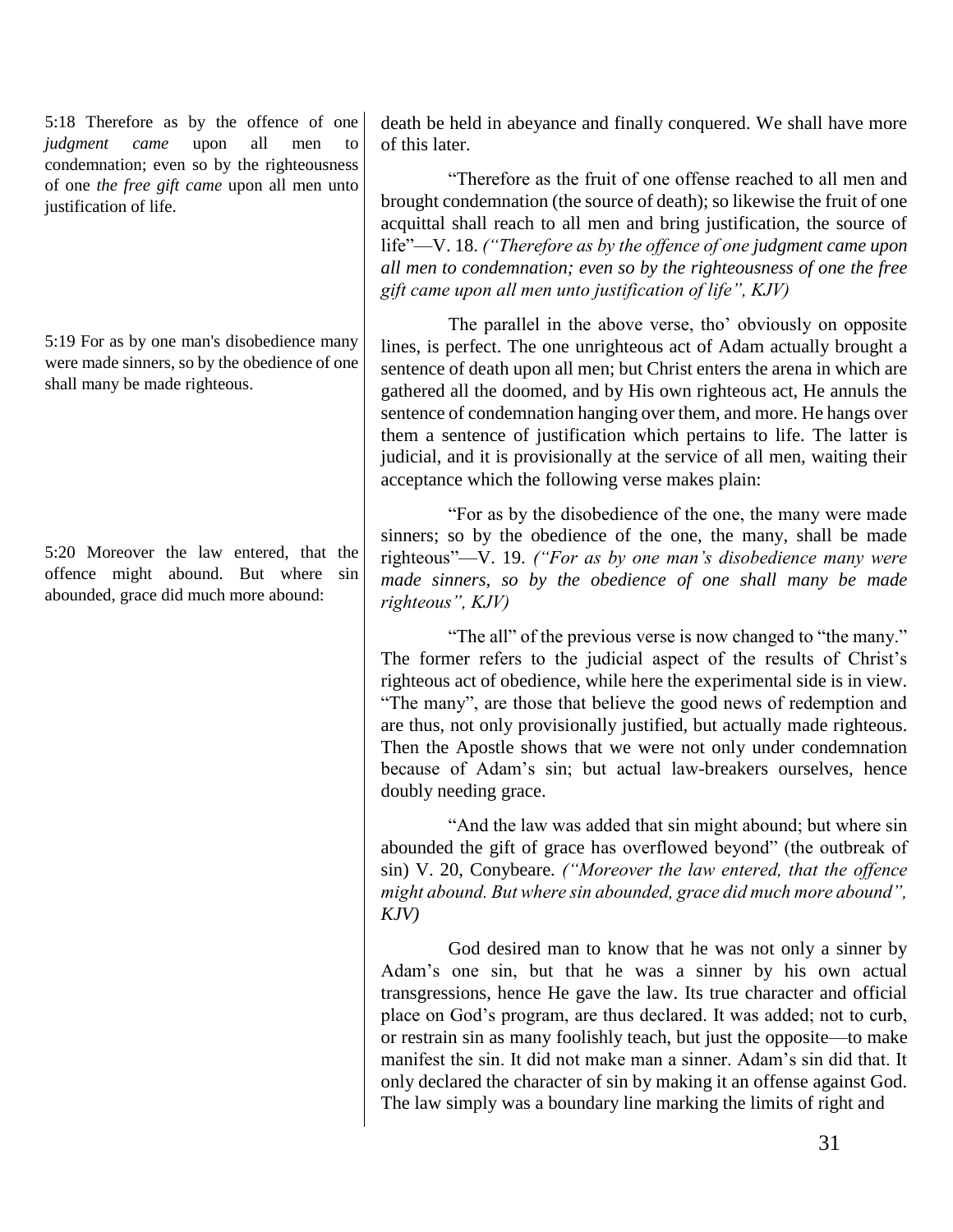5:18 Therefore as by the offence of one *judgment came* upon all men to condemnation; even so by the righteousness of one *the free gift came* upon all men unto justification of life.

5:19 For as by one man's disobedience many were made sinners, so by the obedience of one shall many be made righteous.

5:20 Moreover the law entered, that the offence might abound. But where sin abounded, grace did much more abound:

death be held in abeyance and finally conquered. We shall have more of this later.

"Therefore as the fruit of one offense reached to all men and brought condemnation (the source of death); so likewise the fruit of one acquittal shall reach to all men and bring justification, the source of life"—V. 18. *("Therefore as by the offence of one judgment came upon all men to condemnation; even so by the righteousness of one the free gift came upon all men unto justification of life", KJV)*

The parallel in the above verse, tho' obviously on opposite lines, is perfect. The one unrighteous act of Adam actually brought a sentence of death upon all men; but Christ enters the arena in which are gathered all the doomed, and by His own righteous act, He annuls the sentence of condemnation hanging over them, and more. He hangs over them a sentence of justification which pertains to life. The latter is judicial, and it is provisionally at the service of all men, waiting their acceptance which the following verse makes plain:

"For as by the disobedience of the one, the many were made sinners; so by the obedience of the one, the many, shall be made righteous"—V. 19. *("For as by one man's disobedience many were made sinners, so by the obedience of one shall many be made righteous", KJV)*

"The all" of the previous verse is now changed to "the many." The former refers to the judicial aspect of the results of Christ's righteous act of obedience, while here the experimental side is in view. "The many", are those that believe the good news of redemption and are thus, not only provisionally justified, but actually made righteous. Then the Apostle shows that we were not only under condemnation because of Adam's sin; but actual law-breakers ourselves, hence doubly needing grace.

"And the law was added that sin might abound; but where sin abounded the gift of grace has overflowed beyond" (the outbreak of sin) V. 20, Conybeare. *("Moreover the law entered, that the offence might abound. But where sin abounded, grace did much more abound", KJV)*

God desired man to know that he was not only a sinner by Adam's one sin, but that he was a sinner by his own actual transgressions, hence He gave the law. Its true character and official place on God's program, are thus declared. It was added; not to curb, or restrain sin as many foolishly teach, but just the opposite—to make manifest the sin. It did not make man a sinner. Adam's sin did that. It only declared the character of sin by making it an offense against God. The law simply was a boundary line marking the limits of right and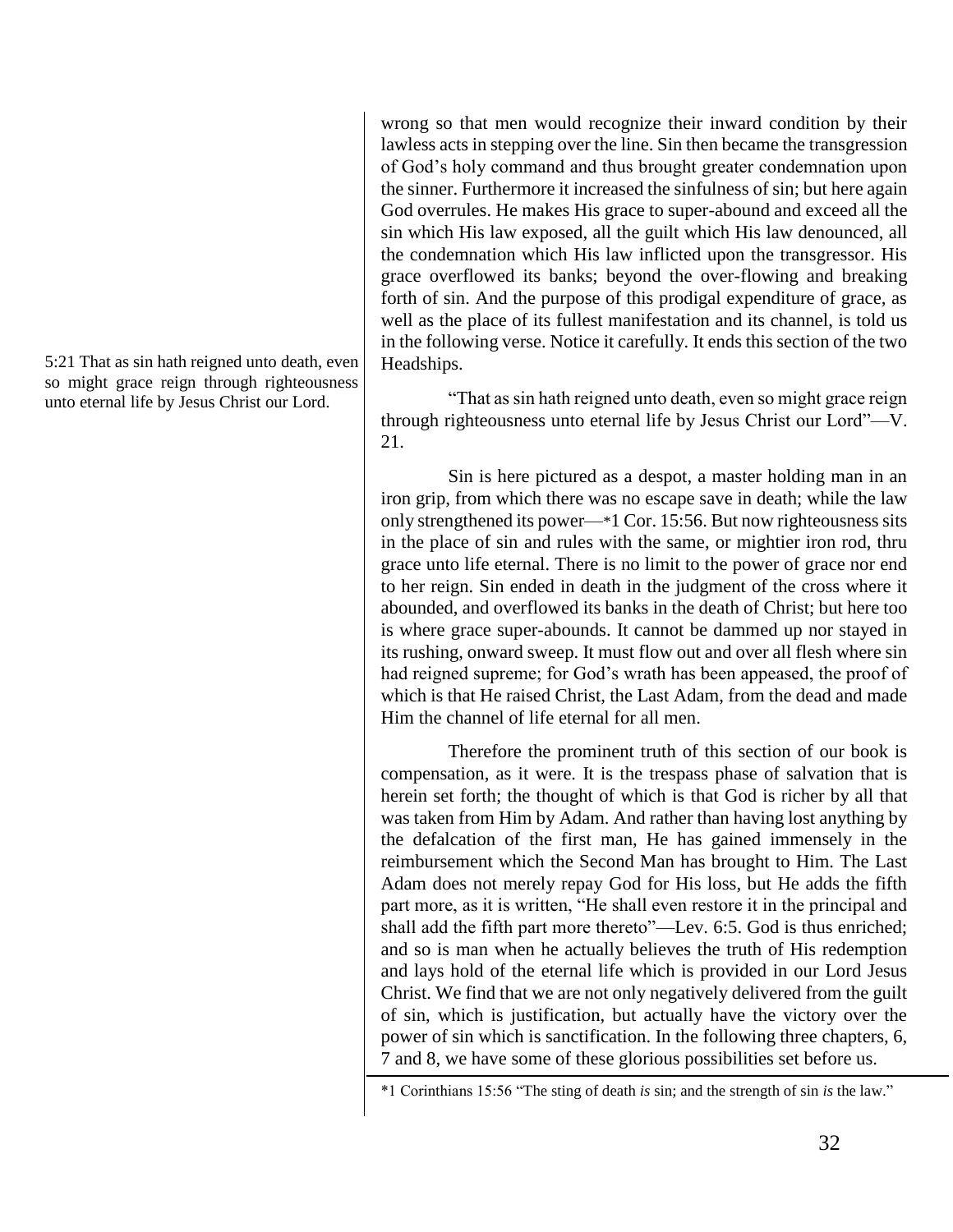5:21 That as sin hath reigned unto death, even so might grace reign through righteousness unto eternal life by Jesus Christ our Lord.

wrong so that men would recognize their inward condition by their lawless acts in stepping over the line. Sin then became the transgression of God's holy command and thus brought greater condemnation upon the sinner. Furthermore it increased the sinfulness of sin; but here again God overrules. He makes His grace to super-abound and exceed all the sin which His law exposed, all the guilt which His law denounced, all the condemnation which His law inflicted upon the transgressor. His grace overflowed its banks; beyond the over-flowing and breaking forth of sin. And the purpose of this prodigal expenditure of grace, as well as the place of its fullest manifestation and its channel, is told us in the following verse. Notice it carefully. It ends this section of the two Headships.

"That as sin hath reigned unto death, even so might grace reign through righteousness unto eternal life by Jesus Christ our Lord"—V. 21.

Sin is here pictured as a despot, a master holding man in an iron grip, from which there was no escape save in death; while the law only strengthened its power—\*1 Cor. 15:56. But now righteousness sits in the place of sin and rules with the same, or mightier iron rod, thru grace unto life eternal. There is no limit to the power of grace nor end to her reign. Sin ended in death in the judgment of the cross where it abounded, and overflowed its banks in the death of Christ; but here too is where grace super-abounds. It cannot be dammed up nor stayed in its rushing, onward sweep. It must flow out and over all flesh where sin had reigned supreme; for God's wrath has been appeased, the proof of which is that He raised Christ, the Last Adam, from the dead and made Him the channel of life eternal for all men.

Therefore the prominent truth of this section of our book is compensation, as it were. It is the trespass phase of salvation that is herein set forth; the thought of which is that God is richer by all that was taken from Him by Adam. And rather than having lost anything by the defalcation of the first man, He has gained immensely in the reimbursement which the Second Man has brought to Him. The Last Adam does not merely repay God for His loss, but He adds the fifth part more, as it is written, "He shall even restore it in the principal and shall add the fifth part more thereto"—Lev. 6:5. God is thus enriched; and so is man when he actually believes the truth of His redemption and lays hold of the eternal life which is provided in our Lord Jesus Christ. We find that we are not only negatively delivered from the guilt of sin, which is justification, but actually have the victory over the power of sin which is sanctification. In the following three chapters, 6, 7 and 8, we have some of these glorious possibilities set before us.

<sup>\*1</sup> Corinthians 15:56 "The sting of death *is* sin; and the strength of sin *is* the law."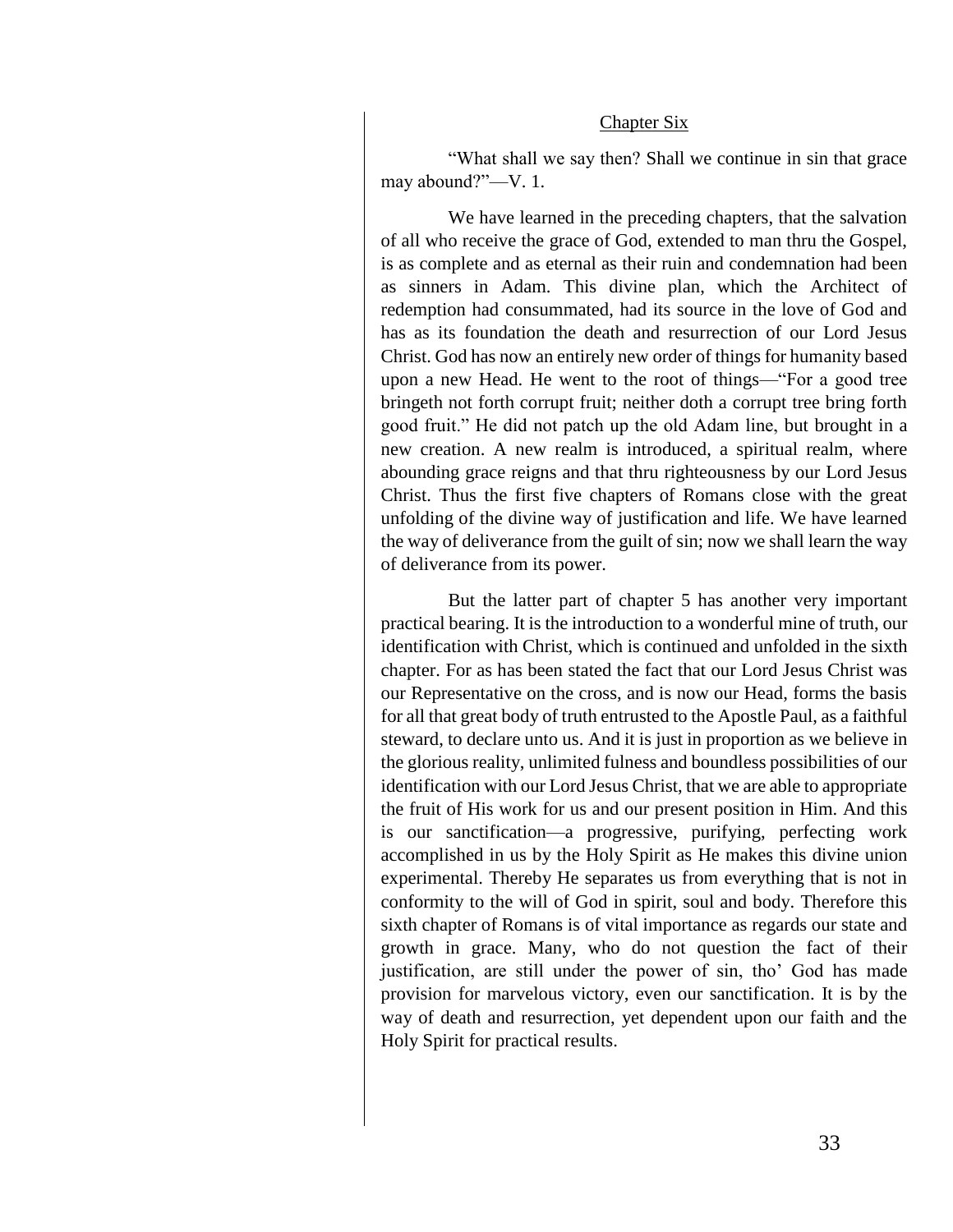#### Chapter Six

"What shall we say then? Shall we continue in sin that grace may abound?"—V. 1.

We have learned in the preceding chapters, that the salvation of all who receive the grace of God, extended to man thru the Gospel, is as complete and as eternal as their ruin and condemnation had been as sinners in Adam. This divine plan, which the Architect of redemption had consummated, had its source in the love of God and has as its foundation the death and resurrection of our Lord Jesus Christ. God has now an entirely new order of things for humanity based upon a new Head. He went to the root of things—"For a good tree bringeth not forth corrupt fruit; neither doth a corrupt tree bring forth good fruit." He did not patch up the old Adam line, but brought in a new creation. A new realm is introduced, a spiritual realm, where abounding grace reigns and that thru righteousness by our Lord Jesus Christ. Thus the first five chapters of Romans close with the great unfolding of the divine way of justification and life. We have learned the way of deliverance from the guilt of sin; now we shall learn the way of deliverance from its power.

But the latter part of chapter 5 has another very important practical bearing. It is the introduction to a wonderful mine of truth, our identification with Christ, which is continued and unfolded in the sixth chapter. For as has been stated the fact that our Lord Jesus Christ was our Representative on the cross, and is now our Head, forms the basis for all that great body of truth entrusted to the Apostle Paul, as a faithful steward, to declare unto us. And it is just in proportion as we believe in the glorious reality, unlimited fulness and boundless possibilities of our identification with our Lord Jesus Christ, that we are able to appropriate the fruit of His work for us and our present position in Him. And this is our sanctification—a progressive, purifying, perfecting work accomplished in us by the Holy Spirit as He makes this divine union experimental. Thereby He separates us from everything that is not in conformity to the will of God in spirit, soul and body. Therefore this sixth chapter of Romans is of vital importance as regards our state and growth in grace. Many, who do not question the fact of their justification, are still under the power of sin, tho' God has made provision for marvelous victory, even our sanctification. It is by the way of death and resurrection, yet dependent upon our faith and the Holy Spirit for practical results.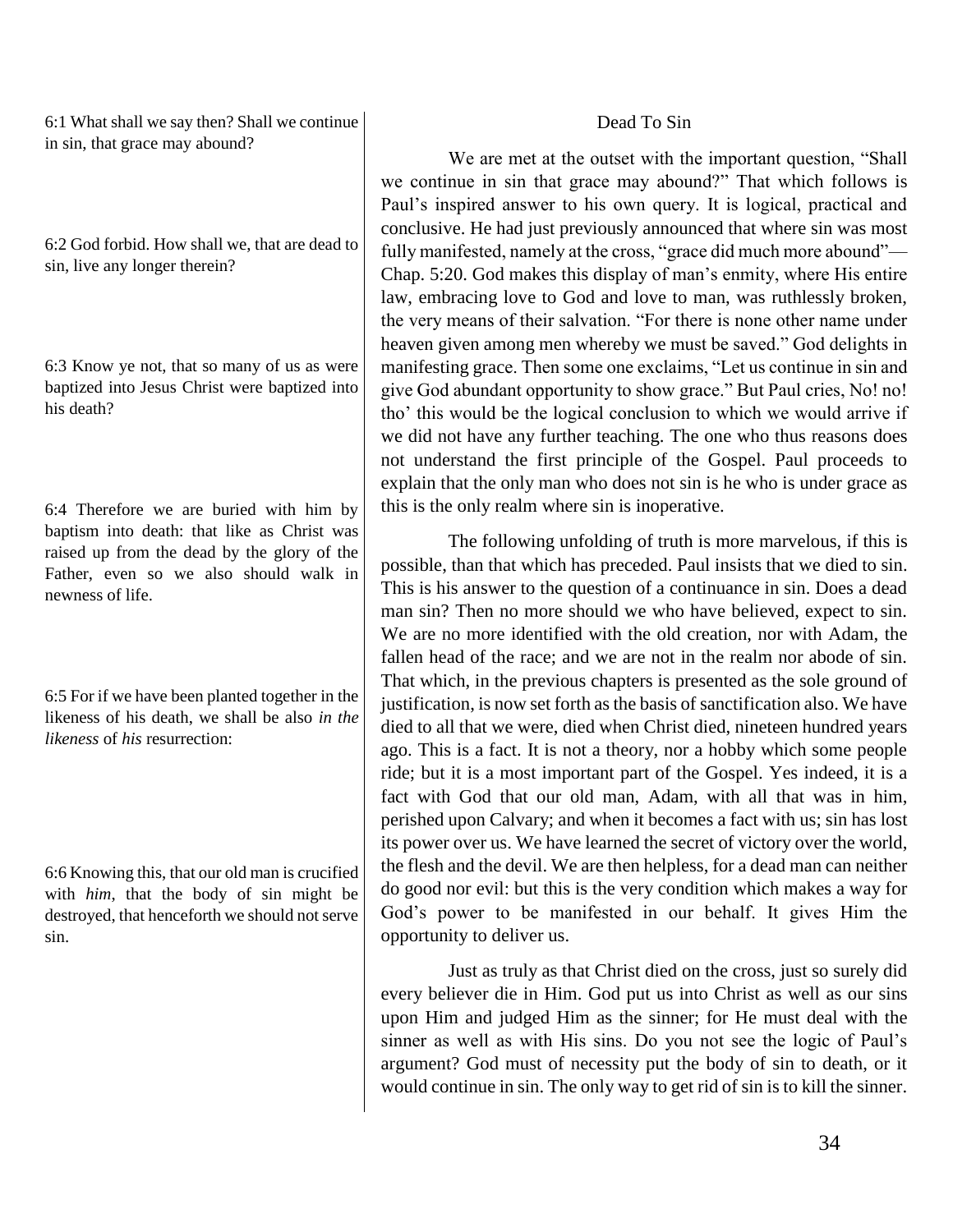6:1 What shall we say then? Shall we continue in sin, that grace may abound?

6:2 God forbid. How shall we, that are dead to sin, live any longer therein?

6:3 Know ye not, that so many of us as were baptized into Jesus Christ were baptized into his death?

6:4 Therefore we are buried with him by baptism into death: that like as Christ was raised up from the dead by the glory of the Father, even so we also should walk in newness of life.

6:5 For if we have been planted together in the likeness of his death, we shall be also *in the likeness* of *his* resurrection:

6:6 Knowing this, that our old man is crucified with *him*, that the body of sin might be destroyed, that henceforth we should not serve sin.

#### Dead To Sin

We are met at the outset with the important question, "Shall we continue in sin that grace may abound?" That which follows is Paul's inspired answer to his own query. It is logical, practical and conclusive. He had just previously announced that where sin was most fully manifested, namely at the cross, "grace did much more abound"— Chap. 5:20. God makes this display of man's enmity, where His entire law, embracing love to God and love to man, was ruthlessly broken, the very means of their salvation. "For there is none other name under heaven given among men whereby we must be saved." God delights in manifesting grace. Then some one exclaims, "Let us continue in sin and give God abundant opportunity to show grace." But Paul cries, No! no! tho' this would be the logical conclusion to which we would arrive if we did not have any further teaching. The one who thus reasons does not understand the first principle of the Gospel. Paul proceeds to explain that the only man who does not sin is he who is under grace as this is the only realm where sin is inoperative.

The following unfolding of truth is more marvelous, if this is possible, than that which has preceded. Paul insists that we died to sin. This is his answer to the question of a continuance in sin. Does a dead man sin? Then no more should we who have believed, expect to sin. We are no more identified with the old creation, nor with Adam, the fallen head of the race; and we are not in the realm nor abode of sin. That which, in the previous chapters is presented as the sole ground of justification, is now set forth as the basis of sanctification also. We have died to all that we were, died when Christ died, nineteen hundred years ago. This is a fact. It is not a theory, nor a hobby which some people ride; but it is a most important part of the Gospel. Yes indeed, it is a fact with God that our old man, Adam, with all that was in him, perished upon Calvary; and when it becomes a fact with us; sin has lost its power over us. We have learned the secret of victory over the world, the flesh and the devil. We are then helpless, for a dead man can neither do good nor evil: but this is the very condition which makes a way for God's power to be manifested in our behalf. It gives Him the opportunity to deliver us.

Just as truly as that Christ died on the cross, just so surely did every believer die in Him. God put us into Christ as well as our sins upon Him and judged Him as the sinner; for He must deal with the sinner as well as with His sins. Do you not see the logic of Paul's argument? God must of necessity put the body of sin to death, or it would continue in sin. The only way to get rid of sin is to kill the sinner.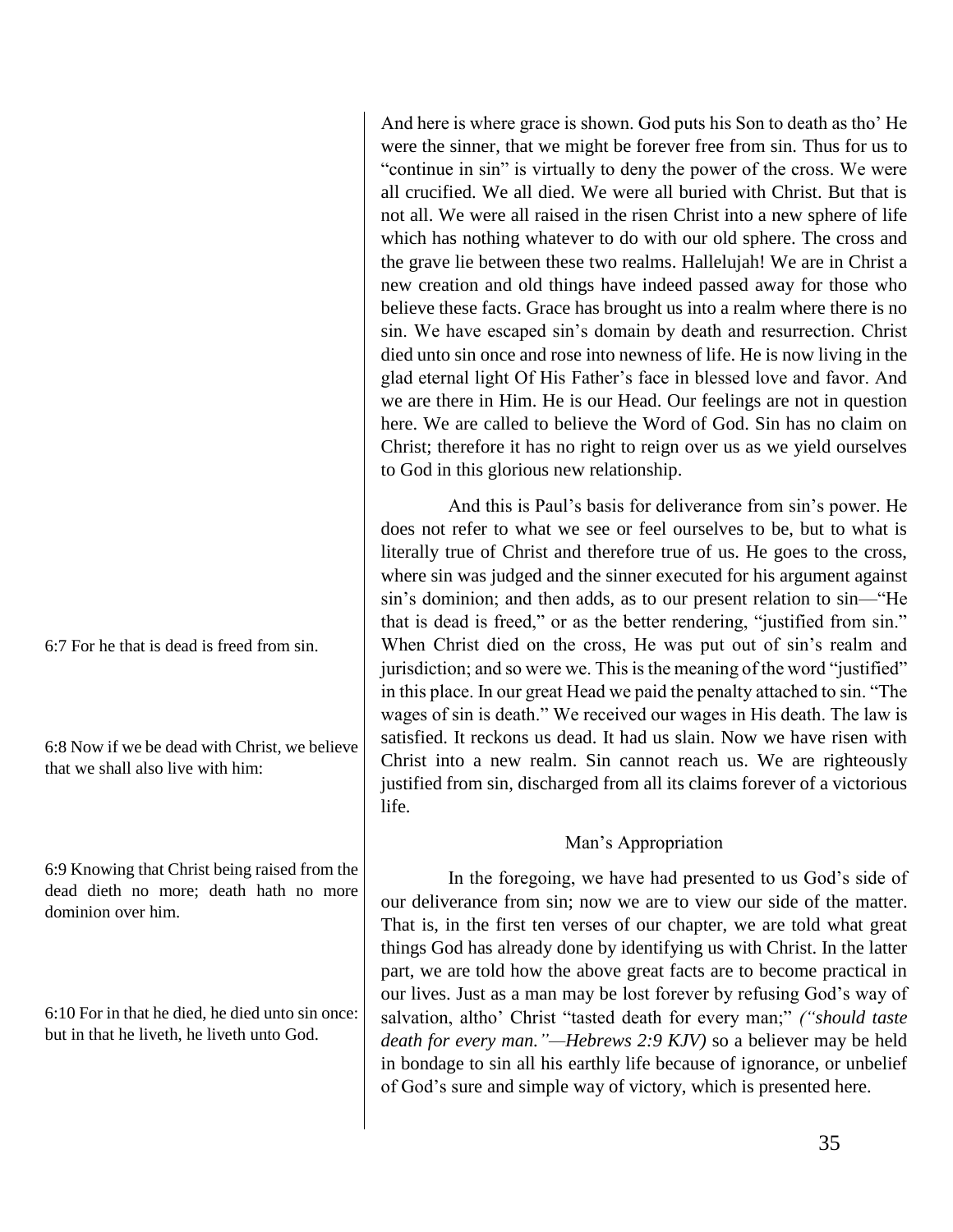And here is where grace is shown. God puts his Son to death as tho' He were the sinner, that we might be forever free from sin. Thus for us to "continue in sin" is virtually to deny the power of the cross. We were all crucified. We all died. We were all buried with Christ. But that is not all. We were all raised in the risen Christ into a new sphere of life which has nothing whatever to do with our old sphere. The cross and the grave lie between these two realms. Hallelujah! We are in Christ a new creation and old things have indeed passed away for those who believe these facts. Grace has brought us into a realm where there is no sin. We have escaped sin's domain by death and resurrection. Christ died unto sin once and rose into newness of life. He is now living in the glad eternal light Of His Father's face in blessed love and favor. And we are there in Him. He is our Head. Our feelings are not in question here. We are called to believe the Word of God. Sin has no claim on Christ; therefore it has no right to reign over us as we yield ourselves to God in this glorious new relationship.

And this is Paul's basis for deliverance from sin's power. He does not refer to what we see or feel ourselves to be, but to what is literally true of Christ and therefore true of us. He goes to the cross, where sin was judged and the sinner executed for his argument against sin's dominion; and then adds, as to our present relation to sin—"He that is dead is freed," or as the better rendering, "justified from sin." When Christ died on the cross, He was put out of sin's realm and jurisdiction; and so were we. This is the meaning of the word "justified" in this place. In our great Head we paid the penalty attached to sin. "The wages of sin is death." We received our wages in His death. The law is satisfied. It reckons us dead. It had us slain. Now we have risen with Christ into a new realm. Sin cannot reach us. We are righteously justified from sin, discharged from all its claims forever of a victorious life.

#### Man's Appropriation

In the foregoing, we have had presented to us God's side of our deliverance from sin; now we are to view our side of the matter. That is, in the first ten verses of our chapter, we are told what great things God has already done by identifying us with Christ. In the latter part, we are told how the above great facts are to become practical in our lives. Just as a man may be lost forever by refusing God's way of salvation, altho' Christ "tasted death for every man;" *("should taste death for every man."—Hebrews 2:9 KJV)* so a believer may be held in bondage to sin all his earthly life because of ignorance, or unbelief of God's sure and simple way of victory, which is presented here.

6:7 For he that is dead is freed from sin.

6:8 Now if we be dead with Christ, we believe that we shall also live with him:

6:9 Knowing that Christ being raised from the dead dieth no more; death hath no more dominion over him.

6:10 For in that he died, he died unto sin once: but in that he liveth, he liveth unto God.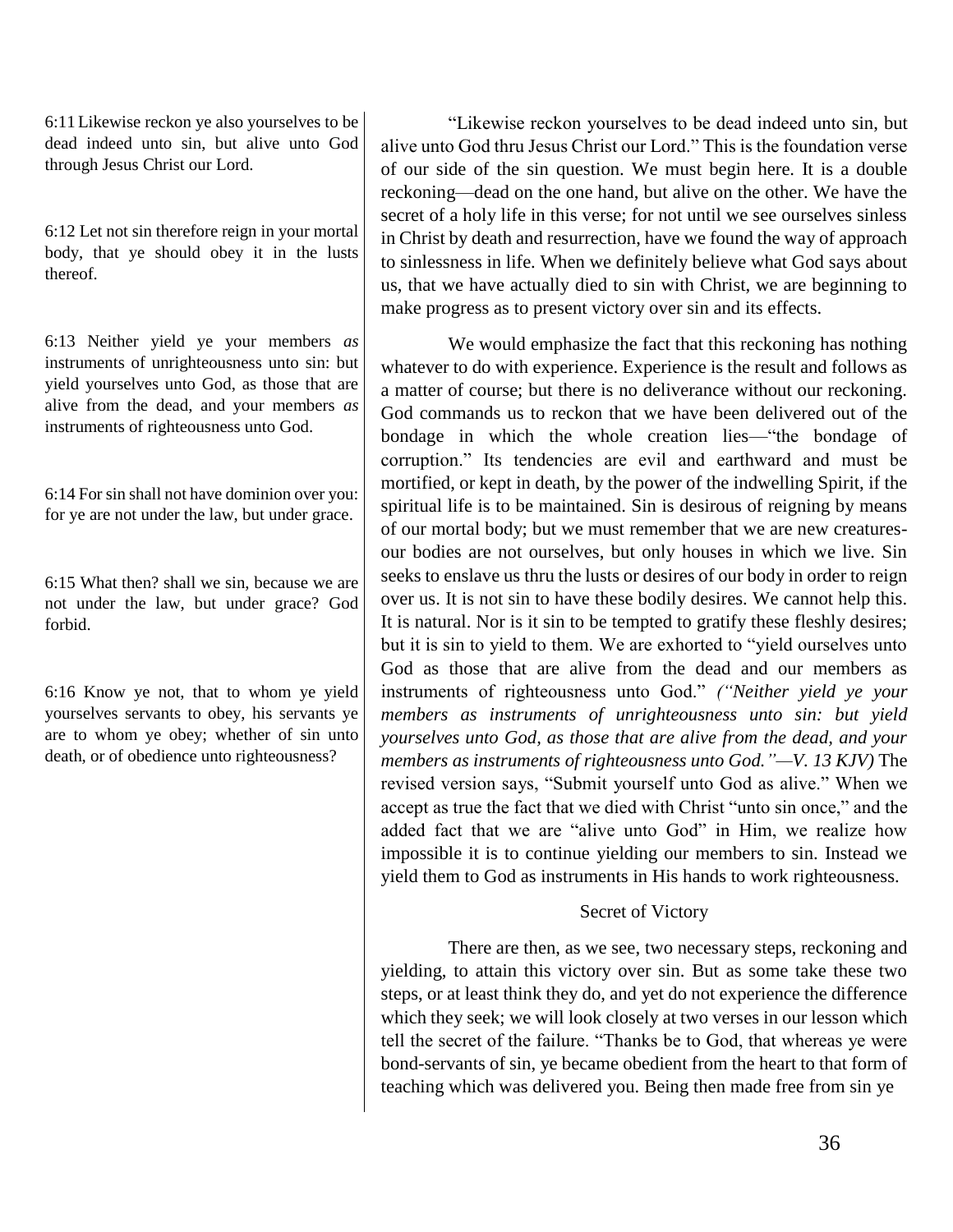6:11 Likewise reckon ye also yourselves to be dead indeed unto sin, but alive unto God through Jesus Christ our Lord.

6:12 Let not sin therefore reign in your mortal body, that ye should obey it in the lusts thereof.

6:13 Neither yield ye your members *as* instruments of unrighteousness unto sin: but yield yourselves unto God, as those that are alive from the dead, and your members *as* instruments of righteousness unto God.

6:14 For sin shall not have dominion over you: for ye are not under the law, but under grace.

6:15 What then? shall we sin, because we are not under the law, but under grace? God forbid.

6:16 Know ye not, that to whom ye yield yourselves servants to obey, his servants ye are to whom ye obey; whether of sin unto death, or of obedience unto righteousness?

"Likewise reckon yourselves to be dead indeed unto sin, but alive unto God thru Jesus Christ our Lord." This is the foundation verse of our side of the sin question. We must begin here. It is a double reckoning—dead on the one hand, but alive on the other. We have the secret of a holy life in this verse; for not until we see ourselves sinless in Christ by death and resurrection, have we found the way of approach to sinlessness in life. When we definitely believe what God says about us, that we have actually died to sin with Christ, we are beginning to make progress as to present victory over sin and its effects.

We would emphasize the fact that this reckoning has nothing whatever to do with experience. Experience is the result and follows as a matter of course; but there is no deliverance without our reckoning. God commands us to reckon that we have been delivered out of the bondage in which the whole creation lies—"the bondage of corruption." Its tendencies are evil and earthward and must be mortified, or kept in death, by the power of the indwelling Spirit, if the spiritual life is to be maintained. Sin is desirous of reigning by means of our mortal body; but we must remember that we are new creaturesour bodies are not ourselves, but only houses in which we live. Sin seeks to enslave us thru the lusts or desires of our body in order to reign over us. It is not sin to have these bodily desires. We cannot help this. It is natural. Nor is it sin to be tempted to gratify these fleshly desires; but it is sin to yield to them. We are exhorted to "yield ourselves unto God as those that are alive from the dead and our members as instruments of righteousness unto God." *("Neither yield ye your members as instruments of unrighteousness unto sin: but yield yourselves unto God, as those that are alive from the dead, and your members as instruments of righteousness unto God."—V. 13 KJV)* The revised version says, "Submit yourself unto God as alive." When we accept as true the fact that we died with Christ "unto sin once," and the added fact that we are "alive unto God" in Him, we realize how impossible it is to continue yielding our members to sin. Instead we yield them to God as instruments in His hands to work righteousness.

# Secret of Victory

There are then, as we see, two necessary steps, reckoning and yielding, to attain this victory over sin. But as some take these two steps, or at least think they do, and yet do not experience the difference which they seek; we will look closely at two verses in our lesson which tell the secret of the failure. "Thanks be to God, that whereas ye were bond-servants of sin, ye became obedient from the heart to that form of teaching which was delivered you. Being then made free from sin ye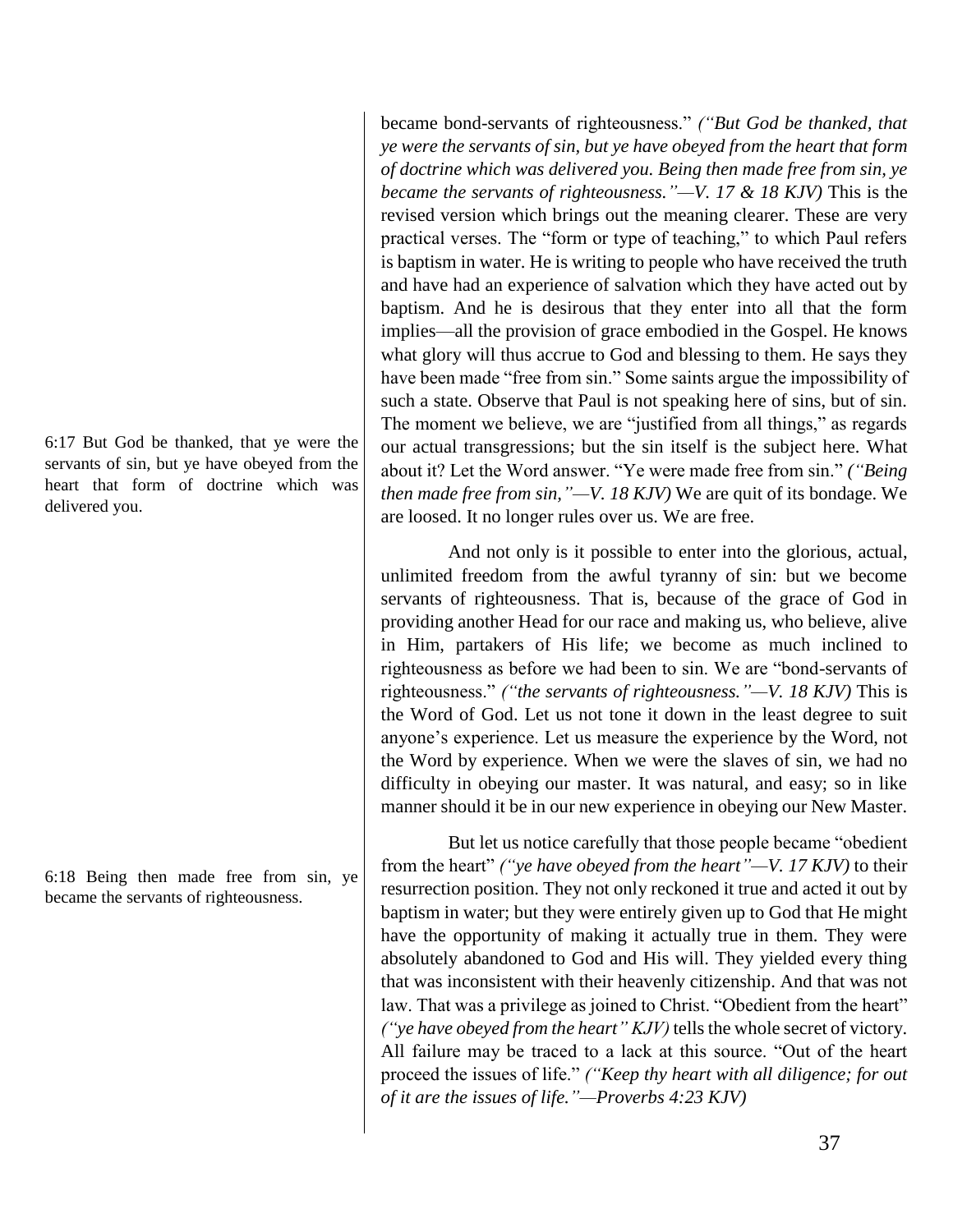6:17 But God be thanked, that ye were the servants of sin, but ye have obeyed from the heart that form of doctrine which was delivered you.

6:18 Being then made free from sin, ye became the servants of righteousness.

became bond-servants of righteousness." *("But God be thanked, that ye were the servants of sin, but ye have obeyed from the heart that form of doctrine which was delivered you. Being then made free from sin, ye became the servants of righteousness."—V. 17 & 18 KJV)* This is the revised version which brings out the meaning clearer. These are very practical verses. The "form or type of teaching," to which Paul refers is baptism in water. He is writing to people who have received the truth and have had an experience of salvation which they have acted out by baptism. And he is desirous that they enter into all that the form implies—all the provision of grace embodied in the Gospel. He knows what glory will thus accrue to God and blessing to them. He says they have been made "free from sin." Some saints argue the impossibility of such a state. Observe that Paul is not speaking here of sins, but of sin. The moment we believe, we are "justified from all things," as regards our actual transgressions; but the sin itself is the subject here. What about it? Let the Word answer. "Ye were made free from sin." *("Being then made free from sin,"—V. 18 KJV)* We are quit of its bondage. We are loosed. It no longer rules over us. We are free.

And not only is it possible to enter into the glorious, actual, unlimited freedom from the awful tyranny of sin: but we become servants of righteousness. That is, because of the grace of God in providing another Head for our race and making us, who believe, alive in Him, partakers of His life; we become as much inclined to righteousness as before we had been to sin. We are "bond-servants of righteousness." *("the servants of righteousness."—V. 18 KJV)* This is the Word of God. Let us not tone it down in the least degree to suit anyone's experience. Let us measure the experience by the Word, not the Word by experience. When we were the slaves of sin, we had no difficulty in obeying our master. It was natural, and easy; so in like manner should it be in our new experience in obeying our New Master.

But let us notice carefully that those people became "obedient from the heart" *("ye have obeyed from the heart"—V. 17 KJV)* to their resurrection position. They not only reckoned it true and acted it out by baptism in water; but they were entirely given up to God that He might have the opportunity of making it actually true in them. They were absolutely abandoned to God and His will. They yielded every thing that was inconsistent with their heavenly citizenship. And that was not law. That was a privilege as joined to Christ. "Obedient from the heart" *("ye have obeyed from the heart" KJV)* tells the whole secret of victory. All failure may be traced to a lack at this source. "Out of the heart proceed the issues of life." *("Keep thy heart with all diligence; for out of it are the issues of life."—Proverbs 4:23 KJV)*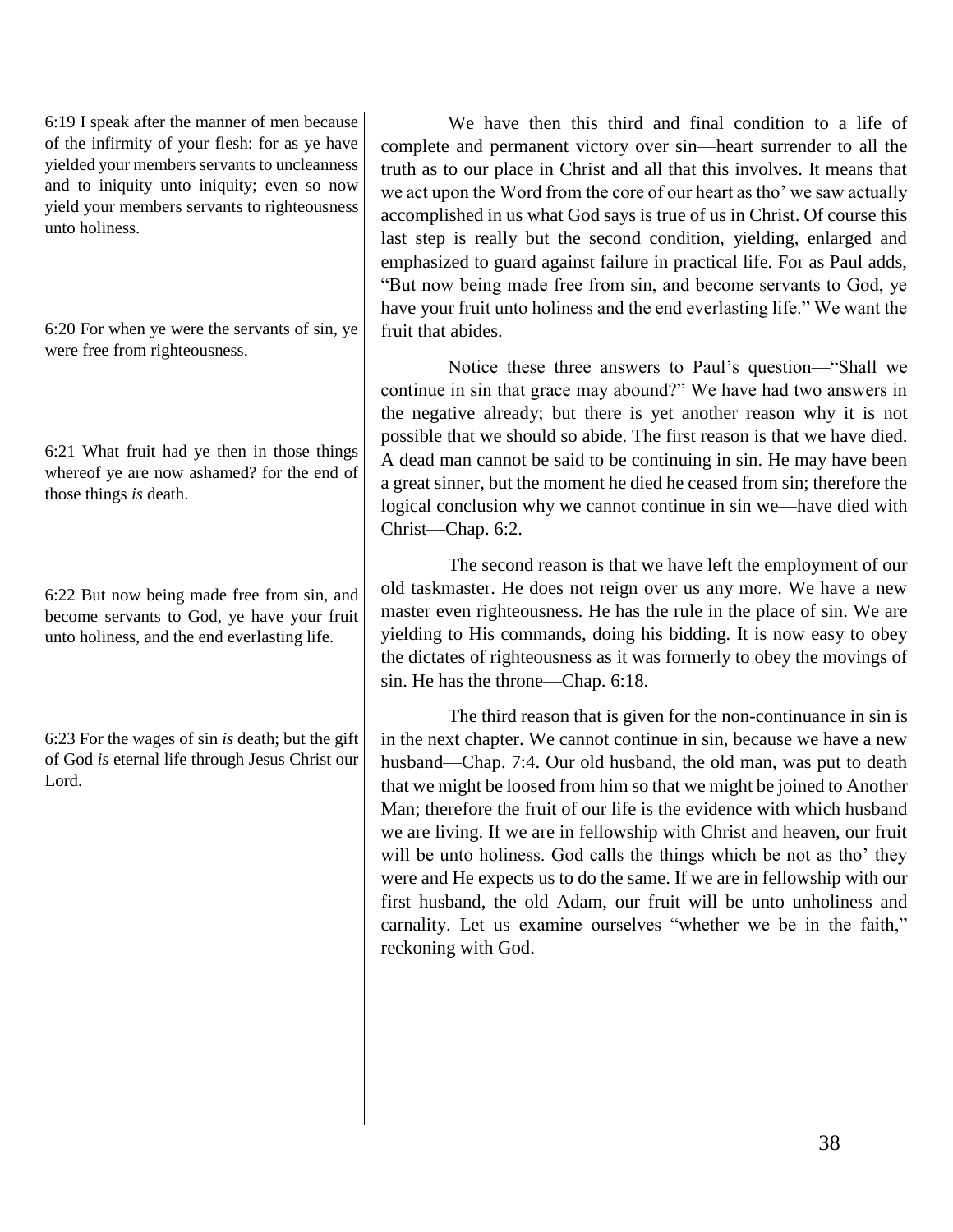6:19 I speak after the manner of men because of the infirmity of your flesh: for as ye have yielded your members servants to uncleanness and to iniquity unto iniquity; even so now yield your members servants to righteousness unto holiness.

6:20 For when ye were the servants of sin, ye were free from righteousness.

6:21 What fruit had ye then in those things whereof ye are now ashamed? for the end of those things *is* death.

6:22 But now being made free from sin, and become servants to God, ye have your fruit unto holiness, and the end everlasting life.

6:23 For the wages of sin *is* death; but the gift of God *is* eternal life through Jesus Christ our Lord.

We have then this third and final condition to a life of complete and permanent victory over sin—heart surrender to all the truth as to our place in Christ and all that this involves. It means that we act upon the Word from the core of our heart as tho' we saw actually accomplished in us what God says is true of us in Christ. Of course this last step is really but the second condition, yielding, enlarged and emphasized to guard against failure in practical life. For as Paul adds, "But now being made free from sin, and become servants to God, ye have your fruit unto holiness and the end everlasting life." We want the fruit that abides.

Notice these three answers to Paul's question—"Shall we continue in sin that grace may abound?" We have had two answers in the negative already; but there is yet another reason why it is not possible that we should so abide. The first reason is that we have died. A dead man cannot be said to be continuing in sin. He may have been a great sinner, but the moment he died he ceased from sin; therefore the logical conclusion why we cannot continue in sin we—have died with Christ—Chap. 6:2.

The second reason is that we have left the employment of our old taskmaster. He does not reign over us any more. We have a new master even righteousness. He has the rule in the place of sin. We are yielding to His commands, doing his bidding. It is now easy to obey the dictates of righteousness as it was formerly to obey the movings of sin. He has the throne—Chap. 6:18.

The third reason that is given for the non-continuance in sin is in the next chapter. We cannot continue in sin, because we have a new husband—Chap. 7:4. Our old husband, the old man, was put to death that we might be loosed from him so that we might be joined to Another Man; therefore the fruit of our life is the evidence with which husband we are living. If we are in fellowship with Christ and heaven, our fruit will be unto holiness. God calls the things which be not as tho' they were and He expects us to do the same. If we are in fellowship with our first husband, the old Adam, our fruit will be unto unholiness and carnality. Let us examine ourselves "whether we be in the faith," reckoning with God.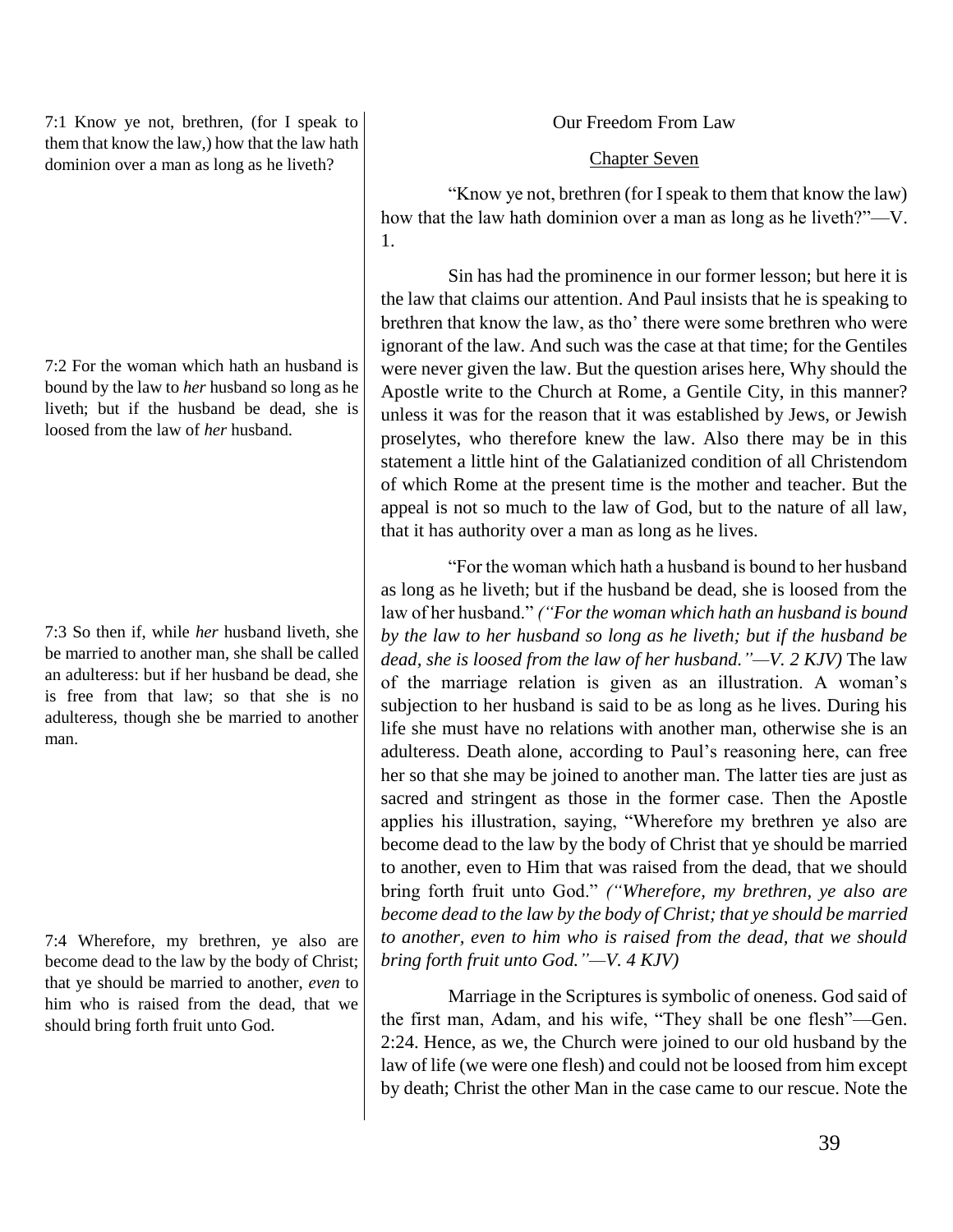7:1 Know ye not, brethren, (for I speak to them that know the law,) how that the law hath dominion over a man as long as he liveth?

7:2 For the woman which hath an husband is bound by the law to *her* husband so long as he liveth; but if the husband be dead, she is loosed from the law of *her* husband.

7:3 So then if, while *her* husband liveth, she be married to another man, she shall be called an adulteress: but if her husband be dead, she is free from that law; so that she is no adulteress, though she be married to another man.

7:4 Wherefore, my brethren, ye also are become dead to the law by the body of Christ; that ye should be married to another, *even* to him who is raised from the dead, that we should bring forth fruit unto God.

Our Freedom From Law

## Chapter Seven

"Know ye not, brethren (for I speak to them that know the law) how that the law hath dominion over a man as long as he liveth?"—V. 1.

Sin has had the prominence in our former lesson; but here it is the law that claims our attention. And Paul insists that he is speaking to brethren that know the law, as tho' there were some brethren who were ignorant of the law. And such was the case at that time; for the Gentiles were never given the law. But the question arises here, Why should the Apostle write to the Church at Rome, a Gentile City, in this manner? unless it was for the reason that it was established by Jews, or Jewish proselytes, who therefore knew the law. Also there may be in this statement a little hint of the Galatianized condition of all Christendom of which Rome at the present time is the mother and teacher. But the appeal is not so much to the law of God, but to the nature of all law, that it has authority over a man as long as he lives.

"For the woman which hath a husband is bound to her husband as long as he liveth; but if the husband be dead, she is loosed from the law of her husband." *("For the woman which hath an husband is bound by the law to her husband so long as he liveth; but if the husband be dead, she is loosed from the law of her husband."—V. 2 KJV)* The law of the marriage relation is given as an illustration. A woman's subjection to her husband is said to be as long as he lives. During his life she must have no relations with another man, otherwise she is an adulteress. Death alone, according to Paul's reasoning here, can free her so that she may be joined to another man. The latter ties are just as sacred and stringent as those in the former case. Then the Apostle applies his illustration, saying, "Wherefore my brethren ye also are become dead to the law by the body of Christ that ye should be married to another, even to Him that was raised from the dead, that we should bring forth fruit unto God." *("Wherefore, my brethren, ye also are become dead to the law by the body of Christ; that ye should be married to another, even to him who is raised from the dead, that we should bring forth fruit unto God."—V. 4 KJV)*

Marriage in the Scriptures is symbolic of oneness. God said of the first man, Adam, and his wife, "They shall be one flesh"—Gen. 2:24. Hence, as we, the Church were joined to our old husband by the law of life (we were one flesh) and could not be loosed from him except by death; Christ the other Man in the case came to our rescue. Note the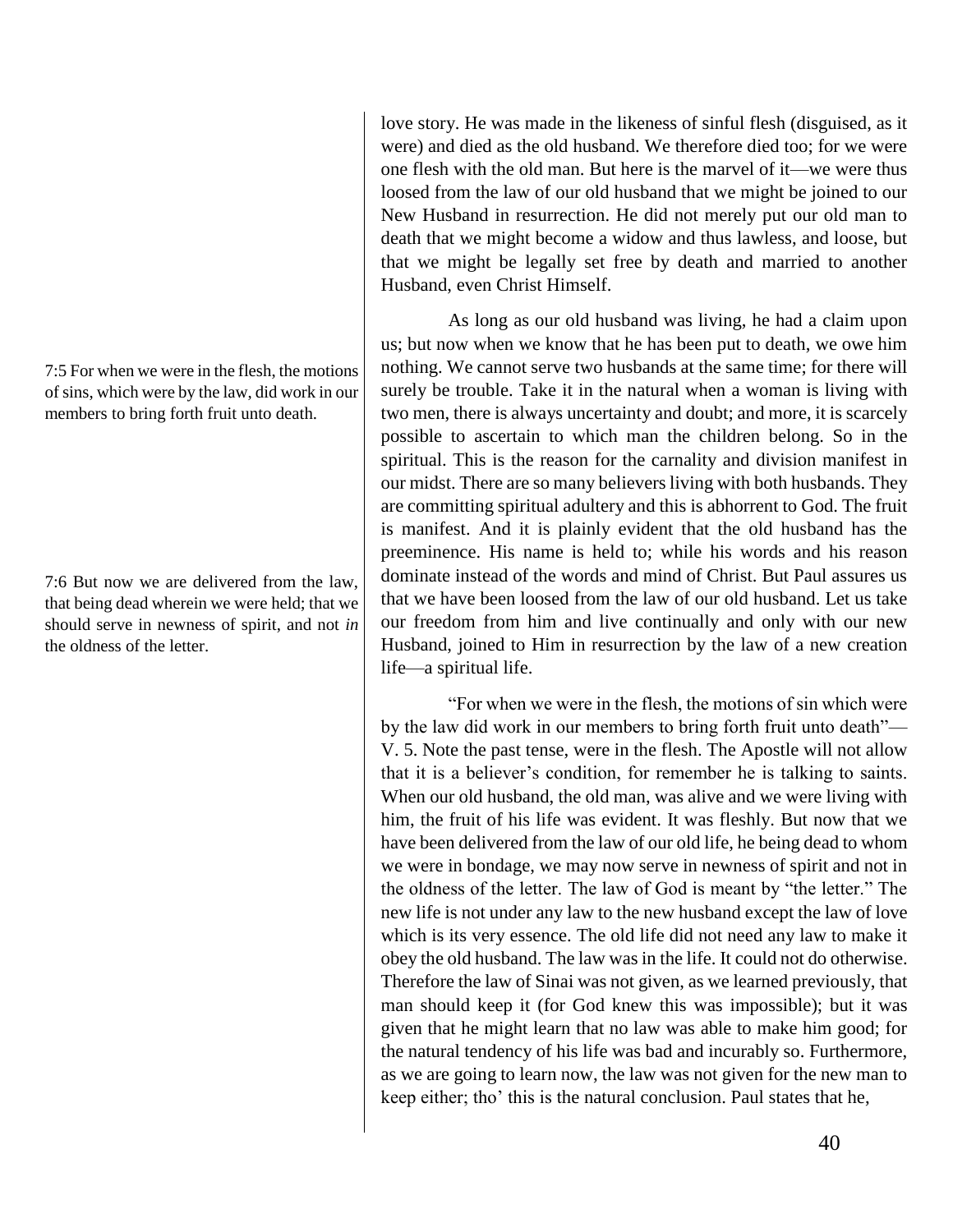7:5 For when we were in the flesh, the motions of sins, which were by the law, did work in our members to bring forth fruit unto death.

7:6 But now we are delivered from the law, that being dead wherein we were held; that we should serve in newness of spirit, and not *in* the oldness of the letter.

love story. He was made in the likeness of sinful flesh (disguised, as it were) and died as the old husband. We therefore died too; for we were one flesh with the old man. But here is the marvel of it—we were thus loosed from the law of our old husband that we might be joined to our New Husband in resurrection. He did not merely put our old man to death that we might become a widow and thus lawless, and loose, but that we might be legally set free by death and married to another Husband, even Christ Himself.

As long as our old husband was living, he had a claim upon us; but now when we know that he has been put to death, we owe him nothing. We cannot serve two husbands at the same time; for there will surely be trouble. Take it in the natural when a woman is living with two men, there is always uncertainty and doubt; and more, it is scarcely possible to ascertain to which man the children belong. So in the spiritual. This is the reason for the carnality and division manifest in our midst. There are so many believers living with both husbands. They are committing spiritual adultery and this is abhorrent to God. The fruit is manifest. And it is plainly evident that the old husband has the preeminence. His name is held to; while his words and his reason dominate instead of the words and mind of Christ. But Paul assures us that we have been loosed from the law of our old husband. Let us take our freedom from him and live continually and only with our new Husband, joined to Him in resurrection by the law of a new creation life—a spiritual life.

"For when we were in the flesh, the motions of sin which were by the law did work in our members to bring forth fruit unto death"— V. 5. Note the past tense, were in the flesh. The Apostle will not allow that it is a believer's condition, for remember he is talking to saints. When our old husband, the old man, was alive and we were living with him, the fruit of his life was evident. It was fleshly. But now that we have been delivered from the law of our old life, he being dead to whom we were in bondage, we may now serve in newness of spirit and not in the oldness of the letter. The law of God is meant by "the letter." The new life is not under any law to the new husband except the law of love which is its very essence. The old life did not need any law to make it obey the old husband. The law was in the life. It could not do otherwise. Therefore the law of Sinai was not given, as we learned previously, that man should keep it (for God knew this was impossible); but it was given that he might learn that no law was able to make him good; for the natural tendency of his life was bad and incurably so. Furthermore, as we are going to learn now, the law was not given for the new man to keep either; tho' this is the natural conclusion. Paul states that he,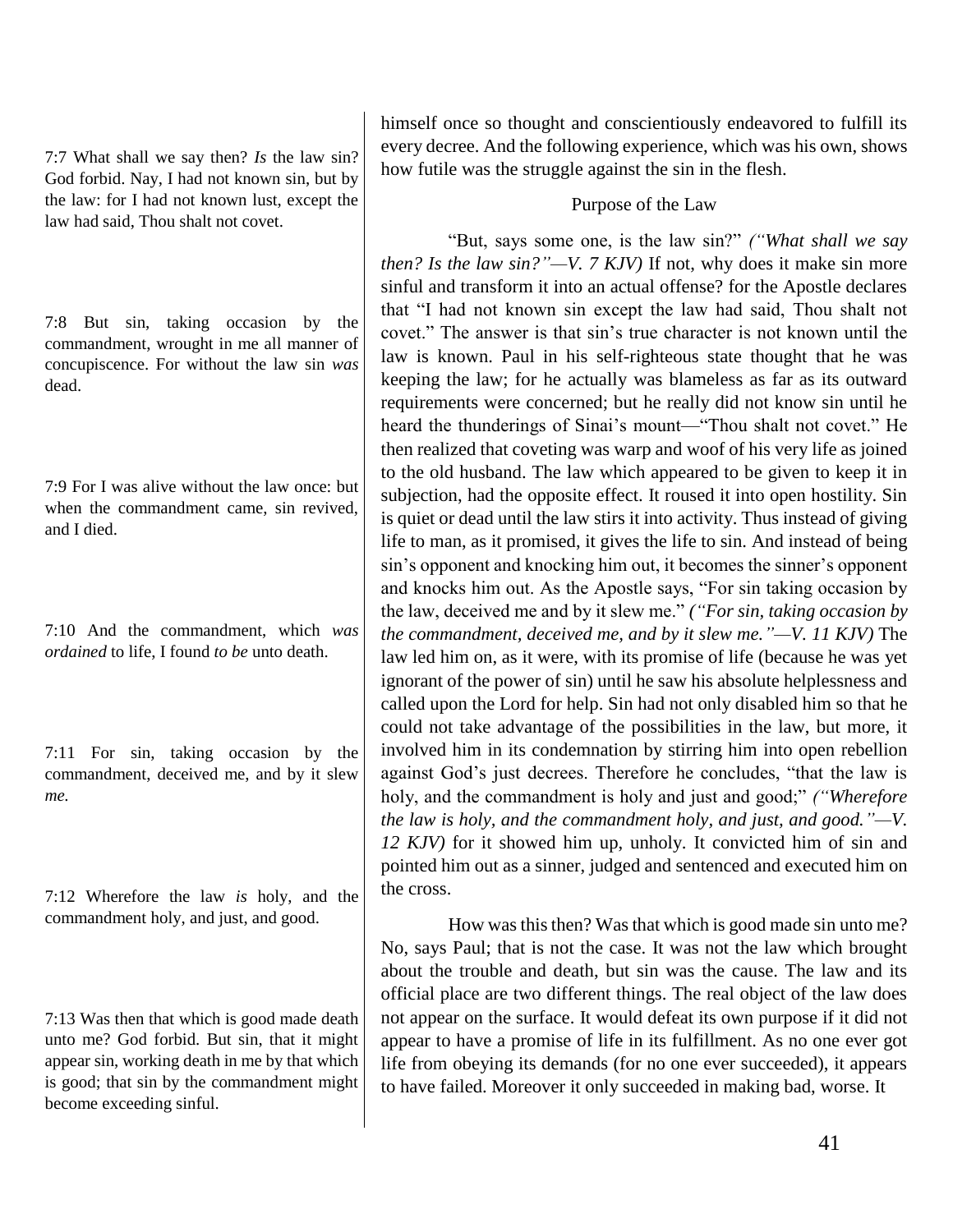7:7 What shall we say then? *Is* the law sin? God forbid. Nay, I had not known sin, but by the law: for I had not known lust, except the law had said, Thou shalt not covet.

7:8 But sin, taking occasion by the commandment, wrought in me all manner of concupiscence. For without the law sin *was* dead.

7:9 For I was alive without the law once: but when the commandment came, sin revived, and I died.

7:10 And the commandment, which *was ordained* to life, I found *to be* unto death.

7:11 For sin, taking occasion by the commandment, deceived me, and by it slew *me.*

7:12 Wherefore the law *is* holy, and the commandment holy, and just, and good.

7:13 Was then that which is good made death unto me? God forbid. But sin, that it might appear sin, working death in me by that which is good; that sin by the commandment might become exceeding sinful.

himself once so thought and conscientiously endeavored to fulfill its every decree. And the following experience, which was his own, shows how futile was the struggle against the sin in the flesh.

# Purpose of the Law

"But, says some one, is the law sin?" *("What shall we say then? Is the law sin?"—V. 7 KJV)* If not, why does it make sin more sinful and transform it into an actual offense? for the Apostle declares that "I had not known sin except the law had said, Thou shalt not covet." The answer is that sin's true character is not known until the law is known. Paul in his self-righteous state thought that he was keeping the law; for he actually was blameless as far as its outward requirements were concerned; but he really did not know sin until he heard the thunderings of Sinai's mount—"Thou shalt not covet." He then realized that coveting was warp and woof of his very life as joined to the old husband. The law which appeared to be given to keep it in subjection, had the opposite effect. It roused it into open hostility. Sin is quiet or dead until the law stirs it into activity. Thus instead of giving life to man, as it promised, it gives the life to sin. And instead of being sin's opponent and knocking him out, it becomes the sinner's opponent and knocks him out. As the Apostle says, "For sin taking occasion by the law, deceived me and by it slew me." *("For sin, taking occasion by the commandment, deceived me, and by it slew me."—V. 11 KJV)* The law led him on, as it were, with its promise of life (because he was yet ignorant of the power of sin) until he saw his absolute helplessness and called upon the Lord for help. Sin had not only disabled him so that he could not take advantage of the possibilities in the law, but more, it involved him in its condemnation by stirring him into open rebellion against God's just decrees. Therefore he concludes, "that the law is holy, and the commandment is holy and just and good;" *("Wherefore the law is holy, and the commandment holy, and just, and good."—V. 12 KJV)* for it showed him up, unholy. It convicted him of sin and pointed him out as a sinner, judged and sentenced and executed him on the cross.

How was this then? Was that which is good made sin unto me? No, says Paul; that is not the case. It was not the law which brought about the trouble and death, but sin was the cause. The law and its official place are two different things. The real object of the law does not appear on the surface. It would defeat its own purpose if it did not appear to have a promise of life in its fulfillment. As no one ever got life from obeying its demands (for no one ever succeeded), it appears to have failed. Moreover it only succeeded in making bad, worse. It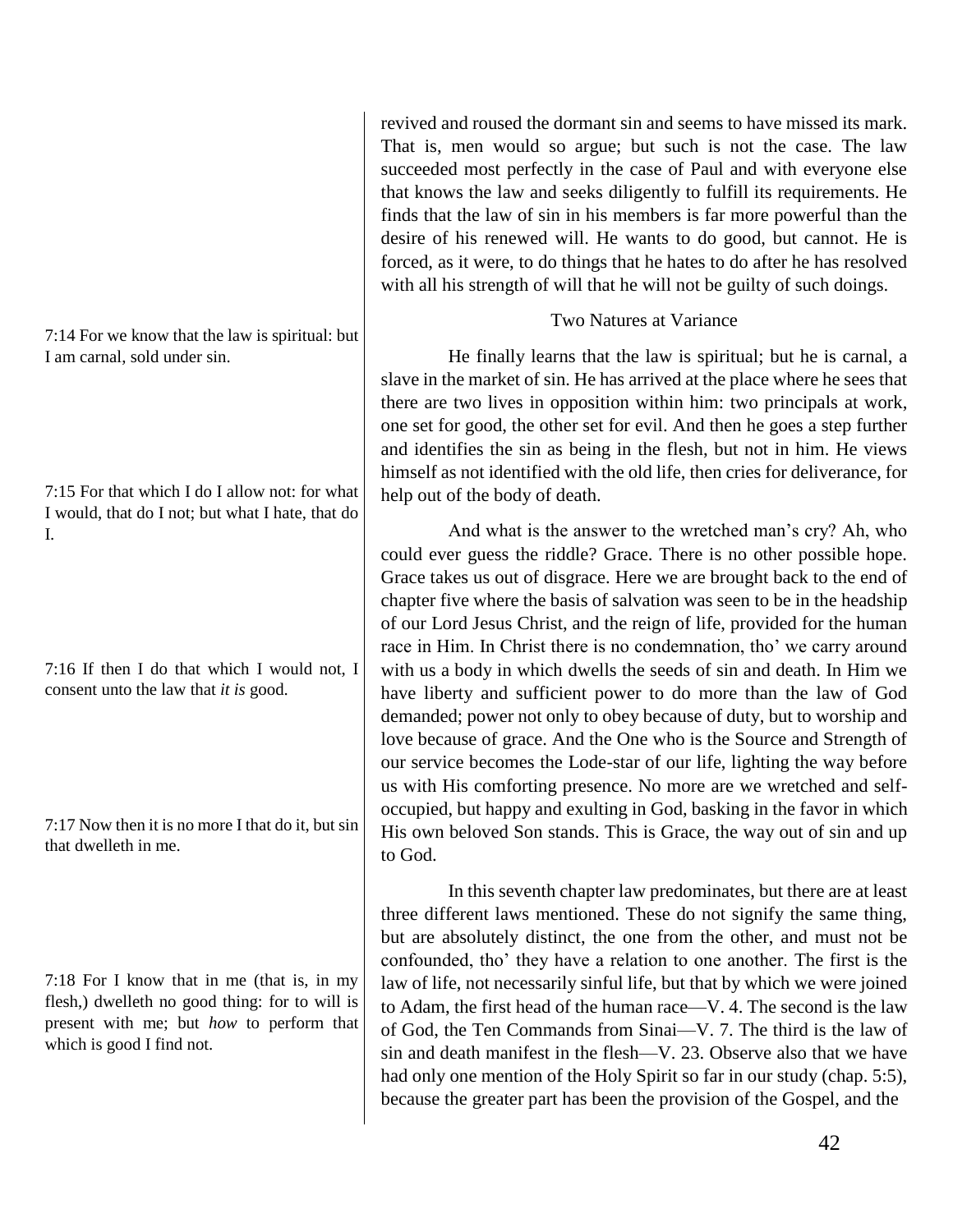7:14 For we know that the law is spiritual: but I am carnal, sold under sin.

7:15 For that which I do I allow not: for what I would, that do I not; but what I hate, that do I.

7:16 If then I do that which I would not, I consent unto the law that *it is* good.

7:17 Now then it is no more I that do it, but sin that dwelleth in me.

7:18 For I know that in me (that is, in my flesh,) dwelleth no good thing: for to will is present with me; but *how* to perform that which is good I find not.

revived and roused the dormant sin and seems to have missed its mark. That is, men would so argue; but such is not the case. The law succeeded most perfectly in the case of Paul and with everyone else that knows the law and seeks diligently to fulfill its requirements. He finds that the law of sin in his members is far more powerful than the desire of his renewed will. He wants to do good, but cannot. He is forced, as it were, to do things that he hates to do after he has resolved with all his strength of will that he will not be guilty of such doings.

# Two Natures at Variance

He finally learns that the law is spiritual; but he is carnal, a slave in the market of sin. He has arrived at the place where he sees that there are two lives in opposition within him: two principals at work, one set for good, the other set for evil. And then he goes a step further and identifies the sin as being in the flesh, but not in him. He views himself as not identified with the old life, then cries for deliverance, for help out of the body of death.

And what is the answer to the wretched man's cry? Ah, who could ever guess the riddle? Grace. There is no other possible hope. Grace takes us out of disgrace. Here we are brought back to the end of chapter five where the basis of salvation was seen to be in the headship of our Lord Jesus Christ, and the reign of life, provided for the human race in Him. In Christ there is no condemnation, tho' we carry around with us a body in which dwells the seeds of sin and death. In Him we have liberty and sufficient power to do more than the law of God demanded; power not only to obey because of duty, but to worship and love because of grace. And the One who is the Source and Strength of our service becomes the Lode-star of our life, lighting the way before us with His comforting presence. No more are we wretched and selfoccupied, but happy and exulting in God, basking in the favor in which His own beloved Son stands. This is Grace, the way out of sin and up to God.

In this seventh chapter law predominates, but there are at least three different laws mentioned. These do not signify the same thing, but are absolutely distinct, the one from the other, and must not be confounded, tho' they have a relation to one another. The first is the law of life, not necessarily sinful life, but that by which we were joined to Adam, the first head of the human race—V. 4. The second is the law of God, the Ten Commands from Sinai—V. 7. The third is the law of sin and death manifest in the flesh—V. 23. Observe also that we have had only one mention of the Holy Spirit so far in our study (chap. 5:5), because the greater part has been the provision of the Gospel, and the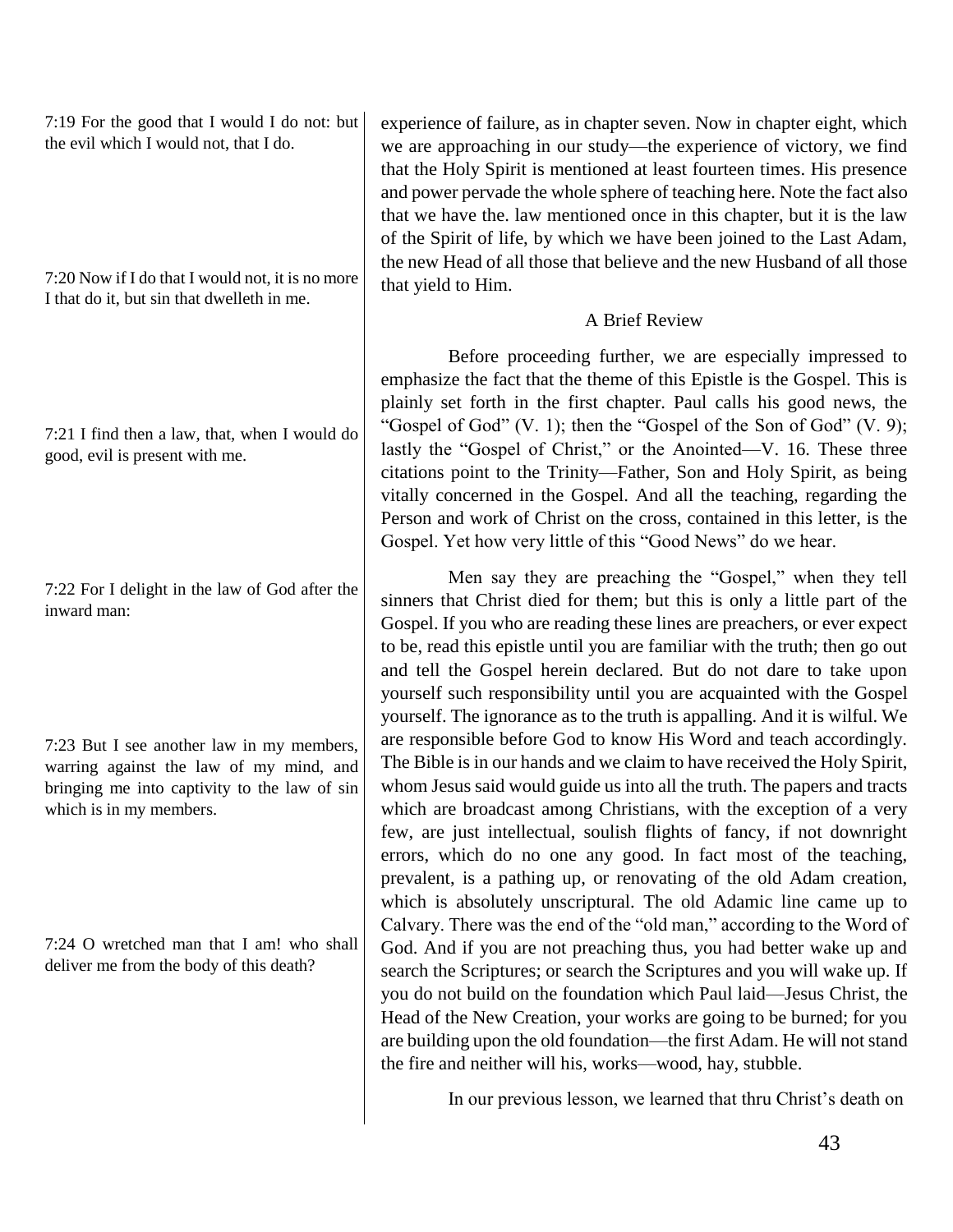7:19 For the good that I would I do not: but the evil which I would not, that I do.

7:20 Now if I do that I would not, it is no more I that do it, but sin that dwelleth in me.

7:21 I find then a law, that, when I would do good, evil is present with me.

7:22 For I delight in the law of God after the inward man:

7:23 But I see another law in my members, warring against the law of my mind, and bringing me into captivity to the law of sin which is in my members.

7:24 O wretched man that I am! who shall deliver me from the body of this death?

experience of failure, as in chapter seven. Now in chapter eight, which we are approaching in our study—the experience of victory, we find that the Holy Spirit is mentioned at least fourteen times. His presence and power pervade the whole sphere of teaching here. Note the fact also that we have the. law mentioned once in this chapter, but it is the law of the Spirit of life, by which we have been joined to the Last Adam, the new Head of all those that believe and the new Husband of all those that yield to Him.

# A Brief Review

Before proceeding further, we are especially impressed to emphasize the fact that the theme of this Epistle is the Gospel. This is plainly set forth in the first chapter. Paul calls his good news, the "Gospel of God"  $(V, 1)$ ; then the "Gospel of the Son of God"  $(V, 9)$ ; lastly the "Gospel of Christ," or the Anointed—V. 16. These three citations point to the Trinity—Father, Son and Holy Spirit, as being vitally concerned in the Gospel. And all the teaching, regarding the Person and work of Christ on the cross, contained in this letter, is the Gospel. Yet how very little of this "Good News" do we hear.

Men say they are preaching the "Gospel," when they tell sinners that Christ died for them; but this is only a little part of the Gospel. If you who are reading these lines are preachers, or ever expect to be, read this epistle until you are familiar with the truth; then go out and tell the Gospel herein declared. But do not dare to take upon yourself such responsibility until you are acquainted with the Gospel yourself. The ignorance as to the truth is appalling. And it is wilful. We are responsible before God to know His Word and teach accordingly. The Bible is in our hands and we claim to have received the Holy Spirit, whom Jesus said would guide us into all the truth. The papers and tracts which are broadcast among Christians, with the exception of a very few, are just intellectual, soulish flights of fancy, if not downright errors, which do no one any good. In fact most of the teaching, prevalent, is a pathing up, or renovating of the old Adam creation, which is absolutely unscriptural. The old Adamic line came up to Calvary. There was the end of the "old man," according to the Word of God. And if you are not preaching thus, you had better wake up and search the Scriptures; or search the Scriptures and you will wake up. If you do not build on the foundation which Paul laid—Jesus Christ, the Head of the New Creation, your works are going to be burned; for you are building upon the old foundation—the first Adam. He will not stand the fire and neither will his, works—wood, hay, stubble.

In our previous lesson, we learned that thru Christ's death on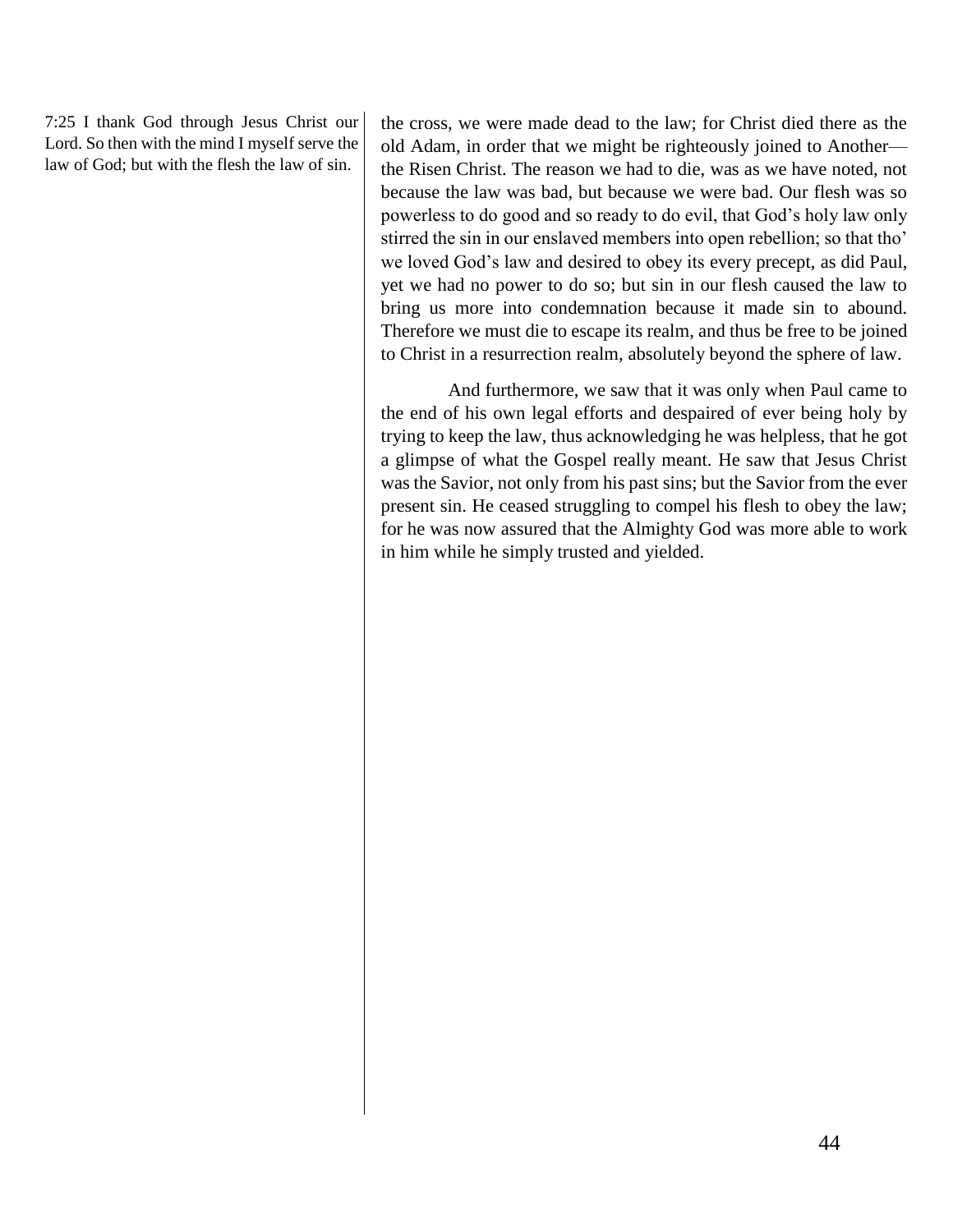7:25 I thank God through Jesus Christ our Lord. So then with the mind I myself serve the law of God; but with the flesh the law of sin.

the cross, we were made dead to the law; for Christ died there as the old Adam, in order that we might be righteously joined to Another the Risen Christ. The reason we had to die, was as we have noted, not because the law was bad, but because we were bad. Our flesh was so powerless to do good and so ready to do evil, that God's holy law only stirred the sin in our enslaved members into open rebellion; so that tho' we loved God's law and desired to obey its every precept, as did Paul, yet we had no power to do so; but sin in our flesh caused the law to bring us more into condemnation because it made sin to abound. Therefore we must die to escape its realm, and thus be free to be joined to Christ in a resurrection realm, absolutely beyond the sphere of law.

And furthermore, we saw that it was only when Paul came to the end of his own legal efforts and despaired of ever being holy by trying to keep the law, thus acknowledging he was helpless, that he got a glimpse of what the Gospel really meant. He saw that Jesus Christ was the Savior, not only from his past sins; but the Savior from the ever present sin. He ceased struggling to compel his flesh to obey the law; for he was now assured that the Almighty God was more able to work in him while he simply trusted and yielded.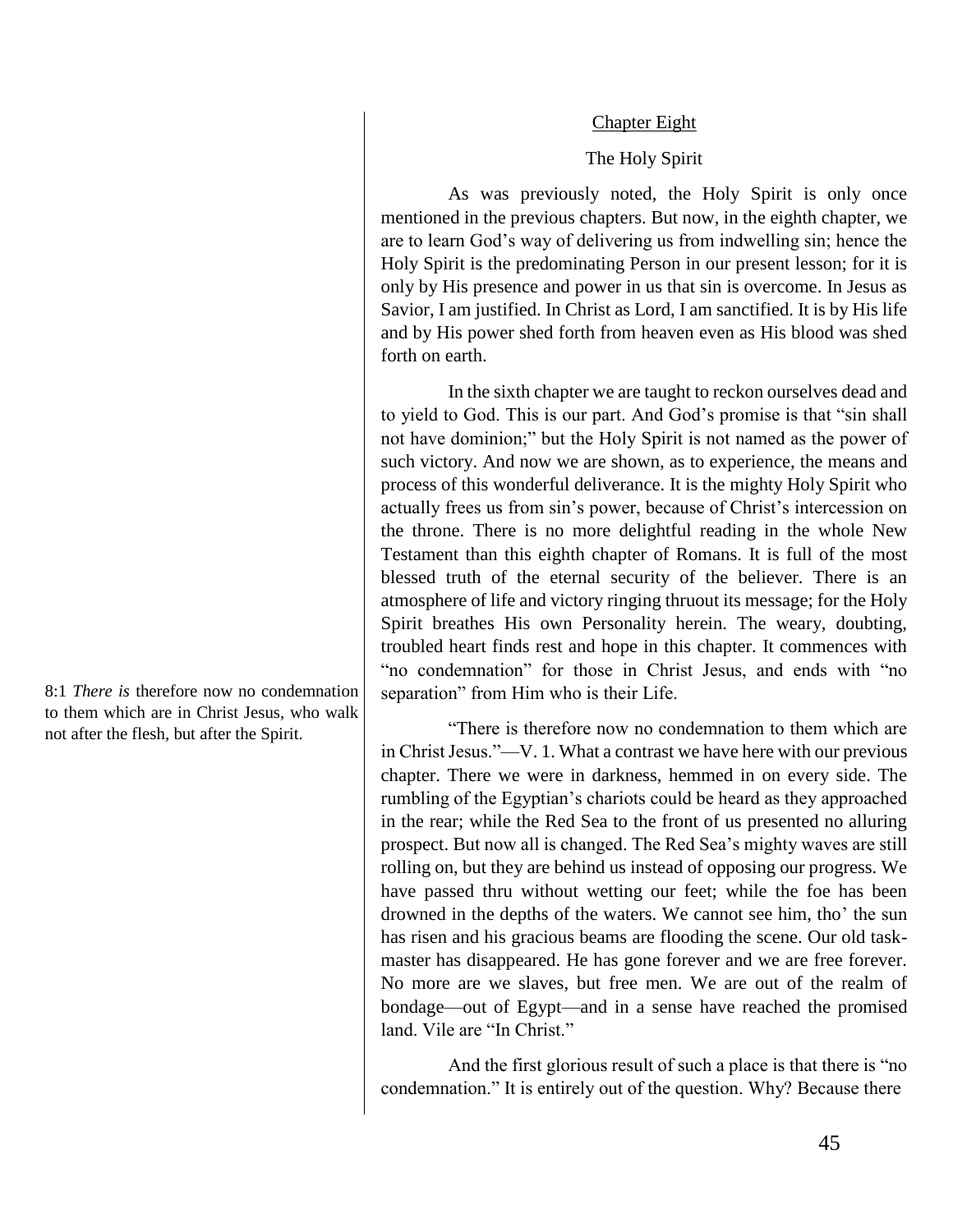### Chapter Eight

## The Holy Spirit

As was previously noted, the Holy Spirit is only once mentioned in the previous chapters. But now, in the eighth chapter, we are to learn God's way of delivering us from indwelling sin; hence the Holy Spirit is the predominating Person in our present lesson; for it is only by His presence and power in us that sin is overcome. In Jesus as Savior, I am justified. In Christ as Lord, I am sanctified. It is by His life and by His power shed forth from heaven even as His blood was shed forth on earth.

In the sixth chapter we are taught to reckon ourselves dead and to yield to God. This is our part. And God's promise is that "sin shall not have dominion;" but the Holy Spirit is not named as the power of such victory. And now we are shown, as to experience, the means and process of this wonderful deliverance. It is the mighty Holy Spirit who actually frees us from sin's power, because of Christ's intercession on the throne. There is no more delightful reading in the whole New Testament than this eighth chapter of Romans. It is full of the most blessed truth of the eternal security of the believer. There is an atmosphere of life and victory ringing thruout its message; for the Holy Spirit breathes His own Personality herein. The weary, doubting, troubled heart finds rest and hope in this chapter. It commences with "no condemnation" for those in Christ Jesus, and ends with "no separation" from Him who is their Life.

"There is therefore now no condemnation to them which are in Christ Jesus."—V. 1. What a contrast we have here with our previous chapter. There we were in darkness, hemmed in on every side. The rumbling of the Egyptian's chariots could be heard as they approached in the rear; while the Red Sea to the front of us presented no alluring prospect. But now all is changed. The Red Sea's mighty waves are still rolling on, but they are behind us instead of opposing our progress. We have passed thru without wetting our feet; while the foe has been drowned in the depths of the waters. We cannot see him, tho' the sun has risen and his gracious beams are flooding the scene. Our old taskmaster has disappeared. He has gone forever and we are free forever. No more are we slaves, but free men. We are out of the realm of bondage—out of Egypt—and in a sense have reached the promised land. Vile are "In Christ."

And the first glorious result of such a place is that there is "no condemnation." It is entirely out of the question. Why? Because there

8:1 *There is* therefore now no condemnation to them which are in Christ Jesus, who walk not after the flesh, but after the Spirit.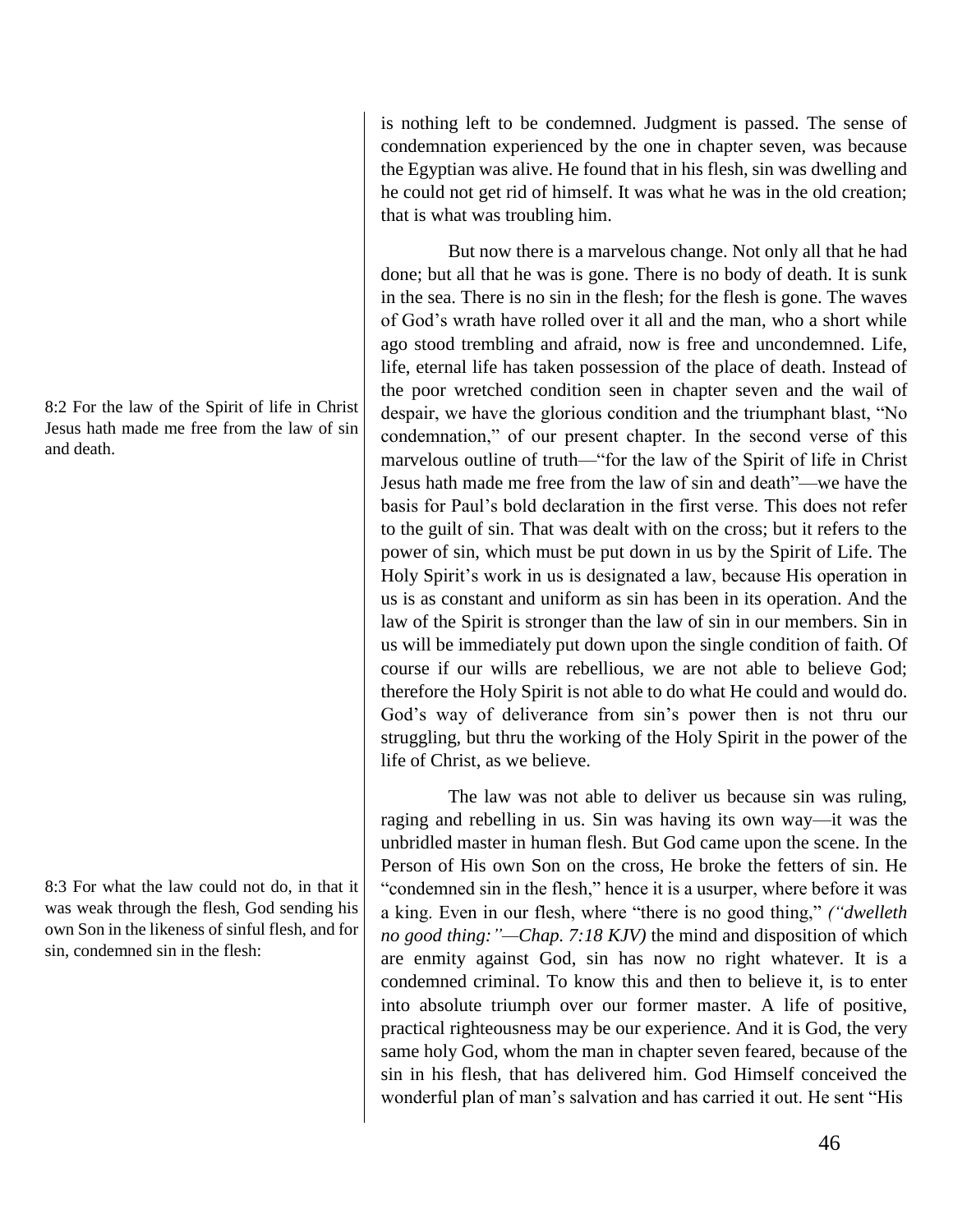8:2 For the law of the Spirit of life in Christ Jesus hath made me free from the law of sin and death.

8:3 For what the law could not do, in that it was weak through the flesh, God sending his own Son in the likeness of sinful flesh, and for sin, condemned sin in the flesh:

is nothing left to be condemned. Judgment is passed. The sense of condemnation experienced by the one in chapter seven, was because the Egyptian was alive. He found that in his flesh, sin was dwelling and he could not get rid of himself. It was what he was in the old creation; that is what was troubling him.

But now there is a marvelous change. Not only all that he had done; but all that he was is gone. There is no body of death. It is sunk in the sea. There is no sin in the flesh; for the flesh is gone. The waves of God's wrath have rolled over it all and the man, who a short while ago stood trembling and afraid, now is free and uncondemned. Life, life, eternal life has taken possession of the place of death. Instead of the poor wretched condition seen in chapter seven and the wail of despair, we have the glorious condition and the triumphant blast, "No condemnation," of our present chapter. In the second verse of this marvelous outline of truth—"for the law of the Spirit of life in Christ Jesus hath made me free from the law of sin and death"—we have the basis for Paul's bold declaration in the first verse. This does not refer to the guilt of sin. That was dealt with on the cross; but it refers to the power of sin, which must be put down in us by the Spirit of Life. The Holy Spirit's work in us is designated a law, because His operation in us is as constant and uniform as sin has been in its operation. And the law of the Spirit is stronger than the law of sin in our members. Sin in us will be immediately put down upon the single condition of faith. Of course if our wills are rebellious, we are not able to believe God; therefore the Holy Spirit is not able to do what He could and would do. God's way of deliverance from sin's power then is not thru our struggling, but thru the working of the Holy Spirit in the power of the life of Christ, as we believe.

The law was not able to deliver us because sin was ruling, raging and rebelling in us. Sin was having its own way—it was the unbridled master in human flesh. But God came upon the scene. In the Person of His own Son on the cross, He broke the fetters of sin. He "condemned sin in the flesh," hence it is a usurper, where before it was a king. Even in our flesh, where "there is no good thing," *("dwelleth no good thing:"—Chap. 7:18 KJV)* the mind and disposition of which are enmity against God, sin has now no right whatever. It is a condemned criminal. To know this and then to believe it, is to enter into absolute triumph over our former master. A life of positive, practical righteousness may be our experience. And it is God, the very same holy God, whom the man in chapter seven feared, because of the sin in his flesh, that has delivered him. God Himself conceived the wonderful plan of man's salvation and has carried it out. He sent "His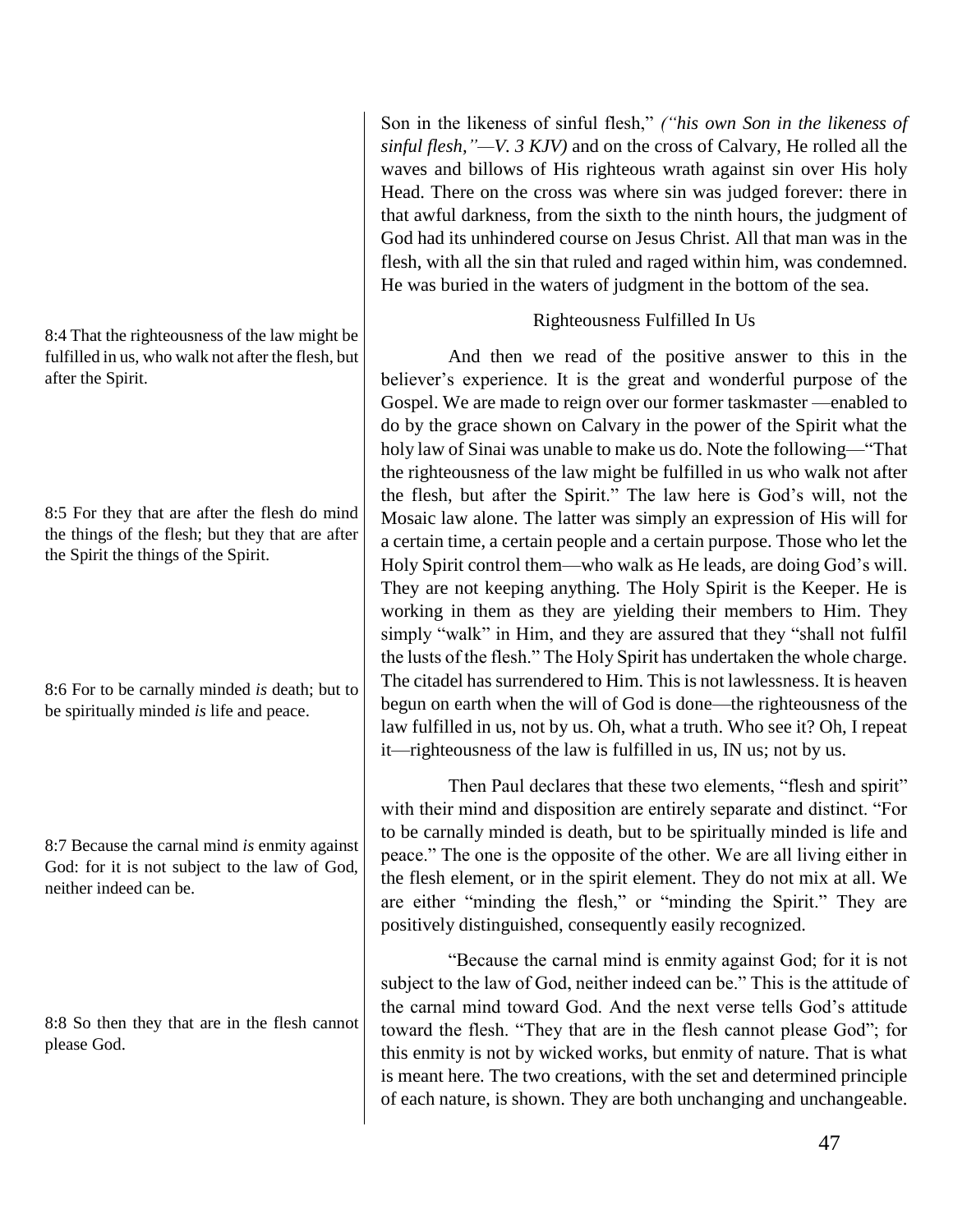8:4 That the righteousness of the law might be fulfilled in us, who walk not after the flesh, but after the Spirit.

8:5 For they that are after the flesh do mind the things of the flesh; but they that are after the Spirit the things of the Spirit.

8:6 For to be carnally minded *is* death; but to be spiritually minded *is* life and peace.

8:7 Because the carnal mind *is* enmity against God: for it is not subject to the law of God, neither indeed can be.

8:8 So then they that are in the flesh cannot please God.

Son in the likeness of sinful flesh," *("his own Son in the likeness of sinful flesh,"—V. 3 KJV)* and on the cross of Calvary, He rolled all the waves and billows of His righteous wrath against sin over His holy Head. There on the cross was where sin was judged forever: there in that awful darkness, from the sixth to the ninth hours, the judgment of God had its unhindered course on Jesus Christ. All that man was in the flesh, with all the sin that ruled and raged within him, was condemned. He was buried in the waters of judgment in the bottom of the sea.

# Righteousness Fulfilled In Us

And then we read of the positive answer to this in the believer's experience. It is the great and wonderful purpose of the Gospel. We are made to reign over our former taskmaster —enabled to do by the grace shown on Calvary in the power of the Spirit what the holy law of Sinai was unable to make us do. Note the following—"That the righteousness of the law might be fulfilled in us who walk not after the flesh, but after the Spirit." The law here is God's will, not the Mosaic law alone. The latter was simply an expression of His will for a certain time, a certain people and a certain purpose. Those who let the Holy Spirit control them—who walk as He leads, are doing God's will. They are not keeping anything. The Holy Spirit is the Keeper. He is working in them as they are yielding their members to Him. They simply "walk" in Him, and they are assured that they "shall not fulfil the lusts of the flesh." The Holy Spirit has undertaken the whole charge. The citadel has surrendered to Him. This is not lawlessness. It is heaven begun on earth when the will of God is done—the righteousness of the law fulfilled in us, not by us. Oh, what a truth. Who see it? Oh, I repeat it—righteousness of the law is fulfilled in us, IN us; not by us.

Then Paul declares that these two elements, "flesh and spirit" with their mind and disposition are entirely separate and distinct. "For to be carnally minded is death, but to be spiritually minded is life and peace." The one is the opposite of the other. We are all living either in the flesh element, or in the spirit element. They do not mix at all. We are either "minding the flesh," or "minding the Spirit." They are positively distinguished, consequently easily recognized.

"Because the carnal mind is enmity against God; for it is not subject to the law of God, neither indeed can be." This is the attitude of the carnal mind toward God. And the next verse tells God's attitude toward the flesh. "They that are in the flesh cannot please God"; for this enmity is not by wicked works, but enmity of nature. That is what is meant here. The two creations, with the set and determined principle of each nature, is shown. They are both unchanging and unchangeable.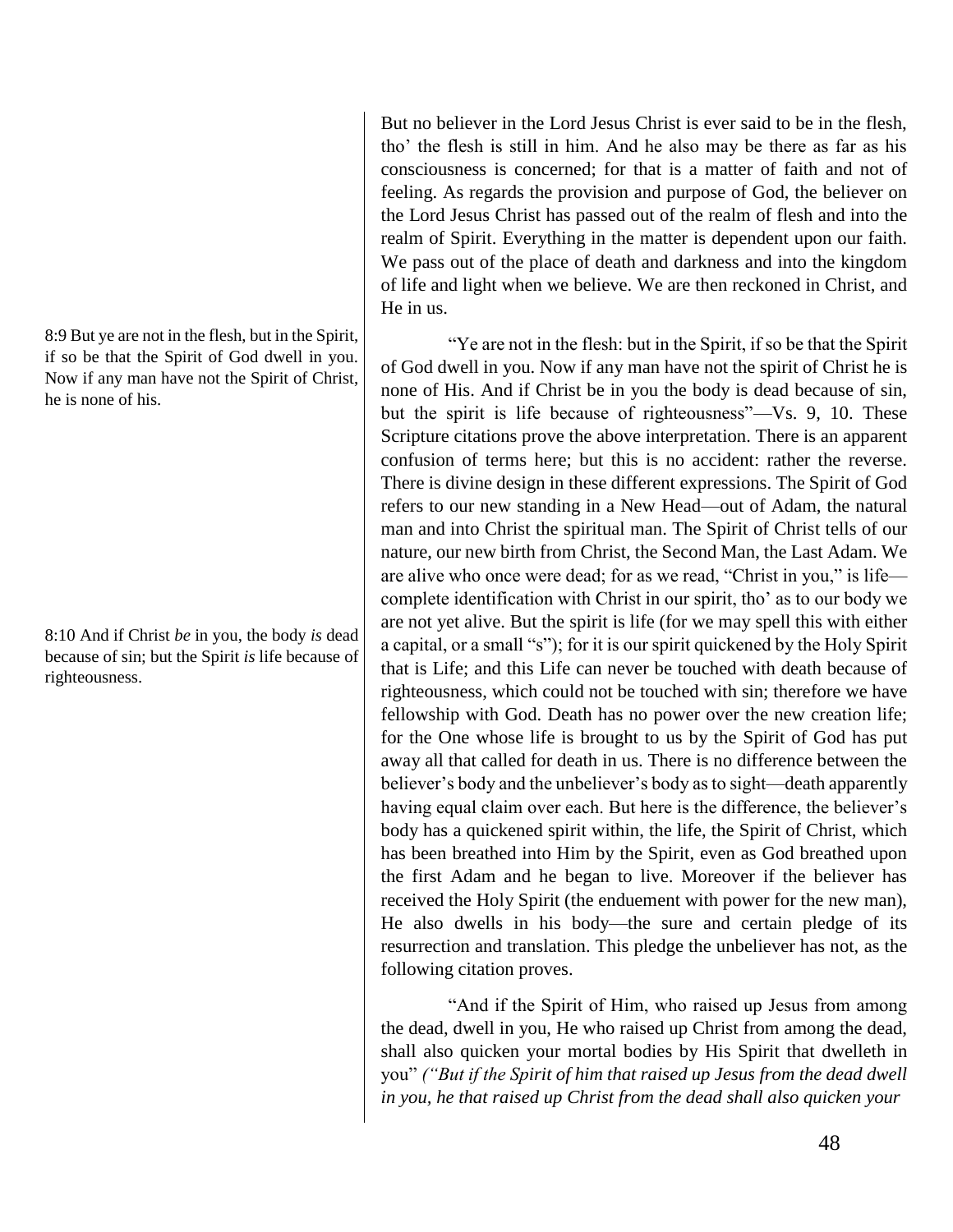8:9 But ye are not in the flesh, but in the Spirit, if so be that the Spirit of God dwell in you. Now if any man have not the Spirit of Christ, he is none of his.

8:10 And if Christ *be* in you, the body *is* dead because of sin; but the Spirit *is* life because of righteousness.

But no believer in the Lord Jesus Christ is ever said to be in the flesh, tho' the flesh is still in him. And he also may be there as far as his consciousness is concerned; for that is a matter of faith and not of feeling. As regards the provision and purpose of God, the believer on the Lord Jesus Christ has passed out of the realm of flesh and into the realm of Spirit. Everything in the matter is dependent upon our faith. We pass out of the place of death and darkness and into the kingdom of life and light when we believe. We are then reckoned in Christ, and He in us.

"Ye are not in the flesh: but in the Spirit, if so be that the Spirit of God dwell in you. Now if any man have not the spirit of Christ he is none of His. And if Christ be in you the body is dead because of sin, but the spirit is life because of righteousness"—Vs. 9, 10. These Scripture citations prove the above interpretation. There is an apparent confusion of terms here; but this is no accident: rather the reverse. There is divine design in these different expressions. The Spirit of God refers to our new standing in a New Head—out of Adam, the natural man and into Christ the spiritual man. The Spirit of Christ tells of our nature, our new birth from Christ, the Second Man, the Last Adam. We are alive who once were dead; for as we read, "Christ in you," is life complete identification with Christ in our spirit, tho' as to our body we are not yet alive. But the spirit is life (for we may spell this with either a capital, or a small "s"); for it is our spirit quickened by the Holy Spirit that is Life; and this Life can never be touched with death because of righteousness, which could not be touched with sin; therefore we have fellowship with God. Death has no power over the new creation life; for the One whose life is brought to us by the Spirit of God has put away all that called for death in us. There is no difference between the believer's body and the unbeliever's body as to sight—death apparently having equal claim over each. But here is the difference, the believer's body has a quickened spirit within, the life, the Spirit of Christ, which has been breathed into Him by the Spirit, even as God breathed upon the first Adam and he began to live. Moreover if the believer has received the Holy Spirit (the enduement with power for the new man), He also dwells in his body—the sure and certain pledge of its resurrection and translation. This pledge the unbeliever has not, as the following citation proves.

"And if the Spirit of Him, who raised up Jesus from among the dead, dwell in you, He who raised up Christ from among the dead, shall also quicken your mortal bodies by His Spirit that dwelleth in you" *("But if the Spirit of him that raised up Jesus from the dead dwell in you, he that raised up Christ from the dead shall also quicken your*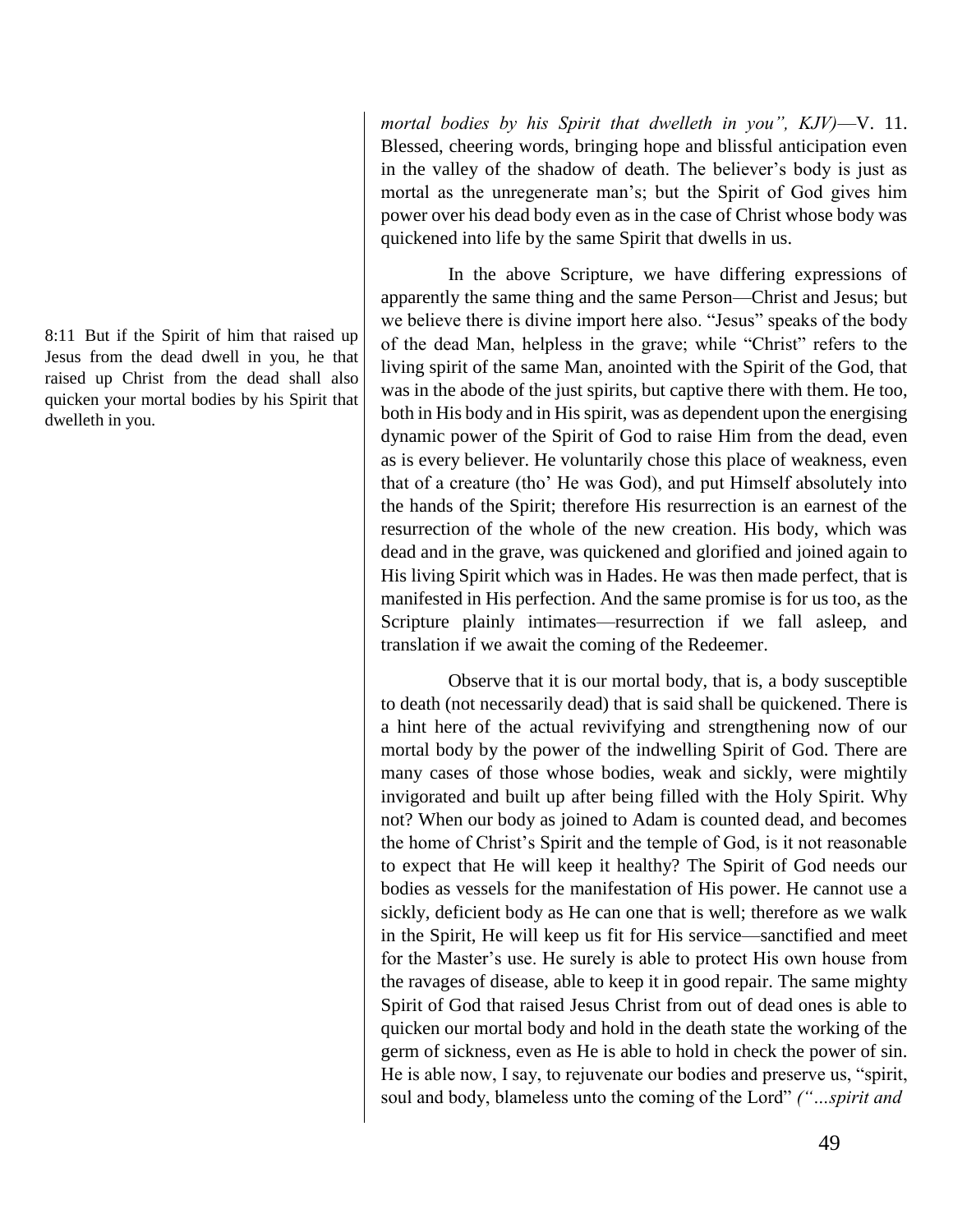8:11 But if the Spirit of him that raised up Jesus from the dead dwell in you, he that raised up Christ from the dead shall also quicken your mortal bodies by his Spirit that dwelleth in you.

*mortal bodies by his Spirit that dwelleth in you", KJV)*—V. 11. Blessed, cheering words, bringing hope and blissful anticipation even in the valley of the shadow of death. The believer's body is just as mortal as the unregenerate man's; but the Spirit of God gives him power over his dead body even as in the case of Christ whose body was quickened into life by the same Spirit that dwells in us.

In the above Scripture, we have differing expressions of apparently the same thing and the same Person—Christ and Jesus; but we believe there is divine import here also. "Jesus" speaks of the body of the dead Man, helpless in the grave; while "Christ" refers to the living spirit of the same Man, anointed with the Spirit of the God, that was in the abode of the just spirits, but captive there with them. He too, both in His body and in His spirit, was as dependent upon the energising dynamic power of the Spirit of God to raise Him from the dead, even as is every believer. He voluntarily chose this place of weakness, even that of a creature (tho' He was God), and put Himself absolutely into the hands of the Spirit; therefore His resurrection is an earnest of the resurrection of the whole of the new creation. His body, which was dead and in the grave, was quickened and glorified and joined again to His living Spirit which was in Hades. He was then made perfect, that is manifested in His perfection. And the same promise is for us too, as the Scripture plainly intimates—resurrection if we fall asleep, and translation if we await the coming of the Redeemer.

Observe that it is our mortal body, that is, a body susceptible to death (not necessarily dead) that is said shall be quickened. There is a hint here of the actual revivifying and strengthening now of our mortal body by the power of the indwelling Spirit of God. There are many cases of those whose bodies, weak and sickly, were mightily invigorated and built up after being filled with the Holy Spirit. Why not? When our body as joined to Adam is counted dead, and becomes the home of Christ's Spirit and the temple of God, is it not reasonable to expect that He will keep it healthy? The Spirit of God needs our bodies as vessels for the manifestation of His power. He cannot use a sickly, deficient body as He can one that is well; therefore as we walk in the Spirit, He will keep us fit for His service—sanctified and meet for the Master's use. He surely is able to protect His own house from the ravages of disease, able to keep it in good repair. The same mighty Spirit of God that raised Jesus Christ from out of dead ones is able to quicken our mortal body and hold in the death state the working of the germ of sickness, even as He is able to hold in check the power of sin. He is able now, I say, to rejuvenate our bodies and preserve us, "spirit, soul and body, blameless unto the coming of the Lord" *("…spirit and*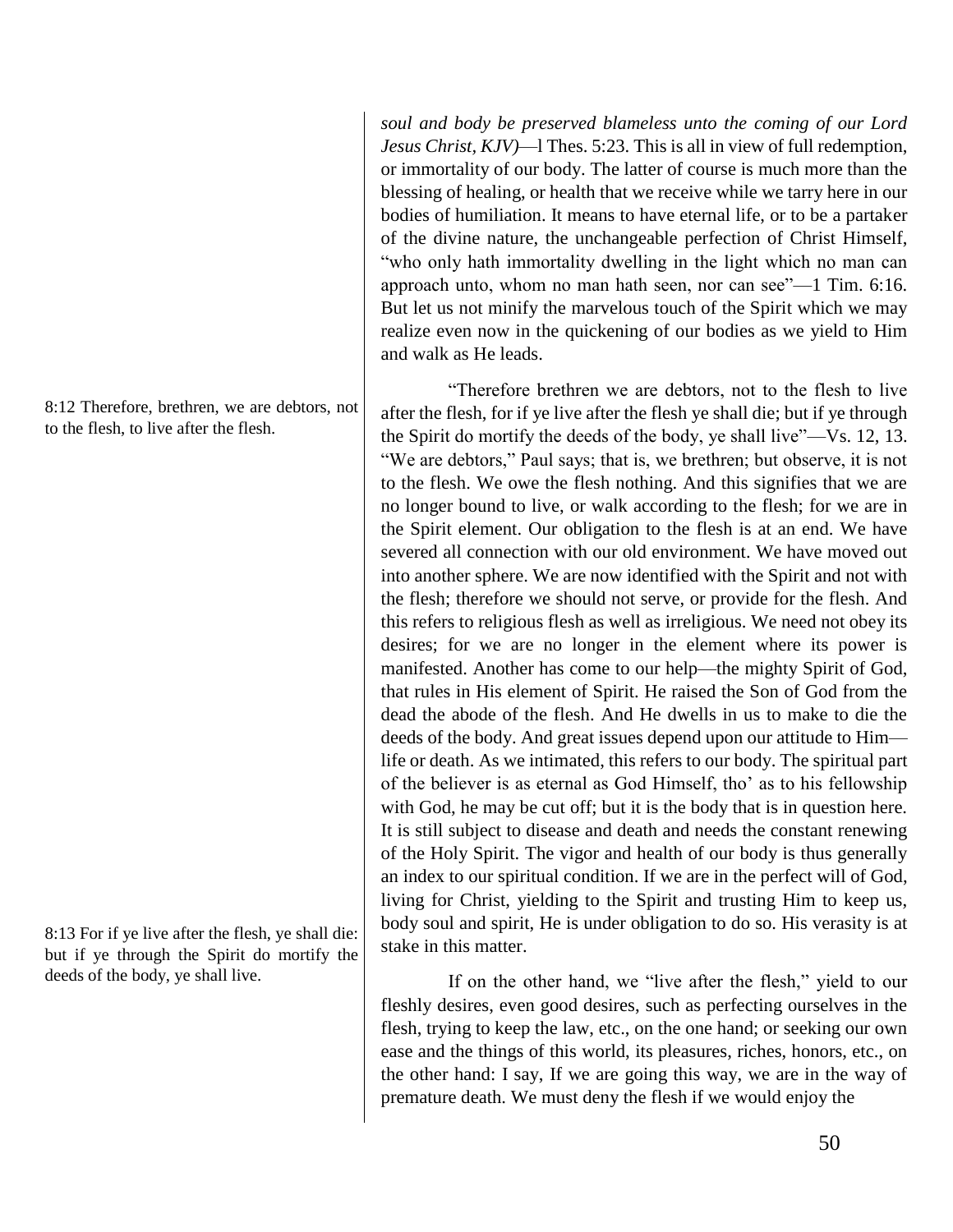*soul and body be preserved blameless unto the coming of our Lord Jesus Christ, KJV)*—l Thes. 5:23. This is all in view of full redemption, or immortality of our body. The latter of course is much more than the blessing of healing, or health that we receive while we tarry here in our bodies of humiliation. It means to have eternal life, or to be a partaker of the divine nature, the unchangeable perfection of Christ Himself, "who only hath immortality dwelling in the light which no man can approach unto, whom no man hath seen, nor can see"—1 Tim. 6:16. But let us not minify the marvelous touch of the Spirit which we may realize even now in the quickening of our bodies as we yield to Him and walk as He leads.

"Therefore brethren we are debtors, not to the flesh to live after the flesh, for if ye live after the flesh ye shall die; but if ye through the Spirit do mortify the deeds of the body, ye shall live"—Vs. 12, 13. "We are debtors," Paul says; that is, we brethren; but observe, it is not to the flesh. We owe the flesh nothing. And this signifies that we are no longer bound to live, or walk according to the flesh; for we are in the Spirit element. Our obligation to the flesh is at an end. We have severed all connection with our old environment. We have moved out into another sphere. We are now identified with the Spirit and not with the flesh; therefore we should not serve, or provide for the flesh. And this refers to religious flesh as well as irreligious. We need not obey its desires; for we are no longer in the element where its power is manifested. Another has come to our help—the mighty Spirit of God, that rules in His element of Spirit. He raised the Son of God from the dead the abode of the flesh. And He dwells in us to make to die the deeds of the body. And great issues depend upon our attitude to Him life or death. As we intimated, this refers to our body. The spiritual part of the believer is as eternal as God Himself, tho' as to his fellowship with God, he may be cut off; but it is the body that is in question here. It is still subject to disease and death and needs the constant renewing of the Holy Spirit. The vigor and health of our body is thus generally an index to our spiritual condition. If we are in the perfect will of God, living for Christ, yielding to the Spirit and trusting Him to keep us, body soul and spirit, He is under obligation to do so. His verasity is at stake in this matter.

If on the other hand, we "live after the flesh," yield to our fleshly desires, even good desires, such as perfecting ourselves in the flesh, trying to keep the law, etc., on the one hand; or seeking our own ease and the things of this world, its pleasures, riches, honors, etc., on the other hand: I say, If we are going this way, we are in the way of premature death. We must deny the flesh if we would enjoy the

8:12 Therefore, brethren, we are debtors, not to the flesh, to live after the flesh.

8:13 For if ye live after the flesh, ye shall die: but if ye through the Spirit do mortify the deeds of the body, ye shall live.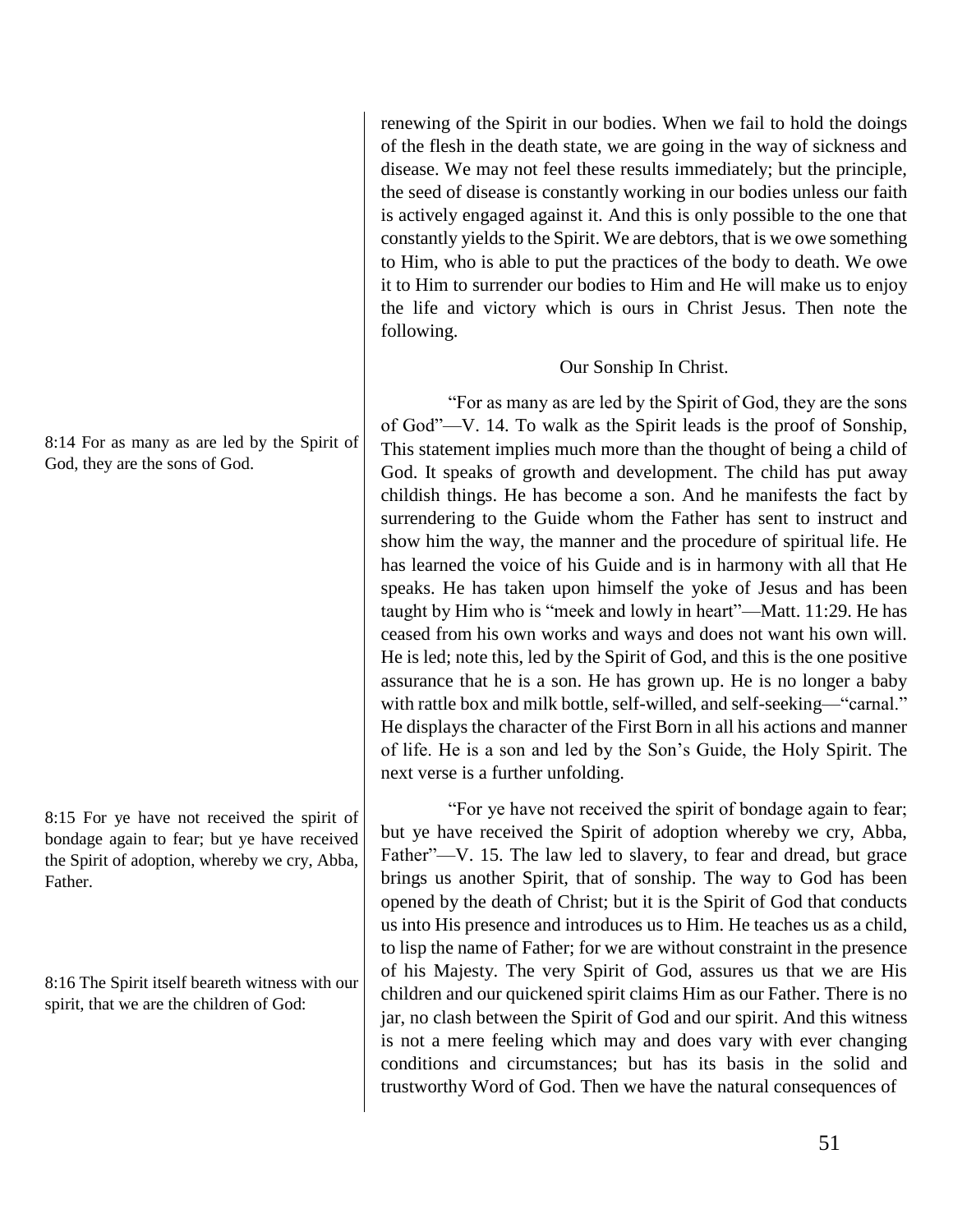renewing of the Spirit in our bodies. When we fail to hold the doings of the flesh in the death state, we are going in the way of sickness and disease. We may not feel these results immediately; but the principle, the seed of disease is constantly working in our bodies unless our faith is actively engaged against it. And this is only possible to the one that constantly yields to the Spirit. We are debtors, that is we owe something to Him, who is able to put the practices of the body to death. We owe it to Him to surrender our bodies to Him and He will make us to enjoy the life and victory which is ours in Christ Jesus. Then note the following.

### Our Sonship In Christ.

"For as many as are led by the Spirit of God, they are the sons of God"—V. 14. To walk as the Spirit leads is the proof of Sonship, This statement implies much more than the thought of being a child of God. It speaks of growth and development. The child has put away childish things. He has become a son. And he manifests the fact by surrendering to the Guide whom the Father has sent to instruct and show him the way, the manner and the procedure of spiritual life. He has learned the voice of his Guide and is in harmony with all that He speaks. He has taken upon himself the yoke of Jesus and has been taught by Him who is "meek and lowly in heart"—Matt. 11:29. He has ceased from his own works and ways and does not want his own will. He is led; note this, led by the Spirit of God, and this is the one positive assurance that he is a son. He has grown up. He is no longer a baby with rattle box and milk bottle, self-willed, and self-seeking—"carnal." He displays the character of the First Born in all his actions and manner of life. He is a son and led by the Son's Guide, the Holy Spirit. The next verse is a further unfolding.

"For ye have not received the spirit of bondage again to fear; but ye have received the Spirit of adoption whereby we cry, Abba, Father"—V. 15. The law led to slavery, to fear and dread, but grace brings us another Spirit, that of sonship. The way to God has been opened by the death of Christ; but it is the Spirit of God that conducts us into His presence and introduces us to Him. He teaches us as a child, to lisp the name of Father; for we are without constraint in the presence of his Majesty. The very Spirit of God, assures us that we are His children and our quickened spirit claims Him as our Father. There is no jar, no clash between the Spirit of God and our spirit. And this witness is not a mere feeling which may and does vary with ever changing conditions and circumstances; but has its basis in the solid and trustworthy Word of God. Then we have the natural consequences of

8:14 For as many as are led by the Spirit of God, they are the sons of God.

8:15 For ye have not received the spirit of bondage again to fear; but ye have received the Spirit of adoption, whereby we cry, Abba, **Father** 

8:16 The Spirit itself beareth witness with our spirit, that we are the children of God: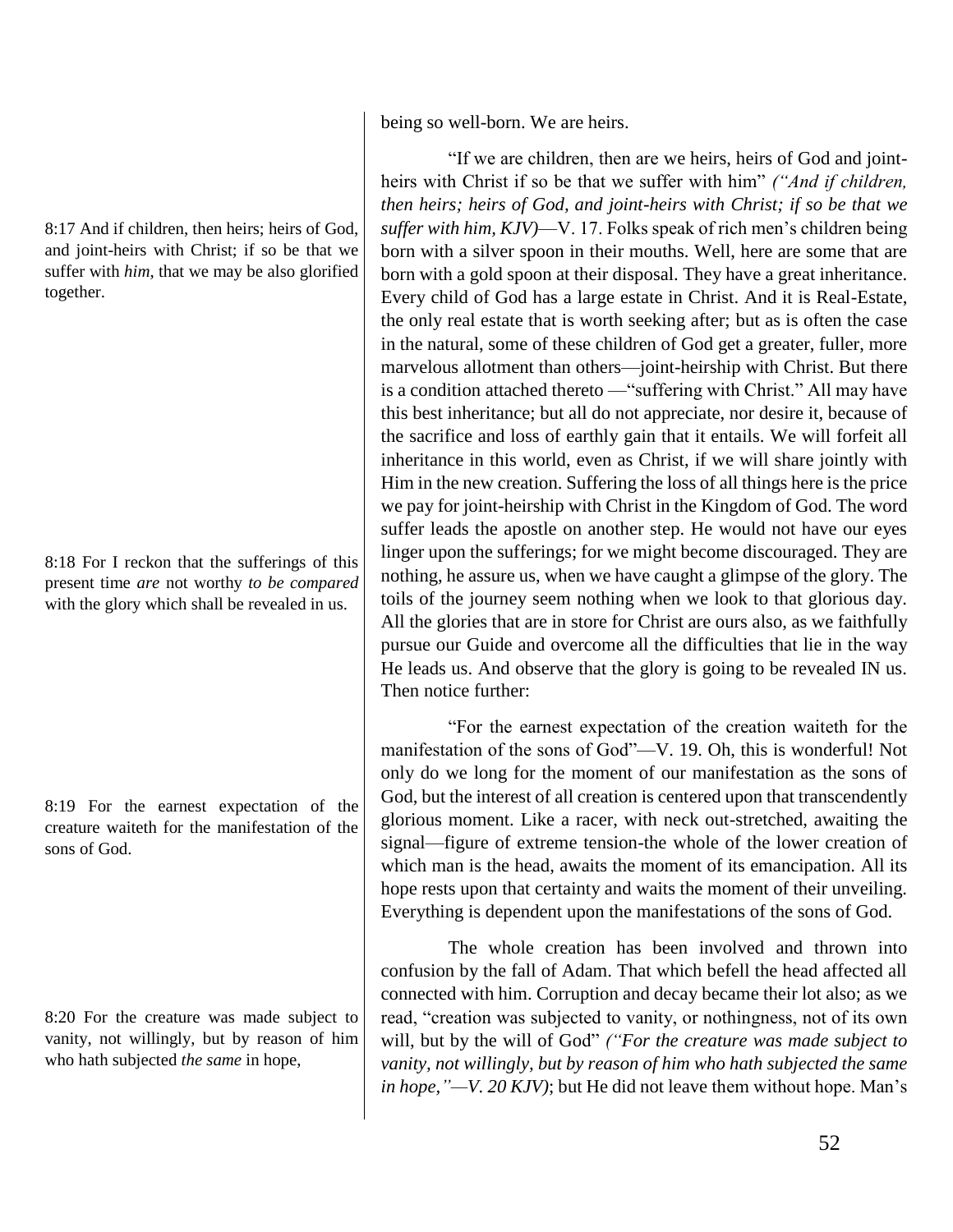8:17 And if children, then heirs; heirs of God, and joint-heirs with Christ; if so be that we suffer with *him*, that we may be also glorified together.

8:18 For I reckon that the sufferings of this present time *are* not worthy *to be compared* with the glory which shall be revealed in us.

8:19 For the earnest expectation of the creature waiteth for the manifestation of the sons of God.

8:20 For the creature was made subject to vanity, not willingly, but by reason of him who hath subjected *the same* in hope,

being so well-born. We are heirs.

"If we are children, then are we heirs, heirs of God and jointheirs with Christ if so be that we suffer with him" *("And if children, then heirs; heirs of God, and joint-heirs with Christ; if so be that we suffer with him, KJV)*—V. 17. Folks speak of rich men's children being born with a silver spoon in their mouths. Well, here are some that are born with a gold spoon at their disposal. They have a great inheritance. Every child of God has a large estate in Christ. And it is Real-Estate, the only real estate that is worth seeking after; but as is often the case in the natural, some of these children of God get a greater, fuller, more marvelous allotment than others—joint-heirship with Christ. But there is a condition attached thereto —"suffering with Christ." All may have this best inheritance; but all do not appreciate, nor desire it, because of the sacrifice and loss of earthly gain that it entails. We will forfeit all inheritance in this world, even as Christ, if we will share jointly with Him in the new creation. Suffering the loss of all things here is the price we pay for joint-heirship with Christ in the Kingdom of God. The word suffer leads the apostle on another step. He would not have our eyes linger upon the sufferings; for we might become discouraged. They are nothing, he assure us, when we have caught a glimpse of the glory. The toils of the journey seem nothing when we look to that glorious day. All the glories that are in store for Christ are ours also, as we faithfully pursue our Guide and overcome all the difficulties that lie in the way He leads us. And observe that the glory is going to be revealed IN us. Then notice further:

"For the earnest expectation of the creation waiteth for the manifestation of the sons of God"—V. 19. Oh, this is wonderful! Not only do we long for the moment of our manifestation as the sons of God, but the interest of all creation is centered upon that transcendently glorious moment. Like a racer, with neck out-stretched, awaiting the signal—figure of extreme tension-the whole of the lower creation of which man is the head, awaits the moment of its emancipation. All its hope rests upon that certainty and waits the moment of their unveiling. Everything is dependent upon the manifestations of the sons of God.

The whole creation has been involved and thrown into confusion by the fall of Adam. That which befell the head affected all connected with him. Corruption and decay became their lot also; as we read, "creation was subjected to vanity, or nothingness, not of its own will, but by the will of God" *("For the creature was made subject to vanity, not willingly, but by reason of him who hath subjected the same in hope,"—V. 20 KJV)*; but He did not leave them without hope. Man's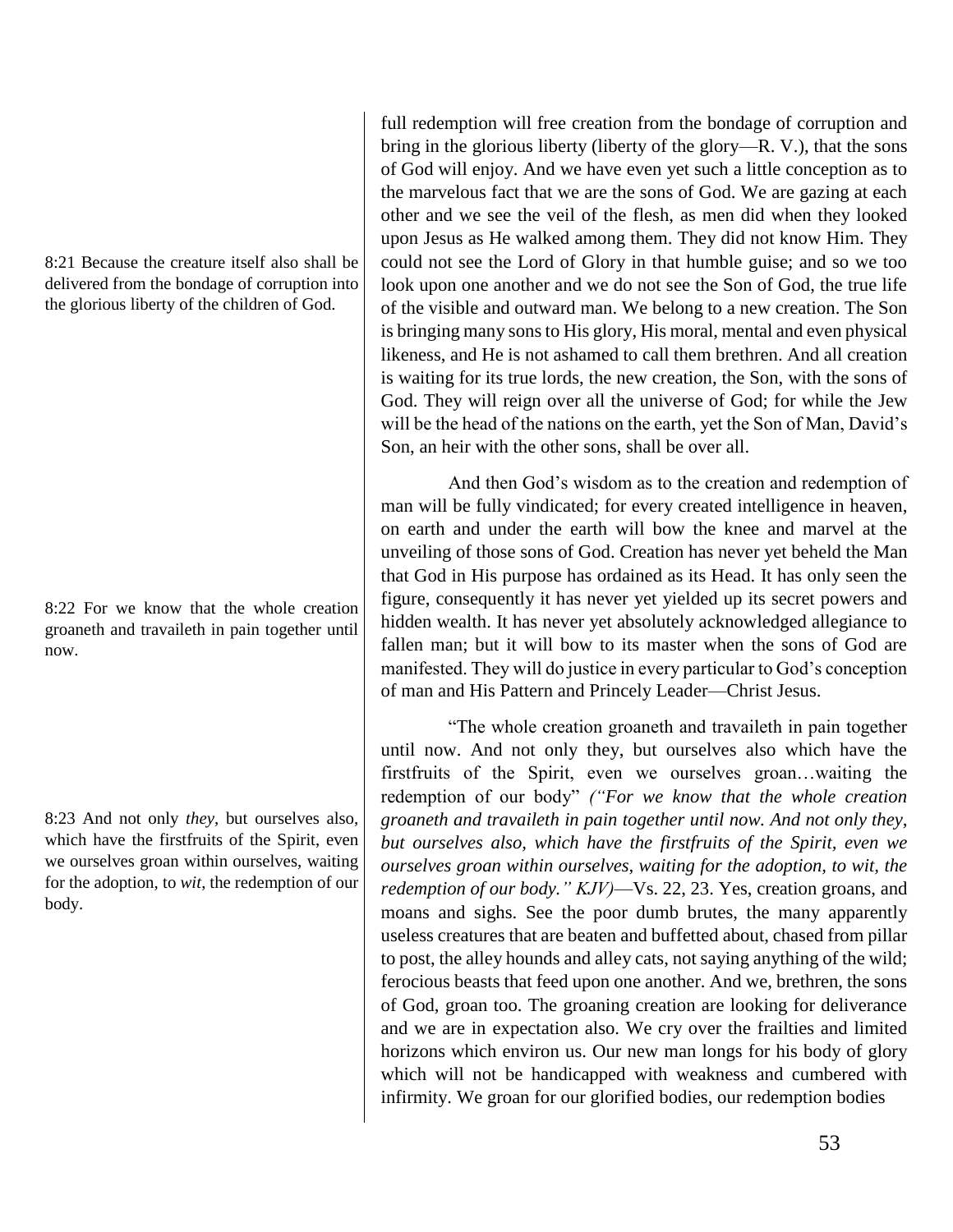8:21 Because the creature itself also shall be delivered from the bondage of corruption into the glorious liberty of the children of God.

8:22 For we know that the whole creation groaneth and travaileth in pain together until now.

8:23 And not only *they*, but ourselves also, which have the firstfruits of the Spirit, even we ourselves groan within ourselves, waiting for the adoption, to *wit*, the redemption of our body.

full redemption will free creation from the bondage of corruption and bring in the glorious liberty (liberty of the glory—R. V.), that the sons of God will enjoy. And we have even yet such a little conception as to the marvelous fact that we are the sons of God. We are gazing at each other and we see the veil of the flesh, as men did when they looked upon Jesus as He walked among them. They did not know Him. They could not see the Lord of Glory in that humble guise; and so we too look upon one another and we do not see the Son of God, the true life of the visible and outward man. We belong to a new creation. The Son is bringing many sons to His glory, His moral, mental and even physical likeness, and He is not ashamed to call them brethren. And all creation is waiting for its true lords, the new creation, the Son, with the sons of God. They will reign over all the universe of God; for while the Jew will be the head of the nations on the earth, yet the Son of Man, David's Son, an heir with the other sons, shall be over all.

And then God's wisdom as to the creation and redemption of man will be fully vindicated; for every created intelligence in heaven, on earth and under the earth will bow the knee and marvel at the unveiling of those sons of God. Creation has never yet beheld the Man that God in His purpose has ordained as its Head. It has only seen the figure, consequently it has never yet yielded up its secret powers and hidden wealth. It has never yet absolutely acknowledged allegiance to fallen man; but it will bow to its master when the sons of God are manifested. They will do justice in every particular to God's conception of man and His Pattern and Princely Leader—Christ Jesus.

"The whole creation groaneth and travaileth in pain together until now. And not only they, but ourselves also which have the firstfruits of the Spirit, even we ourselves groan…waiting the redemption of our body" *("For we know that the whole creation groaneth and travaileth in pain together until now. And not only they, but ourselves also, which have the firstfruits of the Spirit, even we ourselves groan within ourselves, waiting for the adoption, to wit, the redemption of our body." KJV)*—Vs. 22, 23. Yes, creation groans, and moans and sighs. See the poor dumb brutes, the many apparently useless creatures that are beaten and buffetted about, chased from pillar to post, the alley hounds and alley cats, not saying anything of the wild; ferocious beasts that feed upon one another. And we, brethren, the sons of God, groan too. The groaning creation are looking for deliverance and we are in expectation also. We cry over the frailties and limited horizons which environ us. Our new man longs for his body of glory which will not be handicapped with weakness and cumbered with infirmity. We groan for our glorified bodies, our redemption bodies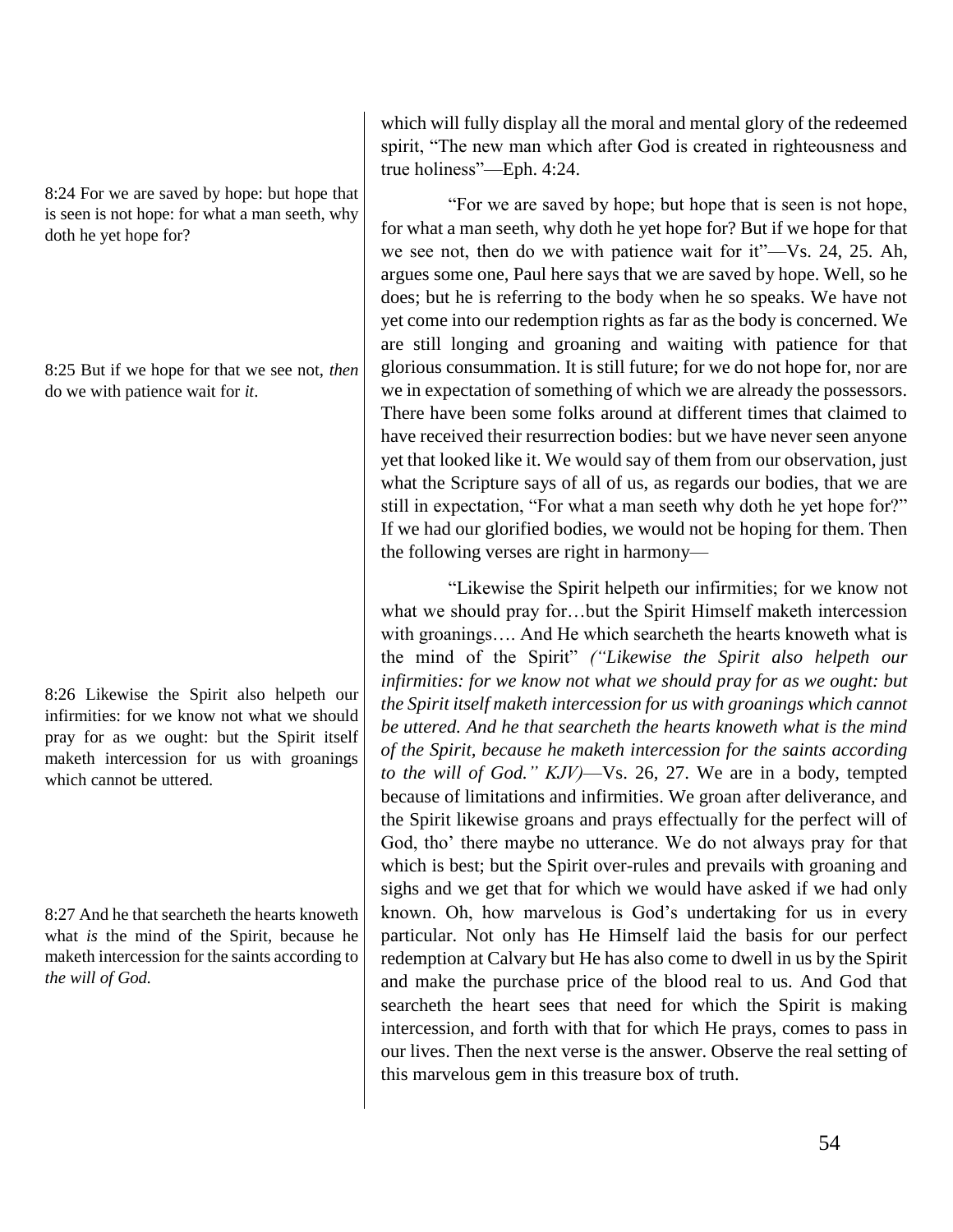8:24 For we are saved by hope: but hope that is seen is not hope: for what a man seeth, why doth he yet hope for?

8:25 But if we hope for that we see not, *then* do we with patience wait for *it*.

8:26 Likewise the Spirit also helpeth our infirmities: for we know not what we should pray for as we ought: but the Spirit itself maketh intercession for us with groanings which cannot be uttered.

8:27 And he that searcheth the hearts knoweth what *is* the mind of the Spirit, because he maketh intercession for the saints according to *the will of God.*

which will fully display all the moral and mental glory of the redeemed spirit, "The new man which after God is created in righteousness and true holiness"—Eph. 4:24.

"For we are saved by hope; but hope that is seen is not hope, for what a man seeth, why doth he yet hope for? But if we hope for that we see not, then do we with patience wait for it"—Vs. 24, 25. Ah, argues some one, Paul here says that we are saved by hope. Well, so he does; but he is referring to the body when he so speaks. We have not yet come into our redemption rights as far as the body is concerned. We are still longing and groaning and waiting with patience for that glorious consummation. It is still future; for we do not hope for, nor are we in expectation of something of which we are already the possessors. There have been some folks around at different times that claimed to have received their resurrection bodies: but we have never seen anyone yet that looked like it. We would say of them from our observation, just what the Scripture says of all of us, as regards our bodies, that we are still in expectation, "For what a man seeth why doth he yet hope for?" If we had our glorified bodies, we would not be hoping for them. Then the following verses are right in harmony—

"Likewise the Spirit helpeth our infirmities; for we know not what we should pray for…but the Spirit Himself maketh intercession with groanings.... And He which searcheth the hearts knoweth what is the mind of the Spirit" *("Likewise the Spirit also helpeth our*  infirmities: for we know not what we should pray for as we ought: but *the Spirit itself maketh intercession for us with groanings which cannot be uttered. And he that searcheth the hearts knoweth what is the mind of the Spirit, because he maketh intercession for the saints according to the will of God." KJV)*—Vs. 26, 27. We are in a body, tempted because of limitations and infirmities. We groan after deliverance, and the Spirit likewise groans and prays effectually for the perfect will of God, tho' there maybe no utterance. We do not always pray for that which is best; but the Spirit over-rules and prevails with groaning and sighs and we get that for which we would have asked if we had only known. Oh, how marvelous is God's undertaking for us in every particular. Not only has He Himself laid the basis for our perfect redemption at Calvary but He has also come to dwell in us by the Spirit and make the purchase price of the blood real to us. And God that searcheth the heart sees that need for which the Spirit is making intercession, and forth with that for which He prays, comes to pass in our lives. Then the next verse is the answer. Observe the real setting of this marvelous gem in this treasure box of truth.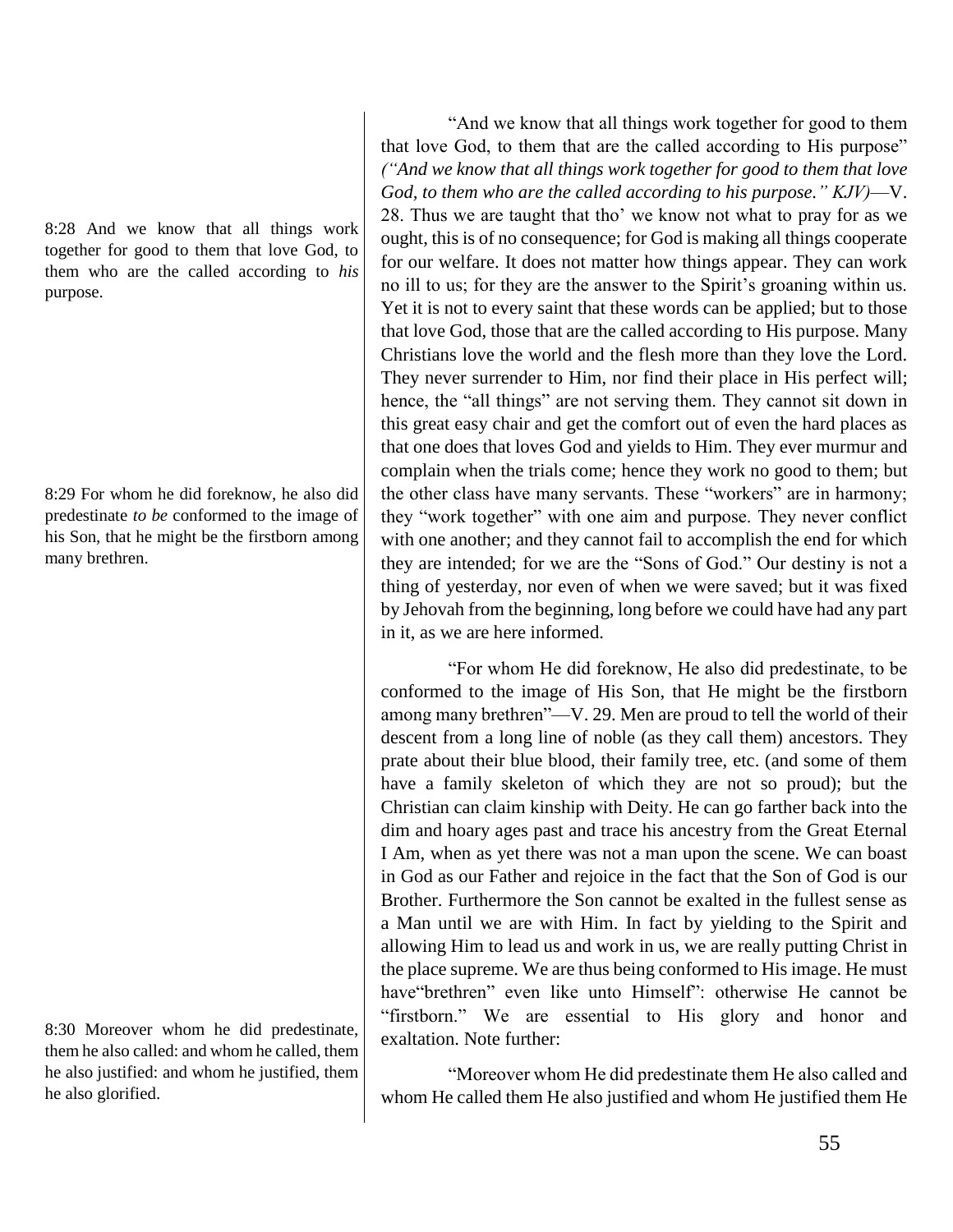8:28 And we know that all things work together for good to them that love God, to them who are the called according to *his* purpose.

8:29 For whom he did foreknow, he also did predestinate *to be* conformed to the image of his Son, that he might be the firstborn among many brethren.

8:30 Moreover whom he did predestinate, them he also called: and whom he called, them he also justified: and whom he justified, them he also glorified.

"And we know that all things work together for good to them that love God, to them that are the called according to His purpose" *("And we know that all things work together for good to them that love God, to them who are the called according to his purpose." KJV)*—V. 28. Thus we are taught that tho' we know not what to pray for as we ought, this is of no consequence; for God is making all things cooperate for our welfare. It does not matter how things appear. They can work no ill to us; for they are the answer to the Spirit's groaning within us. Yet it is not to every saint that these words can be applied; but to those that love God, those that are the called according to His purpose. Many Christians love the world and the flesh more than they love the Lord. They never surrender to Him, nor find their place in His perfect will; hence, the "all things" are not serving them. They cannot sit down in this great easy chair and get the comfort out of even the hard places as that one does that loves God and yields to Him. They ever murmur and complain when the trials come; hence they work no good to them; but the other class have many servants. These "workers" are in harmony; they "work together" with one aim and purpose. They never conflict with one another; and they cannot fail to accomplish the end for which they are intended; for we are the "Sons of God." Our destiny is not a thing of yesterday, nor even of when we were saved; but it was fixed by Jehovah from the beginning, long before we could have had any part in it, as we are here informed.

"For whom He did foreknow, He also did predestinate, to be conformed to the image of His Son, that He might be the firstborn among many brethren"—V. 29. Men are proud to tell the world of their descent from a long line of noble (as they call them) ancestors. They prate about their blue blood, their family tree, etc. (and some of them have a family skeleton of which they are not so proud); but the Christian can claim kinship with Deity. He can go farther back into the dim and hoary ages past and trace his ancestry from the Great Eternal I Am, when as yet there was not a man upon the scene. We can boast in God as our Father and rejoice in the fact that the Son of God is our Brother. Furthermore the Son cannot be exalted in the fullest sense as a Man until we are with Him. In fact by yielding to the Spirit and allowing Him to lead us and work in us, we are really putting Christ in the place supreme. We are thus being conformed to His image. He must have"brethren" even like unto Himself": otherwise He cannot be "firstborn." We are essential to His glory and honor and exaltation. Note further:

"Moreover whom He did predestinate them He also called and whom He called them He also justified and whom He justified them He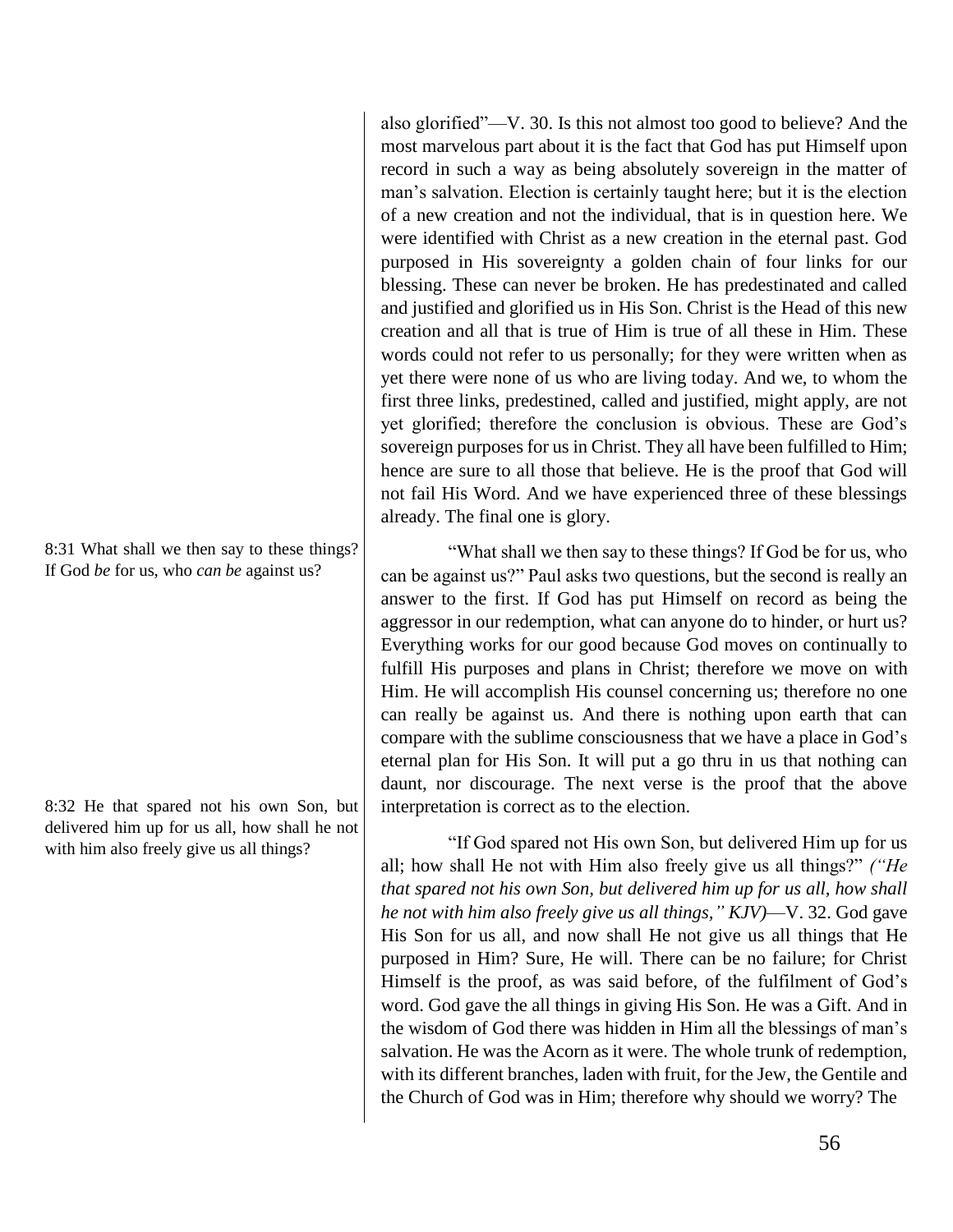8:31 What shall we then say to these things? If God *be* for us, who *can be* against us?

8:32 He that spared not his own Son, but delivered him up for us all, how shall he not with him also freely give us all things?

also glorified"—V. 30. Is this not almost too good to believe? And the most marvelous part about it is the fact that God has put Himself upon record in such a way as being absolutely sovereign in the matter of man's salvation. Election is certainly taught here; but it is the election of a new creation and not the individual, that is in question here. We were identified with Christ as a new creation in the eternal past. God purposed in His sovereignty a golden chain of four links for our blessing. These can never be broken. He has predestinated and called and justified and glorified us in His Son. Christ is the Head of this new creation and all that is true of Him is true of all these in Him. These words could not refer to us personally; for they were written when as yet there were none of us who are living today. And we, to whom the first three links, predestined, called and justified, might apply, are not yet glorified; therefore the conclusion is obvious. These are God's sovereign purposes for us in Christ. They all have been fulfilled to Him; hence are sure to all those that believe. He is the proof that God will not fail His Word. And we have experienced three of these blessings already. The final one is glory.

"What shall we then say to these things? If God be for us, who can be against us?" Paul asks two questions, but the second is really an answer to the first. If God has put Himself on record as being the aggressor in our redemption, what can anyone do to hinder, or hurt us? Everything works for our good because God moves on continually to fulfill His purposes and plans in Christ; therefore we move on with Him. He will accomplish His counsel concerning us; therefore no one can really be against us. And there is nothing upon earth that can compare with the sublime consciousness that we have a place in God's eternal plan for His Son. It will put a go thru in us that nothing can daunt, nor discourage. The next verse is the proof that the above interpretation is correct as to the election.

"If God spared not His own Son, but delivered Him up for us all; how shall He not with Him also freely give us all things?" *("He that spared not his own Son, but delivered him up for us all, how shall he not with him also freely give us all things," KJV)*—V. 32. God gave His Son for us all, and now shall He not give us all things that He purposed in Him? Sure, He will. There can be no failure; for Christ Himself is the proof, as was said before, of the fulfilment of God's word. God gave the all things in giving His Son. He was a Gift. And in the wisdom of God there was hidden in Him all the blessings of man's salvation. He was the Acorn as it were. The whole trunk of redemption, with its different branches, laden with fruit, for the Jew, the Gentile and the Church of God was in Him; therefore why should we worry? The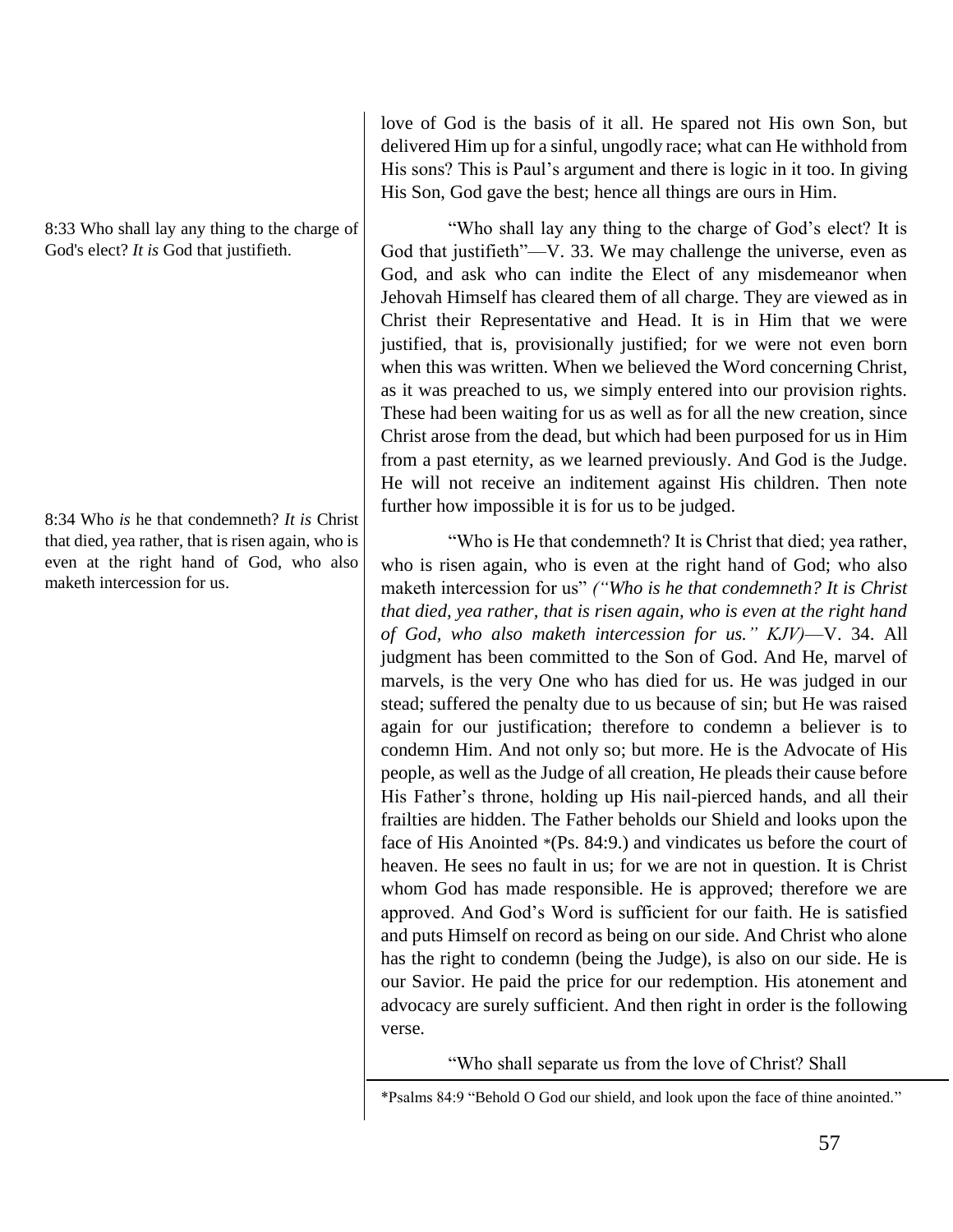8:33 Who shall lay any thing to the charge of God's elect? *It is* God that justifieth.

8:34 Who *is* he that condemneth? *It is* Christ that died, yea rather, that is risen again, who is even at the right hand of God, who also maketh intercession for us.

love of God is the basis of it all. He spared not His own Son, but delivered Him up for a sinful, ungodly race; what can He withhold from His sons? This is Paul's argument and there is logic in it too. In giving His Son, God gave the best; hence all things are ours in Him.

"Who shall lay any thing to the charge of God's elect? It is God that justifieth"—V. 33. We may challenge the universe, even as God, and ask who can indite the Elect of any misdemeanor when Jehovah Himself has cleared them of all charge. They are viewed as in Christ their Representative and Head. It is in Him that we were justified, that is, provisionally justified; for we were not even born when this was written. When we believed the Word concerning Christ, as it was preached to us, we simply entered into our provision rights. These had been waiting for us as well as for all the new creation, since Christ arose from the dead, but which had been purposed for us in Him from a past eternity, as we learned previously. And God is the Judge. He will not receive an inditement against His children. Then note further how impossible it is for us to be judged.

"Who is He that condemneth? It is Christ that died; yea rather, who is risen again, who is even at the right hand of God; who also maketh intercession for us" *("Who is he that condemneth? It is Christ that died, yea rather, that is risen again, who is even at the right hand of God, who also maketh intercession for us." KJV)*—V. 34. All judgment has been committed to the Son of God. And He, marvel of marvels, is the very One who has died for us. He was judged in our stead; suffered the penalty due to us because of sin; but He was raised again for our justification; therefore to condemn a believer is to condemn Him. And not only so; but more. He is the Advocate of His people, as well as the Judge of all creation, He pleads their cause before His Father's throne, holding up His nail-pierced hands, and all their frailties are hidden. The Father beholds our Shield and looks upon the face of His Anointed \*(Ps. 84:9.) and vindicates us before the court of heaven. He sees no fault in us; for we are not in question. It is Christ whom God has made responsible. He is approved; therefore we are approved. And God's Word is sufficient for our faith. He is satisfied and puts Himself on record as being on our side. And Christ who alone has the right to condemn (being the Judge), is also on our side. He is our Savior. He paid the price for our redemption. His atonement and advocacy are surely sufficient. And then right in order is the following verse.

"Who shall separate us from the love of Christ? Shall

<sup>\*</sup>Psalms 84:9 "Behold O God our shield, and look upon the face of thine anointed."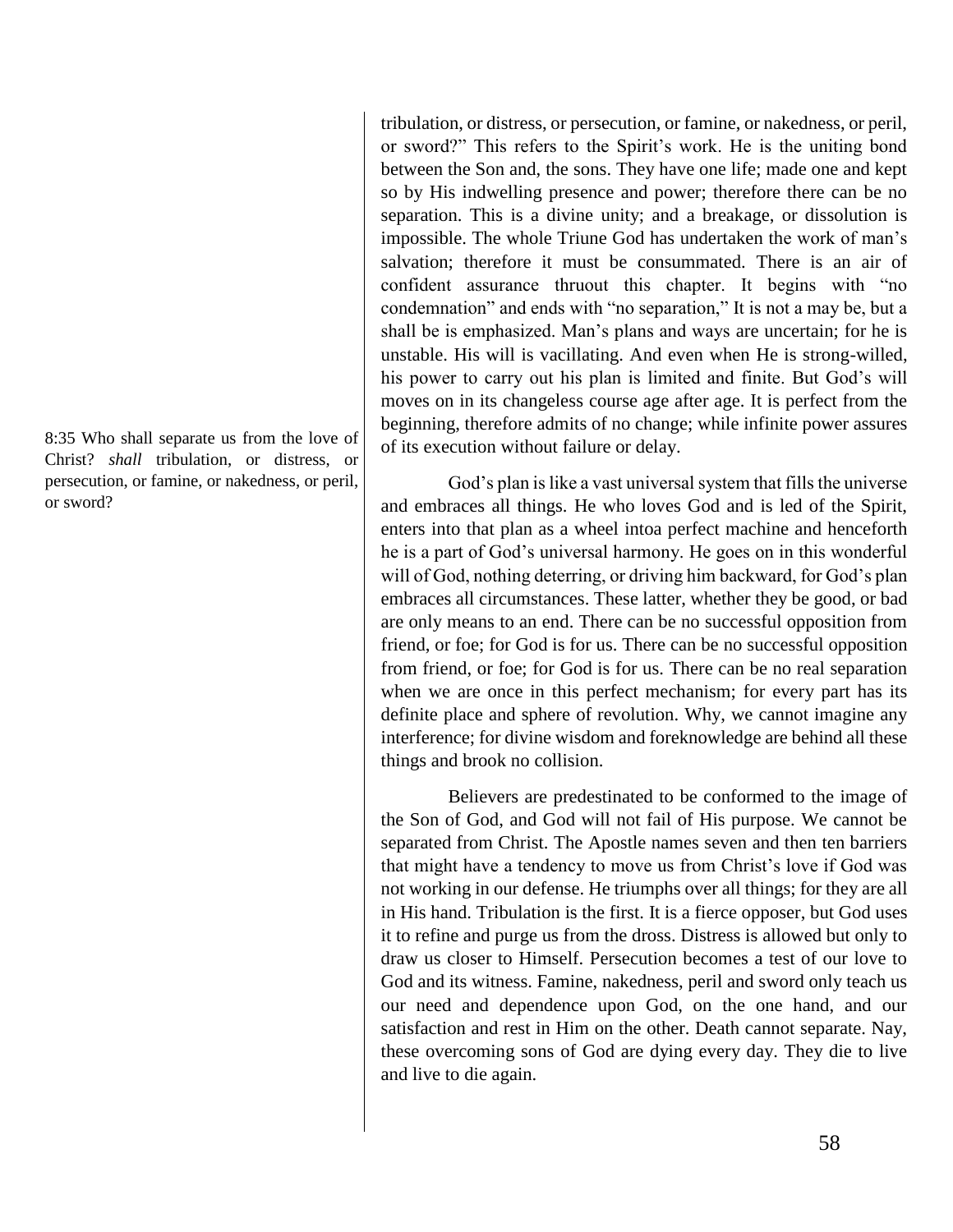8:35 Who shall separate us from the love of Christ? *shall* tribulation, or distress, or persecution, or famine, or nakedness, or peril, or sword?

tribulation, or distress, or persecution, or famine, or nakedness, or peril, or sword?" This refers to the Spirit's work. He is the uniting bond between the Son and, the sons. They have one life; made one and kept so by His indwelling presence and power; therefore there can be no separation. This is a divine unity; and a breakage, or dissolution is impossible. The whole Triune God has undertaken the work of man's salvation; therefore it must be consummated. There is an air of confident assurance thruout this chapter. It begins with "no condemnation" and ends with "no separation," It is not a may be, but a shall be is emphasized. Man's plans and ways are uncertain; for he is unstable. His will is vacillating. And even when He is strong-willed, his power to carry out his plan is limited and finite. But God's will moves on in its changeless course age after age. It is perfect from the beginning, therefore admits of no change; while infinite power assures of its execution without failure or delay.

God's plan is like a vast universal system that fills the universe and embraces all things. He who loves God and is led of the Spirit, enters into that plan as a wheel intoa perfect machine and henceforth he is a part of God's universal harmony. He goes on in this wonderful will of God, nothing deterring, or driving him backward, for God's plan embraces all circumstances. These latter, whether they be good, or bad are only means to an end. There can be no successful opposition from friend, or foe; for God is for us. There can be no successful opposition from friend, or foe; for God is for us. There can be no real separation when we are once in this perfect mechanism; for every part has its definite place and sphere of revolution. Why, we cannot imagine any interference; for divine wisdom and foreknowledge are behind all these things and brook no collision.

Believers are predestinated to be conformed to the image of the Son of God, and God will not fail of His purpose. We cannot be separated from Christ. The Apostle names seven and then ten barriers that might have a tendency to move us from Christ's love if God was not working in our defense. He triumphs over all things; for they are all in His hand. Tribulation is the first. It is a fierce opposer, but God uses it to refine and purge us from the dross. Distress is allowed but only to draw us closer to Himself. Persecution becomes a test of our love to God and its witness. Famine, nakedness, peril and sword only teach us our need and dependence upon God, on the one hand, and our satisfaction and rest in Him on the other. Death cannot separate. Nay, these overcoming sons of God are dying every day. They die to live and live to die again.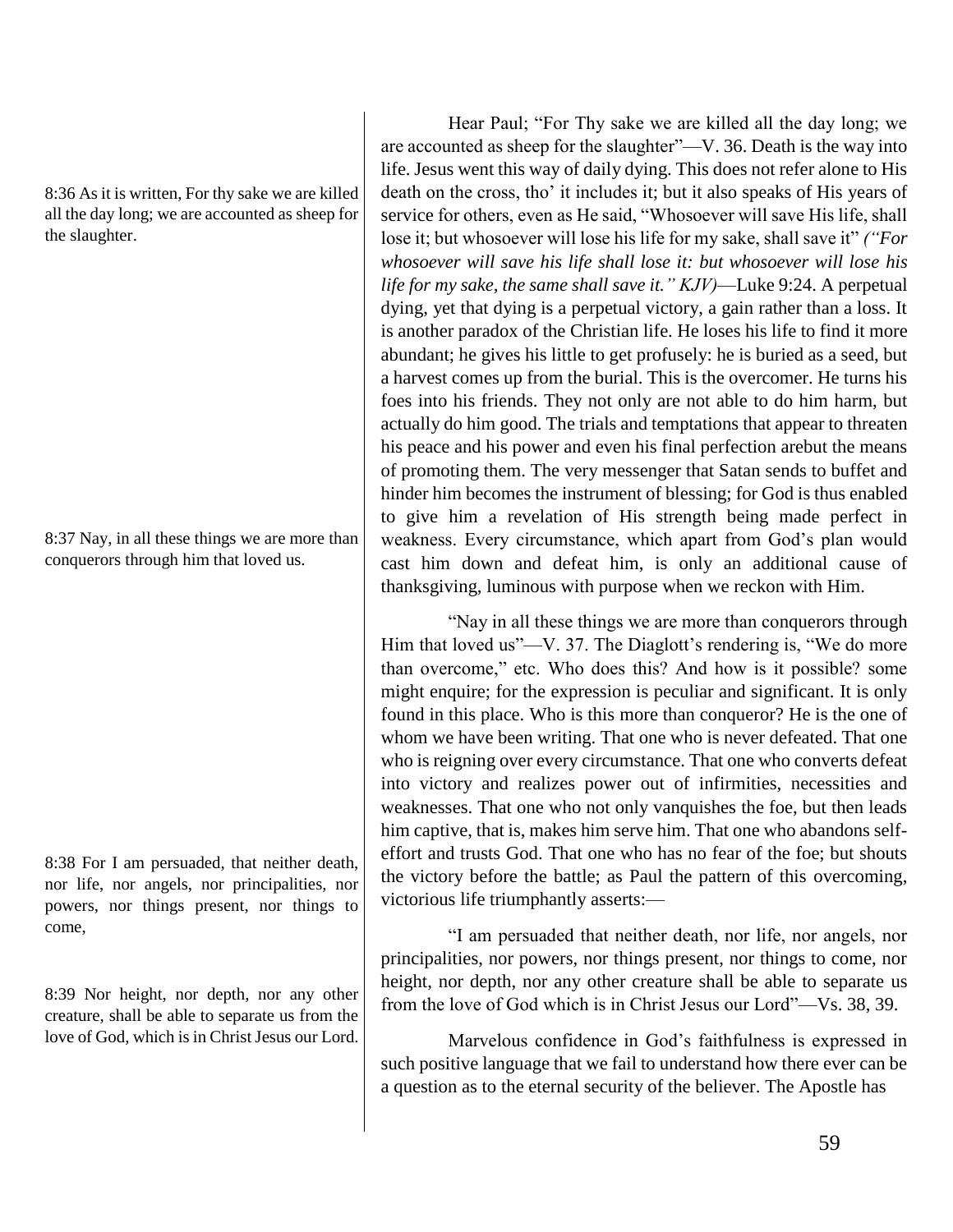8:36 As it is written, For thy sake we are killed all the day long; we are accounted as sheep for the slaughter.

8:37 Nay, in all these things we are more than conquerors through him that loved us.

8:38 For I am persuaded, that neither death, nor life, nor angels, nor principalities, nor powers, nor things present, nor things to come,

8:39 Nor height, nor depth, nor any other creature, shall be able to separate us from the love of God, which is in Christ Jesus our Lord.

Hear Paul; "For Thy sake we are killed all the day long; we are accounted as sheep for the slaughter"—V. 36. Death is the way into life. Jesus went this way of daily dying. This does not refer alone to His death on the cross, tho' it includes it; but it also speaks of His years of service for others, even as He said, "Whosoever will save His life, shall lose it; but whosoever will lose his life for my sake, shall save it" *("For whosoever will save his life shall lose it: but whosoever will lose his life for my sake, the same shall save it." KJV)*—Luke 9:24. A perpetual dying, yet that dying is a perpetual victory, a gain rather than a loss. It is another paradox of the Christian life. He loses his life to find it more abundant; he gives his little to get profusely: he is buried as a seed, but a harvest comes up from the burial. This is the overcomer. He turns his foes into his friends. They not only are not able to do him harm, but actually do him good. The trials and temptations that appear to threaten his peace and his power and even his final perfection arebut the means of promoting them. The very messenger that Satan sends to buffet and hinder him becomes the instrument of blessing; for God is thus enabled to give him a revelation of His strength being made perfect in weakness. Every circumstance, which apart from God's plan would cast him down and defeat him, is only an additional cause of thanksgiving, luminous with purpose when we reckon with Him.

"Nay in all these things we are more than conquerors through Him that loved us"—V. 37. The Diaglott's rendering is, "We do more than overcome," etc. Who does this? And how is it possible? some might enquire; for the expression is peculiar and significant. It is only found in this place. Who is this more than conqueror? He is the one of whom we have been writing. That one who is never defeated. That one who is reigning over every circumstance. That one who converts defeat into victory and realizes power out of infirmities, necessities and weaknesses. That one who not only vanquishes the foe, but then leads him captive, that is, makes him serve him. That one who abandons selfeffort and trusts God. That one who has no fear of the foe; but shouts the victory before the battle; as Paul the pattern of this overcoming, victorious life triumphantly asserts:—

"I am persuaded that neither death, nor life, nor angels, nor principalities, nor powers, nor things present, nor things to come, nor height, nor depth, nor any other creature shall be able to separate us from the love of God which is in Christ Jesus our Lord"—Vs. 38, 39.

Marvelous confidence in God's faithfulness is expressed in such positive language that we fail to understand how there ever can be a question as to the eternal security of the believer. The Apostle has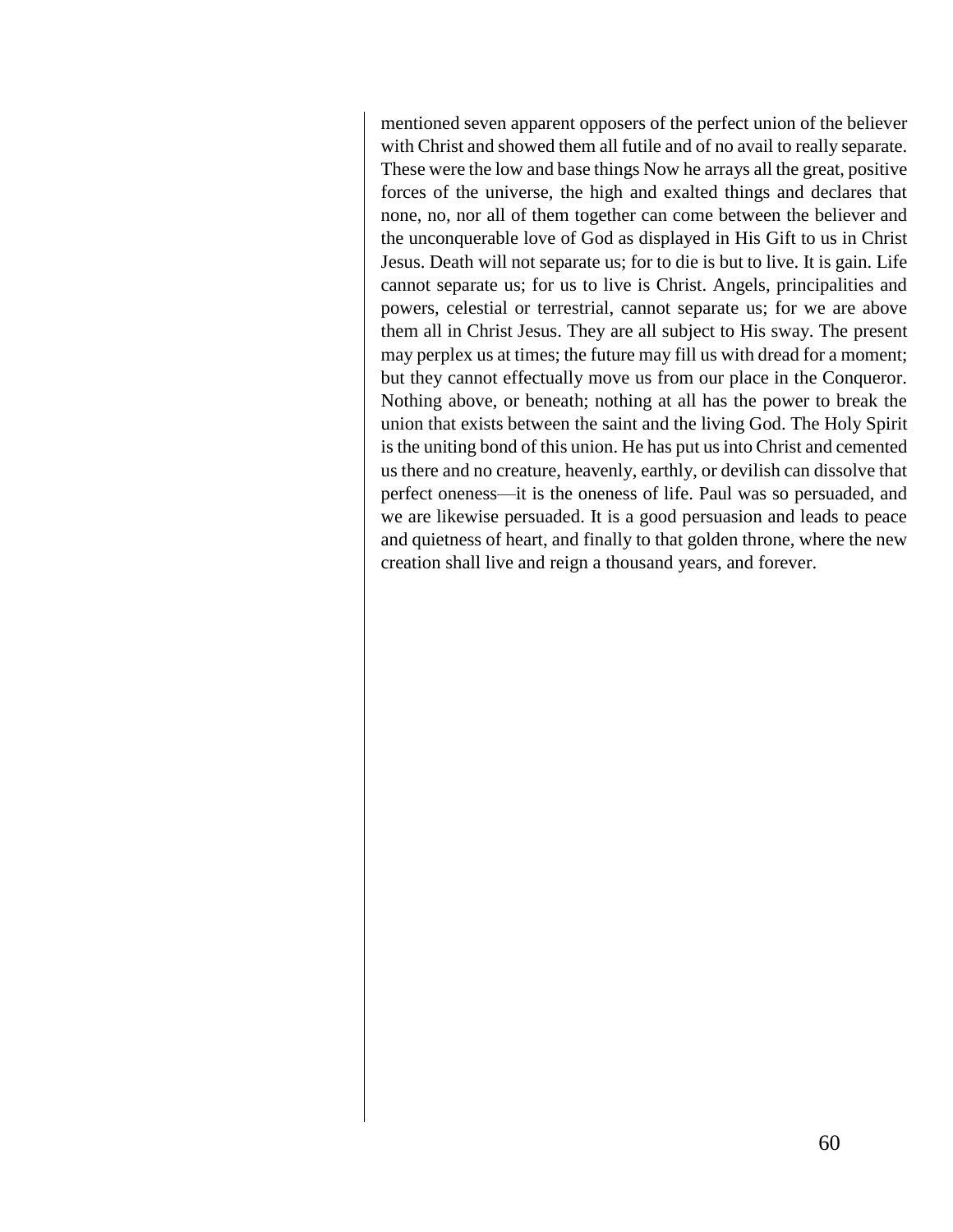mentioned seven apparent opposers of the perfect union of the believer with Christ and showed them all futile and of no avail to really separate. These were the low and base things Now he arrays all the great, positive forces of the universe, the high and exalted things and declares that none, no, nor all of them together can come between the believer and the unconquerable love of God as displayed in His Gift to us in Christ Jesus. Death will not separate us; for to die is but to live. It is gain. Life cannot separate us; for us to live is Christ. Angels, principalities and powers, celestial or terrestrial, cannot separate us; for we are above them all in Christ Jesus. They are all subject to His sway. The present may perplex us at times; the future may fill us with dread for a moment; but they cannot effectually move us from our place in the Conqueror. Nothing above, or beneath; nothing at all has the power to break the union that exists between the saint and the living God. The Holy Spirit is the uniting bond of this union. He has put us into Christ and cemented us there and no creature, heavenly, earthly, or devilish can dissolve that perfect oneness—it is the oneness of life. Paul was so persuaded, and we are likewise persuaded. It is a good persuasion and leads to peace and quietness of heart, and finally to that golden throne, where the new creation shall live and reign a thousand years, and forever.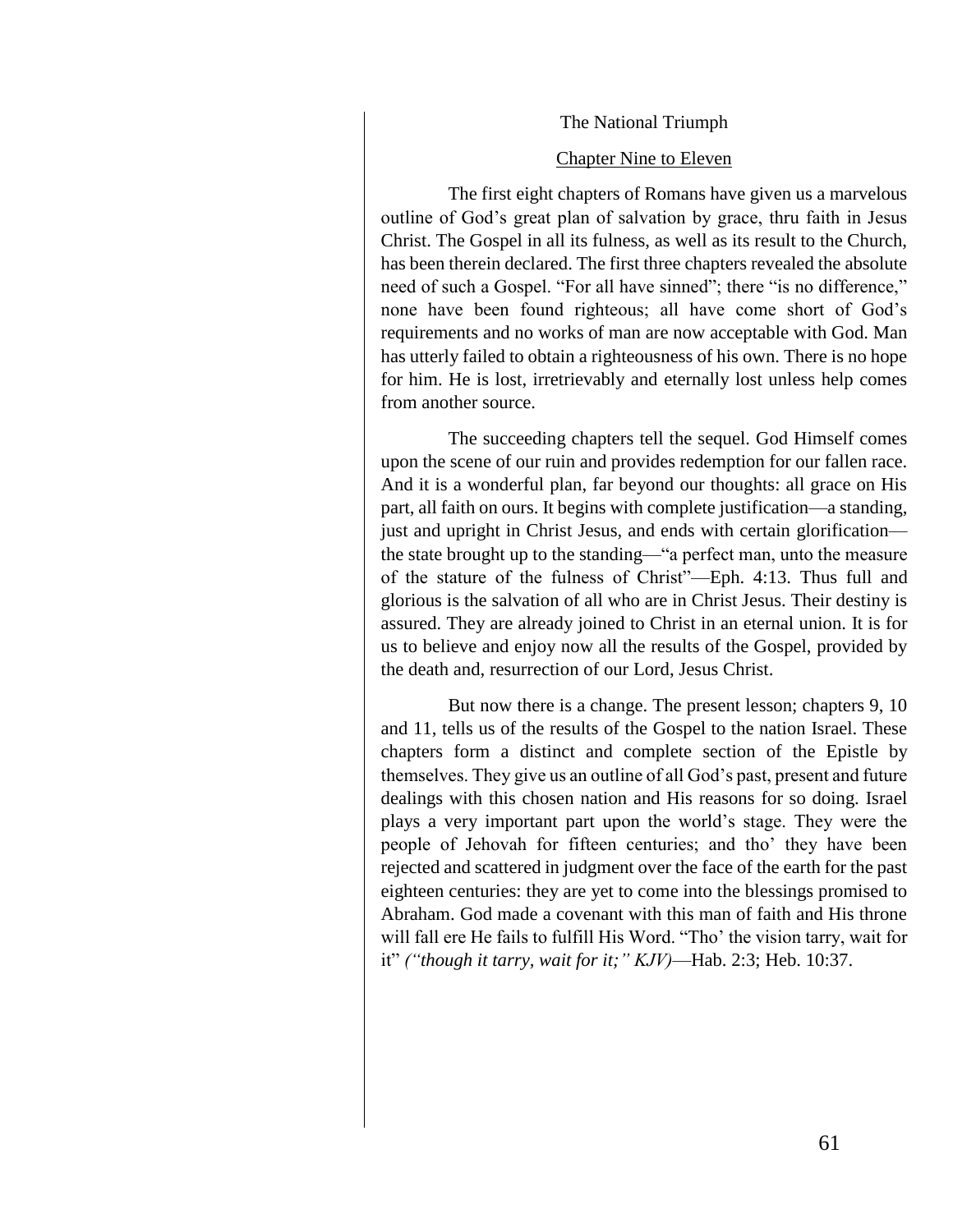#### The National Triumph

#### Chapter Nine to Eleven

The first eight chapters of Romans have given us a marvelous outline of God's great plan of salvation by grace, thru faith in Jesus Christ. The Gospel in all its fulness, as well as its result to the Church, has been therein declared. The first three chapters revealed the absolute need of such a Gospel. "For all have sinned"; there "is no difference," none have been found righteous; all have come short of God's requirements and no works of man are now acceptable with God. Man has utterly failed to obtain a righteousness of his own. There is no hope for him. He is lost, irretrievably and eternally lost unless help comes from another source.

The succeeding chapters tell the sequel. God Himself comes upon the scene of our ruin and provides redemption for our fallen race. And it is a wonderful plan, far beyond our thoughts: all grace on His part, all faith on ours. It begins with complete justification—a standing, just and upright in Christ Jesus, and ends with certain glorification the state brought up to the standing—"a perfect man, unto the measure of the stature of the fulness of Christ"—Eph. 4:13. Thus full and glorious is the salvation of all who are in Christ Jesus. Their destiny is assured. They are already joined to Christ in an eternal union. It is for us to believe and enjoy now all the results of the Gospel, provided by the death and, resurrection of our Lord, Jesus Christ.

But now there is a change. The present lesson; chapters 9, 10 and 11, tells us of the results of the Gospel to the nation Israel. These chapters form a distinct and complete section of the Epistle by themselves. They give us an outline of all God's past, present and future dealings with this chosen nation and His reasons for so doing. Israel plays a very important part upon the world's stage. They were the people of Jehovah for fifteen centuries; and tho' they have been rejected and scattered in judgment over the face of the earth for the past eighteen centuries: they are yet to come into the blessings promised to Abraham. God made a covenant with this man of faith and His throne will fall ere He fails to fulfill His Word. "Tho' the vision tarry, wait for it" *("though it tarry, wait for it;" KJV)*—Hab. 2:3; Heb. 10:37.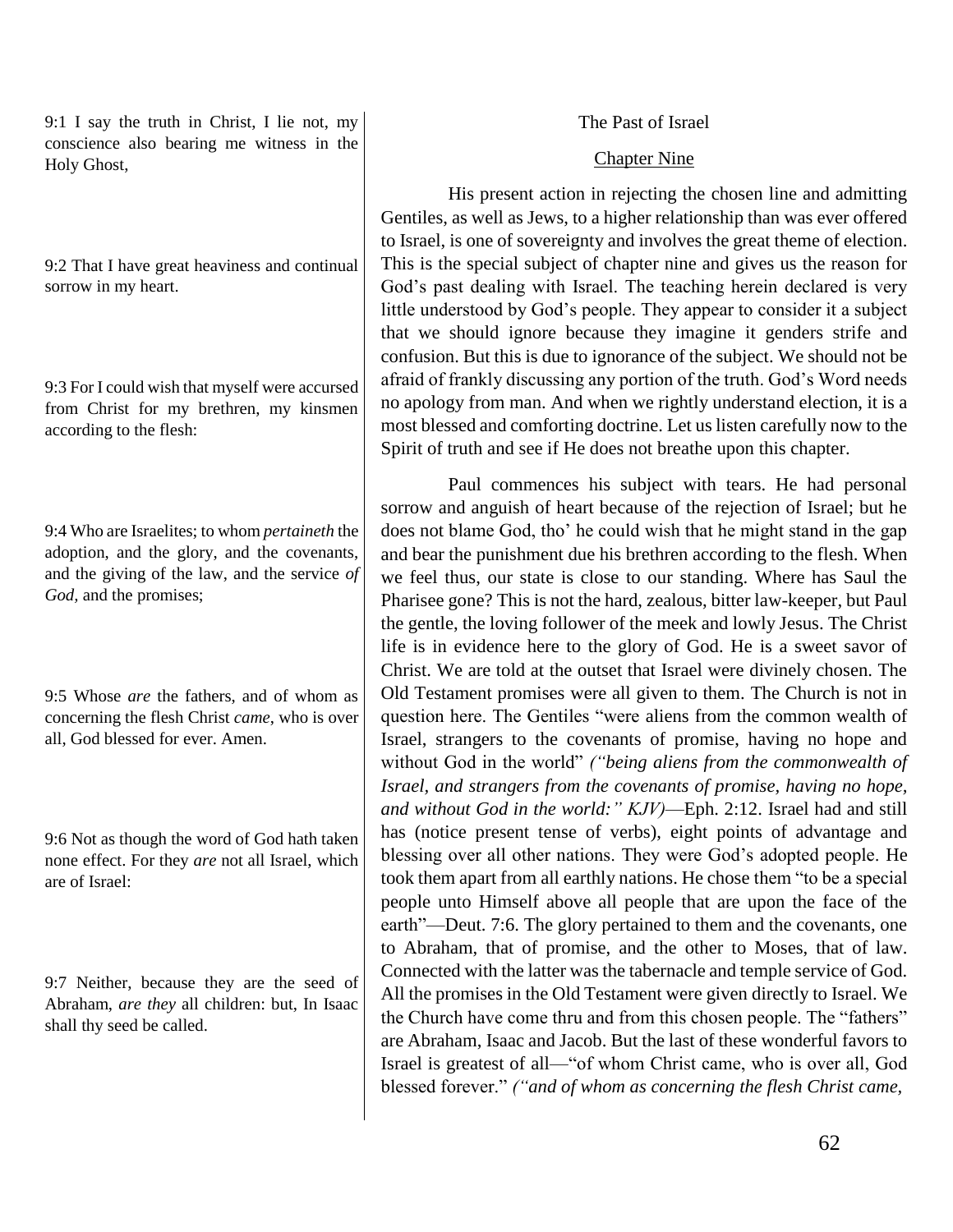9:1 I say the truth in Christ, I lie not, my conscience also bearing me witness in the Holy Ghost,

9:2 That I have great heaviness and continual sorrow in my heart.

9:3 For I could wish that myself were accursed from Christ for my brethren, my kinsmen according to the flesh:

9:4 Who are Israelites; to whom *pertaineth* the adoption, and the glory, and the covenants, and the giving of the law, and the service *of God,* and the promises;

9:5 Whose *are* the fathers, and of whom as concerning the flesh Christ *came*, who is over all, God blessed for ever. Amen.

9:6 Not as though the word of God hath taken none effect. For they *are* not all Israel, which are of Israel:

9:7 Neither, because they are the seed of Abraham, *are they* all children: but, In Isaac shall thy seed be called.

## The Past of Israel

## Chapter Nine

His present action in rejecting the chosen line and admitting Gentiles, as well as Jews, to a higher relationship than was ever offered to Israel, is one of sovereignty and involves the great theme of election. This is the special subject of chapter nine and gives us the reason for God's past dealing with Israel. The teaching herein declared is very little understood by God's people. They appear to consider it a subject that we should ignore because they imagine it genders strife and confusion. But this is due to ignorance of the subject. We should not be afraid of frankly discussing any portion of the truth. God's Word needs no apology from man. And when we rightly understand election, it is a most blessed and comforting doctrine. Let us listen carefully now to the Spirit of truth and see if He does not breathe upon this chapter.

Paul commences his subject with tears. He had personal sorrow and anguish of heart because of the rejection of Israel; but he does not blame God, tho' he could wish that he might stand in the gap and bear the punishment due his brethren according to the flesh. When we feel thus, our state is close to our standing. Where has Saul the Pharisee gone? This is not the hard, zealous, bitter law-keeper, but Paul the gentle, the loving follower of the meek and lowly Jesus. The Christ life is in evidence here to the glory of God. He is a sweet savor of Christ. We are told at the outset that Israel were divinely chosen. The Old Testament promises were all given to them. The Church is not in question here. The Gentiles "were aliens from the common wealth of Israel, strangers to the covenants of promise, having no hope and without God in the world" *("being aliens from the commonwealth of Israel, and strangers from the covenants of promise, having no hope, and without God in the world:" KJV)*—Eph. 2:12. Israel had and still has (notice present tense of verbs), eight points of advantage and blessing over all other nations. They were God's adopted people. He took them apart from all earthly nations. He chose them "to be a special people unto Himself above all people that are upon the face of the earth"—Deut. 7:6. The glory pertained to them and the covenants, one to Abraham, that of promise, and the other to Moses, that of law. Connected with the latter was the tabernacle and temple service of God. All the promises in the Old Testament were given directly to Israel. We the Church have come thru and from this chosen people. The "fathers" are Abraham, Isaac and Jacob. But the last of these wonderful favors to Israel is greatest of all—"of whom Christ came, who is over all, God blessed forever." *("and of whom as concerning the flesh Christ came,*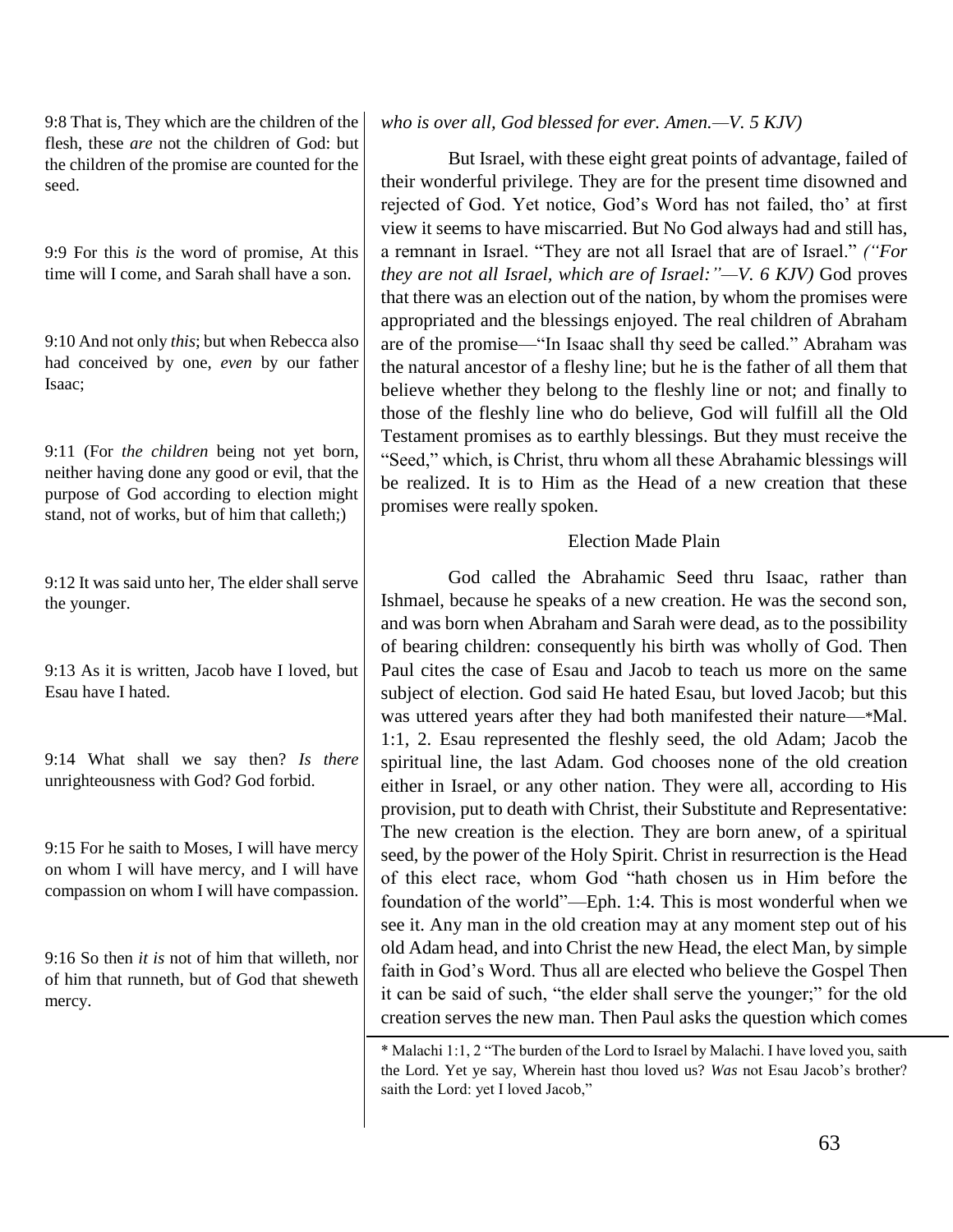9:8 That is, They which are the children of the flesh, these *are* not the children of God: but the children of the promise are counted for the seed.

9:9 For this *is* the word of promise, At this time will I come, and Sarah shall have a son.

9:10 And not only *this*; but when Rebecca also had conceived by one, *even* by our father Isaac;

9:11 (For *the children* being not yet born, neither having done any good or evil, that the purpose of God according to election might stand, not of works, but of him that calleth;)

9:12 It was said unto her, The elder shall serve the younger.

9:13 As it is written, Jacob have I loved, but Esau have I hated.

9:14 What shall we say then? *Is there* unrighteousness with God? God forbid.

9:15 For he saith to Moses, I will have mercy on whom I will have mercy, and I will have compassion on whom I will have compassion.

9:16 So then *it is* not of him that willeth, nor of him that runneth, but of God that sheweth mercy.

# *who is over all, God blessed for ever. Amen.—V. 5 KJV)*

But Israel, with these eight great points of advantage, failed of their wonderful privilege. They are for the present time disowned and rejected of God. Yet notice, God's Word has not failed, tho' at first view it seems to have miscarried. But No God always had and still has, a remnant in Israel. "They are not all Israel that are of Israel." *("For they are not all Israel, which are of Israel:"—V. 6 KJV)* God proves that there was an election out of the nation, by whom the promises were appropriated and the blessings enjoyed. The real children of Abraham are of the promise—"In Isaac shall thy seed be called." Abraham was the natural ancestor of a fleshy line; but he is the father of all them that believe whether they belong to the fleshly line or not; and finally to those of the fleshly line who do believe, God will fulfill all the Old Testament promises as to earthly blessings. But they must receive the "Seed," which, is Christ, thru whom all these Abrahamic blessings will be realized. It is to Him as the Head of a new creation that these promises were really spoken.

## Election Made Plain

God called the Abrahamic Seed thru Isaac, rather than Ishmael, because he speaks of a new creation. He was the second son, and was born when Abraham and Sarah were dead, as to the possibility of bearing children: consequently his birth was wholly of God. Then Paul cites the case of Esau and Jacob to teach us more on the same subject of election. God said He hated Esau, but loved Jacob; but this was uttered years after they had both manifested their nature—\*Mal. 1:1, 2. Esau represented the fleshly seed, the old Adam; Jacob the spiritual line, the last Adam. God chooses none of the old creation either in Israel, or any other nation. They were all, according to His provision, put to death with Christ, their Substitute and Representative: The new creation is the election. They are born anew, of a spiritual seed, by the power of the Holy Spirit. Christ in resurrection is the Head of this elect race, whom God "hath chosen us in Him before the foundation of the world"—Eph. 1:4. This is most wonderful when we see it. Any man in the old creation may at any moment step out of his old Adam head, and into Christ the new Head, the elect Man, by simple faith in God's Word. Thus all are elected who believe the Gospel Then it can be said of such, "the elder shall serve the younger;" for the old creation serves the new man. Then Paul asks the question which comes

<sup>\*</sup> Malachi 1:1, 2 "The burden of the Lord to Israel by Malachi. I have loved you, saith the Lord. Yet ye say, Wherein hast thou loved us? *Was* not Esau Jacob's brother? saith the Lord: yet I loved Jacob,"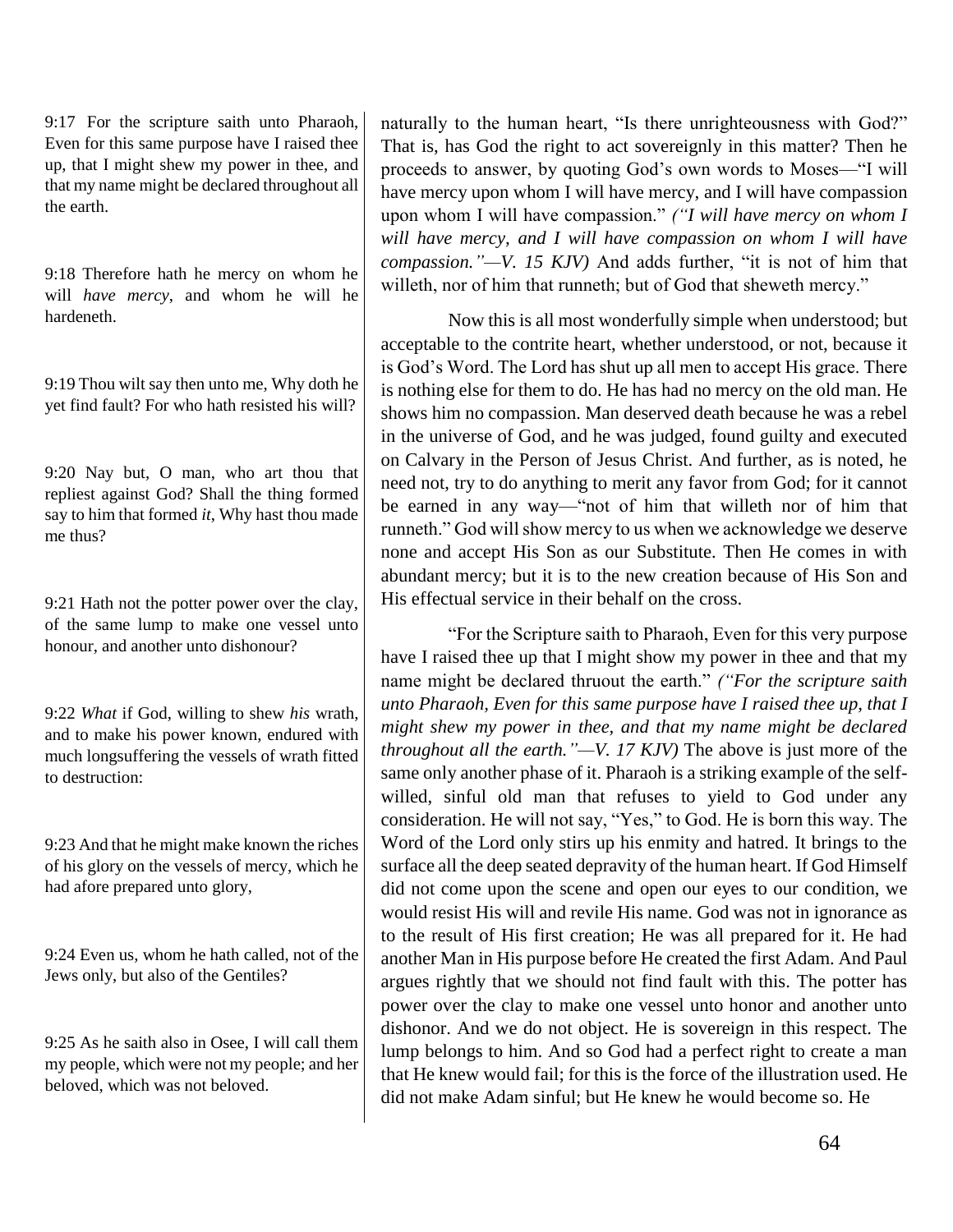9:17 For the scripture saith unto Pharaoh, Even for this same purpose have I raised thee up, that I might shew my power in thee, and that my name might be declared throughout all the earth.

9:18 Therefore hath he mercy on whom he will *have mercy*, and whom he will he hardeneth.

9:19 Thou wilt say then unto me, Why doth he yet find fault? For who hath resisted his will?

9:20 Nay but, O man, who art thou that repliest against God? Shall the thing formed say to him that formed *it*, Why hast thou made me thus?

9:21 Hath not the potter power over the clay, of the same lump to make one vessel unto honour, and another unto dishonour?

9:22 *What* if God, willing to shew *his* wrath, and to make his power known, endured with much longsuffering the vessels of wrath fitted to destruction:

9:23 And that he might make known the riches of his glory on the vessels of mercy, which he had afore prepared unto glory,

9:24 Even us, whom he hath called, not of the Jews only, but also of the Gentiles?

9:25 As he saith also in Osee, I will call them my people, which were not my people; and her beloved, which was not beloved.

naturally to the human heart, "Is there unrighteousness with God?" That is, has God the right to act sovereignly in this matter? Then he proceeds to answer, by quoting God's own words to Moses—"I will have mercy upon whom I will have mercy, and I will have compassion upon whom I will have compassion." *("I will have mercy on whom I will have mercy, and I will have compassion on whom I will have compassion."—V. 15 KJV)* And adds further, "it is not of him that willeth, nor of him that runneth; but of God that sheweth mercy."

Now this is all most wonderfully simple when understood; but acceptable to the contrite heart, whether understood, or not, because it is God's Word. The Lord has shut up all men to accept His grace. There is nothing else for them to do. He has had no mercy on the old man. He shows him no compassion. Man deserved death because he was a rebel in the universe of God, and he was judged, found guilty and executed on Calvary in the Person of Jesus Christ. And further, as is noted, he need not, try to do anything to merit any favor from God; for it cannot be earned in any way—"not of him that willeth nor of him that runneth." God will show mercy to us when we acknowledge we deserve none and accept His Son as our Substitute. Then He comes in with abundant mercy; but it is to the new creation because of His Son and His effectual service in their behalf on the cross.

"For the Scripture saith to Pharaoh, Even for this very purpose have I raised thee up that I might show my power in thee and that my name might be declared thruout the earth." *("For the scripture saith unto Pharaoh, Even for this same purpose have I raised thee up, that I might shew my power in thee, and that my name might be declared throughout all the earth."—V. 17 KJV)* The above is just more of the same only another phase of it. Pharaoh is a striking example of the selfwilled, sinful old man that refuses to yield to God under any consideration. He will not say, "Yes," to God. He is born this way. The Word of the Lord only stirs up his enmity and hatred. It brings to the surface all the deep seated depravity of the human heart. If God Himself did not come upon the scene and open our eyes to our condition, we would resist His will and revile His name. God was not in ignorance as to the result of His first creation; He was all prepared for it. He had another Man in His purpose before He created the first Adam. And Paul argues rightly that we should not find fault with this. The potter has power over the clay to make one vessel unto honor and another unto dishonor. And we do not object. He is sovereign in this respect. The lump belongs to him. And so God had a perfect right to create a man that He knew would fail; for this is the force of the illustration used. He did not make Adam sinful; but He knew he would become so. He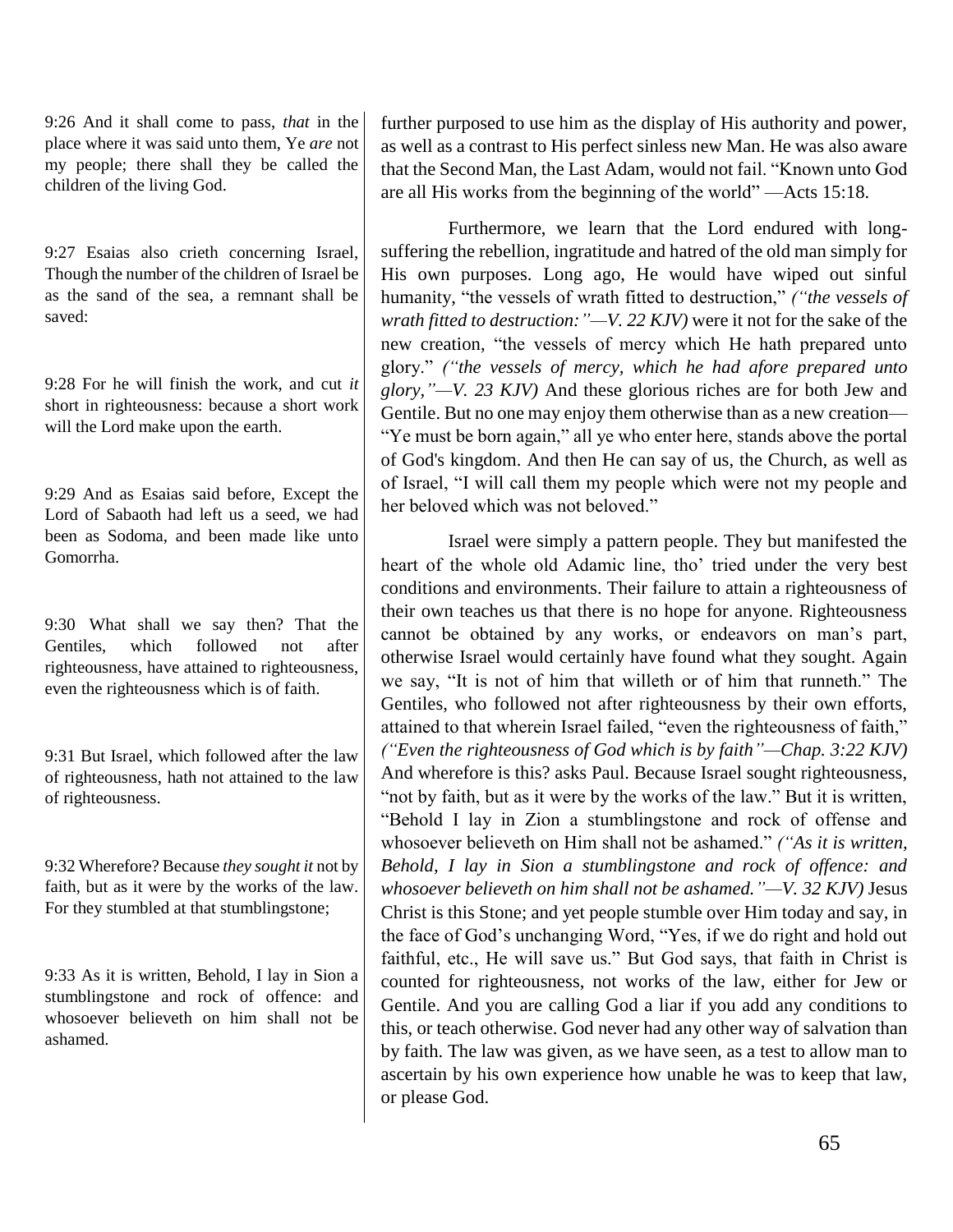9:26 And it shall come to pass, *that* in the place where it was said unto them, Ye *are* not my people; there shall they be called the children of the living God.

9:27 Esaias also crieth concerning Israel, Though the number of the children of Israel be as the sand of the sea, a remnant shall be saved:

9:28 For he will finish the work, and cut *it* short in righteousness: because a short work will the Lord make upon the earth.

9:29 And as Esaias said before, Except the Lord of Sabaoth had left us a seed, we had been as Sodoma, and been made like unto Gomorrha.

9:30 What shall we say then? That the Gentiles, which followed not after righteousness, have attained to righteousness, even the righteousness which is of faith.

9:31 But Israel, which followed after the law of righteousness, hath not attained to the law of righteousness.

9:32 Wherefore? Because *they sought it* not by faith, but as it were by the works of the law. For they stumbled at that stumblingstone;

9:33 As it is written, Behold, I lay in Sion a stumblingstone and rock of offence: and whosoever believeth on him shall not be ashamed.

further purposed to use him as the display of His authority and power, as well as a contrast to His perfect sinless new Man. He was also aware that the Second Man, the Last Adam, would not fail. "Known unto God are all His works from the beginning of the world" —Acts 15:18.

Furthermore, we learn that the Lord endured with longsuffering the rebellion, ingratitude and hatred of the old man simply for His own purposes. Long ago, He would have wiped out sinful humanity, "the vessels of wrath fitted to destruction," *("the vessels of wrath fitted to destruction:"—V. 22 KJV)* were it not for the sake of the new creation, "the vessels of mercy which He hath prepared unto glory." *("the vessels of mercy, which he had afore prepared unto glory,"—V. 23 KJV)* And these glorious riches are for both Jew and Gentile. But no one may enjoy them otherwise than as a new creation— "Ye must be born again," all ye who enter here, stands above the portal of God's kingdom. And then He can say of us, the Church, as well as of Israel, "I will call them my people which were not my people and her beloved which was not beloved."

Israel were simply a pattern people. They but manifested the heart of the whole old Adamic line, tho' tried under the very best conditions and environments. Their failure to attain a righteousness of their own teaches us that there is no hope for anyone. Righteousness cannot be obtained by any works, or endeavors on man's part, otherwise Israel would certainly have found what they sought. Again we say, "It is not of him that willeth or of him that runneth." The Gentiles, who followed not after righteousness by their own efforts, attained to that wherein Israel failed, "even the righteousness of faith," *("Even the righteousness of God which is by faith"—Chap. 3:22 KJV)* And wherefore is this? asks Paul. Because Israel sought righteousness, "not by faith, but as it were by the works of the law." But it is written, "Behold I lay in Zion a stumblingstone and rock of offense and whosoever believeth on Him shall not be ashamed." *("As it is written, Behold, I lay in Sion a stumblingstone and rock of offence: and whosoever believeth on him shall not be ashamed."—V. 32 KJV)* Jesus Christ is this Stone; and yet people stumble over Him today and say, in the face of God's unchanging Word, "Yes, if we do right and hold out faithful, etc., He will save us." But God says, that faith in Christ is counted for righteousness, not works of the law, either for Jew or Gentile. And you are calling God a liar if you add any conditions to this, or teach otherwise. God never had any other way of salvation than by faith. The law was given, as we have seen, as a test to allow man to ascertain by his own experience how unable he was to keep that law, or please God.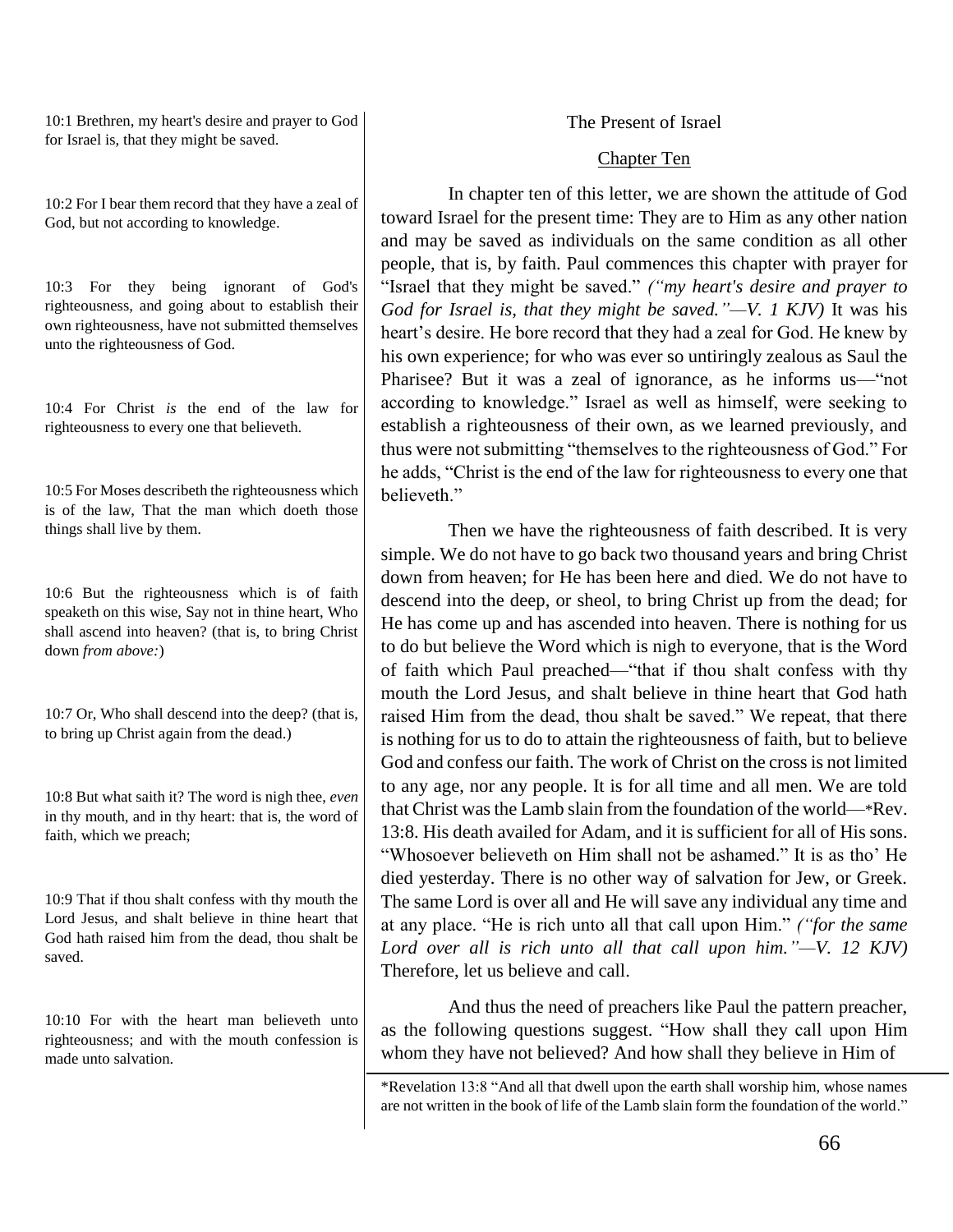10:1 Brethren, my heart's desire and prayer to God for Israel is, that they might be saved.

10:2 For I bear them record that they have a zeal of God, but not according to knowledge.

10:3 For they being ignorant of God's righteousness, and going about to establish their own righteousness, have not submitted themselves unto the righteousness of God.

10:4 For Christ *is* the end of the law for righteousness to every one that believeth.

10:5 For Moses describeth the righteousness which is of the law, That the man which doeth those things shall live by them.

10:6 But the righteousness which is of faith speaketh on this wise, Say not in thine heart, Who shall ascend into heaven? (that is, to bring Christ down *from above:*)

10:7 Or, Who shall descend into the deep? (that is, to bring up Christ again from the dead.)

10:8 But what saith it? The word is nigh thee, *even* in thy mouth, and in thy heart: that is, the word of faith, which we preach;

10:9 That if thou shalt confess with thy mouth the Lord Jesus, and shalt believe in thine heart that God hath raised him from the dead, thou shalt be saved.

10:10 For with the heart man believeth unto righteousness; and with the mouth confession is made unto salvation.

The Present of Israel

## Chapter Ten

In chapter ten of this letter, we are shown the attitude of God toward Israel for the present time: They are to Him as any other nation and may be saved as individuals on the same condition as all other people, that is, by faith. Paul commences this chapter with prayer for "Israel that they might be saved." *("my heart's desire and prayer to God for Israel is, that they might be saved."—V. 1 KJV)* It was his heart's desire. He bore record that they had a zeal for God. He knew by his own experience; for who was ever so untiringly zealous as Saul the Pharisee? But it was a zeal of ignorance, as he informs us—"not according to knowledge." Israel as well as himself, were seeking to establish a righteousness of their own, as we learned previously, and thus were not submitting "themselves to the righteousness of God." For he adds, "Christ is the end of the law for righteousness to every one that believeth."

Then we have the righteousness of faith described. It is very simple. We do not have to go back two thousand years and bring Christ down from heaven; for He has been here and died. We do not have to descend into the deep, or sheol, to bring Christ up from the dead; for He has come up and has ascended into heaven. There is nothing for us to do but believe the Word which is nigh to everyone, that is the Word of faith which Paul preached—"that if thou shalt confess with thy mouth the Lord Jesus, and shalt believe in thine heart that God hath raised Him from the dead, thou shalt be saved." We repeat, that there is nothing for us to do to attain the righteousness of faith, but to believe God and confess our faith. The work of Christ on the cross is not limited to any age, nor any people. It is for all time and all men. We are told that Christ was the Lamb slain from the foundation of the world—\*Rev. 13:8. His death availed for Adam, and it is sufficient for all of His sons. "Whosoever believeth on Him shall not be ashamed." It is as tho' He died yesterday. There is no other way of salvation for Jew, or Greek. The same Lord is over all and He will save any individual any time and at any place. "He is rich unto all that call upon Him." *("for the same Lord over all is rich unto all that call upon him."—V. 12 KJV)* Therefore, let us believe and call.

And thus the need of preachers like Paul the pattern preacher, as the following questions suggest. "How shall they call upon Him whom they have not believed? And how shall they believe in Him of

<sup>\*</sup>Revelation 13:8 "And all that dwell upon the earth shall worship him, whose names are not written in the book of life of the Lamb slain form the foundation of the world."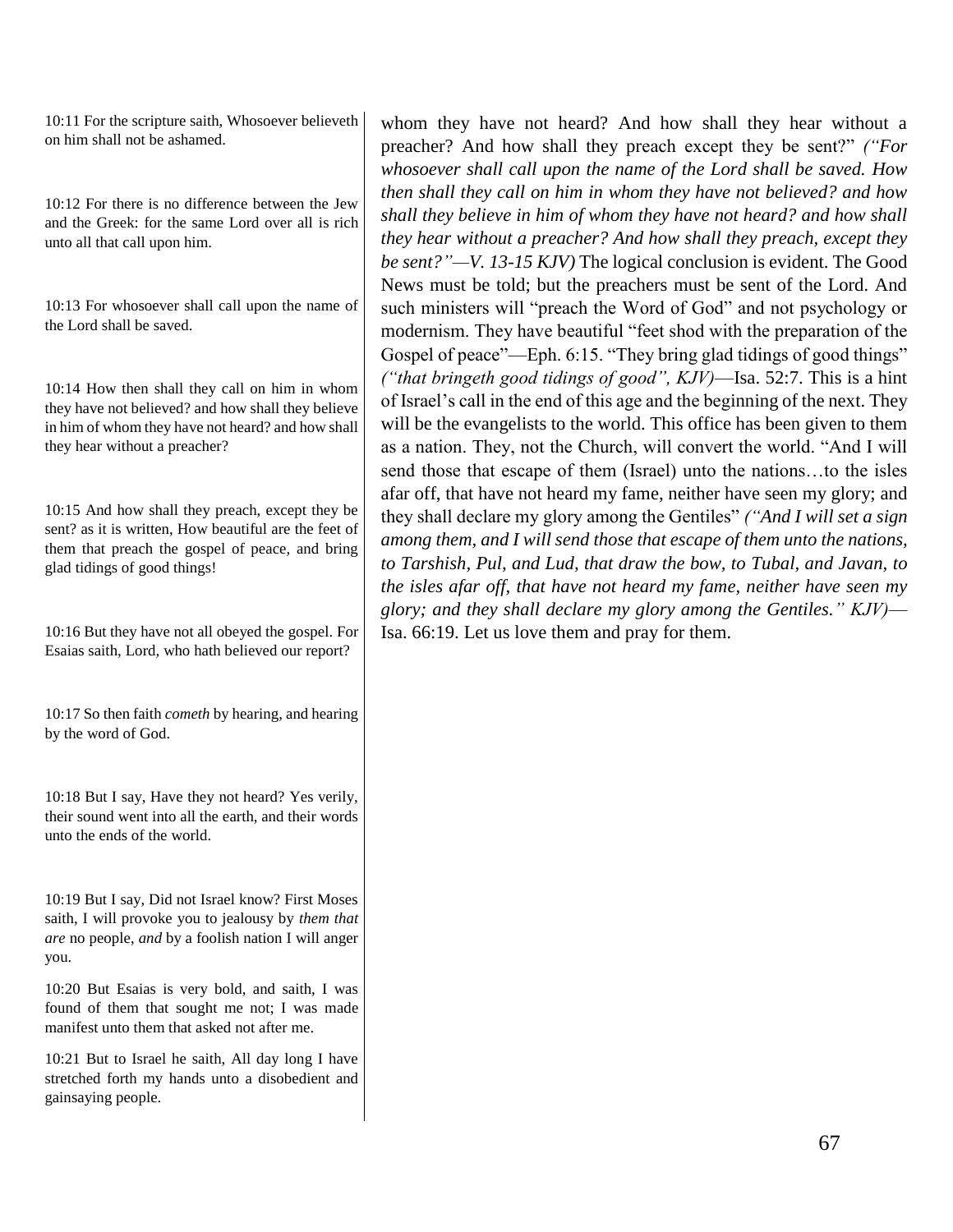10:11 For the scripture saith, Whosoever believeth on him shall not be ashamed.

10:12 For there is no difference between the Jew and the Greek: for the same Lord over all is rich unto all that call upon him.

10:13 For whosoever shall call upon the name of the Lord shall be saved.

10:14 How then shall they call on him in whom they have not believed? and how shall they believe in him of whom they have not heard? and how shall they hear without a preacher?

10:15 And how shall they preach, except they be sent? as it is written, How beautiful are the feet of them that preach the gospel of peace, and bring glad tidings of good things!

10:16 But they have not all obeyed the gospel. For Esaias saith, Lord, who hath believed our report?

10:17 So then faith *cometh* by hearing, and hearing by the word of God.

10:18 But I say, Have they not heard? Yes verily, their sound went into all the earth, and their words unto the ends of the world.

10:19 But I say, Did not Israel know? First Moses saith, I will provoke you to jealousy by *them that are* no people, *and* by a foolish nation I will anger you.

10:20 But Esaias is very bold, and saith, I was found of them that sought me not; I was made manifest unto them that asked not after me.

10:21 But to Israel he saith, All day long I have stretched forth my hands unto a disobedient and gainsaying people.

whom they have not heard? And how shall they hear without a preacher? And how shall they preach except they be sent?" *("For whosoever shall call upon the name of the Lord shall be saved. How then shall they call on him in whom they have not believed? and how shall they believe in him of whom they have not heard? and how shall they hear without a preacher? And how shall they preach, except they be sent?"—V. 13-15 KJV)* The logical conclusion is evident. The Good News must be told; but the preachers must be sent of the Lord. And such ministers will "preach the Word of God" and not psychology or modernism. They have beautiful "feet shod with the preparation of the Gospel of peace"—Eph. 6:15. "They bring glad tidings of good things" *("that bringeth good tidings of good", KJV)*—Isa. 52:7. This is a hint of Israel's call in the end of this age and the beginning of the next. They will be the evangelists to the world. This office has been given to them as a nation. They, not the Church, will convert the world. "And I will send those that escape of them (Israel) unto the nations…to the isles afar off, that have not heard my fame, neither have seen my glory; and they shall declare my glory among the Gentiles" *("And I will set a sign among them, and I will send those that escape of them unto the nations, to Tarshish, Pul, and Lud, that draw the bow, to Tubal, and Javan, to the isles afar off, that have not heard my fame, neither have seen my glory; and they shall declare my glory among the Gentiles." KJV)*— Isa. 66:19. Let us love them and pray for them.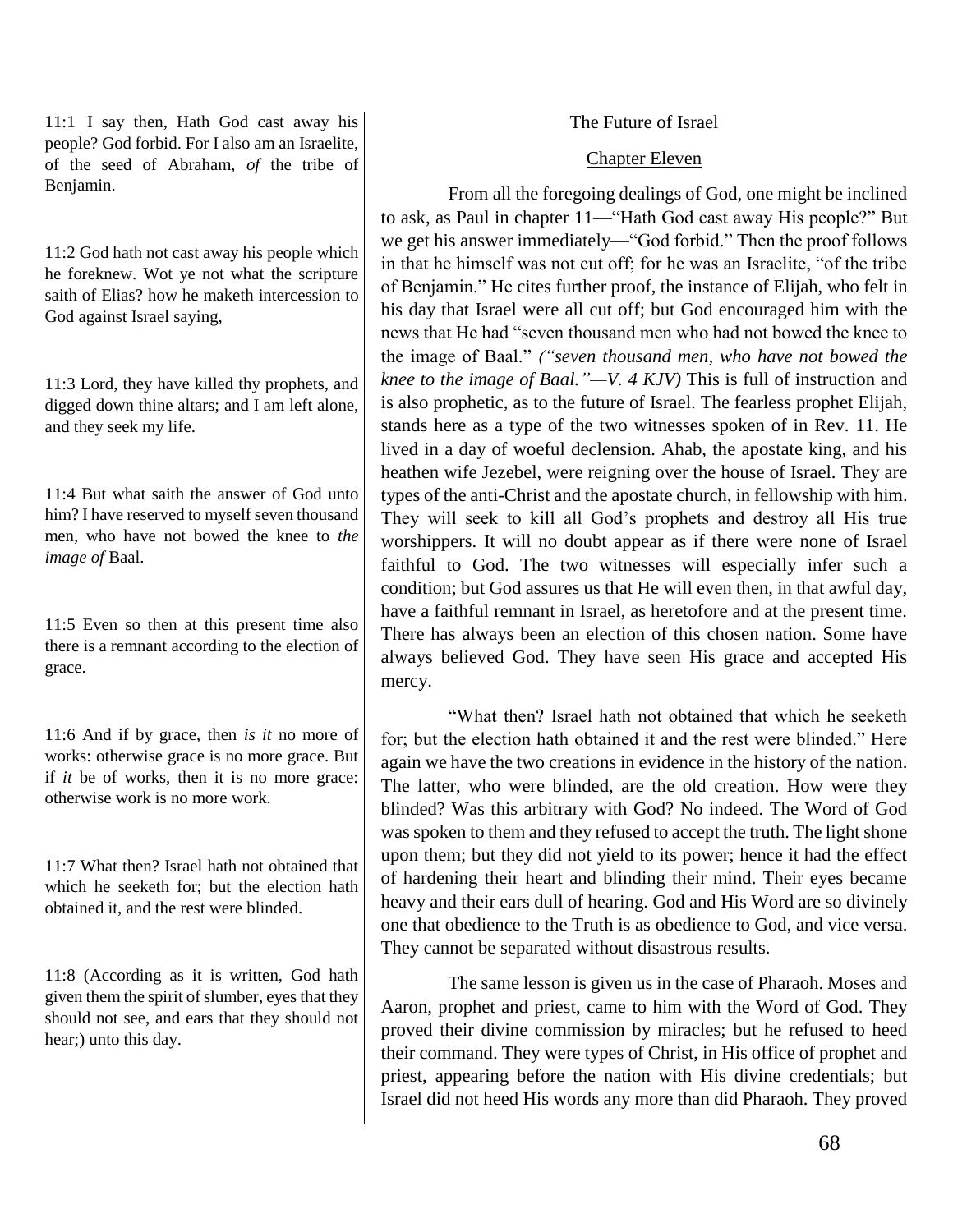11:1 I say then, Hath God cast away his people? God forbid. For I also am an Israelite, of the seed of Abraham, *of* the tribe of Benjamin.

11:2 God hath not cast away his people which he foreknew. Wot ye not what the scripture saith of Elias? how he maketh intercession to God against Israel saying,

11:3 Lord, they have killed thy prophets, and digged down thine altars; and I am left alone, and they seek my life.

11:4 But what saith the answer of God unto him? I have reserved to myself seven thousand men, who have not bowed the knee to *the image of* Baal.

11:5 Even so then at this present time also there is a remnant according to the election of grace.

11:6 And if by grace, then *is it* no more of works: otherwise grace is no more grace. But if *it* be of works, then it is no more grace: otherwise work is no more work.

11:7 What then? Israel hath not obtained that which he seeketh for; but the election hath obtained it, and the rest were blinded.

11:8 (According as it is written, God hath given them the spirit of slumber, eyes that they should not see, and ears that they should not hear;) unto this day.

# The Future of Israel

## Chapter Eleven

From all the foregoing dealings of God, one might be inclined to ask, as Paul in chapter 11—"Hath God cast away His people?" But we get his answer immediately—"God forbid." Then the proof follows in that he himself was not cut off; for he was an Israelite, "of the tribe of Benjamin." He cites further proof, the instance of Elijah, who felt in his day that Israel were all cut off; but God encouraged him with the news that He had "seven thousand men who had not bowed the knee to the image of Baal." *("seven thousand men, who have not bowed the knee to the image of Baal."—V. 4 KJV)* This is full of instruction and is also prophetic, as to the future of Israel. The fearless prophet Elijah, stands here as a type of the two witnesses spoken of in Rev. 11. He lived in a day of woeful declension. Ahab, the apostate king, and his heathen wife Jezebel, were reigning over the house of Israel. They are types of the anti-Christ and the apostate church, in fellowship with him. They will seek to kill all God's prophets and destroy all His true worshippers. It will no doubt appear as if there were none of Israel faithful to God. The two witnesses will especially infer such a condition; but God assures us that He will even then, in that awful day, have a faithful remnant in Israel, as heretofore and at the present time. There has always been an election of this chosen nation. Some have always believed God. They have seen His grace and accepted His mercy.

"What then? Israel hath not obtained that which he seeketh for; but the election hath obtained it and the rest were blinded." Here again we have the two creations in evidence in the history of the nation. The latter, who were blinded, are the old creation. How were they blinded? Was this arbitrary with God? No indeed. The Word of God was spoken to them and they refused to accept the truth. The light shone upon them; but they did not yield to its power; hence it had the effect of hardening their heart and blinding their mind. Their eyes became heavy and their ears dull of hearing. God and His Word are so divinely one that obedience to the Truth is as obedience to God, and vice versa. They cannot be separated without disastrous results.

The same lesson is given us in the case of Pharaoh. Moses and Aaron, prophet and priest, came to him with the Word of God. They proved their divine commission by miracles; but he refused to heed their command. They were types of Christ, in His office of prophet and priest, appearing before the nation with His divine credentials; but Israel did not heed His words any more than did Pharaoh. They proved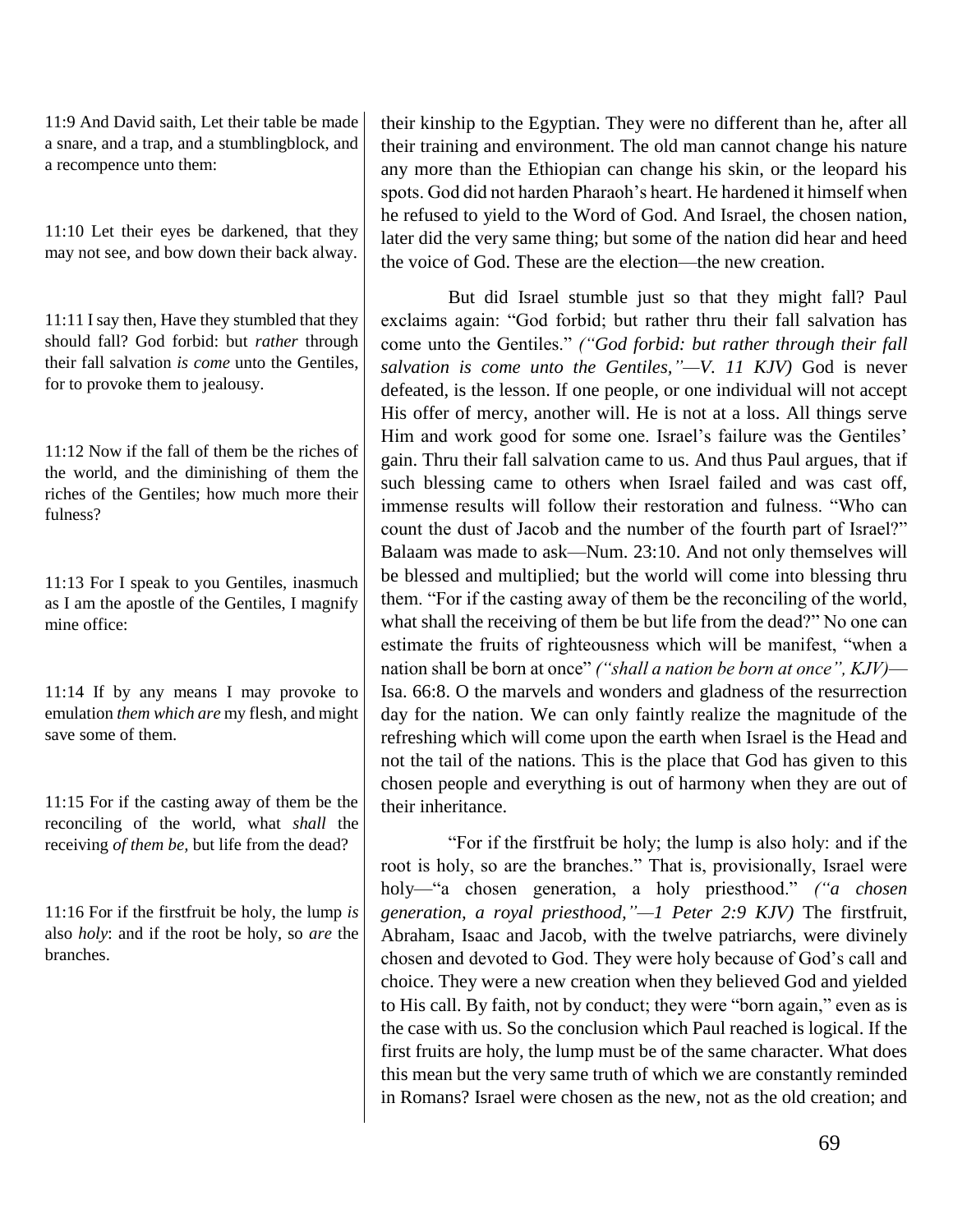11:9 And David saith, Let their table be made a snare, and a trap, and a stumblingblock, and a recompence unto them:

11:10 Let their eyes be darkened, that they may not see, and bow down their back alway.

11:11 I say then, Have they stumbled that they should fall? God forbid: but *rather* through their fall salvation *is come* unto the Gentiles, for to provoke them to jealousy.

11:12 Now if the fall of them be the riches of the world, and the diminishing of them the riches of the Gentiles; how much more their fulness?

11:13 For I speak to you Gentiles, inasmuch as I am the apostle of the Gentiles, I magnify mine office:

11:14 If by any means I may provoke to emulation *them which are* my flesh, and might save some of them.

11:15 For if the casting away of them be the reconciling of the world, what *shall* the receiving *of them be,* but life from the dead?

11:16 For if the firstfruit be holy, the lump *is* also *holy*: and if the root be holy, so *are* the branches.

their kinship to the Egyptian. They were no different than he, after all their training and environment. The old man cannot change his nature any more than the Ethiopian can change his skin, or the leopard his spots. God did not harden Pharaoh's heart. He hardened it himself when he refused to yield to the Word of God. And Israel, the chosen nation, later did the very same thing; but some of the nation did hear and heed the voice of God. These are the election—the new creation.

But did Israel stumble just so that they might fall? Paul exclaims again: "God forbid; but rather thru their fall salvation has come unto the Gentiles." *("God forbid: but rather through their fall salvation is come unto the Gentiles,"—V. 11 KJV)* God is never defeated, is the lesson. If one people, or one individual will not accept His offer of mercy, another will. He is not at a loss. All things serve Him and work good for some one. Israel's failure was the Gentiles' gain. Thru their fall salvation came to us. And thus Paul argues, that if such blessing came to others when Israel failed and was cast off, immense results will follow their restoration and fulness. "Who can count the dust of Jacob and the number of the fourth part of Israel?" Balaam was made to ask—Num. 23:10. And not only themselves will be blessed and multiplied; but the world will come into blessing thru them. "For if the casting away of them be the reconciling of the world, what shall the receiving of them be but life from the dead?" No one can estimate the fruits of righteousness which will be manifest, "when a nation shall be born at once" *("shall a nation be born at once", KJV)*— Isa. 66:8. O the marvels and wonders and gladness of the resurrection day for the nation. We can only faintly realize the magnitude of the refreshing which will come upon the earth when Israel is the Head and not the tail of the nations. This is the place that God has given to this chosen people and everything is out of harmony when they are out of their inheritance.

"For if the firstfruit be holy; the lump is also holy: and if the root is holy, so are the branches." That is, provisionally, Israel were holy—"a chosen generation, a holy priesthood." *("a chosen generation, a royal priesthood,"—1 Peter 2:9 KJV)* The firstfruit, Abraham, Isaac and Jacob, with the twelve patriarchs, were divinely chosen and devoted to God. They were holy because of God's call and choice. They were a new creation when they believed God and yielded to His call. By faith, not by conduct; they were "born again," even as is the case with us. So the conclusion which Paul reached is logical. If the first fruits are holy, the lump must be of the same character. What does this mean but the very same truth of which we are constantly reminded in Romans? Israel were chosen as the new, not as the old creation; and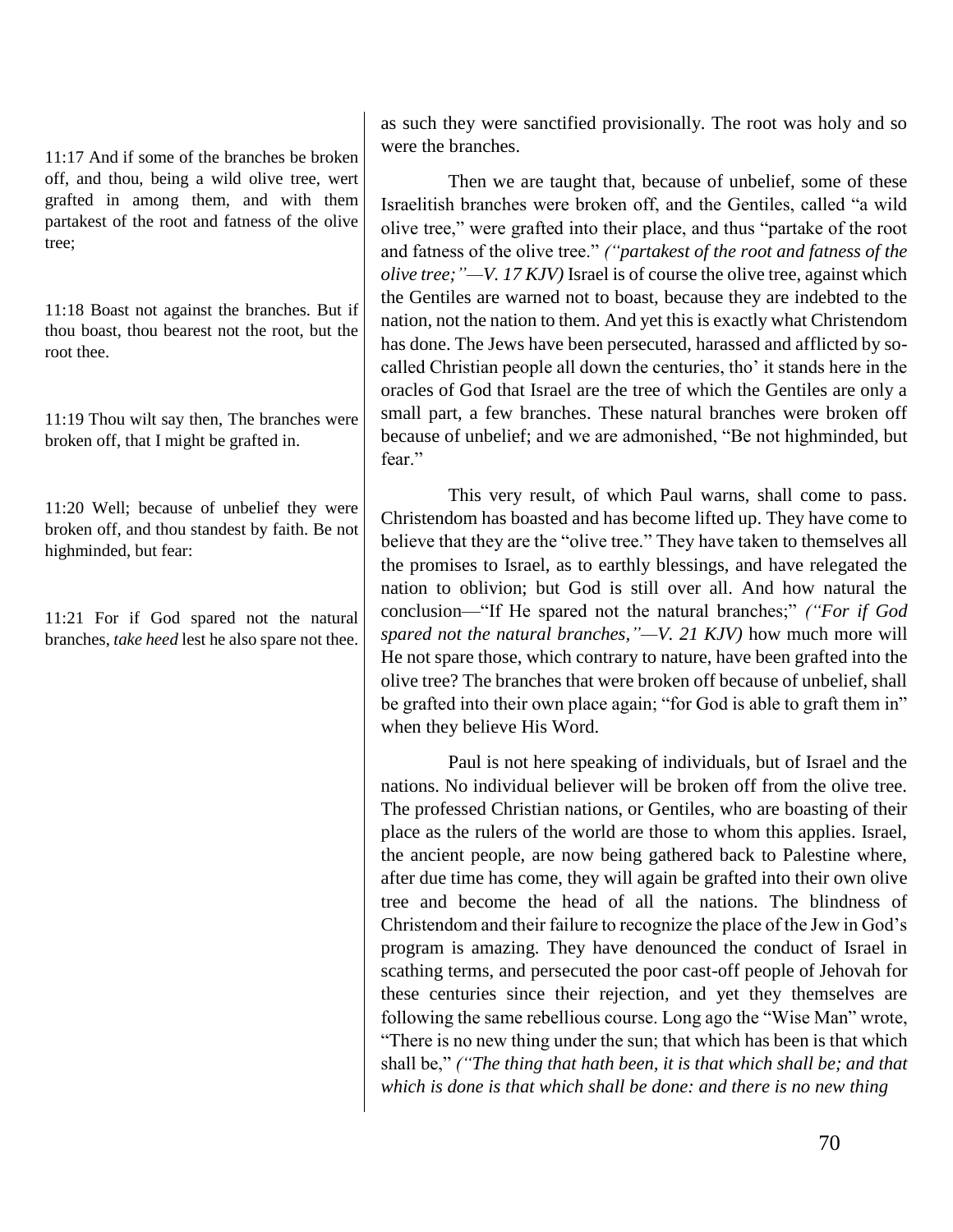11:17 And if some of the branches be broken off, and thou, being a wild olive tree, wert grafted in among them, and with them partakest of the root and fatness of the olive tree;

11:18 Boast not against the branches. But if thou boast, thou bearest not the root, but the root thee.

11:19 Thou wilt say then, The branches were broken off, that I might be grafted in.

11:20 Well; because of unbelief they were broken off, and thou standest by faith. Be not highminded, but fear:

11:21 For if God spared not the natural branches, *take heed* lest he also spare not thee. as such they were sanctified provisionally. The root was holy and so were the branches.

Then we are taught that, because of unbelief, some of these Israelitish branches were broken off, and the Gentiles, called "a wild olive tree," were grafted into their place, and thus "partake of the root and fatness of the olive tree." *("partakest of the root and fatness of the olive tree;"—V. 17 KJV)* Israel is of course the olive tree, against which the Gentiles are warned not to boast, because they are indebted to the nation, not the nation to them. And yet this is exactly what Christendom has done. The Jews have been persecuted, harassed and afflicted by socalled Christian people all down the centuries, tho' it stands here in the oracles of God that Israel are the tree of which the Gentiles are only a small part, a few branches. These natural branches were broken off because of unbelief; and we are admonished, "Be not highminded, but fear."

This very result, of which Paul warns, shall come to pass. Christendom has boasted and has become lifted up. They have come to believe that they are the "olive tree." They have taken to themselves all the promises to Israel, as to earthly blessings, and have relegated the nation to oblivion; but God is still over all. And how natural the conclusion—"If He spared not the natural branches;" *("For if God spared not the natural branches,"—V. 21 KJV)* how much more will He not spare those, which contrary to nature, have been grafted into the olive tree? The branches that were broken off because of unbelief, shall be grafted into their own place again; "for God is able to graft them in" when they believe His Word.

Paul is not here speaking of individuals, but of Israel and the nations. No individual believer will be broken off from the olive tree. The professed Christian nations, or Gentiles, who are boasting of their place as the rulers of the world are those to whom this applies. Israel, the ancient people, are now being gathered back to Palestine where, after due time has come, they will again be grafted into their own olive tree and become the head of all the nations. The blindness of Christendom and their failure to recognize the place of the Jew in God's program is amazing. They have denounced the conduct of Israel in scathing terms, and persecuted the poor cast-off people of Jehovah for these centuries since their rejection, and yet they themselves are following the same rebellious course. Long ago the "Wise Man" wrote, "There is no new thing under the sun; that which has been is that which shall be," *("The thing that hath been, it is that which shall be; and that which is done is that which shall be done: and there is no new thing*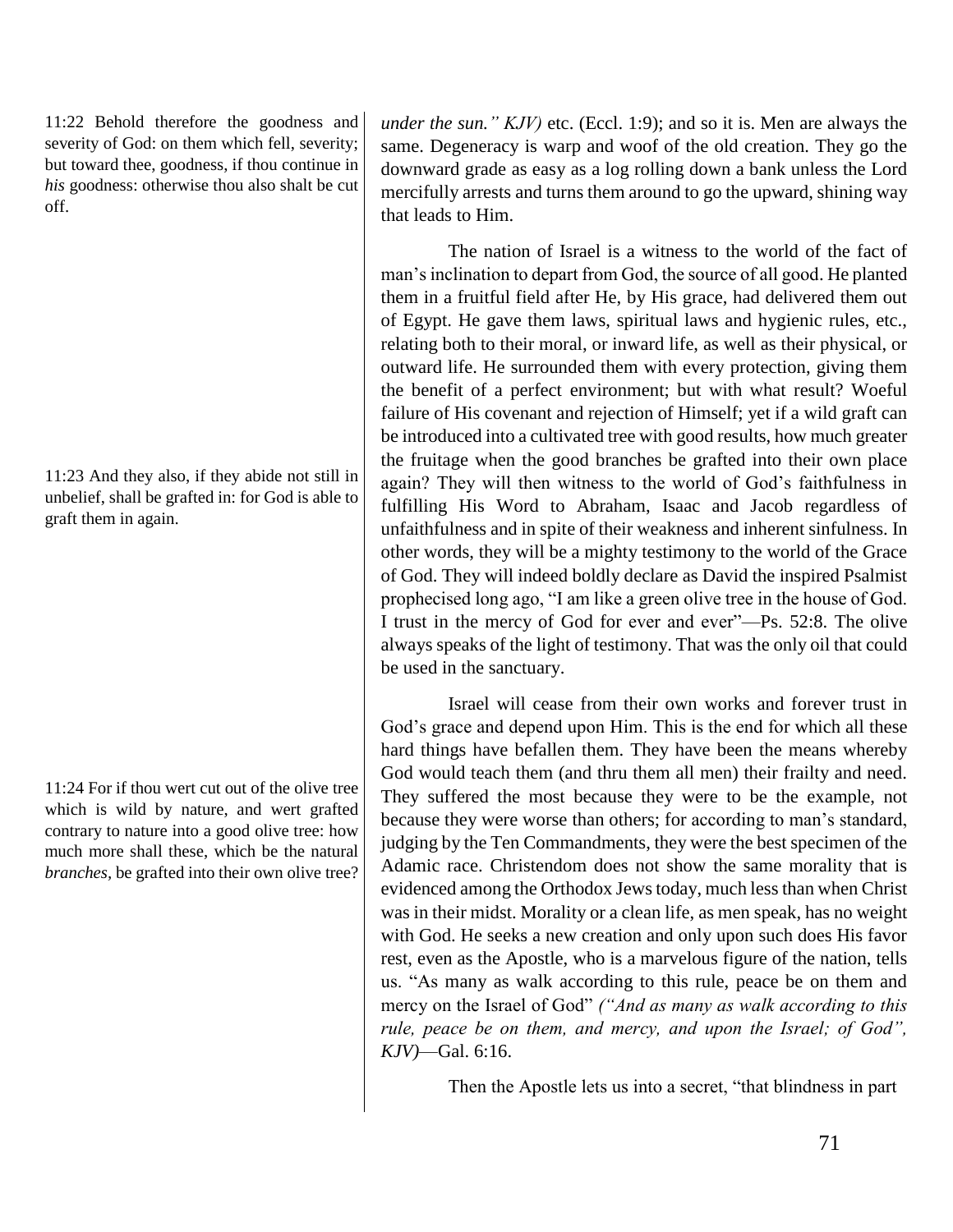11:22 Behold therefore the goodness and severity of God: on them which fell, severity; but toward thee, goodness, if thou continue in *his* goodness: otherwise thou also shalt be cut off.

11:23 And they also, if they abide not still in unbelief, shall be grafted in: for God is able to graft them in again.

11:24 For if thou wert cut out of the olive tree which is wild by nature, and wert grafted contrary to nature into a good olive tree: how much more shall these, which be the natural *branches,* be grafted into their own olive tree? *under the sun." KJV)* etc. (Eccl. 1:9); and so it is. Men are always the same. Degeneracy is warp and woof of the old creation. They go the downward grade as easy as a log rolling down a bank unless the Lord mercifully arrests and turns them around to go the upward, shining way that leads to Him.

The nation of Israel is a witness to the world of the fact of man's inclination to depart from God, the source of all good. He planted them in a fruitful field after He, by His grace, had delivered them out of Egypt. He gave them laws, spiritual laws and hygienic rules, etc., relating both to their moral, or inward life, as well as their physical, or outward life. He surrounded them with every protection, giving them the benefit of a perfect environment; but with what result? Woeful failure of His covenant and rejection of Himself; yet if a wild graft can be introduced into a cultivated tree with good results, how much greater the fruitage when the good branches be grafted into their own place again? They will then witness to the world of God's faithfulness in fulfilling His Word to Abraham, Isaac and Jacob regardless of unfaithfulness and in spite of their weakness and inherent sinfulness. In other words, they will be a mighty testimony to the world of the Grace of God. They will indeed boldly declare as David the inspired Psalmist prophecised long ago, "I am like a green olive tree in the house of God. I trust in the mercy of God for ever and ever"—Ps. 52:8. The olive always speaks of the light of testimony. That was the only oil that could be used in the sanctuary.

Israel will cease from their own works and forever trust in God's grace and depend upon Him. This is the end for which all these hard things have befallen them. They have been the means whereby God would teach them (and thru them all men) their frailty and need. They suffered the most because they were to be the example, not because they were worse than others; for according to man's standard, judging by the Ten Commandments, they were the best specimen of the Adamic race. Christendom does not show the same morality that is evidenced among the Orthodox Jews today, much less than when Christ was in their midst. Morality or a clean life, as men speak, has no weight with God. He seeks a new creation and only upon such does His favor rest, even as the Apostle, who is a marvelous figure of the nation, tells us. "As many as walk according to this rule, peace be on them and mercy on the Israel of God" *("And as many as walk according to this rule, peace be on them, and mercy, and upon the Israel; of God", KJV)*—Gal. 6:16.

Then the Apostle lets us into a secret, "that blindness in part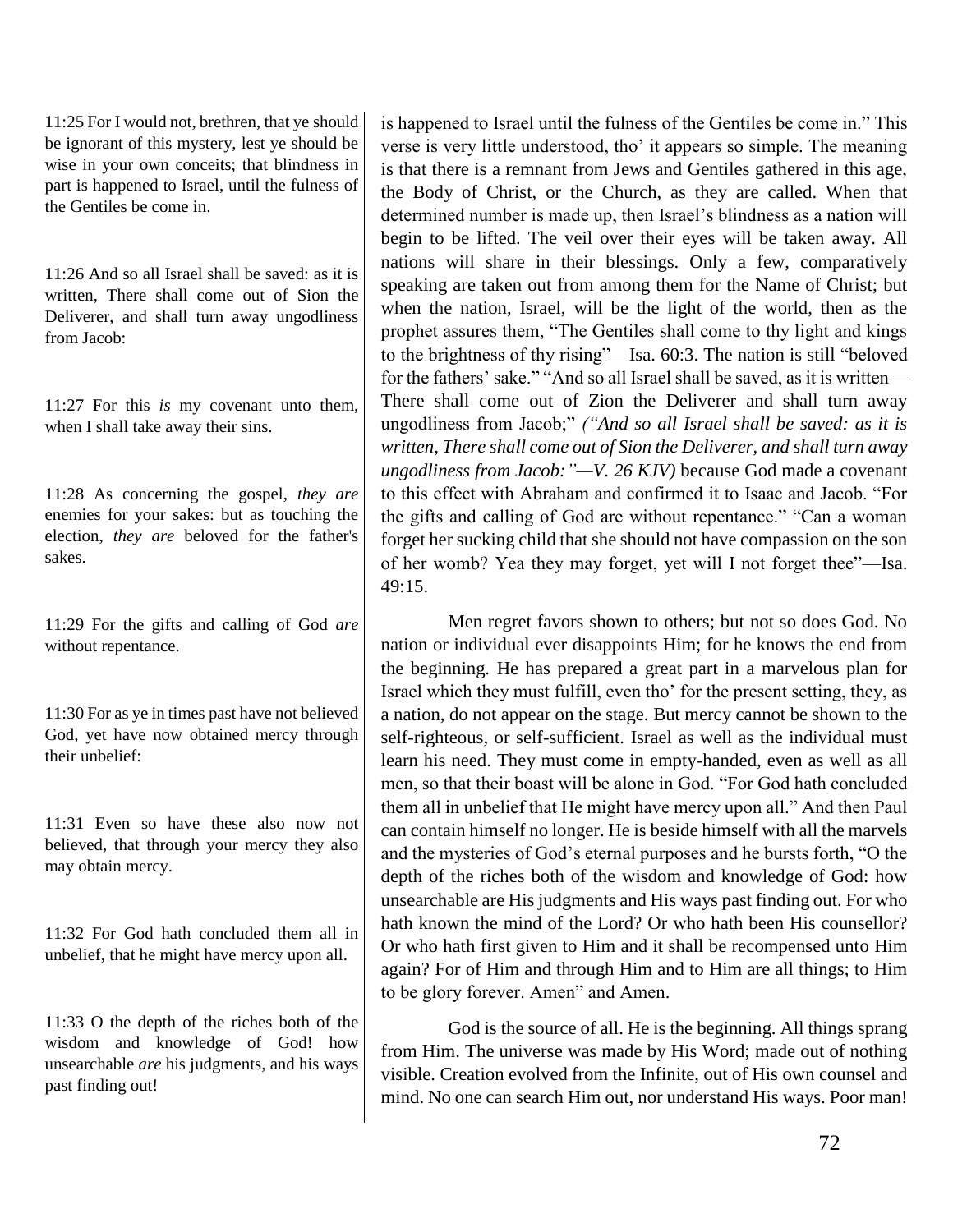11:25 For I would not, brethren, that ye should be ignorant of this mystery, lest ye should be wise in your own conceits; that blindness in part is happened to Israel, until the fulness of the Gentiles be come in.

11:26 And so all Israel shall be saved: as it is written, There shall come out of Sion the Deliverer, and shall turn away ungodliness from Jacob:

11:27 For this *is* my covenant unto them, when I shall take away their sins.

11:28 As concerning the gospel, *they are* enemies for your sakes: but as touching the election, *they are* beloved for the father's sakes.

11:29 For the gifts and calling of God *are* without repentance.

11:30 For as ye in times past have not believed God, yet have now obtained mercy through their unbelief:

11:31 Even so have these also now not believed, that through your mercy they also may obtain mercy.

11:32 For God hath concluded them all in unbelief, that he might have mercy upon all.

11:33 O the depth of the riches both of the wisdom and knowledge of God! how unsearchable *are* his judgments, and his ways past finding out!

is happened to Israel until the fulness of the Gentiles be come in." This verse is very little understood, tho' it appears so simple. The meaning is that there is a remnant from Jews and Gentiles gathered in this age, the Body of Christ, or the Church, as they are called. When that determined number is made up, then Israel's blindness as a nation will begin to be lifted. The veil over their eyes will be taken away. All nations will share in their blessings. Only a few, comparatively speaking are taken out from among them for the Name of Christ; but when the nation, Israel, will be the light of the world, then as the prophet assures them, "The Gentiles shall come to thy light and kings to the brightness of thy rising"—Isa. 60:3. The nation is still "beloved for the fathers' sake." "And so all Israel shall be saved, as it is written— There shall come out of Zion the Deliverer and shall turn away ungodliness from Jacob;" *("And so all Israel shall be saved: as it is written, There shall come out of Sion the Deliverer, and shall turn away ungodliness from Jacob:"—V. 26 KJV)* because God made a covenant to this effect with Abraham and confirmed it to Isaac and Jacob. "For the gifts and calling of God are without repentance." "Can a woman forget her sucking child that she should not have compassion on the son of her womb? Yea they may forget, yet will I not forget thee"—Isa. 49:15.

Men regret favors shown to others; but not so does God. No nation or individual ever disappoints Him; for he knows the end from the beginning. He has prepared a great part in a marvelous plan for Israel which they must fulfill, even tho' for the present setting, they, as a nation, do not appear on the stage. But mercy cannot be shown to the self-righteous, or self-sufficient. Israel as well as the individual must learn his need. They must come in empty-handed, even as well as all men, so that their boast will be alone in God. "For God hath concluded them all in unbelief that He might have mercy upon all." And then Paul can contain himself no longer. He is beside himself with all the marvels and the mysteries of God's eternal purposes and he bursts forth, "O the depth of the riches both of the wisdom and knowledge of God: how unsearchable are His judgments and His ways past finding out. For who hath known the mind of the Lord? Or who hath been His counsellor? Or who hath first given to Him and it shall be recompensed unto Him again? For of Him and through Him and to Him are all things; to Him to be glory forever. Amen" and Amen.

God is the source of all. He is the beginning. All things sprang from Him. The universe was made by His Word; made out of nothing visible. Creation evolved from the Infinite, out of His own counsel and mind. No one can search Him out, nor understand His ways. Poor man!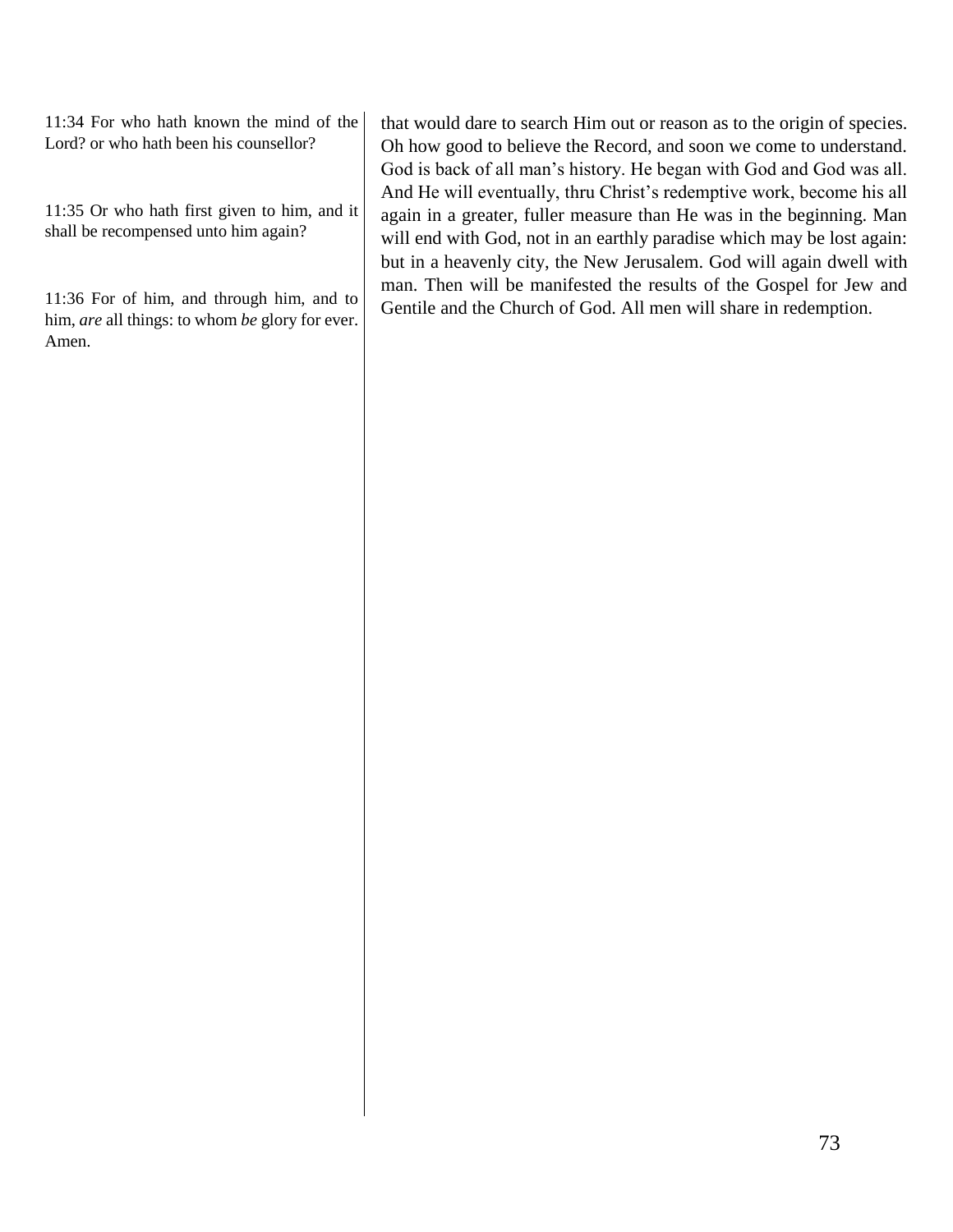11:34 For who hath known the mind of the Lord? or who hath been his counsellor?

11:35 Or who hath first given to him, and it shall be recompensed unto him again?

11:36 For of him, and through him, and to him, *are* all things: to whom *be* glory for ever. Amen.

that would dare to search Him out or reason as to the origin of species. Oh how good to believe the Record, and soon we come to understand. God is back of all man's history. He began with God and God was all. And He will eventually, thru Christ's redemptive work, become his all again in a greater, fuller measure than He was in the beginning. Man will end with God, not in an earthly paradise which may be lost again: but in a heavenly city, the New Jerusalem. God will again dwell with man. Then will be manifested the results of the Gospel for Jew and Gentile and the Church of God. All men will share in redemption.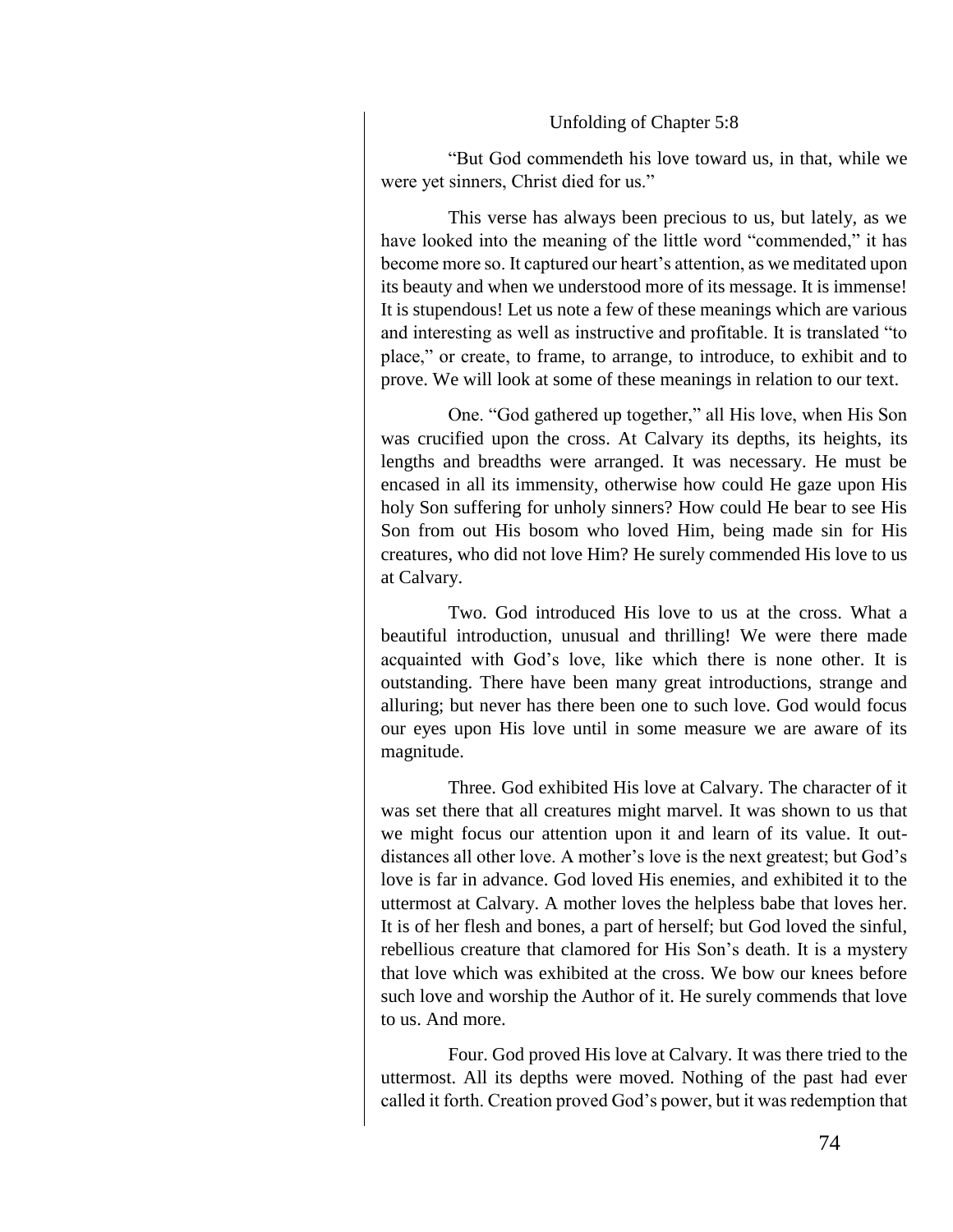#### Unfolding of Chapter 5:8

"But God commendeth his love toward us, in that, while we were yet sinners, Christ died for us."

This verse has always been precious to us, but lately, as we have looked into the meaning of the little word "commended," it has become more so. It captured our heart's attention, as we meditated upon its beauty and when we understood more of its message. It is immense! It is stupendous! Let us note a few of these meanings which are various and interesting as well as instructive and profitable. It is translated "to place," or create, to frame, to arrange, to introduce, to exhibit and to prove. We will look at some of these meanings in relation to our text.

One. "God gathered up together," all His love, when His Son was crucified upon the cross. At Calvary its depths, its heights, its lengths and breadths were arranged. It was necessary. He must be encased in all its immensity, otherwise how could He gaze upon His holy Son suffering for unholy sinners? How could He bear to see His Son from out His bosom who loved Him, being made sin for His creatures, who did not love Him? He surely commended His love to us at Calvary.

Two. God introduced His love to us at the cross. What a beautiful introduction, unusual and thrilling! We were there made acquainted with God's love, like which there is none other. It is outstanding. There have been many great introductions, strange and alluring; but never has there been one to such love. God would focus our eyes upon His love until in some measure we are aware of its magnitude.

Three. God exhibited His love at Calvary. The character of it was set there that all creatures might marvel. It was shown to us that we might focus our attention upon it and learn of its value. It outdistances all other love. A mother's love is the next greatest; but God's love is far in advance. God loved His enemies, and exhibited it to the uttermost at Calvary. A mother loves the helpless babe that loves her. It is of her flesh and bones, a part of herself; but God loved the sinful, rebellious creature that clamored for His Son's death. It is a mystery that love which was exhibited at the cross. We bow our knees before such love and worship the Author of it. He surely commends that love to us. And more.

Four. God proved His love at Calvary. It was there tried to the uttermost. All its depths were moved. Nothing of the past had ever called it forth. Creation proved God's power, but it was redemption that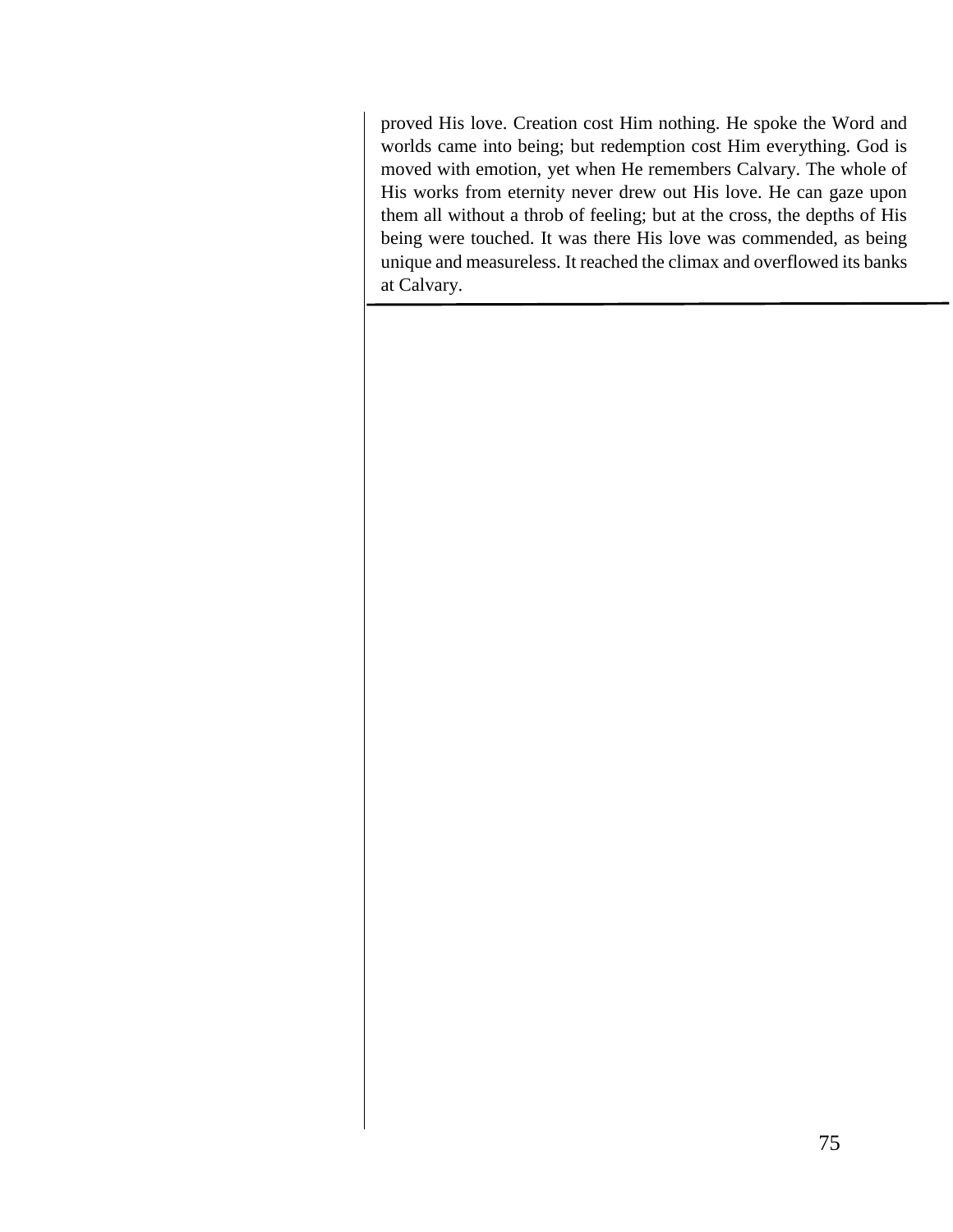proved His love. Creation cost Him nothing. He spoke the Word and worlds came into being; but redemption cost Him everything. God is moved with emotion, yet when He remembers Calvary. The whole of His works from eternity never drew out His love. He can gaze upon them all without a throb of feeling; but at the cross, the depths of His being were touched. It was there His love was commended, as being unique and measureless. It reached the climax and overflowed its banks at Calvary.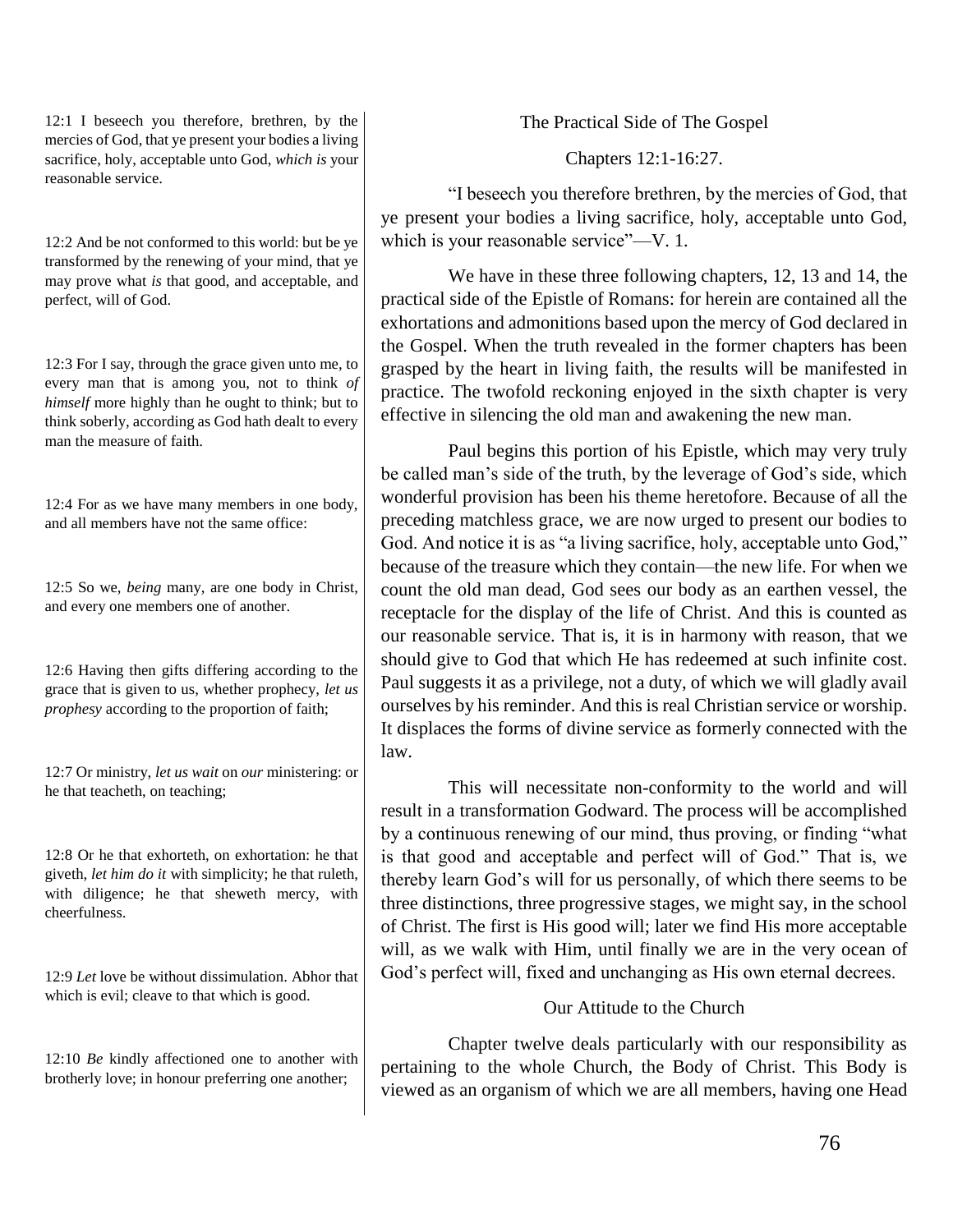12:1 I beseech you therefore, brethren, by the mercies of God, that ye present your bodies a living sacrifice, holy, acceptable unto God, *which is* your reasonable service.

12:2 And be not conformed to this world: but be ye transformed by the renewing of your mind, that ye may prove what *is* that good, and acceptable, and perfect, will of God.

12:3 For I say, through the grace given unto me, to every man that is among you, not to think *of himself* more highly than he ought to think; but to think soberly, according as God hath dealt to every man the measure of faith

12:4 For as we have many members in one body, and all members have not the same office:

12:5 So we, *being* many, are one body in Christ, and every one members one of another.

12:6 Having then gifts differing according to the grace that is given to us, whether prophecy, *let us prophesy* according to the proportion of faith;

12:7 Or ministry, *let us wait* on *our* ministering: or he that teacheth, on teaching;

12:8 Or he that exhorteth, on exhortation: he that giveth, *let him do it* with simplicity; he that ruleth, with diligence; he that sheweth mercy, with cheerfulness.

12:9 *Let* love be without dissimulation. Abhor that which is evil; cleave to that which is good.

12:10 *Be* kindly affectioned one to another with brotherly love; in honour preferring one another;

The Practical Side of The Gospel

Chapters 12:1-16:27.

"I beseech you therefore brethren, by the mercies of God, that ye present your bodies a living sacrifice, holy, acceptable unto God, which is your reasonable service"—V. 1.

We have in these three following chapters, 12, 13 and 14, the practical side of the Epistle of Romans: for herein are contained all the exhortations and admonitions based upon the mercy of God declared in the Gospel. When the truth revealed in the former chapters has been grasped by the heart in living faith, the results will be manifested in practice. The twofold reckoning enjoyed in the sixth chapter is very effective in silencing the old man and awakening the new man.

Paul begins this portion of his Epistle, which may very truly be called man's side of the truth, by the leverage of God's side, which wonderful provision has been his theme heretofore. Because of all the preceding matchless grace, we are now urged to present our bodies to God. And notice it is as "a living sacrifice, holy, acceptable unto God," because of the treasure which they contain—the new life. For when we count the old man dead, God sees our body as an earthen vessel, the receptacle for the display of the life of Christ. And this is counted as our reasonable service. That is, it is in harmony with reason, that we should give to God that which He has redeemed at such infinite cost. Paul suggests it as a privilege, not a duty, of which we will gladly avail ourselves by his reminder. And this is real Christian service or worship. It displaces the forms of divine service as formerly connected with the law.

This will necessitate non-conformity to the world and will result in a transformation Godward. The process will be accomplished by a continuous renewing of our mind, thus proving, or finding "what is that good and acceptable and perfect will of God." That is, we thereby learn God's will for us personally, of which there seems to be three distinctions, three progressive stages, we might say, in the school of Christ. The first is His good will; later we find His more acceptable will, as we walk with Him, until finally we are in the very ocean of God's perfect will, fixed and unchanging as His own eternal decrees.

## Our Attitude to the Church

Chapter twelve deals particularly with our responsibility as pertaining to the whole Church, the Body of Christ. This Body is viewed as an organism of which we are all members, having one Head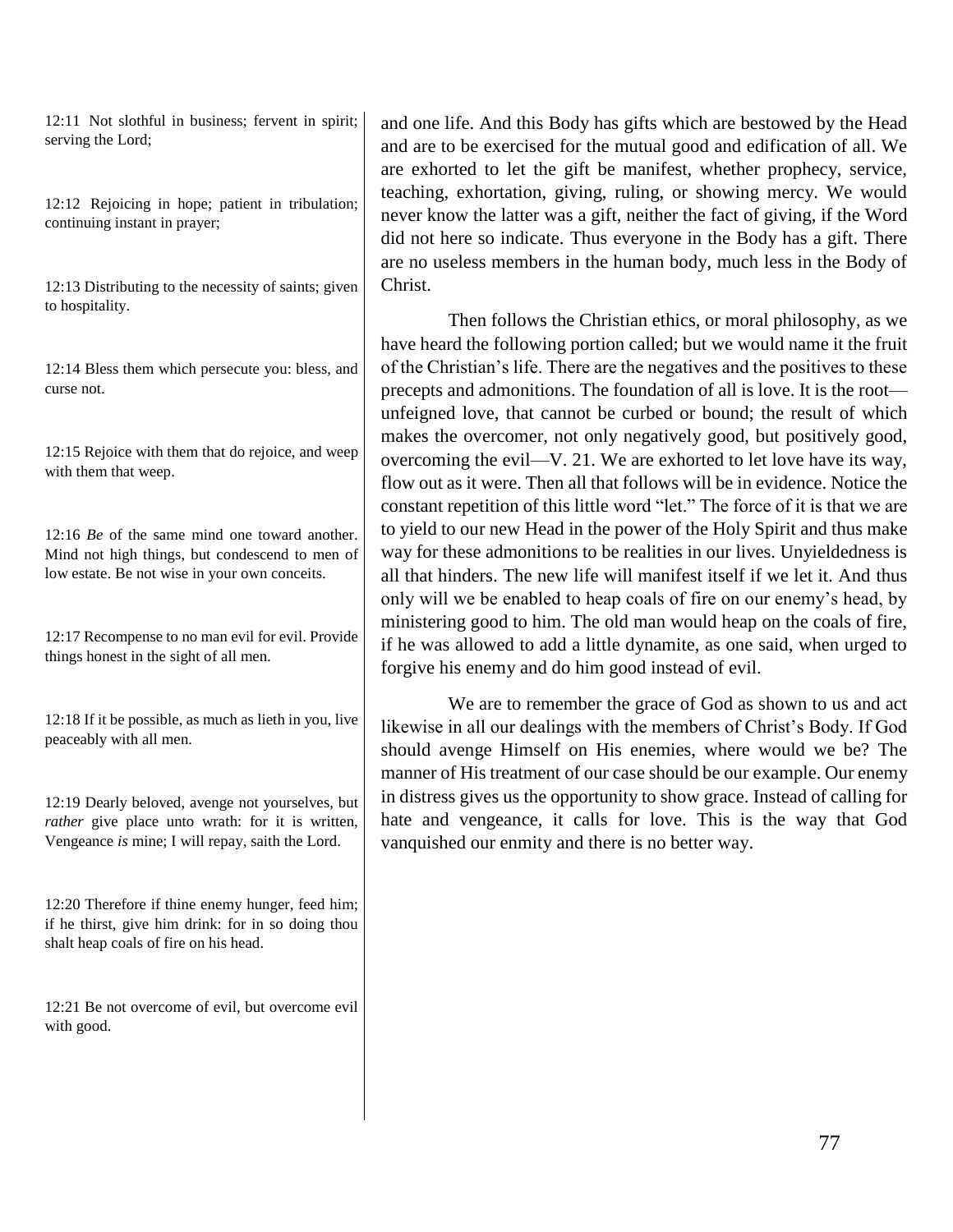12:11 Not slothful in business; fervent in spirit; serving the Lord;

12:12 Rejoicing in hope; patient in tribulation; continuing instant in prayer;

12:13 Distributing to the necessity of saints; given to hospitality.

12:14 Bless them which persecute you: bless, and curse not.

12:15 Rejoice with them that do rejoice, and weep with them that weep.

12:16 *Be* of the same mind one toward another. Mind not high things, but condescend to men of low estate. Be not wise in your own conceits.

12:17 Recompense to no man evil for evil. Provide things honest in the sight of all men.

12:18 If it be possible, as much as lieth in you, live peaceably with all men.

12:19 Dearly beloved, avenge not yourselves, but *rather* give place unto wrath: for it is written, Vengeance *is* mine; I will repay, saith the Lord.

12:20 Therefore if thine enemy hunger, feed him; if he thirst, give him drink: for in so doing thou shalt heap coals of fire on his head.

12:21 Be not overcome of evil, but overcome evil with good.

and one life. And this Body has gifts which are bestowed by the Head and are to be exercised for the mutual good and edification of all. We are exhorted to let the gift be manifest, whether prophecy, service, teaching, exhortation, giving, ruling, or showing mercy. We would never know the latter was a gift, neither the fact of giving, if the Word did not here so indicate. Thus everyone in the Body has a gift. There are no useless members in the human body, much less in the Body of Christ.

Then follows the Christian ethics, or moral philosophy, as we have heard the following portion called; but we would name it the fruit of the Christian's life. There are the negatives and the positives to these precepts and admonitions. The foundation of all is love. It is the root unfeigned love, that cannot be curbed or bound; the result of which makes the overcomer, not only negatively good, but positively good, overcoming the evil—V. 21. We are exhorted to let love have its way, flow out as it were. Then all that follows will be in evidence. Notice the constant repetition of this little word "let." The force of it is that we are to yield to our new Head in the power of the Holy Spirit and thus make way for these admonitions to be realities in our lives. Unyieldedness is all that hinders. The new life will manifest itself if we let it. And thus only will we be enabled to heap coals of fire on our enemy's head, by ministering good to him. The old man would heap on the coals of fire, if he was allowed to add a little dynamite, as one said, when urged to forgive his enemy and do him good instead of evil.

We are to remember the grace of God as shown to us and act likewise in all our dealings with the members of Christ's Body. If God should avenge Himself on His enemies, where would we be? The manner of His treatment of our case should be our example. Our enemy in distress gives us the opportunity to show grace. Instead of calling for hate and vengeance, it calls for love. This is the way that God vanquished our enmity and there is no better way.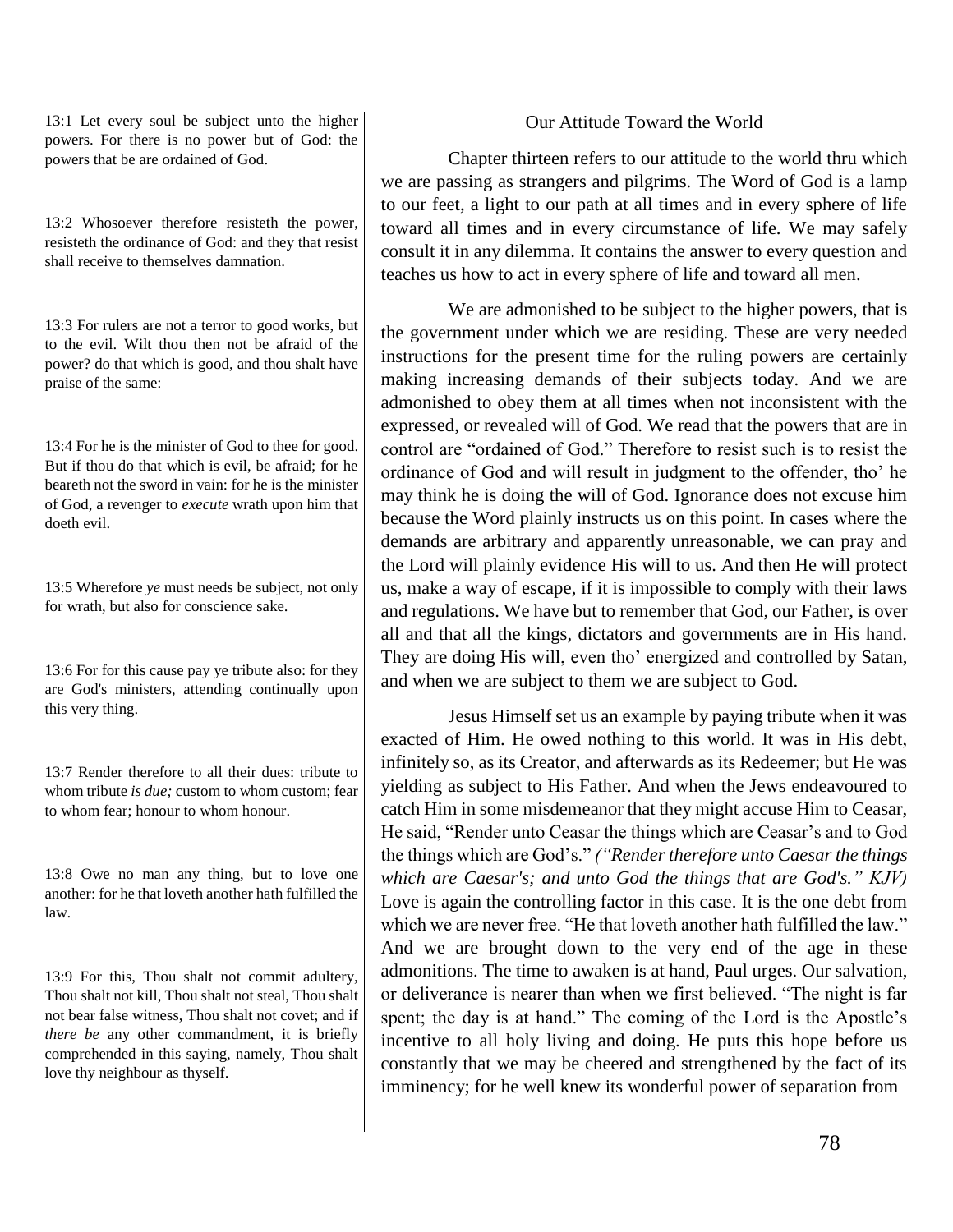13:1 Let every soul be subject unto the higher powers. For there is no power but of God: the powers that be are ordained of God.

13:2 Whosoever therefore resisteth the power, resisteth the ordinance of God: and they that resist shall receive to themselves damnation.

13:3 For rulers are not a terror to good works, but to the evil. Wilt thou then not be afraid of the power? do that which is good, and thou shalt have praise of the same:

13:4 For he is the minister of God to thee for good. But if thou do that which is evil, be afraid; for he beareth not the sword in vain: for he is the minister of God, a revenger to *execute* wrath upon him that doeth evil.

13:5 Wherefore *ye* must needs be subject, not only for wrath, but also for conscience sake.

13:6 For for this cause pay ye tribute also: for they are God's ministers, attending continually upon this very thing.

13:7 Render therefore to all their dues: tribute to whom tribute *is due*; custom to whom custom; fear to whom fear; honour to whom honour.

13:8 Owe no man any thing, but to love one another: for he that loveth another hath fulfilled the law.

13:9 For this, Thou shalt not commit adultery, Thou shalt not kill, Thou shalt not steal, Thou shalt not bear false witness, Thou shalt not covet; and if *there be* any other commandment, it is briefly comprehended in this saying, namely, Thou shalt love thy neighbour as thyself.

# Our Attitude Toward the World

Chapter thirteen refers to our attitude to the world thru which we are passing as strangers and pilgrims. The Word of God is a lamp to our feet, a light to our path at all times and in every sphere of life toward all times and in every circumstance of life. We may safely consult it in any dilemma. It contains the answer to every question and teaches us how to act in every sphere of life and toward all men.

We are admonished to be subject to the higher powers, that is the government under which we are residing. These are very needed instructions for the present time for the ruling powers are certainly making increasing demands of their subjects today. And we are admonished to obey them at all times when not inconsistent with the expressed, or revealed will of God. We read that the powers that are in control are "ordained of God." Therefore to resist such is to resist the ordinance of God and will result in judgment to the offender, tho' he may think he is doing the will of God. Ignorance does not excuse him because the Word plainly instructs us on this point. In cases where the demands are arbitrary and apparently unreasonable, we can pray and the Lord will plainly evidence His will to us. And then He will protect us, make a way of escape, if it is impossible to comply with their laws and regulations. We have but to remember that God, our Father, is over all and that all the kings, dictators and governments are in His hand. They are doing His will, even tho' energized and controlled by Satan, and when we are subject to them we are subject to God.

Jesus Himself set us an example by paying tribute when it was exacted of Him. He owed nothing to this world. It was in His debt, infinitely so, as its Creator, and afterwards as its Redeemer; but He was yielding as subject to His Father. And when the Jews endeavoured to catch Him in some misdemeanor that they might accuse Him to Ceasar, He said, "Render unto Ceasar the things which are Ceasar's and to God the things which are God's." *("Render therefore unto Caesar the things which are Caesar's; and unto God the things that are God's." KJV)* Love is again the controlling factor in this case. It is the one debt from which we are never free. "He that loveth another hath fulfilled the law." And we are brought down to the very end of the age in these admonitions. The time to awaken is at hand, Paul urges. Our salvation, or deliverance is nearer than when we first believed. "The night is far spent; the day is at hand." The coming of the Lord is the Apostle's incentive to all holy living and doing. He puts this hope before us constantly that we may be cheered and strengthened by the fact of its imminency; for he well knew its wonderful power of separation from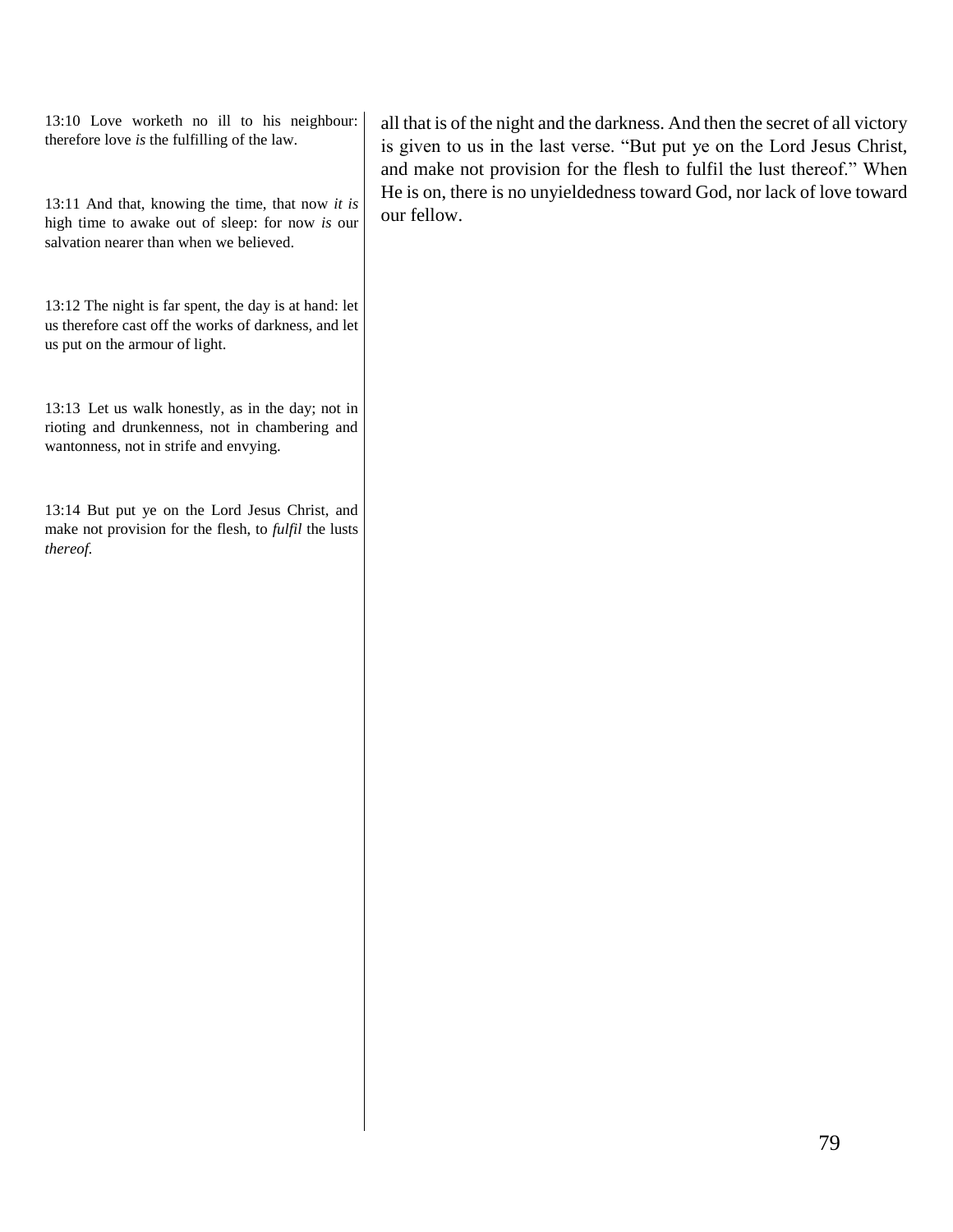13:10 Love worketh no ill to his neighbour: therefore love *is* the fulfilling of the law.

13:11 And that, knowing the time, that now *it is* high time to awake out of sleep: for now *is* our salvation nearer than when we believed.

13:12 The night is far spent, the day is at hand: let us therefore cast off the works of darkness, and let us put on the armour of light.

13:13 Let us walk honestly, as in the day; not in rioting and drunkenness, not in chambering and wantonness, not in strife and envying.

13:14 But put ye on the Lord Jesus Christ, and make not provision for the flesh, to *fulfil* the lusts *thereof.*

all that is of the night and the darkness. And then the secret of all victory is given to us in the last verse. "But put ye on the Lord Jesus Christ, and make not provision for the flesh to fulfil the lust thereof." When He is on, there is no unyieldedness toward God, nor lack of love toward our fellow.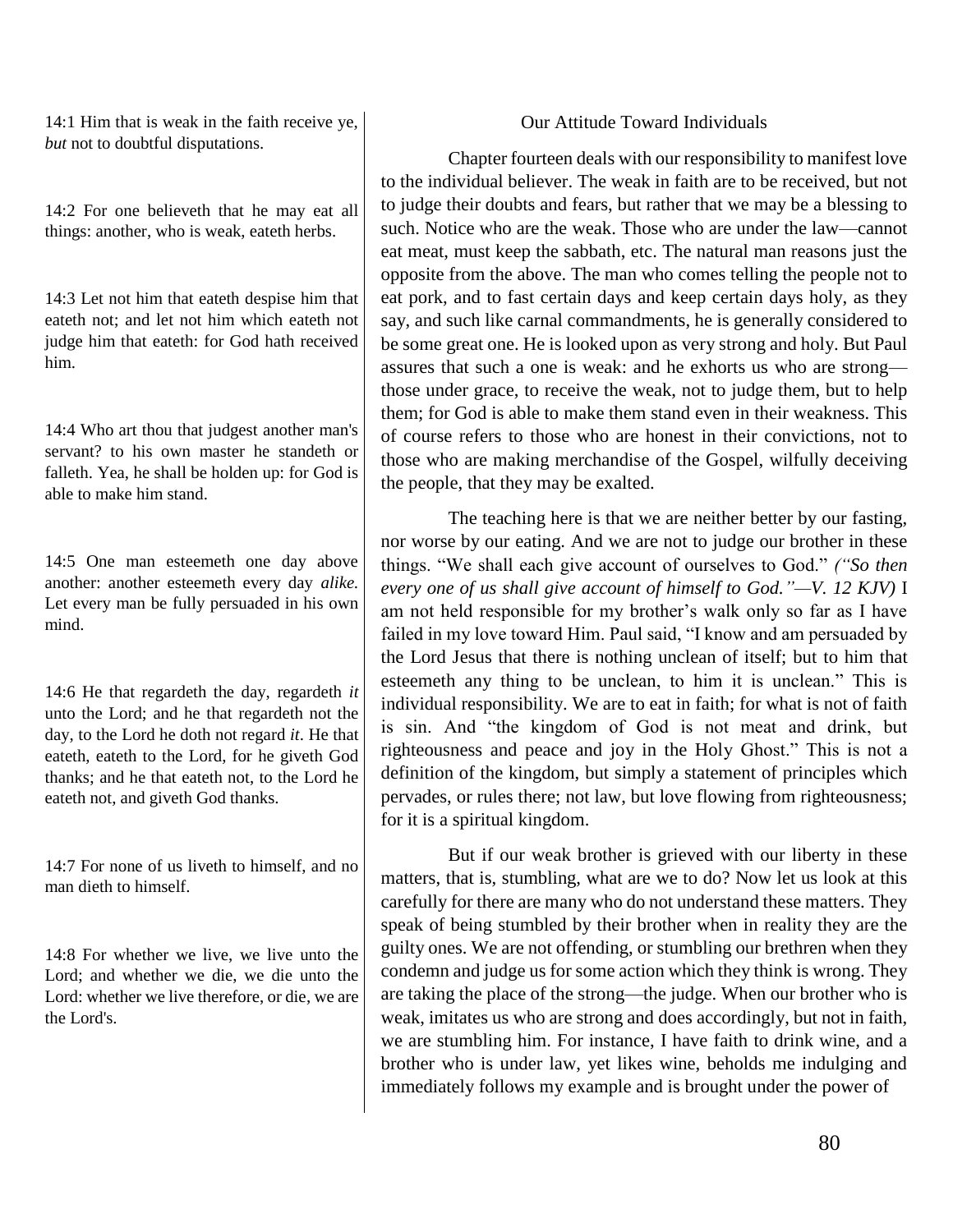14:1 Him that is weak in the faith receive ye, *but* not to doubtful disputations.

14:2 For one believeth that he may eat all things: another, who is weak, eateth herbs.

14:3 Let not him that eateth despise him that eateth not; and let not him which eateth not judge him that eateth: for God hath received him.

14:4 Who art thou that judgest another man's servant? to his own master he standeth or falleth. Yea, he shall be holden up: for God is able to make him stand.

14:5 One man esteemeth one day above another: another esteemeth every day *alike.* Let every man be fully persuaded in his own mind.

14:6 He that regardeth the day, regardeth *it* unto the Lord; and he that regardeth not the day, to the Lord he doth not regard *it*. He that eateth, eateth to the Lord, for he giveth God thanks; and he that eateth not, to the Lord he eateth not, and giveth God thanks.

14:7 For none of us liveth to himself, and no man dieth to himself.

14:8 For whether we live, we live unto the Lord; and whether we die, we die unto the Lord: whether we live therefore, or die, we are the Lord's.

# Our Attitude Toward Individuals

Chapter fourteen deals with our responsibility to manifest love to the individual believer. The weak in faith are to be received, but not to judge their doubts and fears, but rather that we may be a blessing to such. Notice who are the weak. Those who are under the law—cannot eat meat, must keep the sabbath, etc. The natural man reasons just the opposite from the above. The man who comes telling the people not to eat pork, and to fast certain days and keep certain days holy, as they say, and such like carnal commandments, he is generally considered to be some great one. He is looked upon as very strong and holy. But Paul assures that such a one is weak: and he exhorts us who are strong those under grace, to receive the weak, not to judge them, but to help them; for God is able to make them stand even in their weakness. This of course refers to those who are honest in their convictions, not to those who are making merchandise of the Gospel, wilfully deceiving the people, that they may be exalted.

The teaching here is that we are neither better by our fasting, nor worse by our eating. And we are not to judge our brother in these things. "We shall each give account of ourselves to God." *("So then every one of us shall give account of himself to God."—V. 12 KJV)* I am not held responsible for my brother's walk only so far as I have failed in my love toward Him. Paul said, "I know and am persuaded by the Lord Jesus that there is nothing unclean of itself; but to him that esteemeth any thing to be unclean, to him it is unclean." This is individual responsibility. We are to eat in faith; for what is not of faith is sin. And "the kingdom of God is not meat and drink, but righteousness and peace and joy in the Holy Ghost." This is not a definition of the kingdom, but simply a statement of principles which pervades, or rules there; not law, but love flowing from righteousness; for it is a spiritual kingdom.

But if our weak brother is grieved with our liberty in these matters, that is, stumbling, what are we to do? Now let us look at this carefully for there are many who do not understand these matters. They speak of being stumbled by their brother when in reality they are the guilty ones. We are not offending, or stumbling our brethren when they condemn and judge us for some action which they think is wrong. They are taking the place of the strong—the judge. When our brother who is weak, imitates us who are strong and does accordingly, but not in faith, we are stumbling him. For instance, I have faith to drink wine, and a brother who is under law, yet likes wine, beholds me indulging and immediately follows my example and is brought under the power of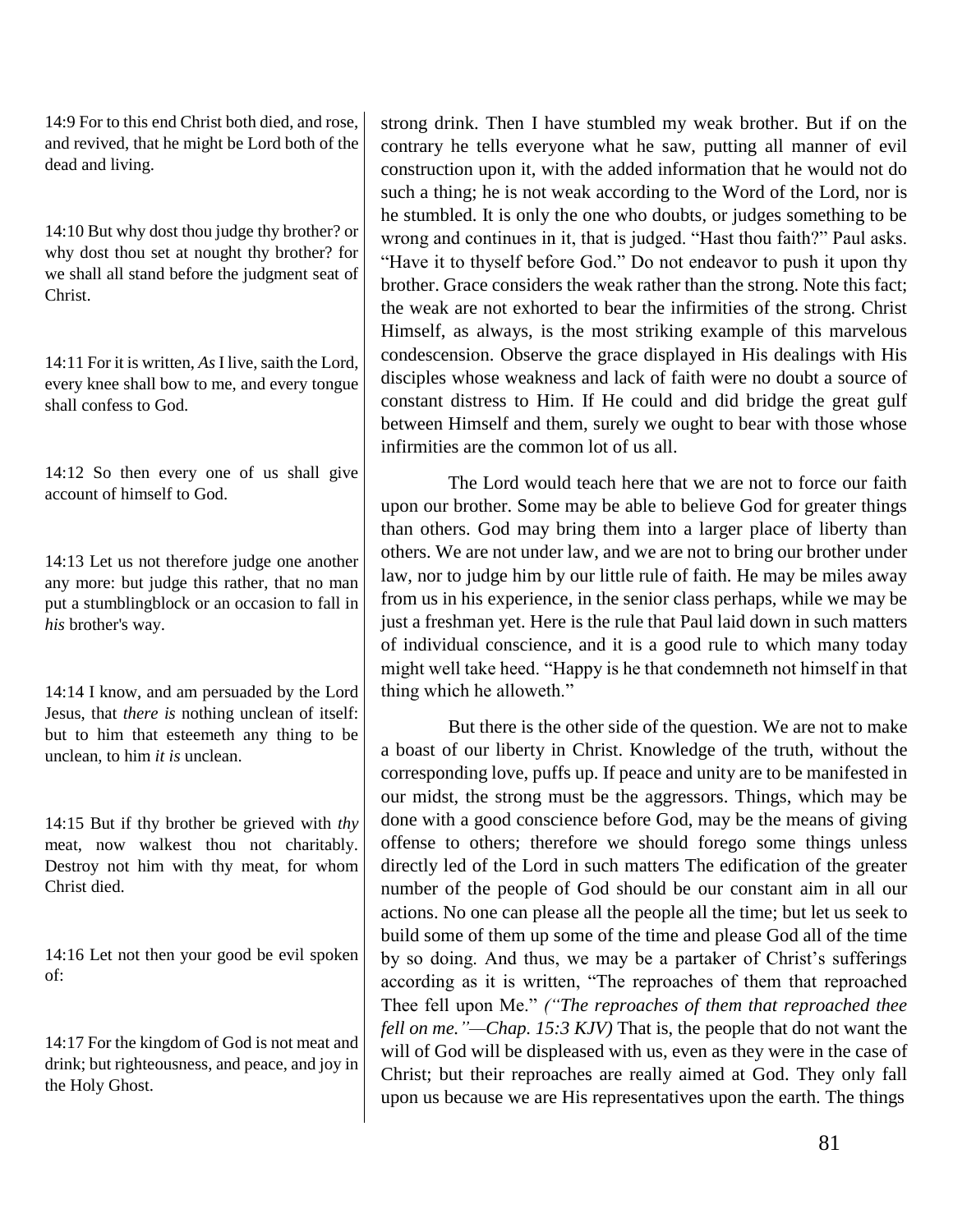14:9 For to this end Christ both died, and rose, and revived, that he might be Lord both of the dead and living.

14:10 But why dost thou judge thy brother? or why dost thou set at nought thy brother? for we shall all stand before the judgment seat of Christ.

14:11 For it is written, *As* I live, saith the Lord, every knee shall bow to me, and every tongue shall confess to God.

14:12 So then every one of us shall give account of himself to God.

14:13 Let us not therefore judge one another any more: but judge this rather, that no man put a stumblingblock or an occasion to fall in *his* brother's way.

14:14 I know, and am persuaded by the Lord Jesus, that *there is* nothing unclean of itself: but to him that esteemeth any thing to be unclean, to him *it is* unclean.

14:15 But if thy brother be grieved with *thy* meat, now walkest thou not charitably. Destroy not him with thy meat, for whom Christ died.

14:16 Let not then your good be evil spoken of:

14:17 For the kingdom of God is not meat and drink; but righteousness, and peace, and joy in the Holy Ghost.

strong drink. Then I have stumbled my weak brother. But if on the contrary he tells everyone what he saw, putting all manner of evil construction upon it, with the added information that he would not do such a thing; he is not weak according to the Word of the Lord, nor is he stumbled. It is only the one who doubts, or judges something to be wrong and continues in it, that is judged. "Hast thou faith?" Paul asks. "Have it to thyself before God." Do not endeavor to push it upon thy brother. Grace considers the weak rather than the strong. Note this fact; the weak are not exhorted to bear the infirmities of the strong. Christ Himself, as always, is the most striking example of this marvelous condescension. Observe the grace displayed in His dealings with His disciples whose weakness and lack of faith were no doubt a source of constant distress to Him. If He could and did bridge the great gulf between Himself and them, surely we ought to bear with those whose infirmities are the common lot of us all.

The Lord would teach here that we are not to force our faith upon our brother. Some may be able to believe God for greater things than others. God may bring them into a larger place of liberty than others. We are not under law, and we are not to bring our brother under law, nor to judge him by our little rule of faith. He may be miles away from us in his experience, in the senior class perhaps, while we may be just a freshman yet. Here is the rule that Paul laid down in such matters of individual conscience, and it is a good rule to which many today might well take heed. "Happy is he that condemneth not himself in that thing which he alloweth."

But there is the other side of the question. We are not to make a boast of our liberty in Christ. Knowledge of the truth, without the corresponding love, puffs up. If peace and unity are to be manifested in our midst, the strong must be the aggressors. Things, which may be done with a good conscience before God, may be the means of giving offense to others; therefore we should forego some things unless directly led of the Lord in such matters The edification of the greater number of the people of God should be our constant aim in all our actions. No one can please all the people all the time; but let us seek to build some of them up some of the time and please God all of the time by so doing. And thus, we may be a partaker of Christ's sufferings according as it is written, "The reproaches of them that reproached Thee fell upon Me." *("The reproaches of them that reproached thee fell on me."—Chap. 15:3 KJV)* That is, the people that do not want the will of God will be displeased with us, even as they were in the case of Christ; but their reproaches are really aimed at God. They only fall upon us because we are His representatives upon the earth. The things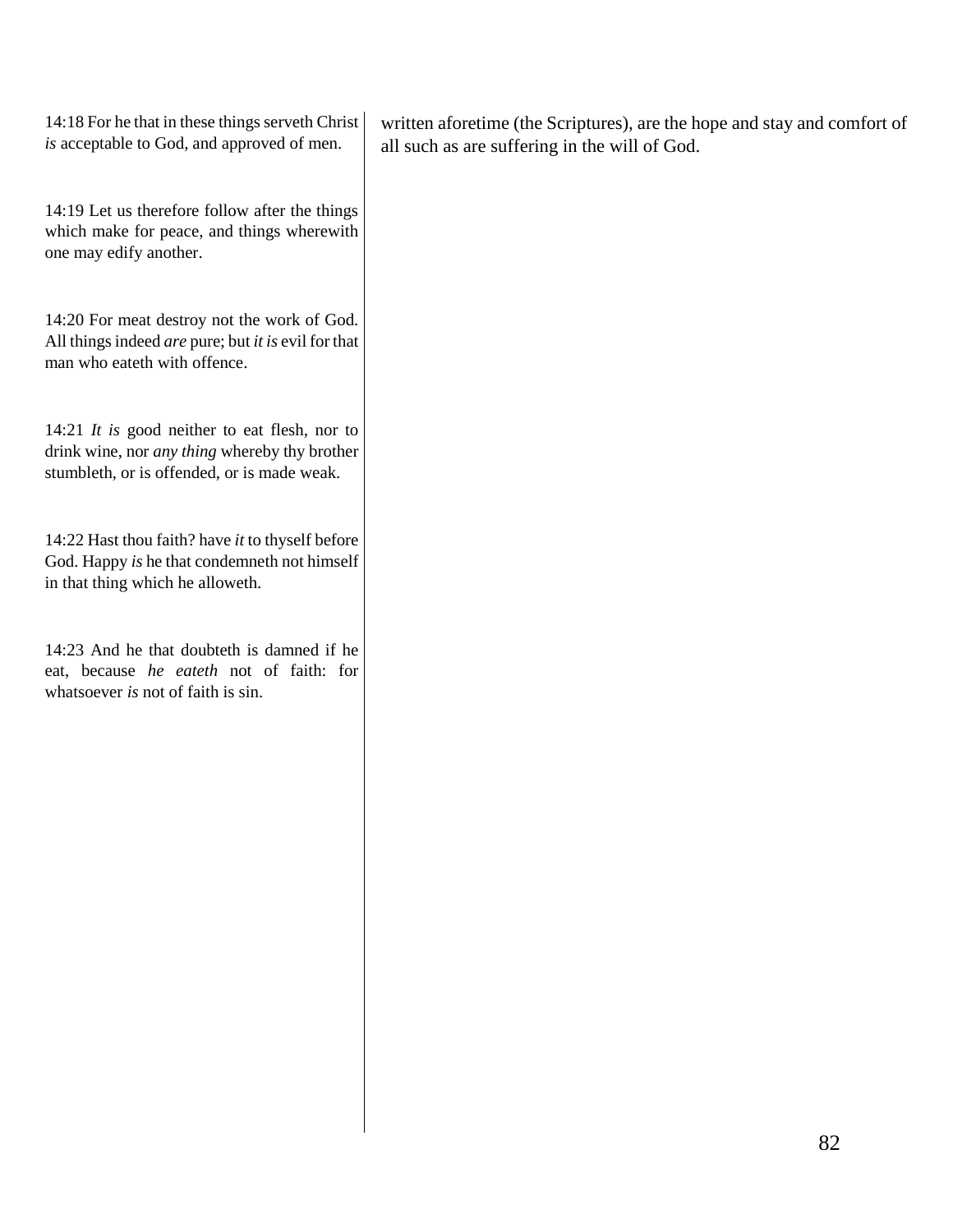14:18 For he that in these things serveth Christ *is* acceptable to God, and approved of men.

written aforetime (the Scriptures), are the hope and stay and comfort of all such as are suffering in the will of God.

14:19 Let us therefore follow after the things which make for peace, and things wherewith one may edify another.

14:20 For meat destroy not the work of God. All things indeed *are* pure; but *it is* evil for that man who eateth with offence.

14:21 *It is* good neither to eat flesh, nor to drink wine, nor *any thing* whereby thy brother stumbleth, or is offended, or is made weak.

14:22 Hast thou faith? have *it* to thyself before God. Happy *is* he that condemneth not himself in that thing which he alloweth.

14:23 And he that doubteth is damned if he eat, because *he eateth* not of faith: for whatsoever *is* not of faith is sin.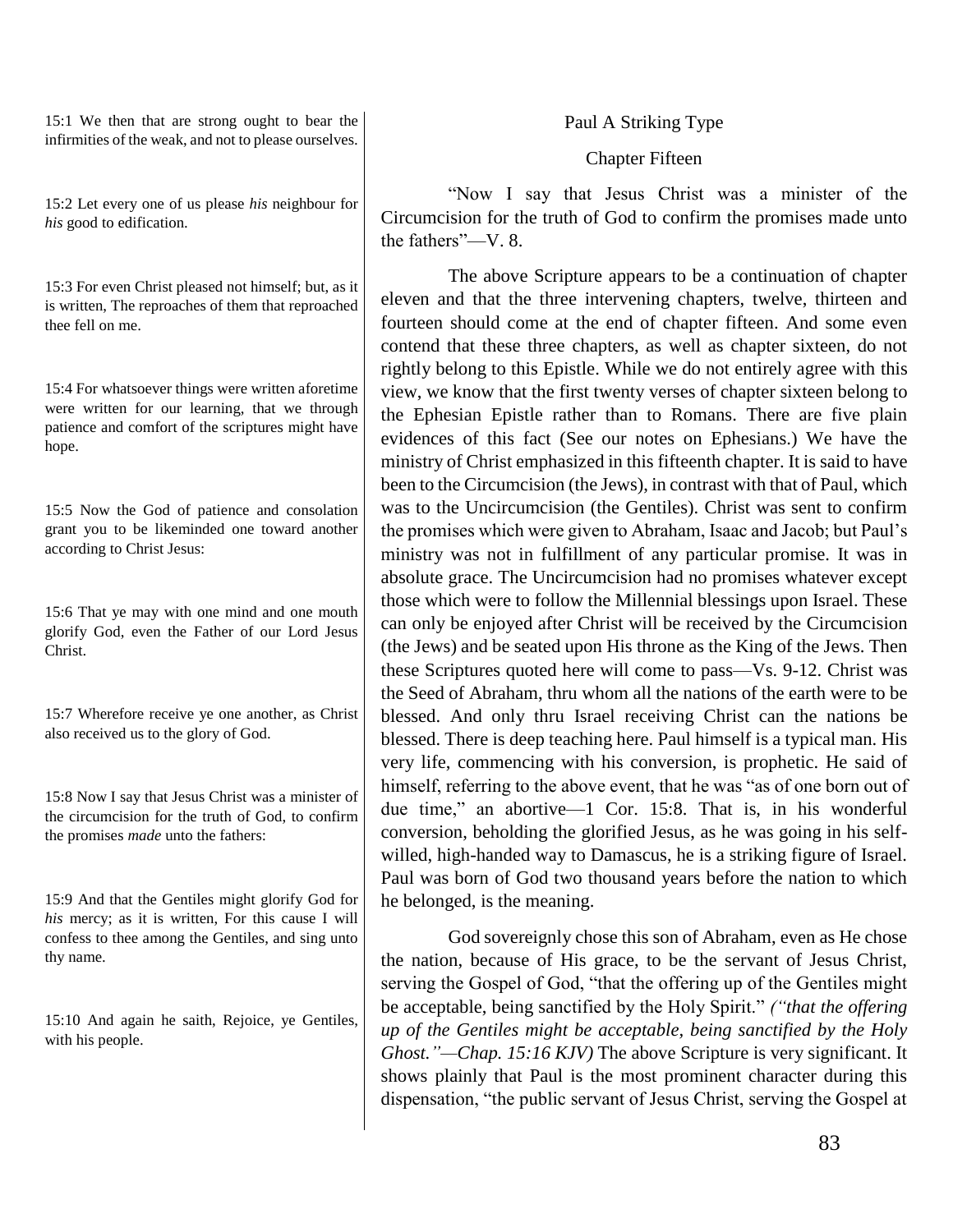15:1 We then that are strong ought to bear the infirmities of the weak, and not to please ourselves.

15:2 Let every one of us please *his* neighbour for *his* good to edification.

15:3 For even Christ pleased not himself; but, as it is written, The reproaches of them that reproached thee fell on me.

15:4 For whatsoever things were written aforetime were written for our learning, that we through patience and comfort of the scriptures might have hope.

15:5 Now the God of patience and consolation grant you to be likeminded one toward another according to Christ Jesus:

15:6 That ye may with one mind and one mouth glorify God, even the Father of our Lord Jesus Christ.

15:7 Wherefore receive ye one another, as Christ also received us to the glory of God.

15:8 Now I say that Jesus Christ was a minister of the circumcision for the truth of God, to confirm the promises *made* unto the fathers:

15:9 And that the Gentiles might glorify God for *his* mercy; as it is written, For this cause I will confess to thee among the Gentiles, and sing unto thy name.

15:10 And again he saith, Rejoice, ye Gentiles, with his people.

Paul A Striking Type

### Chapter Fifteen

"Now I say that Jesus Christ was a minister of the Circumcision for the truth of God to confirm the promises made unto the fathers"—V. 8.

The above Scripture appears to be a continuation of chapter eleven and that the three intervening chapters, twelve, thirteen and fourteen should come at the end of chapter fifteen. And some even contend that these three chapters, as well as chapter sixteen, do not rightly belong to this Epistle. While we do not entirely agree with this view, we know that the first twenty verses of chapter sixteen belong to the Ephesian Epistle rather than to Romans. There are five plain evidences of this fact (See our notes on Ephesians.) We have the ministry of Christ emphasized in this fifteenth chapter. It is said to have been to the Circumcision (the Jews), in contrast with that of Paul, which was to the Uncircumcision (the Gentiles). Christ was sent to confirm the promises which were given to Abraham, Isaac and Jacob; but Paul's ministry was not in fulfillment of any particular promise. It was in absolute grace. The Uncircumcision had no promises whatever except those which were to follow the Millennial blessings upon Israel. These can only be enjoyed after Christ will be received by the Circumcision (the Jews) and be seated upon His throne as the King of the Jews. Then these Scriptures quoted here will come to pass—Vs. 9-12. Christ was the Seed of Abraham, thru whom all the nations of the earth were to be blessed. And only thru Israel receiving Christ can the nations be blessed. There is deep teaching here. Paul himself is a typical man. His very life, commencing with his conversion, is prophetic. He said of himself, referring to the above event, that he was "as of one born out of due time," an abortive—1 Cor. 15:8. That is, in his wonderful conversion, beholding the glorified Jesus, as he was going in his selfwilled, high-handed way to Damascus, he is a striking figure of Israel. Paul was born of God two thousand years before the nation to which he belonged, is the meaning.

God sovereignly chose this son of Abraham, even as He chose the nation, because of His grace, to be the servant of Jesus Christ, serving the Gospel of God, "that the offering up of the Gentiles might be acceptable, being sanctified by the Holy Spirit." *("that the offering up of the Gentiles might be acceptable, being sanctified by the Holy Ghost."—Chap. 15:16 KJV)* The above Scripture is very significant. It shows plainly that Paul is the most prominent character during this dispensation, "the public servant of Jesus Christ, serving the Gospel at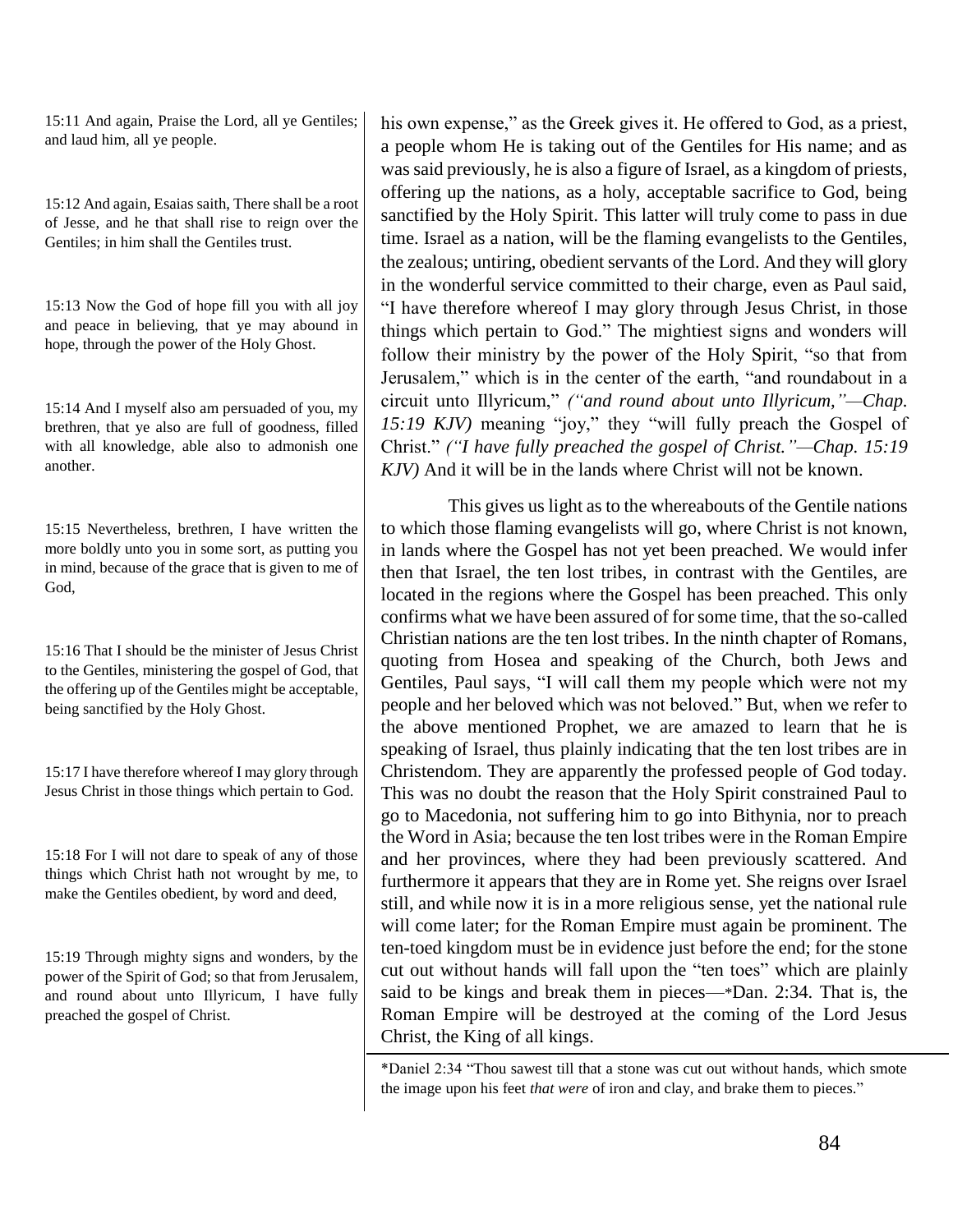15:11 And again, Praise the Lord, all ye Gentiles; and laud him, all ye people.

15:12 And again, Esaias saith, There shall be a root of Jesse, and he that shall rise to reign over the Gentiles; in him shall the Gentiles trust.

15:13 Now the God of hope fill you with all joy and peace in believing, that ye may abound in hope, through the power of the Holy Ghost.

15:14 And I myself also am persuaded of you, my brethren, that ye also are full of goodness, filled with all knowledge, able also to admonish one another.

15:15 Nevertheless, brethren, I have written the more boldly unto you in some sort, as putting you in mind, because of the grace that is given to me of God,

15:16 That I should be the minister of Jesus Christ to the Gentiles, ministering the gospel of God, that the offering up of the Gentiles might be acceptable, being sanctified by the Holy Ghost.

15:17 I have therefore whereof I may glory through Jesus Christ in those things which pertain to God.

15:18 For I will not dare to speak of any of those things which Christ hath not wrought by me, to make the Gentiles obedient, by word and deed,

15:19 Through mighty signs and wonders, by the power of the Spirit of God; so that from Jerusalem, and round about unto Illyricum, I have fully preached the gospel of Christ.

his own expense," as the Greek gives it. He offered to God, as a priest, a people whom He is taking out of the Gentiles for His name; and as was said previously, he is also a figure of Israel, as a kingdom of priests, offering up the nations, as a holy, acceptable sacrifice to God, being sanctified by the Holy Spirit. This latter will truly come to pass in due time. Israel as a nation, will be the flaming evangelists to the Gentiles, the zealous; untiring, obedient servants of the Lord. And they will glory in the wonderful service committed to their charge, even as Paul said, "I have therefore whereof I may glory through Jesus Christ, in those things which pertain to God." The mightiest signs and wonders will follow their ministry by the power of the Holy Spirit, "so that from Jerusalem," which is in the center of the earth, "and roundabout in a circuit unto Illyricum," *("and round about unto Illyricum,"—Chap. 15:19 KJV)* meaning "joy," they "will fully preach the Gospel of Christ." *("I have fully preached the gospel of Christ."—Chap. 15:19 KJV)* And it will be in the lands where Christ will not be known.

This gives us light as to the whereabouts of the Gentile nations to which those flaming evangelists will go, where Christ is not known, in lands where the Gospel has not yet been preached. We would infer then that Israel, the ten lost tribes, in contrast with the Gentiles, are located in the regions where the Gospel has been preached. This only confirms what we have been assured of for some time, that the so-called Christian nations are the ten lost tribes. In the ninth chapter of Romans, quoting from Hosea and speaking of the Church, both Jews and Gentiles, Paul says, "I will call them my people which were not my people and her beloved which was not beloved." But, when we refer to the above mentioned Prophet, we are amazed to learn that he is speaking of Israel, thus plainly indicating that the ten lost tribes are in Christendom. They are apparently the professed people of God today. This was no doubt the reason that the Holy Spirit constrained Paul to go to Macedonia, not suffering him to go into Bithynia, nor to preach the Word in Asia; because the ten lost tribes were in the Roman Empire and her provinces, where they had been previously scattered. And furthermore it appears that they are in Rome yet. She reigns over Israel still, and while now it is in a more religious sense, yet the national rule will come later; for the Roman Empire must again be prominent. The ten-toed kingdom must be in evidence just before the end; for the stone cut out without hands will fall upon the "ten toes" which are plainly said to be kings and break them in pieces—\*Dan. 2:34. That is, the Roman Empire will be destroyed at the coming of the Lord Jesus Christ, the King of all kings.

\*Daniel 2:34 "Thou sawest till that a stone was cut out without hands, which smote the image upon his feet *that were* of iron and clay, and brake them to pieces."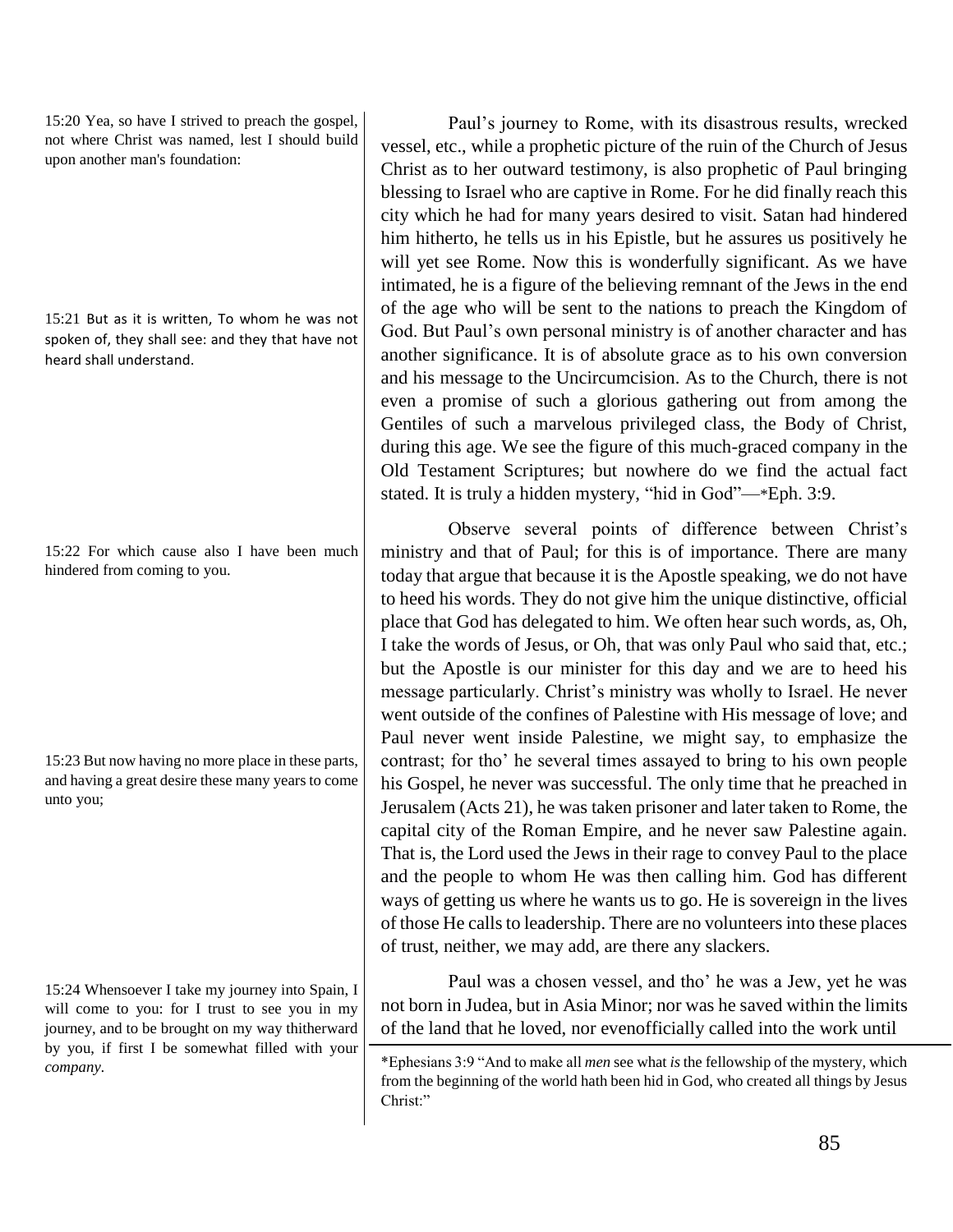15:20 Yea, so have I strived to preach the gospel, not where Christ was named, lest I should build upon another man's foundation:

15:21 But as it is written, To whom he was not spoken of, they shall see: and they that have not heard shall understand.

15:22 For which cause also I have been much hindered from coming to you.

15:23 But now having no more place in these parts, and having a great desire these many years to come unto you;

15:24 Whensoever I take my journey into Spain, I will come to you: for I trust to see you in my journey, and to be brought on my way thitherward by you, if first I be somewhat filled with your *company.*

Paul's journey to Rome, with its disastrous results, wrecked vessel, etc., while a prophetic picture of the ruin of the Church of Jesus Christ as to her outward testimony, is also prophetic of Paul bringing blessing to Israel who are captive in Rome. For he did finally reach this city which he had for many years desired to visit. Satan had hindered him hitherto, he tells us in his Epistle, but he assures us positively he will yet see Rome. Now this is wonderfully significant. As we have intimated, he is a figure of the believing remnant of the Jews in the end of the age who will be sent to the nations to preach the Kingdom of God. But Paul's own personal ministry is of another character and has another significance. It is of absolute grace as to his own conversion and his message to the Uncircumcision. As to the Church, there is not even a promise of such a glorious gathering out from among the Gentiles of such a marvelous privileged class, the Body of Christ, during this age. We see the figure of this much-graced company in the Old Testament Scriptures; but nowhere do we find the actual fact stated. It is truly a hidden mystery, "hid in God"—\*Eph. 3:9.

Observe several points of difference between Christ's ministry and that of Paul; for this is of importance. There are many today that argue that because it is the Apostle speaking, we do not have to heed his words. They do not give him the unique distinctive, official place that God has delegated to him. We often hear such words, as, Oh, I take the words of Jesus, or Oh, that was only Paul who said that, etc.; but the Apostle is our minister for this day and we are to heed his message particularly. Christ's ministry was wholly to Israel. He never went outside of the confines of Palestine with His message of love; and Paul never went inside Palestine, we might say, to emphasize the contrast; for tho' he several times assayed to bring to his own people his Gospel, he never was successful. The only time that he preached in Jerusalem (Acts 21), he was taken prisoner and later taken to Rome, the capital city of the Roman Empire, and he never saw Palestine again. That is, the Lord used the Jews in their rage to convey Paul to the place and the people to whom He was then calling him. God has different ways of getting us where he wants us to go. He is sovereign in the lives of those He calls to leadership. There are no volunteers into these places of trust, neither, we may add, are there any slackers.

Paul was a chosen vessel, and tho' he was a Jew, yet he was not born in Judea, but in Asia Minor; nor was he saved within the limits of the land that he loved, nor evenofficially called into the work until

<sup>\*</sup>Ephesians 3:9 "And to make all *men* see what *is* the fellowship of the mystery, which from the beginning of the world hath been hid in God, who created all things by Jesus Christ:"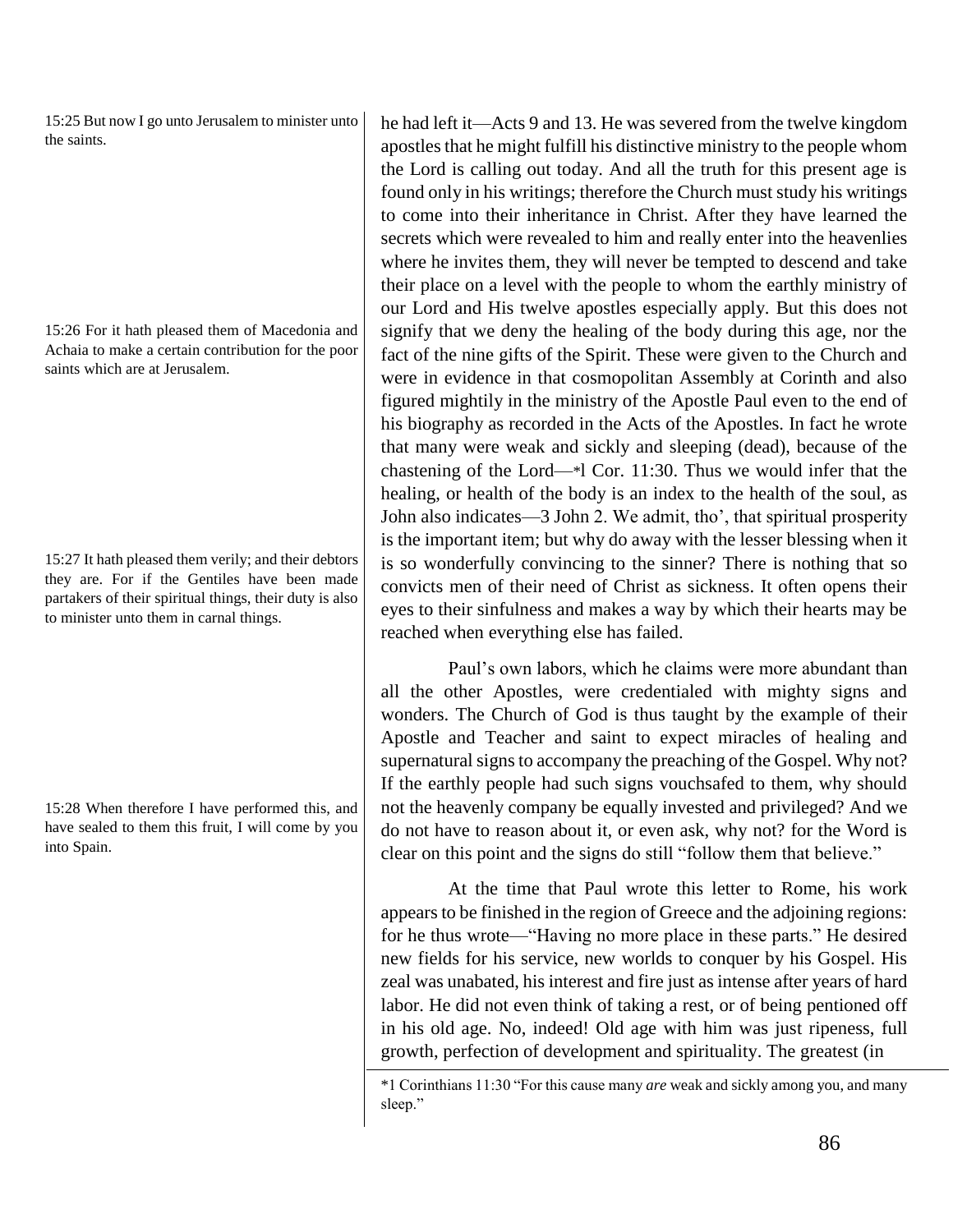15:25 But now I go unto Jerusalem to minister unto the saints.

15:26 For it hath pleased them of Macedonia and Achaia to make a certain contribution for the poor saints which are at Jerusalem.

15:27 It hath pleased them verily; and their debtors they are. For if the Gentiles have been made partakers of their spiritual things, their duty is also to minister unto them in carnal things.

15:28 When therefore I have performed this, and have sealed to them this fruit, I will come by you into Spain.

he had left it—Acts 9 and 13. He was severed from the twelve kingdom apostles that he might fulfill his distinctive ministry to the people whom the Lord is calling out today. And all the truth for this present age is found only in his writings; therefore the Church must study his writings to come into their inheritance in Christ. After they have learned the secrets which were revealed to him and really enter into the heavenlies where he invites them, they will never be tempted to descend and take their place on a level with the people to whom the earthly ministry of our Lord and His twelve apostles especially apply. But this does not signify that we deny the healing of the body during this age, nor the fact of the nine gifts of the Spirit. These were given to the Church and were in evidence in that cosmopolitan Assembly at Corinth and also figured mightily in the ministry of the Apostle Paul even to the end of his biography as recorded in the Acts of the Apostles. In fact he wrote that many were weak and sickly and sleeping (dead), because of the chastening of the Lord—\*l Cor. 11:30. Thus we would infer that the healing, or health of the body is an index to the health of the soul, as John also indicates—3 John 2. We admit, tho', that spiritual prosperity is the important item; but why do away with the lesser blessing when it is so wonderfully convincing to the sinner? There is nothing that so convicts men of their need of Christ as sickness. It often opens their eyes to their sinfulness and makes a way by which their hearts may be reached when everything else has failed.

Paul's own labors, which he claims were more abundant than all the other Apostles, were credentialed with mighty signs and wonders. The Church of God is thus taught by the example of their Apostle and Teacher and saint to expect miracles of healing and supernatural signs to accompany the preaching of the Gospel. Why not? If the earthly people had such signs vouchsafed to them, why should not the heavenly company be equally invested and privileged? And we do not have to reason about it, or even ask, why not? for the Word is clear on this point and the signs do still "follow them that believe."

At the time that Paul wrote this letter to Rome, his work appears to be finished in the region of Greece and the adjoining regions: for he thus wrote—"Having no more place in these parts." He desired new fields for his service, new worlds to conquer by his Gospel. His zeal was unabated, his interest and fire just as intense after years of hard labor. He did not even think of taking a rest, or of being pentioned off in his old age. No, indeed! Old age with him was just ripeness, full growth, perfection of development and spirituality. The greatest (in

\*1 Corinthians 11:30 "For this cause many *are* weak and sickly among you, and many sleep."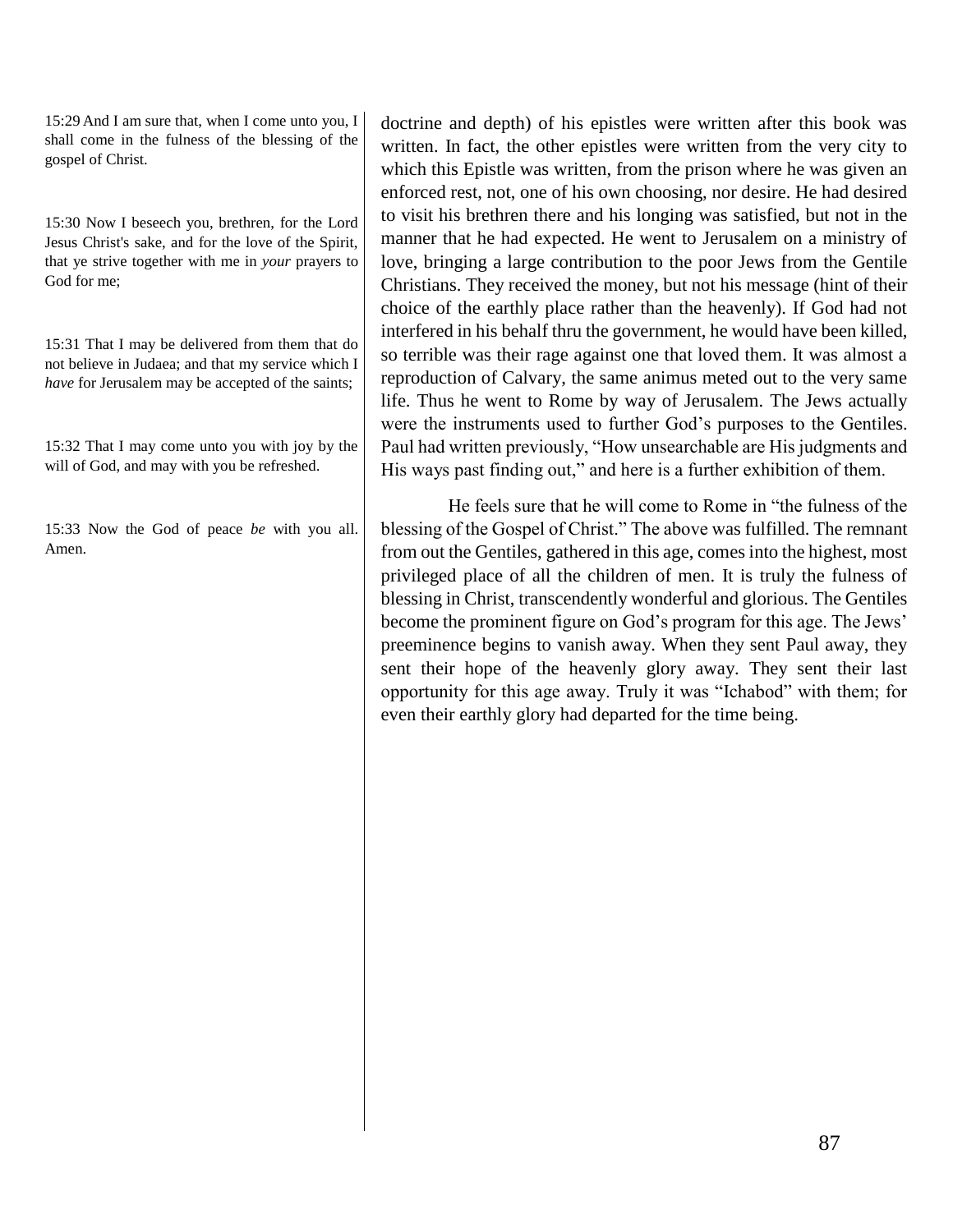15:29 And I am sure that, when I come unto you, I shall come in the fulness of the blessing of the gospel of Christ.

15:30 Now I beseech you, brethren, for the Lord Jesus Christ's sake, and for the love of the Spirit, that ye strive together with me in *your* prayers to God for me;

15:31 That I may be delivered from them that do not believe in Judaea; and that my service which I *have* for Jerusalem may be accepted of the saints;

15:32 That I may come unto you with joy by the will of God, and may with you be refreshed.

15:33 Now the God of peace *be* with you all. Amen.

doctrine and depth) of his epistles were written after this book was written. In fact, the other epistles were written from the very city to which this Epistle was written, from the prison where he was given an enforced rest, not, one of his own choosing, nor desire. He had desired to visit his brethren there and his longing was satisfied, but not in the manner that he had expected. He went to Jerusalem on a ministry of love, bringing a large contribution to the poor Jews from the Gentile Christians. They received the money, but not his message (hint of their choice of the earthly place rather than the heavenly). If God had not interfered in his behalf thru the government, he would have been killed, so terrible was their rage against one that loved them. It was almost a reproduction of Calvary, the same animus meted out to the very same life. Thus he went to Rome by way of Jerusalem. The Jews actually were the instruments used to further God's purposes to the Gentiles. Paul had written previously, "How unsearchable are His judgments and His ways past finding out," and here is a further exhibition of them.

He feels sure that he will come to Rome in "the fulness of the blessing of the Gospel of Christ." The above was fulfilled. The remnant from out the Gentiles, gathered in this age, comes into the highest, most privileged place of all the children of men. It is truly the fulness of blessing in Christ, transcendently wonderful and glorious. The Gentiles become the prominent figure on God's program for this age. The Jews' preeminence begins to vanish away. When they sent Paul away, they sent their hope of the heavenly glory away. They sent their last opportunity for this age away. Truly it was "Ichabod" with them; for even their earthly glory had departed for the time being.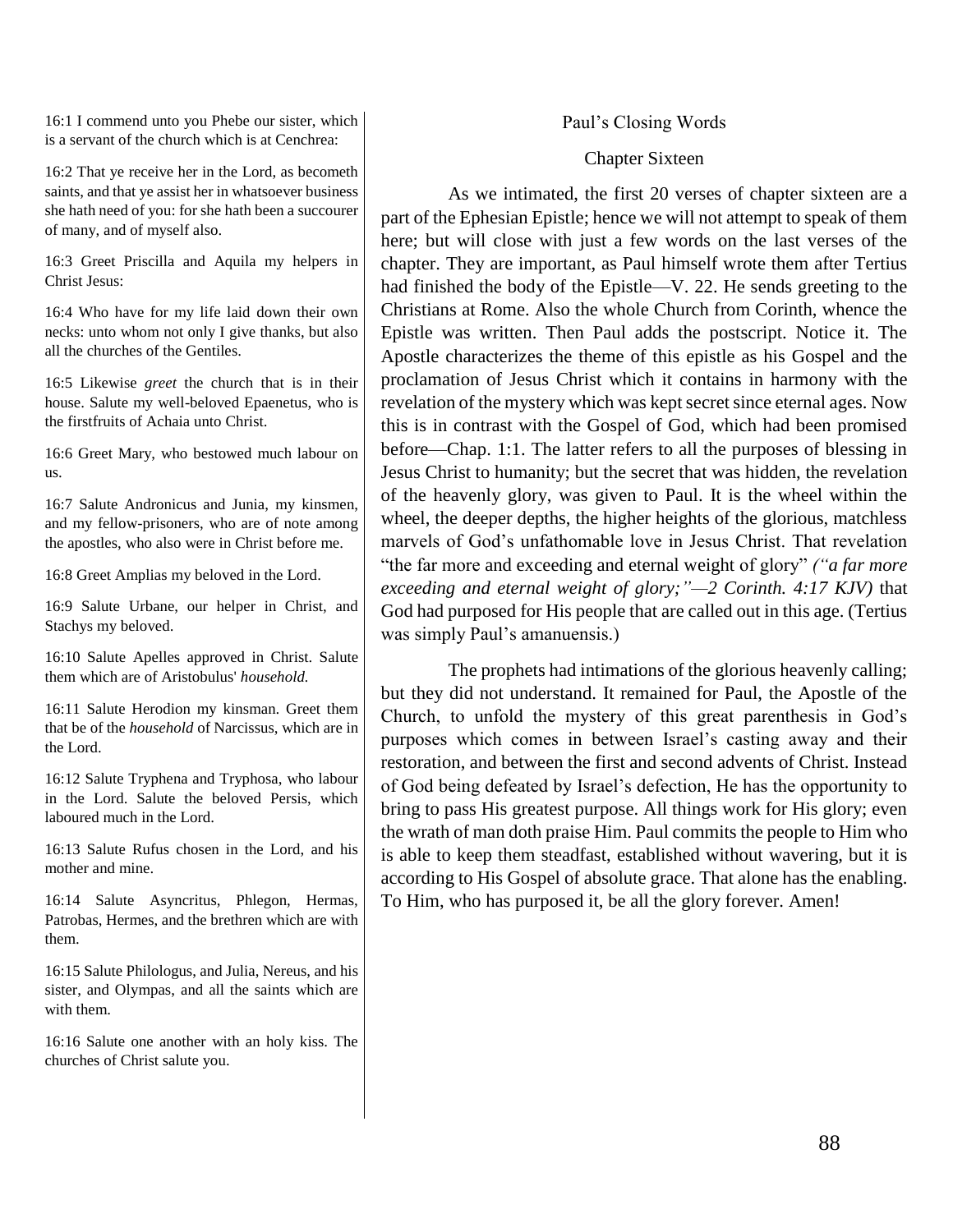16:1 I commend unto you Phebe our sister, which is a servant of the church which is at Cenchrea:

16:2 That ye receive her in the Lord, as becometh saints, and that ye assist her in whatsoever business she hath need of you: for she hath been a succourer of many, and of myself also.

16:3 Greet Priscilla and Aquila my helpers in Christ Jesus:

16:4 Who have for my life laid down their own necks: unto whom not only I give thanks, but also all the churches of the Gentiles.

16:5 Likewise *greet* the church that is in their house. Salute my well-beloved Epaenetus, who is the firstfruits of Achaia unto Christ.

16:6 Greet Mary, who bestowed much labour on us.

16:7 Salute Andronicus and Junia, my kinsmen, and my fellow-prisoners, who are of note among the apostles, who also were in Christ before me.

16:8 Greet Amplias my beloved in the Lord.

16:9 Salute Urbane, our helper in Christ, and Stachys my beloved.

16:10 Salute Apelles approved in Christ. Salute them which are of Aristobulus' *household.*

16:11 Salute Herodion my kinsman. Greet them that be of the *household* of Narcissus, which are in the Lord.

16:12 Salute Tryphena and Tryphosa, who labour in the Lord. Salute the beloved Persis, which laboured much in the Lord.

16:13 Salute Rufus chosen in the Lord, and his mother and mine.

16:14 Salute Asyncritus, Phlegon, Hermas, Patrobas, Hermes, and the brethren which are with them.

16:15 Salute Philologus, and Julia, Nereus, and his sister, and Olympas, and all the saints which are with them.

16:16 Salute one another with an holy kiss. The churches of Christ salute you.

### Paul's Closing Words

#### Chapter Sixteen

As we intimated, the first 20 verses of chapter sixteen are a part of the Ephesian Epistle; hence we will not attempt to speak of them here; but will close with just a few words on the last verses of the chapter. They are important, as Paul himself wrote them after Tertius had finished the body of the Epistle—V. 22. He sends greeting to the Christians at Rome. Also the whole Church from Corinth, whence the Epistle was written. Then Paul adds the postscript. Notice it. The Apostle characterizes the theme of this epistle as his Gospel and the proclamation of Jesus Christ which it contains in harmony with the revelation of the mystery which was kept secret since eternal ages. Now this is in contrast with the Gospel of God, which had been promised before—Chap. 1:1. The latter refers to all the purposes of blessing in Jesus Christ to humanity; but the secret that was hidden, the revelation of the heavenly glory, was given to Paul. It is the wheel within the wheel, the deeper depths, the higher heights of the glorious, matchless marvels of God's unfathomable love in Jesus Christ. That revelation "the far more and exceeding and eternal weight of glory" *("a far more exceeding and eternal weight of glory;"—2 Corinth. 4:17 KJV)* that God had purposed for His people that are called out in this age. (Tertius was simply Paul's amanuensis.)

The prophets had intimations of the glorious heavenly calling; but they did not understand. It remained for Paul, the Apostle of the Church, to unfold the mystery of this great parenthesis in God's purposes which comes in between Israel's casting away and their restoration, and between the first and second advents of Christ. Instead of God being defeated by Israel's defection, He has the opportunity to bring to pass His greatest purpose. All things work for His glory; even the wrath of man doth praise Him. Paul commits the people to Him who is able to keep them steadfast, established without wavering, but it is according to His Gospel of absolute grace. That alone has the enabling. To Him, who has purposed it, be all the glory forever. Amen!